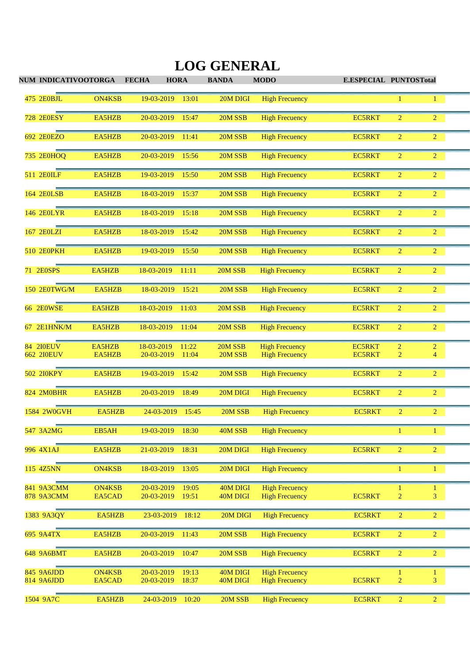| NUM INDICATIVOOTORGA            |                         | <b>FECHA</b><br><b>HORA</b>                | <b>BANDA</b>         | <b>MODO</b>                                    | <b>E.ESPECIAL PUNTOSTotal</b> |                     |                   |  |
|---------------------------------|-------------------------|--------------------------------------------|----------------------|------------------------------------------------|-------------------------------|---------------------|-------------------|--|
| 475 2E0BJL                      | <b>ON4KSB</b>           | 19-03-2019<br>13:01                        | 20M DIGI             | <b>High Frecuency</b>                          |                               |                     | 1                 |  |
| <b>728 2E0ESY</b>               | EA5HZB                  | 20-03-2019<br>15:47                        | 20M SSB              | <b>High Frecuency</b>                          | <b>EC5RKT</b>                 | $\overline{2}$      | $\overline{2}$    |  |
| 692 2E0EZO                      | EA5HZB                  | 20-03-2019<br>11:41                        | 20M SSB              | <b>High Frecuency</b>                          | <b>EC5RKT</b>                 | $\overline{2}$      | $\overline{2}$    |  |
| 735 2E0HOQ                      | EA5HZB                  | 20-03-2019<br>15:56                        | 20M SSB              | <b>High Frecuency</b>                          | <b>EC5RKT</b>                 | $\overline{2}$      | $\overline{2}$    |  |
| 511 2E0ILF                      | EA5HZB                  | 19-03-2019<br>15:50                        | 20M SSB              | <b>High Frecuency</b>                          | <b>EC5RKT</b>                 | $\overline{2}$      | $\overline{2}$    |  |
| 164 2E0LSB                      | EA5HZB                  | 18-03-2019<br>15:37                        | 20M SSB              | <b>High Frecuency</b>                          | <b>EC5RKT</b>                 | $\overline{2}$      | $\overline{2}$    |  |
| 146 2E0LYR                      | EA5HZB                  | 18-03-2019<br>15:18                        | 20M SSB              | <b>High Frecuency</b>                          | <b>EC5RKT</b>                 | $\overline{2}$      | $\overline{2}$    |  |
| 167 2E0LZI                      | EA5HZB                  | 18-03-2019<br>15:42                        | 20M SSB              | <b>High Frecuency</b>                          | <b>EC5RKT</b>                 | $\overline{2}$      | $\overline{2}$    |  |
| 510 2E0PKH                      | EA5HZB                  | 19-03-2019<br>15:50                        | 20M SSB              | <b>High Frecuency</b>                          | <b>EC5RKT</b>                 | $\overline{2}$      | $\overline{c}$    |  |
| 71 2E0SPS                       | EA5HZB                  | 18-03-2019<br>11:11                        | 20M SSB              | <b>High Frecuency</b>                          | <b>EC5RKT</b>                 | $\overline{2}$      | $\overline{2}$    |  |
| 150 2E0TWG/M                    | EA5HZB                  | 18-03-2019<br>15:21                        | 20M SSB              | <b>High Frecuency</b>                          | <b>EC5RKT</b>                 | $\overline{2}$      | $\overline{2}$    |  |
| <b>66 2E0WSE</b>                | EA5HZB                  | 18-03-2019<br>11:03                        | 20M SSB              | <b>High Frecuency</b>                          | <b>EC5RKT</b>                 | $\overline{2}$      | $\overline{2}$    |  |
| 67 2E1HNK/M                     | EA5HZB                  | 18-03-2019<br>11:04                        | 20M SSB              | <b>High Frecuency</b>                          | <b>EC5RKT</b>                 | $\overline{2}$      | $\overline{2}$    |  |
| 84 210EUV                       | EA5HZB                  | 18-03-2019<br>11:22                        | 20M SSB              | <b>High Frecuency</b>                          | <b>EC5RKT</b>                 | $\overline{c}$      | $\overline{2}$    |  |
| <b>662 2I0EUV</b>               | EA5HZB                  | 20-03-2019<br>11:04                        | 20M SSB              | <b>High Frecuency</b>                          | <b>EC5RKT</b>                 | 2                   | $\overline{4}$    |  |
| 502 2I0KPY                      | EA5HZB                  | 19-03-2019<br>15:42                        | 20M SSB              | <b>High Frecuency</b>                          | <b>EC5RKT</b>                 | $\overline{2}$      | $\overline{2}$    |  |
| 824 2M0BHR                      | EA5HZB                  | 20-03-2019<br>18:49                        | 20M DIGI             | <b>High Frecuency</b>                          | <b>EC5RKT</b>                 | $\overline{2}$      | $\overline{c}$    |  |
| 1584 2W0GVH                     | EA5HZB                  | 24-03-2019<br>15:45                        | 20M SSB              | <b>High Frecuency</b>                          | <b>EC5RKT</b>                 | $\overline{2}$      | $\overline{2}$    |  |
| 547 3A2MG                       | EB5AH                   | 19-03-2019<br>18:30                        | 40M SSB              | <b>High Frecuency</b>                          |                               | 1                   | $\mathbf{1}$      |  |
| 996 4X1AJ                       | EA5HZB                  | 21-03-2019<br>18:31                        | 20M DIGI             | <b>High Frecuency</b>                          | <b>EC5RKT</b>                 | $\overline{2}$      | $\overline{2}$    |  |
| 115 4Z5NN                       | <b>ON4KSB</b>           | 18-03-2019<br>13:05                        | 20M DIGI             | <b>High Frecuency</b>                          |                               | 1                   | $\mathbf{1}$      |  |
| 841 9A3CMM<br><b>878 9A3CMM</b> | <b>ON4KSB</b><br>EA5CAD | 20-03-2019<br>19:05<br>20-03-2019<br>19:51 | 40M DIGI<br>40M DIGI | <b>High Frecuency</b><br><b>High Frecuency</b> | <b>EC5RKT</b>                 | 1<br>$\overline{2}$ | $\mathbf{1}$<br>3 |  |
|                                 |                         |                                            |                      |                                                |                               |                     |                   |  |
| 1383 9A3QY                      | EA5HZB                  | 18:12<br>23-03-2019                        | 20M DIGI             | <b>High Frecuency</b>                          | <b>EC5RKT</b>                 | $\overline{2}$      | $\overline{2}$    |  |
| 695 9A4TX                       | EA5HZB                  | 20-03-2019<br>11:43                        | 20M SSB              | <b>High Frecuency</b>                          | EC5RKT                        | $\overline{2}$      | $\overline{2}$    |  |
| 648 9A6BMT                      | EA5HZB                  | 20-03-2019<br>10:47                        | 20M SSB              | <b>High Frecuency</b>                          | EC5RKT                        | $\overline{2}$      | $\overline{2}$    |  |
| 845 9A6JDD                      | <b>ON4KSB</b>           | 20-03-2019<br>19:13                        | 40M DIGI             | <b>High Frecuency</b>                          |                               |                     | $\mathbf{1}$      |  |
| 814 9A6JDD                      | EA5CAD                  | 20-03-2019<br>18:37                        | 40M DIGI             | <b>High Frecuency</b>                          | <b>EC5RKT</b>                 | $\overline{c}$      | 3                 |  |
| 1504 9A7C                       | EA5HZB                  | 24-03-2019<br>10:20                        | 20M SSB              | <b>High Frecuency</b>                          | <b>EC5RKT</b>                 | $\overline{2}$      | $\overline{2}$    |  |

## **LOG GENERAL**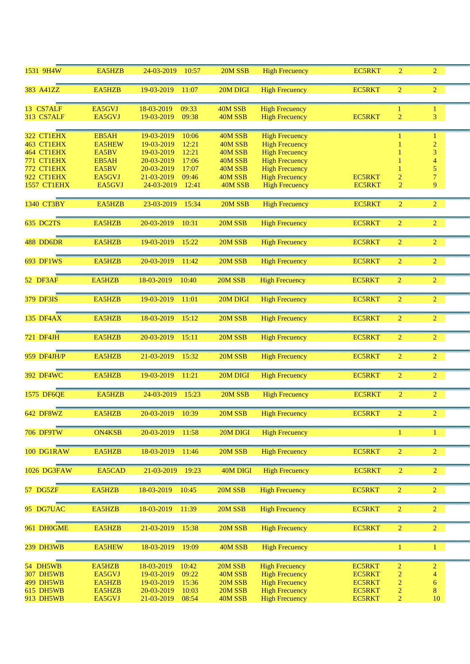| 1531 9H4W         | EA5HZB        | 24-03-2019<br>10:57 | 20M SSB  | <b>High Frecuency</b> | <b>EC5RKT</b> | $\overline{2}$ | $\overline{2}$           |  |
|-------------------|---------------|---------------------|----------|-----------------------|---------------|----------------|--------------------------|--|
| 383 A41ZZ         | EA5HZB        | 19-03-2019<br>11:07 | 20M DIGI | <b>High Frecuency</b> | <b>EC5RKT</b> | $\overline{2}$ | $\overline{2}$           |  |
|                   |               |                     |          |                       |               |                |                          |  |
| 13 CS7ALF         | EA5GVJ        | 18-03-2019<br>09:33 | 40M SSB  | <b>High Frecuency</b> |               | 1              | $\mathbf{1}$             |  |
| <b>313 CS7ALF</b> | EA5GVJ        | 19-03-2019<br>09:38 | 40M SSB  | <b>High Frecuency</b> | <b>EC5RKT</b> | $\overline{2}$ | 3                        |  |
| 322 CT1EHX        | EB5AH         | 19-03-2019<br>10:06 | 40M SSB  | <b>High Frecuency</b> |               |                | 1                        |  |
| 463 CT1EHX        | <b>EA5HEW</b> | 19-03-2019<br>12:21 | 40M SSB  | <b>High Frecuency</b> |               |                | $\overline{c}$           |  |
| 464 CT1EHX        | EA5BV         | 19-03-2019<br>12:21 | 40M SSB  | <b>High Frecuency</b> |               |                | 3                        |  |
| 771 CT1EHX        | EB5AH         | 20-03-2019<br>17:06 | 40M SSB  | <b>High Frecuency</b> |               |                | $\overline{\mathcal{A}}$ |  |
| 772 CT1EHX        | EA5BV         | 20-03-2019<br>17:07 | 40M SSB  | <b>High Frecuency</b> |               |                | 5                        |  |
| 922 CT1EHX        | EA5GVJ        | 21-03-2019<br>09:46 | 40M SSB  | <b>High Frecuency</b> | <b>EC5RKT</b> | $\overline{2}$ | $\overline{7}$           |  |
| 1557 CT1EHX       | EA5GVJ        | 24-03-2019<br>12:41 | 40M SSB  | <b>High Frecuency</b> | <b>EC5RKT</b> | $\overline{2}$ | 9                        |  |
| 1340 CT3BY        | EA5HZB        | 23-03-2019<br>15:34 | 20M SSB  | <b>High Frecuency</b> | <b>EC5RKT</b> | $\overline{2}$ | $\overline{2}$           |  |
| 635 DC2TS         | EA5HZB        | 20-03-2019<br>10:31 | 20M SSB  | <b>High Frecuency</b> | <b>EC5RKT</b> | $\overline{c}$ | $\overline{2}$           |  |
| 488 DD6DR         | EA5HZB        | 19-03-2019<br>15:22 | 20M SSB  | <b>High Frecuency</b> | <b>EC5RKT</b> | $\overline{2}$ | $\overline{2}$           |  |
|                   |               |                     |          |                       |               |                |                          |  |
| <b>693 DF1WS</b>  | EA5HZB        | 20-03-2019<br>11:42 | 20M SSB  | <b>High Frecuency</b> | <b>EC5RKT</b> | $\overline{2}$ | $\overline{2}$           |  |
| 52 DF3AF          | EA5HZB        | 18-03-2019<br>10:40 | 20M SSB  | <b>High Frecuency</b> | <b>EC5RKT</b> | $\overline{2}$ | $\overline{2}$           |  |
| 379 DF3IS         | EA5HZB        | 19-03-2019<br>11:01 | 20M DIGI | <b>High Frecuency</b> | <b>EC5RKT</b> | $\overline{2}$ | $\overline{2}$           |  |
|                   |               |                     |          |                       |               |                |                          |  |
| 135 DF4AX         | EA5HZB        | 18-03-2019<br>15:12 | 20M SSB  | <b>High Frecuency</b> | <b>EC5RKT</b> | $\overline{2}$ | $\overline{2}$           |  |
| 721 DF4JH         | EA5HZB        | 20-03-2019<br>15:11 | 20M SSB  | <b>High Frecuency</b> | <b>EC5RKT</b> | $\overline{c}$ | $\overline{2}$           |  |
| 959 DF4JH/P       | EA5HZB        | 21-03-2019<br>15:32 | 20M SSB  | <b>High Frecuency</b> | <b>EC5RKT</b> | $\overline{2}$ | $\overline{2}$           |  |
| 392 DF4WC         | EA5HZB        | 19-03-2019<br>11:21 | 20M DIGI | <b>High Frecuency</b> | <b>EC5RKT</b> | $\overline{2}$ | $\overline{2}$           |  |
| 1575 DF6QE        | EA5HZB        | 24-03-2019<br>15:23 | 20M SSB  | <b>High Frecuency</b> | <b>EC5RKT</b> | $\overline{2}$ | $\overline{2}$           |  |
| 642 DF8WZ         | EA5HZB        | 20-03-2019<br>10:39 | 20M SSB  | <b>High Frecuency</b> | <b>EC5RKT</b> | $\overline{c}$ | $\overline{c}$           |  |
| <b>706 DF9TW</b>  | <b>ON4KSB</b> | 20-03-2019<br>11:58 | 20M DIGI | <b>High Frecuency</b> |               | 1              | $\mathbf{1}$             |  |
| 100 DG1RAW        | EA5HZB        | 18-03-2019<br>11:46 | 20M SSB  | <b>High Frecuency</b> | <b>EC5RKT</b> | $\overline{2}$ | $\overline{2}$           |  |
| 1026 DG3FAW       | EA5CAD        | 21-03-2019<br>19:23 | 40M DIGI | <b>High Frecuency</b> | <b>EC5RKT</b> | $\sqrt{2}$     | $\overline{2}$           |  |
| 57 DG5ZF          | EA5HZB        | 18-03-2019<br>10:45 | 20M SSB  | <b>High Frecuency</b> | EC5RKT        | $\overline{2}$ | $\overline{2}$           |  |
| 95 DG7UAC         | EA5HZB        | 18-03-2019<br>11:39 | 20M SSB  | <b>High Frecuency</b> | <b>EC5RKT</b> | $\overline{2}$ | $\overline{2}$           |  |
| 961 DH0GME        | EA5HZB        | 21-03-2019<br>15:38 | 20M SSB  | <b>High Frecuency</b> | <b>EC5RKT</b> | $\overline{2}$ | $\overline{2}$           |  |
| 239 DH3WB         | <b>EA5HEW</b> | 18-03-2019<br>19:09 | 40M SSB  | <b>High Frecuency</b> |               | $\mathbf{1}$   | $\mathbf{1}$             |  |
| 54 DH5WB          | EA5HZB        | 18-03-2019<br>10:42 | 20M SSB  | <b>High Frecuency</b> | <b>EC5RKT</b> | $\overline{c}$ | $\overline{2}$           |  |
| 307 DH5WB         | EA5GVJ        | 19-03-2019<br>09:22 | 40M SSB  | <b>High Frecuency</b> | <b>EC5RKT</b> | $\overline{c}$ | $\overline{4}$           |  |
| <b>499 DH5WB</b>  | EA5HZB        | 19-03-2019<br>15:36 | 20M SSB  | <b>High Frecuency</b> | <b>EC5RKT</b> | $\overline{2}$ | 6                        |  |
| <b>615 DH5WB</b>  | EA5HZB        | 20-03-2019<br>10:03 | 20M SSB  | <b>High Frecuency</b> | <b>EC5RKT</b> | $\overline{2}$ | 8                        |  |
| 913 DH5WB         | EA5GVJ        | 21-03-2019<br>08:54 | 40M SSB  | <b>High Frecuency</b> | <b>EC5RKT</b> | $\overline{2}$ | 10                       |  |
|                   |               |                     |          |                       |               |                |                          |  |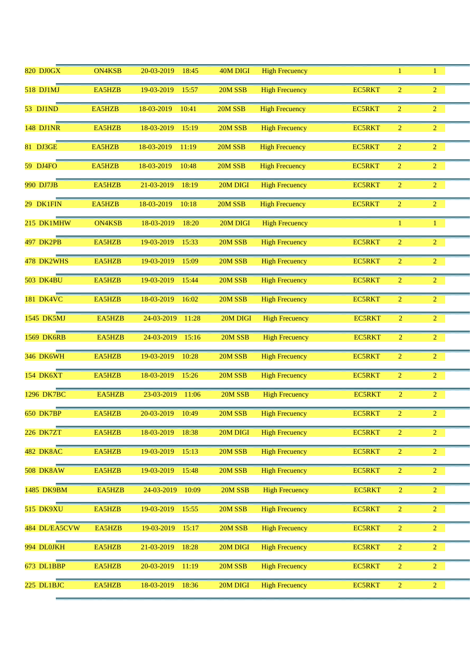| <b>820 DJ0GX</b>  | <b>ON4KSB</b> | 20-03-2019<br>18:45 | 40M DIGI       | <b>High Frecuency</b> |               |                | 1              |  |
|-------------------|---------------|---------------------|----------------|-----------------------|---------------|----------------|----------------|--|
| 518 DJ1MJ         | EA5HZB        | 19-03-2019<br>15:57 | 20M SSB        | <b>High Frecuency</b> | EC5RKT        | 2              | $\overline{2}$ |  |
| 53 DJ1ND          | EA5HZB        | 18-03-2019<br>10:41 | 20M SSB        | <b>High Frecuency</b> | EC5RKT        | $\overline{2}$ | $\overline{2}$ |  |
| <b>148 DJ1NR</b>  | EA5HZB        | 18-03-2019<br>15:19 | 20M SSB        | <b>High Frecuency</b> | <b>EC5RKT</b> | $\overline{2}$ | $\overline{2}$ |  |
| 81 DJ3GE          | EA5HZB        | 18-03-2019<br>11:19 | 20M SSB        | <b>High Frecuency</b> | EC5RKT        | $\overline{2}$ | $\overline{2}$ |  |
| 59 DJ4FO          | EA5HZB        | 18-03-2019<br>10:48 | 20M SSB        | <b>High Frecuency</b> | <b>EC5RKT</b> | $\overline{2}$ | $\overline{2}$ |  |
| 990 DJ7JB         | EA5HZB        | 21-03-2019<br>18:19 | 20M DIGI       | <b>High Frecuency</b> | EC5RKT        | $\overline{2}$ | $\overline{2}$ |  |
| 29 DK1FIN         | EA5HZB        | 18-03-2019<br>10:18 | 20M SSB        | <b>High Frecuency</b> | <b>EC5RKT</b> | $\overline{2}$ | $\overline{2}$ |  |
| 215 DK1MHW        | <b>ON4KSB</b> | 18-03-2019<br>18:20 | 20M DIGI       | <b>High Frecuency</b> |               | 1              | $\mathbf{1}$   |  |
| 497 DK2PB         | EA5HZB        | 19-03-2019<br>15:33 | 20M SSB        | <b>High Frecuency</b> | <b>EC5RKT</b> | $\overline{2}$ | $\overline{2}$ |  |
| 478 DK2WHS        | EA5HZB        | 19-03-2019<br>15:09 | 20M SSB        | <b>High Frecuency</b> | <b>EC5RKT</b> | $\overline{2}$ | $\overline{2}$ |  |
| <b>503 DK4BU</b>  | EA5HZB        | 19-03-2019<br>15:44 | 20M SSB        | <b>High Frecuency</b> | <b>EC5RKT</b> | $\overline{2}$ | $\overline{2}$ |  |
| <b>181 DK4VC</b>  | EA5HZB        | 18-03-2019<br>16:02 | 20M SSB        | <b>High Frecuency</b> | <b>EC5RKT</b> | $\overline{2}$ | $\overline{2}$ |  |
| 1545 DK5MJ        | EA5HZB        | 24-03-2019<br>11:28 | 20M DIGI       | <b>High Frecuency</b> | <b>EC5RKT</b> | $\overline{2}$ | $\overline{2}$ |  |
| <b>1569 DK6RB</b> | EA5HZB        | 24-03-2019<br>15:16 | 20M SSB        | <b>High Frecuency</b> | <b>EC5RKT</b> | $\overline{2}$ | $\overline{2}$ |  |
| <b>346 DK6WH</b>  | EA5HZB        | 19-03-2019<br>10:28 | 20M SSB        | <b>High Frecuency</b> | <b>EC5RKT</b> | $\overline{2}$ | $\overline{2}$ |  |
| <b>154 DK6XT</b>  | EA5HZB        | 18-03-2019<br>15:26 | 20M SSB        | <b>High Frecuency</b> | <b>EC5RKT</b> | $\overline{2}$ | $\overline{2}$ |  |
| 1296 DK7BC        | EA5HZB        | 23-03-2019<br>11:06 | 20M SSB        | <b>High Frecuency</b> | <b>EC5RKT</b> | $\overline{2}$ | $\overline{2}$ |  |
| <b>650 DK7BP</b>  | EA5HZB        | 20-03-2019 10:49    | $20M$ SSB $\,$ | <b>High Frecuency</b> | <b>EC5RKT</b> | $\overline{c}$ | $\overline{2}$ |  |
| 226 DK7ZT         | EA5HZB        | 18-03-2019<br>18:38 | 20M DIGI       | <b>High Frecuency</b> | <b>EC5RKT</b> | $\overline{2}$ | $\overline{2}$ |  |
| <b>482 DK8AC</b>  | EA5HZB        | 19-03-2019<br>15:13 | 20M SSB        | <b>High Frecuency</b> | <b>EC5RKT</b> | $\overline{2}$ | $\overline{2}$ |  |
| <b>508 DK8AW</b>  | EA5HZB        | 19-03-2019<br>15:48 | 20M SSB        | <b>High Frecuency</b> | <b>EC5RKT</b> | $\overline{2}$ | $\overline{2}$ |  |
| 1485 DK9BM        | EA5HZB        | 24-03-2019<br>10:09 | 20M SSB        | <b>High Frecuency</b> | <b>EC5RKT</b> | $\overline{2}$ | $\overline{2}$ |  |
| <b>515 DK9XU</b>  | EA5HZB        | 19-03-2019<br>15:55 | 20M SSB        | <b>High Frecuency</b> | <b>EC5RKT</b> | $\overline{2}$ | $\overline{2}$ |  |
| 484 DL/EA5CVW     | EA5HZB        | 19-03-2019<br>15:17 | 20M SSB        | <b>High Frecuency</b> | <b>EC5RKT</b> | $\overline{2}$ | $\overline{2}$ |  |
| 994 DL0JKH        | EA5HZB        | 21-03-2019<br>18:28 | 20M DIGI       | <b>High Frecuency</b> | <b>EC5RKT</b> | $\overline{2}$ | $\overline{2}$ |  |
| 673 DL1BBP        | EA5HZB        | 20-03-2019<br>11:19 | 20M SSB        | <b>High Frecuency</b> | <b>EC5RKT</b> | $\overline{2}$ | $\overline{2}$ |  |
| 225 DL1BJC        | EA5HZB        | 18-03-2019<br>18:36 | 20M DIGI       | <b>High Frecuency</b> | <b>EC5RKT</b> | $\overline{2}$ | $\overline{2}$ |  |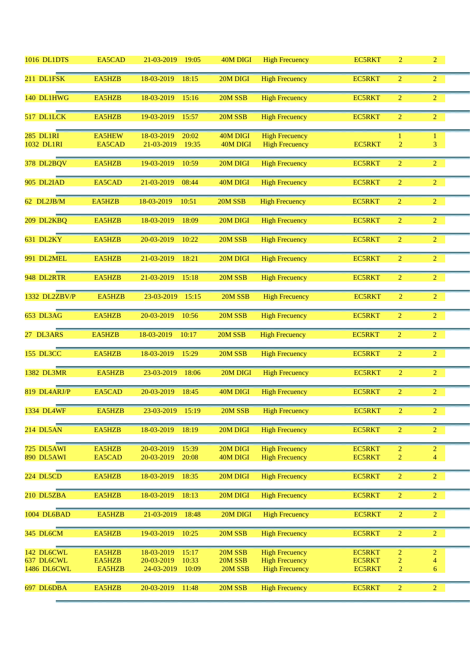| 1016 DL1DTS                    | EA5CAD                  | 21-03-2019<br>19:05                        | 40M DIGI             | <b>High Frecuency</b>                          | <b>EC5RKT</b>                  | $\overline{2}$                   | $\overline{2}$                   |  |
|--------------------------------|-------------------------|--------------------------------------------|----------------------|------------------------------------------------|--------------------------------|----------------------------------|----------------------------------|--|
| 211 DL1FSK                     | EA5HZB                  | 18-03-2019<br>18:15                        | 20M DIGI             | <b>High Frecuency</b>                          | <b>EC5RKT</b>                  | $\overline{2}$                   | $\overline{2}$                   |  |
| 140 DL1HWG                     | EA5HZB                  | 18-03-2019<br>15:16                        | 20M SSB              | <b>High Frecuency</b>                          | <b>EC5RKT</b>                  | $\overline{2}$                   | $\overline{2}$                   |  |
| 517 DL1LCK                     | EA5HZB                  | 19-03-2019<br>15:57                        | 20M SSB              | <b>High Frecuency</b>                          | <b>EC5RKT</b>                  | $\overline{2}$                   | $\overline{2}$                   |  |
| <b>285 DL1RI</b><br>1032 DL1RI | <b>EA5HEW</b><br>EA5CAD | 18-03-2019<br>20:02<br>21-03-2019<br>19:35 | 40M DIGI<br>40M DIGI | <b>High Frecuency</b><br><b>High Frecuency</b> | <b>EC5RKT</b>                  | 1<br>$\overline{\mathbf{c}}$     | 1<br>3                           |  |
|                                |                         |                                            |                      |                                                |                                |                                  |                                  |  |
| 378 DL2BQV                     | EA5HZB                  | 19-03-2019<br>10:59                        | 20M DIGI             | <b>High Frecuency</b>                          | <b>EC5RKT</b>                  | $\overline{2}$                   | $\overline{2}$                   |  |
| 905 DL2IAD                     | EA5CAD                  | 21-03-2019<br>08:44                        | 40M DIGI             | <b>High Frecuency</b>                          | <b>EC5RKT</b>                  | $\overline{2}$                   | $\overline{2}$                   |  |
| 62 DL2JB/M                     | EA5HZB                  | 18-03-2019<br>10:51                        | 20M SSB              | <b>High Frecuency</b>                          | <b>EC5RKT</b>                  | $\overline{2}$                   | $\overline{2}$                   |  |
| 209 DL2KBQ                     | EA5HZB                  | 18-03-2019<br>18:09                        | 20M DIGI             | <b>High Frecuency</b>                          | <b>EC5RKT</b>                  | $\overline{2}$                   | $\overline{2}$                   |  |
| 631 DL2KY                      | EA5HZB                  | 20-03-2019<br>10:22                        | 20M SSB              | <b>High Frecuency</b>                          | <b>EC5RKT</b>                  | $\overline{2}$                   | $\overline{2}$                   |  |
| 991 DL2MEL                     | EA5HZB                  | 21-03-2019<br>18:21                        | 20M DIGI             | <b>High Frecuency</b>                          | <b>EC5RKT</b>                  | $\overline{2}$                   | $\overline{2}$                   |  |
| 948 DL2RTR                     | EA5HZB                  | 21-03-2019<br>15:18                        | 20M SSB              | <b>High Frecuency</b>                          | <b>EC5RKT</b>                  | $\overline{2}$                   | $\overline{2}$                   |  |
| 1332 DL2ZBV/P                  | EA5HZB                  | 23-03-2019<br>15:15                        | 20M SSB              | <b>High Frecuency</b>                          | <b>EC5RKT</b>                  | $\overline{2}$                   | $\overline{2}$                   |  |
| 653 DL3AG                      | EA5HZB                  | 20-03-2019<br>10:56                        | 20M SSB              | <b>High Frecuency</b>                          | <b>EC5RKT</b>                  | $\overline{2}$                   | $\overline{2}$                   |  |
| 27 DL3ARS                      | EA5HZB                  | 18-03-2019<br>10:17                        | 20M SSB              | <b>High Frecuency</b>                          | <b>EC5RKT</b>                  | $\overline{2}$                   | $\overline{2}$                   |  |
| 155 DL3CC                      | EA5HZB                  | 18-03-2019<br>15:29                        | 20M SSB              | <b>High Frecuency</b>                          | <b>EC5RKT</b>                  | $\overline{2}$                   | $\overline{2}$                   |  |
| <b>1382 DL3MR</b>              | EA5HZB                  | 23-03-2019<br>18:06                        | 20M DIGI             | <b>High Frecuency</b>                          | <b>EC5RKT</b>                  | $\overline{2}$                   | $\overline{2}$                   |  |
| 819 DL4ARJ/P                   | EA5CAD                  | 20-03-2019<br>18:45                        | 40M DIGI             | <b>High Frecuency</b>                          | <b>EC5RKT</b>                  | $\overline{2}$                   | $\overline{2}$                   |  |
| 1334 DL4WF                     | EA5HZB                  | 23-03-2019<br>15:19                        | 20M SSB              | <b>High Frecuency</b>                          | <b>EC5RKT</b>                  | $\overline{2}$                   | $\overline{2}$                   |  |
| 214 DL5AN                      | EA5HZB                  | 18-03-2019<br>18:19                        | 20M DIGI             | <b>High Frecuency</b>                          | <b>EC5RKT</b>                  | $\overline{2}$                   | $\overline{2}$                   |  |
| 725 DL5AWI<br>890 DL5AWI       | EA5HZB<br>EA5CAD        | 20-03-2019<br>15:39<br>20-03-2019<br>20:08 | 20M DIGI<br>40M DIGI | <b>High Frecuency</b><br><b>High Frecuency</b> | <b>EC5RKT</b><br><b>EC5RKT</b> | $\overline{2}$<br>$\overline{2}$ | $\overline{2}$<br>$\overline{4}$ |  |
|                                |                         |                                            |                      |                                                |                                |                                  |                                  |  |
| 224 DL5CD                      | EA5HZB                  | 18-03-2019<br>18:35                        | 20M DIGI             | <b>High Frecuency</b>                          | EC5RKT                         | $\overline{2}$                   | $\overline{2}$                   |  |
| 210 DL5ZBA                     |                         |                                            |                      |                                                |                                |                                  |                                  |  |
|                                | EA5HZB                  | 18-03-2019<br>18:13                        | 20M DIGI             | <b>High Frecuency</b>                          | <b>EC5RKT</b>                  | $\overline{2}$                   | $\overline{2}$                   |  |
| 1004 DL6BAD                    | EA5HZB                  | 21-03-2019<br>18:48                        | 20M DIGI             | <b>High Frecuency</b>                          | <b>EC5RKT</b>                  | $\overline{2}$                   | $\overline{2}$                   |  |
| 345 DL6CM                      | EA5HZB                  | 19-03-2019<br>10:25                        | 20M SSB              | <b>High Frecuency</b>                          | <b>EC5RKT</b>                  | $\overline{2}$                   | $\overline{2}$                   |  |
| 142 DL6CWL                     | EA5HZB                  | 18-03-2019<br>15:17                        | 20M SSB              | <b>High Frecuency</b>                          | <b>EC5RKT</b>                  | $\overline{2}$                   | $\overline{2}$                   |  |
| 637 DL6CWL<br>1486 DL6CWL      | EA5HZB<br>EA5HZB        | 20-03-2019<br>10:33<br>24-03-2019<br>10:09 | 20M SSB<br>20M SSB   | <b>High Frecuency</b><br><b>High Frecuency</b> | EC5RKT<br><b>EC5RKT</b>        | 2<br>$\overline{c}$              | 4<br>6                           |  |
| 697 DL6DBA                     | EA5HZB                  | 20-03-2019<br>11:48                        | 20M SSB              | <b>High Frecuency</b>                          | <b>EC5RKT</b>                  | $\overline{2}$                   | $\overline{2}$                   |  |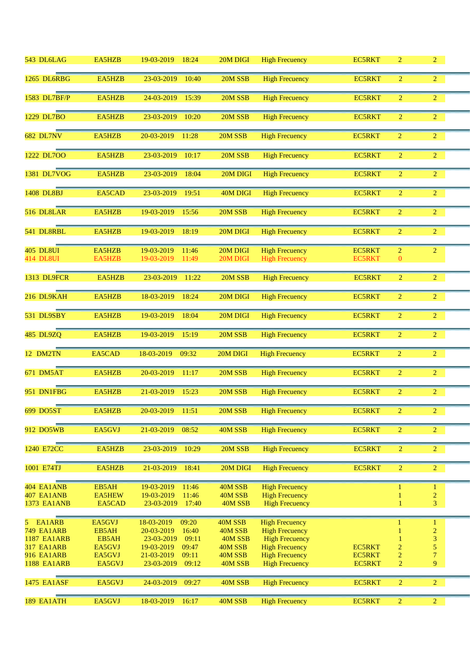| 543 DL6LAG                             | EA5HZB                  | 19-03-2019<br>18:24                        | 20M DIGI           | <b>High Frecuency</b>                          | <b>EC5RKT</b>                  | $\overline{2}$                   | $\overline{2}$      |  |
|----------------------------------------|-------------------------|--------------------------------------------|--------------------|------------------------------------------------|--------------------------------|----------------------------------|---------------------|--|
| 1265 DL6RBG                            | EA5HZB                  | 23-03-2019<br>10:40                        | 20M SSB            | <b>High Frecuency</b>                          | <b>EC5RKT</b>                  | $\overline{2}$                   | $\overline{2}$      |  |
| 1583 DL7BF/P                           | EA5HZB                  | 24-03-2019<br>15:39                        | 20M SSB            | <b>High Frecuency</b>                          | <b>EC5RKT</b>                  | $\overline{2}$                   | $\overline{2}$      |  |
| 1229 DL7BO                             | EA5HZB                  | 23-03-2019<br>10:20                        | 20M SSB            | <b>High Frecuency</b>                          | <b>EC5RKT</b>                  | $\overline{2}$                   | $\overline{2}$      |  |
| <b>682 DL7NV</b>                       | EA5HZB                  | 20-03-2019<br>11:28                        | 20M SSB            | <b>High Frecuency</b>                          | <b>EC5RKT</b>                  | $\overline{2}$                   | $\overline{2}$      |  |
| 1222 DL7OO                             | EA5HZB                  | 23-03-2019<br>10:17                        | 20M SSB            | <b>High Frecuency</b>                          | <b>EC5RKT</b>                  | $\overline{2}$                   | $\overline{2}$      |  |
| 1381 DL7VOG                            | EA5HZB                  | 23-03-2019<br>18:04                        | 20M DIGI           | <b>High Frecuency</b>                          | <b>EC5RKT</b>                  | $\overline{2}$                   | $\overline{2}$      |  |
| 1408 DL8BJ                             | EA5CAD                  | 23-03-2019<br>19:51                        | 40M DIGI           | <b>High Frecuency</b>                          | <b>EC5RKT</b>                  | $\overline{2}$                   | $\overline{2}$      |  |
| 516 DL8LAR                             | EA5HZB                  | 19-03-2019<br>15:56                        | 20M SSB            | <b>High Frecuency</b>                          | <b>EC5RKT</b>                  | $\overline{2}$                   | $\overline{2}$      |  |
| 541 DL8RBL                             | EA5HZB                  | 19-03-2019<br>18:19                        | 20M DIGI           | <b>High Frecuency</b>                          | <b>EC5RKT</b>                  | $\overline{2}$                   | $\overline{2}$      |  |
| <b>405 DL8UI</b>                       | EA5HZB                  | 19-03-2019<br>11:46                        | 20M DIGI           | <b>High Frecuency</b>                          | <b>EC5RKT</b>                  | $\overline{2}$                   | $\overline{2}$      |  |
| <b>414 DL8UI</b>                       | EA5HZB                  | 19-03-2019<br>11:49                        | 20M DIGI           | <b>High Frecuency</b>                          | <b>EC5RKT</b>                  | $\mathbf{0}$                     |                     |  |
| 1313 DL9FCR                            | EA5HZB                  | 23-03-2019<br>11:22                        | 20M SSB            | <b>High Frecuency</b>                          | <b>EC5RKT</b>                  | $\overline{2}$                   | $\overline{2}$      |  |
| 216 DL9KAH                             | EA5HZB                  | 18-03-2019<br>18:24                        | 20M DIGI           | <b>High Frecuency</b>                          | <b>EC5RKT</b>                  | $\overline{2}$                   | $\overline{2}$      |  |
| 531 DL9SBY                             | EA5HZB                  | 19-03-2019<br>18:04                        | 20M DIGI           | <b>High Frecuency</b>                          | <b>EC5RKT</b>                  | $\overline{2}$                   | $\overline{2}$      |  |
| <b>485 DL9ZQ</b>                       | EA5HZB                  | 19-03-2019<br>15:19                        | 20M SSB            | <b>High Frecuency</b>                          | <b>EC5RKT</b>                  | $\overline{2}$                   | $\overline{2}$      |  |
| 12 DM2TN                               | EA5CAD                  | 18-03-2019<br>09:32                        | 20M DIGI           | <b>High Frecuency</b>                          | <b>EC5RKT</b>                  | $\overline{2}$                   | $\overline{2}$      |  |
| 671 DM5AT                              | EA5HZB                  | 20-03-2019<br>11:17                        | 20M SSB            | <b>High Frecuency</b>                          | <b>EC5RKT</b>                  | $\overline{2}$                   | $\overline{2}$      |  |
| 951 DN1FBG                             | EA5HZB                  | 21-03-2019<br>15:23                        | 20M SSB            | <b>High Frecuency</b>                          | <b>EC5RKT</b>                  | $\overline{2}$                   | $\overline{2}$      |  |
| 699 DO5ST                              | EA5HZB                  | 20-03-2019<br>11:51                        | 20M SSB            | <b>High Frecuency</b>                          | <b>EC5RKT</b>                  | $\overline{2}$                   | $\overline{2}$      |  |
| 912 DO5WB                              | EA5GVJ                  | 08:52<br>21-03-2019                        | 40M SSB            | <b>High Frecuency</b>                          | <b>EC5RKT</b>                  | $\overline{2}$                   | $\overline{2}$      |  |
| 1240 E72CC                             | EA5HZB                  | 10:29<br>23-03-2019                        | 20M SSB            | <b>High Frecuency</b>                          | <b>EC5RKT</b>                  | $\overline{2}$                   | $\overline{2}$      |  |
| 1001 E74TJ                             | EA5HZB                  | 21-03-2019<br>18:41                        | 20M DIGI           | <b>High Frecuency</b>                          | <b>EC5RKT</b>                  | $\overline{2}$                   | $\overline{2}$      |  |
| 404 EA1ANB                             | EB5AH                   | 19-03-2019<br>11:46                        | 40M SSB            | <b>High Frecuency</b>                          |                                | $\mathbf{1}$                     | $\mathbf{1}$        |  |
| 407 EA1ANB<br><b>1373 EA1ANB</b>       | <b>EA5HEW</b><br>EA5CAD | 19-03-2019<br>11:46<br>23-03-2019<br>17:40 | 40M SSB<br>40M SSB | <b>High Frecuency</b><br><b>High Frecuency</b> |                                |                                  | $\overline{c}$<br>3 |  |
|                                        |                         |                                            |                    |                                                |                                |                                  |                     |  |
| EA1ARB<br>5                            | EA5GVJ                  | 18-03-2019<br>09:20                        | 40M SSB            | <b>High Frecuency</b>                          |                                | 1                                | 1                   |  |
| <b>749 EA1ARB</b>                      | EB5AH                   | 20-03-2019<br>16:40                        | 40M SSB            | <b>High Frecuency</b>                          |                                |                                  | $\overline{c}$      |  |
| <b>1187 EA1ARB</b>                     | EB5AH                   | 09:11<br>23-03-2019                        | 40M SSB            | <b>High Frecuency</b>                          |                                |                                  | 3                   |  |
| <b>317 EA1ARB</b><br><b>916 EA1ARB</b> | EA5GVJ                  | 19-03-2019<br>09:47                        | 40M SSB            | <b>High Frecuency</b>                          | <b>EC5RKT</b>                  | $\overline{c}$<br>$\overline{2}$ | 5<br>$\overline{7}$ |  |
| <b>1188 EA1ARB</b>                     | EA5GVJ<br>EA5GVJ        | 21-03-2019<br>09:11<br>09:12<br>23-03-2019 | 40M SSB<br>40M SSB | <b>High Frecuency</b><br><b>High Frecuency</b> | <b>EC5RKT</b><br><b>EC5RKT</b> | $\overline{2}$                   | 9                   |  |
|                                        |                         |                                            |                    |                                                |                                |                                  |                     |  |
| <b>1475 EA1ASF</b>                     | EA5GVJ                  | 09:27<br>24-03-2019                        | 40M SSB            | <b>High Frecuency</b>                          | <b>EC5RKT</b>                  | $\overline{2}$                   | $\overline{2}$      |  |
|                                        |                         |                                            |                    |                                                |                                |                                  |                     |  |
| 189 EA1ATH                             | EA5GVJ                  | 18-03-2019<br>16:17                        | 40M SSB            | <b>High Frecuency</b>                          | <b>EC5RKT</b>                  | $\overline{2}$                   | $\overline{2}$      |  |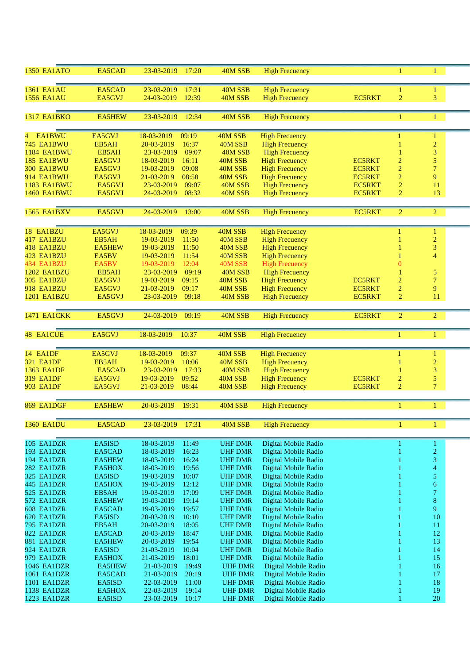| <b>1350 EA1ATO</b>         | EA5CAD           | 23-03-2019<br>17:20                        | 40M SSB                          | <b>High Frecuency</b>                        |               | 1              | $\mathbf{1}$   |  |
|----------------------------|------------------|--------------------------------------------|----------------------------------|----------------------------------------------|---------------|----------------|----------------|--|
| <b>1361 EA1AU</b>          | EA5CAD           | 23-03-2019<br>17:31                        | 40M SSB                          | <b>High Frecuency</b>                        |               | 1              | $\mathbf{1}$   |  |
| <b>1556 EA1AU</b>          | EA5GVJ           | 12:39<br>24-03-2019                        | 40M SSB                          | <b>High Frecuency</b>                        | <b>EC5RKT</b> | $\overline{2}$ | 3              |  |
|                            |                  |                                            |                                  |                                              |               |                |                |  |
| <b>1317 EA1BKO</b>         | <b>EA5HEW</b>    | 23-03-2019<br>12:34                        | 40M SSB                          | <b>High Frecuency</b>                        |               |                | 1              |  |
|                            |                  |                                            |                                  |                                              |               |                |                |  |
| <b>EA1BWU</b><br>4.        | EA5GVJ           | 18-03-2019<br>09:19                        | 40M SSB                          | <b>High Frecuency</b>                        |               |                | $\mathbf{1}$   |  |
| <b>745 EA1BWU</b>          | EB5AH            | 20-03-2019<br>16:37                        | 40M SSB                          | <b>High Frecuency</b>                        |               | 1              | $\overline{c}$ |  |
| <b>1184 EA1BWU</b>         | EB5AH            | 23-03-2019<br>09:07                        | 40M SSB                          | <b>High Frecuency</b>                        |               |                | 3              |  |
| 185 EA1BWU                 | EA5GVJ           | 18-03-2019<br>16:11                        | 40M SSB                          | <b>High Frecuency</b>                        | <b>EC5RKT</b> | $\overline{2}$ | 5              |  |
| 300 EA1BWU                 | EA5GVJ           | 19-03-2019<br>09:08                        | 40M SSB                          | <b>High Frecuency</b>                        | <b>EC5RKT</b> | $\overline{2}$ | $\overline{7}$ |  |
| 914 EA1BWU                 | EA5GVJ           | 08:58<br>21-03-2019                        | 40M SSB                          | <b>High Frecuency</b>                        | <b>EC5RKT</b> | $\overline{2}$ | 9              |  |
| <b>1183 EA1BWU</b>         | EA5GVJ           | 23-03-2019<br>09:07                        | 40M SSB                          | <b>High Frecuency</b>                        | <b>EC5RKT</b> | $\overline{2}$ | 11             |  |
| <b>1460 EA1BWU</b>         | EA5GVJ           | 24-03-2019<br>08:32                        | 40M SSB                          | <b>High Frecuency</b>                        | <b>EC5RKT</b> | $\overline{2}$ | 13             |  |
|                            |                  |                                            |                                  |                                              |               |                |                |  |
| <b>1565 EA1BXV</b>         | EA5GVJ           | 24-03-2019<br>13:00                        | 40M SSB                          | <b>High Frecuency</b>                        | <b>EC5RKT</b> | $\overline{2}$ | $\overline{c}$ |  |
| 18 EA1BZU                  | EA5GVJ           | 09:39<br>18-03-2019                        | 40M SSB                          | <b>High Frecuency</b>                        |               | 1              | $\mathbf{1}$   |  |
| 417 EA1BZU                 | EB5AH            | 19-03-2019<br>11:50                        | 40M SSB                          | <b>High Frecuency</b>                        |               | 1              | $\overline{c}$ |  |
| 418 EA1BZU                 | <b>EA5HEW</b>    | 19-03-2019<br>11:50                        | 40M SSB                          | <b>High Frecuency</b>                        |               |                | 3              |  |
| 423 EA1BZU                 | EA5BV            | 11:54<br>19-03-2019                        | 40M SSB                          | <b>High Frecuency</b>                        |               | $\mathbf{1}$   | $\overline{4}$ |  |
| 434 EA1BZU                 | EA5BV            | 19-03-2019<br>12:04                        | 40M SSB                          | <b>High Frecuency</b>                        |               | $\overline{0}$ |                |  |
| <b>1202 EA1BZU</b>         | EB5AH            | 09:19<br>23-03-2019                        | 40M SSB                          | <b>High Frecuency</b>                        |               |                | 5              |  |
| <b>305 EA1BZU</b>          | EA5GVJ           | 19-03-2019<br>09:15                        | 40M SSB                          | <b>High Frecuency</b>                        | <b>EC5RKT</b> | $\overline{2}$ | $\overline{7}$ |  |
| 918 EA1BZU                 | EA5GVJ           | 09:17<br>21-03-2019                        | 40M SSB                          | <b>High Frecuency</b>                        | <b>EC5RKT</b> | $\overline{2}$ | 9              |  |
| <b>1201 EA1BZU</b>         | EA5GVJ           | 23-03-2019<br>09:18                        | 40M SSB                          | <b>High Frecuency</b>                        | <b>EC5RKT</b> | $\overline{2}$ | 11             |  |
| <b>1471 EA1CKK</b>         | EA5GVJ           | 24-03-2019<br>09:19                        | 40M SSB                          | <b>High Frecuency</b>                        | <b>EC5RKT</b> | $\overline{2}$ | $\overline{2}$ |  |
| 48 EA1CUE                  | EA5GVJ           | 18-03-2019<br>10:37                        | 40M SSB                          | <b>High Frecuency</b>                        |               | 1              | $\mathbf{1}$   |  |
|                            |                  |                                            |                                  |                                              |               |                |                |  |
| 14 EA1DF                   | EA5GVJ           | 18-03-2019<br>09:37                        | 40M SSB                          | <b>High Frecuency</b>                        |               | 1              | $\mathbf{1}$   |  |
| <b>321 EA1DF</b>           | EB5AH            | 19-03-2019<br>10:06                        | 40M SSB                          | <b>High Frecuency</b>                        |               |                | $\overline{c}$ |  |
| 1363 EA1DF                 | EA5CAD           | 23-03-2019<br>17:33                        | 40M SSB                          | <b>High Frecuency</b>                        |               |                | 3              |  |
| <b>319 EA1DF</b>           | EA5GVJ           | 19-03-2019<br>09:52                        | 40M SSB                          | <b>High Frecuency</b>                        | <b>EC5RKT</b> | $\overline{c}$ | 5              |  |
| <b>903 EA1DF</b>           | EA5GVJ           | 21-03-2019<br>08:44                        | 40M SSB                          | <b>High Frecuency</b>                        | <b>EC5RKT</b> | $\overline{2}$ | $\overline{7}$ |  |
| 869 EA1DGF                 | <b>EA5HEW</b>    | 20-03-2019<br>19:31                        | 40M SSB                          | <b>High Frecuency</b>                        |               | 1              | 1              |  |
|                            |                  |                                            |                                  |                                              |               |                |                |  |
| <b>1360 EA1DU</b>          | EA5CAD           | 23-03-2019<br>17:31                        | 40M SSB                          | <b>High Frecuency</b>                        |               | 1              | $\mathbf{1}$   |  |
| 105 EA1DZR                 | EA5ISD           | 18-03-2019<br>11:49                        | <b>UHF DMR</b>                   | Digital Mobile Radio                         |               |                | $\mathbf{1}$   |  |
| 193 EA1DZR                 | EA5CAD           | 18-03-2019<br>16:23                        | <b>UHF DMR</b>                   | Digital Mobile Radio                         |               |                | $\overline{c}$ |  |
| 194 EA1DZR                 | EA5HEW           | 16:24<br>18-03-2019                        | <b>UHF DMR</b>                   | Digital Mobile Radio                         |               |                | 3              |  |
| 282 EA1DZR                 | EA5HOX           | 18-03-2019<br>19:56                        | <b>UHF DMR</b>                   | Digital Mobile Radio                         |               |                | 4              |  |
| 325 EA1DZR                 | EA5ISD           | 19-03-2019<br>10:07                        | <b>UHF DMR</b>                   | Digital Mobile Radio                         |               |                | 5              |  |
| 445 EA1DZR                 | EA5HOX           | 12:12<br>19-03-2019                        | <b>UHF DMR</b>                   | Digital Mobile Radio                         |               |                | 6              |  |
| 525 EA1DZR                 | EB5AH            | 17:09<br>19-03-2019                        | <b>UHF DMR</b>                   | Digital Mobile Radio                         |               |                | 7              |  |
| 572 EA1DZR                 | <b>EA5HEW</b>    | 19-03-2019<br>19:14                        | <b>UHF DMR</b>                   | Digital Mobile Radio                         |               |                | 8              |  |
| 608 EA1DZR                 | EA5CAD           | 19-03-2019<br>19:57                        | <b>UHF DMR</b>                   | Digital Mobile Radio                         |               |                | 9              |  |
| 620 EA1DZR                 | EA5ISD           | 20-03-2019<br>10:10                        | <b>UHF DMR</b>                   | Digital Mobile Radio                         |               |                | 10             |  |
| <b>795 EA1DZR</b>          | EB5AH            | 20-03-2019<br>18:05                        | <b>UHF DMR</b>                   | Digital Mobile Radio                         |               |                | 11             |  |
| 822 EA1DZR                 | EA5CAD           | 20-03-2019<br>18:47                        | <b>UHF DMR</b>                   | Digital Mobile Radio                         |               |                | 12             |  |
| 881 EA1DZR<br>924 EA1DZR   | EA5HEW<br>EA5ISD | 20-03-2019<br>19:54<br>10:04<br>21-03-2019 | <b>UHF DMR</b><br><b>UHF DMR</b> | Digital Mobile Radio<br>Digital Mobile Radio |               |                | 13<br>14       |  |
| 979 EA1DZR                 | EA5HOX           | 18:01<br>21-03-2019                        | <b>UHF DMR</b>                   | Digital Mobile Radio                         |               |                | 15             |  |
| 1046 EA1DZR                | <b>EA5HEW</b>    | 19:49<br>21-03-2019                        | <b>UHF DMR</b>                   | Digital Mobile Radio                         |               |                | 16             |  |
| 1061 EA1DZR                |                  |                                            |                                  |                                              |               |                |                |  |
|                            |                  |                                            |                                  |                                              |               |                |                |  |
|                            | EA5CAD           | 21-03-2019<br>20:19                        | <b>UHF DMR</b>                   | Digital Mobile Radio                         |               |                | 17             |  |
| 1101 EA1DZR<br>1138 EA1DZR | EA5ISD<br>EA5HOX | 22-03-2019<br>11:00<br>22-03-2019<br>19:14 | <b>UHF DMR</b><br><b>UHF DMR</b> | Digital Mobile Radio<br>Digital Mobile Radio |               |                | 18<br>19       |  |
| 1223 EA1DZR                | EA5ISD           | 23-03-2019<br>10:17                        | <b>UHF DMR</b>                   | Digital Mobile Radio                         |               | 1              | 20             |  |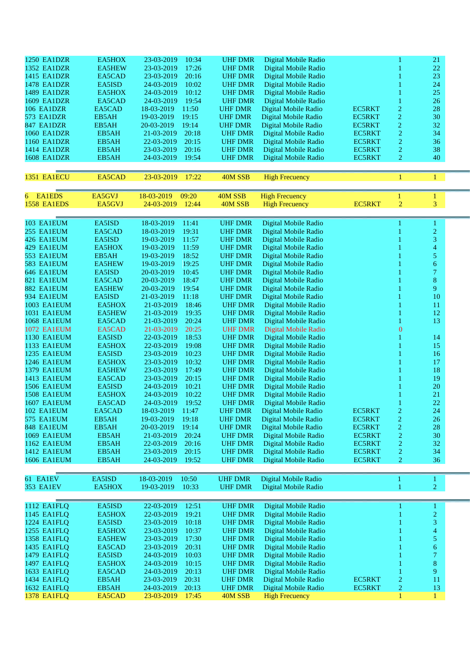| 1250 EA1DZR                  | EA5HOX           | 10:34<br>23-03-2019                        | <b>UHF DMR</b> | Digital Mobile Radio  |               |                  | 21                       |  |
|------------------------------|------------------|--------------------------------------------|----------------|-----------------------|---------------|------------------|--------------------------|--|
| 1352 EA1DZR                  | <b>EA5HEW</b>    | 17:26<br>23-03-2019                        | <b>UHF DMR</b> | Digital Mobile Radio  |               |                  | 22                       |  |
| 1415 EA1DZR                  | EA5CAD           | 23-03-2019<br>20:16                        | <b>UHF DMR</b> | Digital Mobile Radio  |               |                  | 23                       |  |
| 1478 EA1DZR                  | EA5ISD           | 24-03-2019<br>10:02                        | <b>UHF DMR</b> | Digital Mobile Radio  |               |                  | 24                       |  |
| 1489 EA1DZR                  | EA5HOX           | 24-03-2019<br>10:12                        | <b>UHF DMR</b> | Digital Mobile Radio  |               |                  | 25                       |  |
| 1609 EA1DZR                  | EA5CAD           | 19:54<br>24-03-2019                        | <b>UHF DMR</b> | Digital Mobile Radio  |               |                  | 26                       |  |
| 106 EA1DZR                   | EA5CAD           | 11:50<br>18-03-2019                        | <b>UHF DMR</b> | Digital Mobile Radio  | <b>EC5RKT</b> | 2                | 28                       |  |
| 573 EA1DZR                   | EB5AH            | 19:15<br>19-03-2019                        | <b>UHF DMR</b> | Digital Mobile Radio  | <b>EC5RKT</b> | $\overline{c}$   | 30                       |  |
| 847 EA1DZR                   | EB5AH            | 19:14<br>20-03-2019                        | <b>UHF DMR</b> | Digital Mobile Radio  | <b>EC5RKT</b> | $\overline{c}$   | 32                       |  |
| 1060 EA1DZR                  | EB5AH            | 20:18<br>21-03-2019                        | <b>UHF DMR</b> | Digital Mobile Radio  | <b>EC5RKT</b> | $\boldsymbol{2}$ | 34                       |  |
| 1160 EA1DZR                  | EB5AH            | 22-03-2019<br>20:15                        | <b>UHF DMR</b> | Digital Mobile Radio  | <b>EC5RKT</b> | $\overline{2}$   | 36                       |  |
| 1414 EA1DZR                  | EB5AH            | 20:16<br>23-03-2019                        | <b>UHF DMR</b> | Digital Mobile Radio  | <b>EC5RKT</b> | $\overline{2}$   | 38                       |  |
| <b>1608 EA1DZR</b>           | EB5AH            | 19:54<br>24-03-2019                        | <b>UHF DMR</b> | Digital Mobile Radio  | <b>EC5RKT</b> | 2                | 40                       |  |
|                              |                  |                                            |                |                       |               |                  |                          |  |
| 1351 EA1ECU                  | EA5CAD           | 23-03-2019<br>17:22                        | 40M SSB        | <b>High Frecuency</b> |               | 1                | 1                        |  |
|                              |                  |                                            |                |                       |               |                  |                          |  |
| 6 EA1EDS                     | EA5GVJ           | 18-03-2019<br>09:20                        | 40M SSB        | <b>High Frecuency</b> |               | 1                | 1                        |  |
| 1558 EA1EDS                  | EA5GVJ           | 12:44<br>24-03-2019                        | 40M SSB        | <b>High Frecuency</b> | <b>EC5RKT</b> | $\overline{2}$   | 3                        |  |
|                              |                  |                                            |                |                       |               |                  |                          |  |
| 103 EA1EUM                   | EA5ISD           | 18-03-2019<br>11:41                        | <b>UHF DMR</b> | Digital Mobile Radio  |               |                  | 1                        |  |
| 255 EA1EUM                   | EA5CAD           | 19:31<br>18-03-2019                        | <b>UHF DMR</b> | Digital Mobile Radio  |               |                  | $\overline{2}$           |  |
| 426 EA1EUM                   | EA5ISD           | 19-03-2019<br>11:57                        | <b>UHF DMR</b> | Digital Mobile Radio  |               |                  | 3                        |  |
| 429 EA1EUM                   | EA5HOX           | 19-03-2019<br>11:59                        | <b>UHF DMR</b> | Digital Mobile Radio  |               |                  | $\overline{\mathcal{L}}$ |  |
| 553 EA1EUM                   | EB5AH            | 18:52<br>19-03-2019                        | <b>UHF DMR</b> | Digital Mobile Radio  |               |                  | 5                        |  |
| 583 EA1EUM                   | <b>EA5HEW</b>    | 19-03-2019<br>19:25                        | <b>UHF DMR</b> | Digital Mobile Radio  |               |                  | $\boldsymbol{6}$         |  |
| 646 EA1EUM                   | EA5ISD           | 10:45<br>20-03-2019                        | <b>UHF DMR</b> | Digital Mobile Radio  |               |                  | $\overline{7}$           |  |
| 821 EA1EUM                   | EA5CAD           | 18:47<br>20-03-2019                        | <b>UHF DMR</b> | Digital Mobile Radio  |               |                  | 8                        |  |
|                              |                  |                                            |                |                       |               |                  | 9                        |  |
| 882 EA1EUM                   | <b>EA5HEW</b>    | 19:54<br>20-03-2019                        | <b>UHF DMR</b> | Digital Mobile Radio  |               |                  |                          |  |
| 934 EA1EUM                   | EA5ISD           | 11:18<br>21-03-2019                        | <b>UHF DMR</b> | Digital Mobile Radio  |               |                  | 10                       |  |
| 1003 EA1EUM                  | EA5HOX           | 18:46<br>21-03-2019                        | <b>UHF DMR</b> | Digital Mobile Radio  |               |                  | 11                       |  |
| 1031 EA1EUM                  | <b>EA5HEW</b>    | 19:35<br>21-03-2019                        | <b>UHF DMR</b> | Digital Mobile Radio  |               |                  | 12                       |  |
| 1068 EA1EUM                  | EA5CAD           | 20:24<br>21-03-2019                        | <b>UHF DMR</b> | Digital Mobile Radio  |               |                  | 13                       |  |
| 1072 EA1EUM                  | EA5CAD           | 20:25<br>21-03-2019                        | <b>UHF DMR</b> | Digital Mobile Radio  |               | $\mathbf{0}$     |                          |  |
| 1130 EA1EUM                  | EA5ISD           | 18:53<br>22-03-2019                        | <b>UHF DMR</b> | Digital Mobile Radio  |               |                  | 14                       |  |
| 1133 EA1EUM                  | EA5HOX           | 22-03-2019<br>19:08                        | <b>UHF DMR</b> | Digital Mobile Radio  |               |                  | 15                       |  |
| 1235 EA1EUM                  | EA5ISD           | 23-03-2019<br>10:23                        | <b>UHF DMR</b> | Digital Mobile Radio  |               |                  | 16                       |  |
| 1246 EA1EUM                  | EA5HOX           | 10:32<br>23-03-2019                        | <b>UHF DMR</b> | Digital Mobile Radio  |               |                  | 17                       |  |
| 1379 EA1EUM                  | <b>EA5HEW</b>    | 17:49<br>23-03-2019                        | <b>UHF DMR</b> | Digital Mobile Radio  |               |                  | 18                       |  |
| <b>1413 EA1EUM</b>           | EA5CAD           | 20:15<br>23-03-2019                        | <b>UHF DMR</b> | Digital Mobile Radio  |               |                  | 19                       |  |
| 1506 EA1EUM                  | EA5ISD           | 24-03-2019<br>10:21                        | <b>UHF DMR</b> | Digital Mobile Radio  |               |                  | 20                       |  |
| 1508 EA1EUM                  | EA5HOX           | 10:22<br>24-03-2019                        | <b>UHF DMR</b> | Digital Mobile Radio  |               |                  | 21                       |  |
| 1607 EA1EUM                  | EA5CAD           | 24-03-2019<br>19:52                        | <b>UHF DMR</b> | Digital Mobile Radio  |               |                  | 22                       |  |
| 102 EA1EUM                   | EA5CAD           | 18-03-2019<br>11:47                        | <b>UHF DMR</b> | Digital Mobile Radio  | EC5RKT        | $\overline{c}$   | 24                       |  |
| 575 EA1EUM                   | EB5AH            | 19:18<br>19-03-2019                        | <b>UHF DMR</b> | Digital Mobile Radio  | <b>EC5RKT</b> | $\overline{c}$   | 26                       |  |
| 848 EA1EUM                   | EB5AH            | 20-03-2019<br>19:14                        | <b>UHF DMR</b> | Digital Mobile Radio  | <b>EC5RKT</b> | $\overline{c}$   | $28\,$                   |  |
| 1069 EA1EUM                  | EB5AH            | 20:24<br>21-03-2019                        | <b>UHF DMR</b> | Digital Mobile Radio  | EC5RKT        | $\overline{c}$   | 30                       |  |
| 1162 EA1EUM                  | EB5AH            | 22-03-2019<br>20:16                        | <b>UHF DMR</b> | Digital Mobile Radio  | <b>EC5RKT</b> | $\boldsymbol{2}$ | 32                       |  |
| 1412 EA1EUM                  | EB5AH            | 23-03-2019<br>20:15                        | <b>UHF DMR</b> | Digital Mobile Radio  | EC5RKT        | $\overline{c}$   | 34                       |  |
| <b>1606 EA1EUM</b>           | EB5AH            | 24-03-2019<br>19:52                        | <b>UHF DMR</b> | Digital Mobile Radio  | EC5RKT        | $\overline{2}$   | 36                       |  |
|                              |                  |                                            |                |                       |               |                  |                          |  |
| 61 EA1EV<br><b>353 EA1EV</b> | EA5ISD           | 18-03-2019<br>10:50                        | <b>UHF DMR</b> | Digital Mobile Radio  |               |                  | 1                        |  |
|                              | EA5HOX           | 19-03-2019<br>10:33                        | <b>UHF DMR</b> | Digital Mobile Radio  |               |                  | $\overline{2}$           |  |
|                              |                  |                                            | <b>UHF DMR</b> | Digital Mobile Radio  |               |                  |                          |  |
| 1112 EA1FLQ<br>1145 EA1FLQ   | EA5ISD<br>EA5HOX | 22-03-2019<br>12:51<br>22-03-2019<br>19:21 | <b>UHF DMR</b> | Digital Mobile Radio  |               |                  | 1<br>$\overline{c}$      |  |
|                              |                  |                                            |                |                       |               |                  |                          |  |
| 1224 EA1FLQ                  | EA5ISD           | 10:18<br>23-03-2019                        | <b>UHF DMR</b> | Digital Mobile Radio  |               |                  | 3                        |  |
| 1255 EA1FLQ                  | EA5HOX           | 23-03-2019<br>10:37                        | <b>UHF DMR</b> | Digital Mobile Radio  |               |                  | 4                        |  |
| 1358 EA1FLQ                  | <b>EA5HEW</b>    | 17:30<br>23-03-2019                        | <b>UHF DMR</b> | Digital Mobile Radio  |               |                  | 5                        |  |
| 1435 EA1FLQ                  | EA5CAD           | 23-03-2019<br>20:31                        | <b>UHF DMR</b> | Digital Mobile Radio  |               |                  | 6<br>$\overline{7}$      |  |
| 1479 EA1FLQ                  | EA5ISD           | 24-03-2019<br>10:03                        | <b>UHF DMR</b> | Digital Mobile Radio  |               |                  |                          |  |
| 1497 EA1FLQ                  | EA5HOX           | 24-03-2019<br>10:15                        | <b>UHF DMR</b> | Digital Mobile Radio  |               |                  | 8                        |  |
| 1633 EA1FLQ                  | EA5CAD           | 24-03-2019<br>20:13                        | <b>UHF DMR</b> | Digital Mobile Radio  |               |                  | 9                        |  |
| 1434 EA1FLQ                  | EB5AH            | 23-03-2019<br>20:31                        | <b>UHF DMR</b> | Digital Mobile Radio  | <b>EC5RKT</b> | $\overline{c}$   | 11                       |  |
| 1632 EA1FLQ                  | EB5AH            | 24-03-2019<br>20:13                        | <b>UHF DMR</b> | Digital Mobile Radio  | EC5RKT        | $\overline{c}$   | 13                       |  |
| 1378 EA1FLQ                  | EA5CAD           | 23-03-2019<br>17:45                        | 40M SSB        | <b>High Frecuency</b> |               | 1                | $\mathbf{1}$             |  |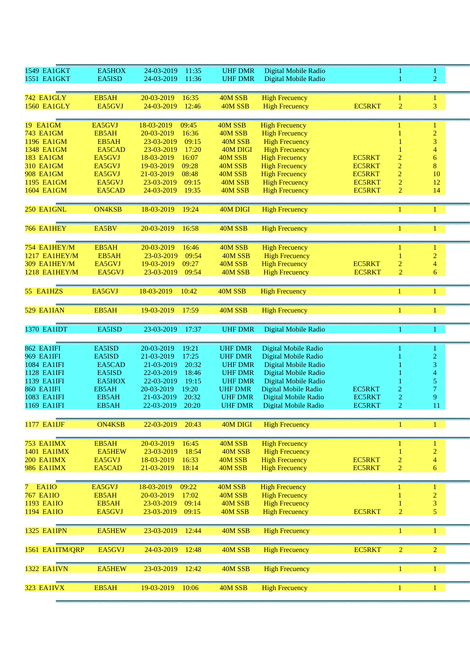| 1549 EA1GKT                    | EA5HOX        | 24-03-2019<br>11:35               | <b>UHF DMR</b>     | Digital Mobile Radio  |               |                | 1                                |  |
|--------------------------------|---------------|-----------------------------------|--------------------|-----------------------|---------------|----------------|----------------------------------|--|
| 1551 EA1GKT                    | EA5ISD        | 24-03-2019<br>11:36               | <b>UHF DMR</b>     | Digital Mobile Radio  |               |                | $\overline{2}$                   |  |
|                                |               |                                   |                    |                       |               |                |                                  |  |
| <b>742 EA1GLY</b>              | EB5AH         | 20-03-2019<br>16:35               | 40M SSB            | <b>High Frecuency</b> |               | 1              | $\mathbf{1}$                     |  |
| <b>1560 EA1GLY</b>             | EA5GVJ        | 24-03-2019<br>12:46               | 40M SSB            | <b>High Frecuency</b> | <b>EC5RKT</b> | $\overline{2}$ | 3                                |  |
|                                |               |                                   |                    |                       |               |                |                                  |  |
| 19 EA1GM                       | EA5GVJ        | 18-03-2019<br>09:45               | 40M SSB            | <b>High Frecuency</b> |               | 1              |                                  |  |
| <b>743 EA1GM</b>               | EB5AH         | 20-03-2019<br>16:36               | 40M SSB            | <b>High Frecuency</b> |               |                | $\mathbf{1}$<br>$\overline{c}$   |  |
| 1196 EA1GM                     | EB5AH         | 23-03-2019<br>09:15               | 40M SSB            | <b>High Frecuency</b> |               |                | $\sqrt{3}$                       |  |
| 1348 EA1GM                     | EA5CAD        | 17:20<br>23-03-2019               | 40M DIGI           | <b>High Frecuency</b> |               |                | $\overline{\mathcal{A}}$         |  |
| <b>183 EA1GM</b>               | EA5GVJ        | 16:07<br>18-03-2019               | 40M SSB            | <b>High Frecuency</b> | <b>EC5RKT</b> | $\overline{c}$ | 6                                |  |
| <b>310 EA1GM</b>               | EA5GVJ        | 09:28<br>19-03-2019               | 40M SSB            | <b>High Frecuency</b> | <b>EC5RKT</b> | $\overline{c}$ | $\bf 8$                          |  |
| <b>908 EA1GM</b>               | EA5GVJ        | 08:48<br>21-03-2019               | 40M SSB            | <b>High Frecuency</b> | <b>EC5RKT</b> | $\sqrt{2}$     | 10                               |  |
| 1195 EA1GM                     | EA5GVJ        | 09:15<br>23-03-2019               | 40M SSB            | <b>High Frecuency</b> | <b>EC5RKT</b> | $\overline{2}$ | 12                               |  |
| 1604 EA1GM                     | EA5CAD        | 19:35<br>24-03-2019               | 40M SSB            | <b>High Frecuency</b> | <b>EC5RKT</b> | $\overline{2}$ | 14                               |  |
|                                |               |                                   |                    |                       |               |                |                                  |  |
|                                |               |                                   |                    |                       |               |                |                                  |  |
| 250 EA1GNL                     | <b>ON4KSB</b> | 18-03-2019<br>19:24               | 40M DIGI           | <b>High Frecuency</b> |               | 1              | $\mathbf{1}$                     |  |
|                                |               |                                   |                    |                       |               |                |                                  |  |
| 766 EA1HEY                     | EA5BV         | 20-03-2019<br>16:58               | 40M SSB            | <b>High Frecuency</b> |               | 1              | $\mathbf{1}$                     |  |
|                                |               |                                   |                    |                       |               |                |                                  |  |
| 754 EA1HEY/M                   | EB5AH         | 20-03-2019<br>16:46               | 40M SSB            | <b>High Frecuency</b> |               |                | 1                                |  |
| 1217 EA1HEY/M                  | EB5AH         | 23-03-2019<br>09:54               | 40M SSB            | <b>High Frecuency</b> |               |                | $\overline{c}$                   |  |
| 309 EA1HEY/M                   | EA5GVJ        | 19-03-2019<br>09:27               | 40M SSB            | <b>High Frecuency</b> | <b>EC5RKT</b> | $\overline{c}$ | $\overline{\mathcal{A}}$         |  |
| 1218 EA1HEY/M                  | EA5GVJ        | 09:54<br>23-03-2019               | 40M SSB            | <b>High Frecuency</b> | <b>EC5RKT</b> | $\overline{2}$ | 6                                |  |
|                                |               |                                   |                    |                       |               |                |                                  |  |
| 55 EA1HZS                      | EA5GVJ        | 18-03-2019<br>10:42               | 40M SSB            | <b>High Frecuency</b> |               | 1              | 1                                |  |
|                                |               |                                   |                    |                       |               |                |                                  |  |
|                                |               |                                   |                    |                       |               |                |                                  |  |
| 529 EA1IAN                     | EB5AH         | 17:59<br>19-03-2019               | 40M SSB            | <b>High Frecuency</b> |               | 1              | $\mathbf{1}$                     |  |
|                                |               |                                   |                    |                       |               |                |                                  |  |
| <b>1370 EA1IDT</b>             | EA5ISD        | 23-03-2019<br>17:37               | <b>UHF DMR</b>     | Digital Mobile Radio  |               | n              | 1                                |  |
|                                |               |                                   |                    |                       |               |                |                                  |  |
| 862 EA1IFI                     | EA5ISD        | 20-03-2019<br>19:21               | <b>UHF DMR</b>     | Digital Mobile Radio  |               |                | 1                                |  |
| <b>969 EA1IFI</b>              | EA5ISD        | 21-03-2019<br>17:25               | <b>UHF DMR</b>     | Digital Mobile Radio  |               |                | $\overline{c}$                   |  |
| 1084 EA1IFI                    | EA5CAD        | 20:32<br>21-03-2019               | <b>UHF DMR</b>     | Digital Mobile Radio  |               |                | 3                                |  |
| <b>1128 EA1IFI</b>             | EA5ISD        | 22-03-2019<br>18:46               | <b>UHF DMR</b>     | Digital Mobile Radio  |               |                | 4                                |  |
| 1139 EA1IFI                    | EA5HOX        | 22-03-2019<br>19:15               | <b>UHF DMR</b>     | Digital Mobile Radio  |               |                | 5                                |  |
| <b>860 EA1IFI</b>              | EB5AH         | 20-03-2019<br>19:20               | <b>UHF DMR</b>     | Digital Mobile Radio  | <b>EC5RKT</b> | 2              | $\tau$                           |  |
| <b>1083 EA1IFI</b>             | EB5AH         | 21-03-2019<br>20:32               | <b>UHF DMR</b>     | Digital Mobile Radio  | <b>EC5RKT</b> | $\overline{c}$ | 9                                |  |
| 1169 EA1IFI                    | EB5AH         | 22-03-2019<br>20:20               | <b>UHF DMR</b>     | Digital Mobile Radio  | <b>EC5RKT</b> | $\overline{2}$ | 11                               |  |
|                                |               |                                   |                    |                       |               |                |                                  |  |
| <b>1177 EA1IJF</b>             | <b>ON4KSB</b> | 22-03-2019<br>20:43               | 40M DIGI           | <b>High Frecuency</b> |               | 1              | $\mathbf{1}$                     |  |
|                                |               |                                   |                    |                       |               |                |                                  |  |
| 753 EA1IMX                     | EB5AH         | 16:45<br>20-03-2019               | 40M SSB            | <b>High Frecuency</b> |               | 1              | $\mathbf{1}$                     |  |
| <b>1401 EA1IMX</b>             | EA5HEW        | 18:54<br>23-03-2019               | 40M SSB            | <b>High Frecuency</b> |               |                | $\overline{2}$                   |  |
| <b>200 EA1IMX</b>              | EA5GVJ        | 18-03-2019<br>16:33               | 40M SSB            | <b>High Frecuency</b> | <b>EC5RKT</b> | 2              | $\overline{\mathcal{A}}$         |  |
| <b>986 EA1IMX</b>              | EA5CAD        | 18:14<br>21-03-2019               | 40M SSB            | <b>High Frecuency</b> | <b>EC5RKT</b> | $\overline{c}$ | $\boldsymbol{6}$                 |  |
|                                |               |                                   |                    |                       |               |                |                                  |  |
|                                |               |                                   |                    |                       |               |                |                                  |  |
| EA1IO<br>7.                    | EA5GVJ        | 18-03-2019<br>09:22               | 40M SSB<br>40M SSB | <b>High Frecuency</b> |               | 1              | $\mathbf{1}$                     |  |
| <b>767 EA1IO</b><br>1193 EA1IO | EB5AH         | 20-03-2019<br>17:02<br>23-03-2019 |                    | <b>High Frecuency</b> |               |                | $\overline{c}$                   |  |
|                                | EB5AH         | 09:14                             | 40M SSB            | <b>High Frecuency</b> |               |                | $\mathfrak{Z}$<br>$\overline{5}$ |  |
| 1194 EA1IO                     | EA5GVJ        | 23-03-2019<br>09:15               | 40M SSB            | <b>High Frecuency</b> | <b>EC5RKT</b> | 2              |                                  |  |
|                                |               |                                   |                    |                       |               |                |                                  |  |
| <b>1325 EA1IPN</b>             | EA5HEW        | 23-03-2019<br>12:44               | 40M SSB            | <b>High Frecuency</b> |               | $\mathbf{1}$   | $\mathbf{1}$                     |  |
|                                |               |                                   |                    |                       |               |                |                                  |  |
| 1561 EA1ITM/QRP                | EA5GVJ        | 24-03-2019<br>12:48               | 40M SSB            | <b>High Frecuency</b> | <b>EC5RKT</b> | $\overline{2}$ | $\overline{2}$                   |  |
|                                |               |                                   |                    |                       |               |                |                                  |  |
| 1322 EA1IVN                    | <b>EA5HEW</b> | 23-03-2019<br>12:42               | 40M SSB            | <b>High Frecuency</b> |               | 1              | $\mathbf{1}$                     |  |
|                                |               |                                   |                    |                       |               |                |                                  |  |
|                                | EB5AH         |                                   | 40M SSB            | <b>High Frecuency</b> |               |                |                                  |  |
| 323 EA1IVX                     |               | 19-03-2019<br>10:06               |                    |                       |               | 1              | $\mathbf{1}$                     |  |
|                                |               |                                   |                    |                       |               |                |                                  |  |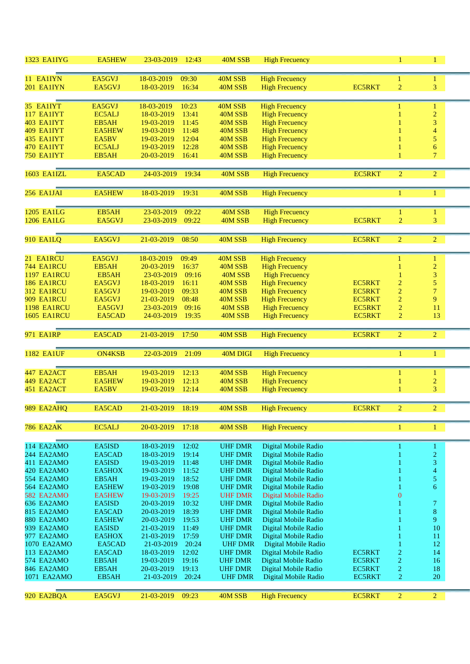| <b>1323 EA1IYG</b>       | <b>EA5HEW</b>           | 23-03-2019<br>12:43                        | 40M SSB                          | <b>High Frecuency</b>                          |                                |                                  | $\mathbf{1}$                     |  |
|--------------------------|-------------------------|--------------------------------------------|----------------------------------|------------------------------------------------|--------------------------------|----------------------------------|----------------------------------|--|
| 11 EA1IYN                | EA5GVJ                  | 09:30<br>18-03-2019                        | 40M SSB                          | <b>High Frecuency</b>                          |                                | 1                                | 1                                |  |
| 201 EA1IYN               | EA5GVJ                  | 18-03-2019<br>16:34                        | 40M SSB                          | <b>High Frecuency</b>                          | <b>EC5RKT</b>                  | $\overline{2}$                   | 3                                |  |
|                          |                         |                                            |                                  |                                                |                                |                                  |                                  |  |
| 35 EA1IYT                | EA5GVJ                  | 18-03-2019<br>10:23                        | 40M SSB                          | <b>High Frecuency</b>                          |                                |                                  | 1                                |  |
| 117 EA1IYT               | EC5ALJ                  | 13:41<br>18-03-2019                        | 40M SSB                          | <b>High Frecuency</b>                          |                                |                                  | $\overline{c}$                   |  |
| 403 EA1IYT               | EB5AH                   | 19-03-2019<br>11:45                        | 40M SSB                          | <b>High Frecuency</b>                          |                                |                                  | 3                                |  |
| 409 EA1IYT<br>435 EA1IYT | <b>EA5HEW</b>           | 19-03-2019<br>11:48                        | 40M SSB                          | <b>High Frecuency</b>                          |                                |                                  | $\overline{4}$                   |  |
| 470 EA1IYT               | EA5BV<br>EC5ALJ         | 12:04<br>19-03-2019<br>12:28<br>19-03-2019 | 40M SSB<br>40M SSB               | <b>High Frecuency</b><br><b>High Frecuency</b> |                                |                                  | 5<br>$\boldsymbol{6}$            |  |
| 750 EA1IYT               | EB5AH                   | 20-03-2019<br>16:41                        | 40M SSB                          | <b>High Frecuency</b>                          |                                |                                  | $\overline{7}$                   |  |
|                          |                         |                                            |                                  |                                                |                                |                                  |                                  |  |
| 1603 EA1IZL              | EA5CAD                  | 24-03-2019<br>19:34                        | 40M SSB                          | <b>High Frecuency</b>                          | <b>EC5RKT</b>                  | $\overline{2}$                   | $\overline{2}$                   |  |
|                          |                         |                                            |                                  |                                                |                                |                                  |                                  |  |
| 256 EA1JAI               | <b>EA5HEW</b>           | 18-03-2019<br>19:31                        | 40M SSB                          | <b>High Frecuency</b>                          |                                | 1                                | 1                                |  |
| <b>1205 EA1LG</b>        | EB5AH                   | 23-03-2019<br>09:22                        | 40M SSB                          | <b>High Frecuency</b>                          |                                |                                  | $\mathbf{1}$                     |  |
| <b>1206 EA1LG</b>        | EA5GVJ                  | 09:22<br>23-03-2019                        | 40M SSB                          | <b>High Frecuency</b>                          | <b>EC5RKT</b>                  | $\overline{2}$                   | 3                                |  |
|                          |                         |                                            |                                  |                                                |                                |                                  |                                  |  |
| <b>910 EA1LQ</b>         | EA5GVJ                  | 21-03-2019<br>08:50                        | 40M SSB                          | <b>High Frecuency</b>                          | <b>EC5RKT</b>                  | $\overline{2}$                   | $\overline{2}$                   |  |
|                          |                         |                                            |                                  |                                                |                                |                                  |                                  |  |
| 21 EA1RCU                | EA5GVJ                  | 18-03-2019<br>09:49                        | 40M SSB                          | <b>High Frecuency</b>                          |                                |                                  | 1                                |  |
| 744 EA1RCU               | EB5AH                   | 16:37<br>20-03-2019                        | 40M SSB                          | <b>High Frecuency</b>                          |                                |                                  | $\overline{2}$                   |  |
| <b>1197 EA1RCU</b>       | EB5AH                   | 23-03-2019<br>09:16                        | 40M SSB                          | <b>High Frecuency</b>                          |                                |                                  | 3                                |  |
| 186 EA1RCU               | EA5GVJ                  | 16:11<br>18-03-2019                        | 40M SSB                          | <b>High Frecuency</b>                          | <b>EC5RKT</b>                  | $\overline{c}$                   | $\overline{5}$<br>$\overline{7}$ |  |
| 312 EA1RCU<br>909 EA1RCU | EA5GVJ<br>EA5GVJ        | 19-03-2019<br>09:33<br>08:48<br>21-03-2019 | 40M SSB<br>40M SSB               | <b>High Frecuency</b><br><b>High Frecuency</b> | <b>EC5RKT</b><br><b>EC5RKT</b> | $\overline{c}$<br>$\overline{2}$ | $\overline{9}$                   |  |
| <b>1198 EA1RCU</b>       | EA5GVJ                  | 09:16<br>23-03-2019                        | 40M SSB                          | <b>High Frecuency</b>                          | <b>EC5RKT</b>                  | $\overline{2}$                   | $11\,$                           |  |
| <b>1605 EA1RCU</b>       | EA5CAD                  | 19:35<br>24-03-2019                        | 40M SSB                          | <b>High Frecuency</b>                          | <b>EC5RKT</b>                  | $\overline{2}$                   | 13                               |  |
|                          |                         |                                            |                                  |                                                |                                |                                  |                                  |  |
| 971 EA1RP                | EA5CAD                  | 21-03-2019<br>17:50                        | 40M SSB                          | <b>High Frecuency</b>                          | EC5RKT                         | $\overline{2}$                   | $\overline{2}$                   |  |
| <b>1182 EA1UF</b>        | <b>ON4KSB</b>           | 22-03-2019<br>21:09                        | 40M DIGI                         | <b>High Frecuency</b>                          |                                |                                  | $\mathbf{1}$                     |  |
|                          |                         |                                            |                                  |                                                |                                |                                  |                                  |  |
| 447 EA2ACT               | EB5AH                   | 19-03-2019<br>12:13                        | 40M SSB                          | <b>High Frecuency</b>                          |                                |                                  |                                  |  |
| 449 EA2ACT               | <b>EA5HEW</b>           | 19-03-2019<br>12:13                        | 40M SSB                          | <b>High Frecuency</b>                          |                                |                                  | $\overline{c}$                   |  |
| 451 EA2ACT               | EA5BV                   | 19-03-2019<br>12:14                        | 40M SSB                          | <b>High Frecuency</b>                          |                                |                                  | $\overline{3}$                   |  |
| 989 EA2AHQ               | EA5CAD                  | 21-03-2019 18:19                           | 40M SSB                          | <b>High Frecuency</b>                          | EC5RKT                         |                                  |                                  |  |
|                          |                         |                                            |                                  |                                                |                                |                                  |                                  |  |
| <b>786 EA2AK</b>         | EC5ALJ                  | 20-03-2019<br>17:18                        | 40M SSB                          | <b>High Frecuency</b>                          |                                | 1                                | 1                                |  |
| 114 EA2AMO               | EA5ISD                  | 18-03-2019<br>12:02                        | <b>UHF DMR</b>                   | Digital Mobile Radio                           |                                |                                  | 1                                |  |
| 244 EA2AMO               | EA5CAD                  | 19:14<br>18-03-2019                        | <b>UHF DMR</b>                   | Digital Mobile Radio                           |                                |                                  | $\overline{2}$                   |  |
| 411 EA2AMO               | EA5ISD                  | 19-03-2019<br>11:48                        | <b>UHF DMR</b>                   | Digital Mobile Radio                           |                                |                                  | 3                                |  |
| 420 EA2AMO               | EA5HOX                  | 11:52<br>19-03-2019                        | <b>UHF DMR</b>                   | Digital Mobile Radio                           |                                |                                  | 4                                |  |
| 554 EA2AMO               | EB5AH                   | 18:52<br>19-03-2019                        | <b>UHF DMR</b>                   | Digital Mobile Radio                           |                                |                                  | 5                                |  |
| 564 EA2AMO               | <b>EA5HEW</b>           | 19-03-2019<br>19:08                        | <b>UHF DMR</b>                   | Digital Mobile Radio                           |                                |                                  | 6                                |  |
| 582 EA2AMO               | <b>EA5HEW</b>           | 19-03-2019<br>19:25                        | <b>UHF DMR</b>                   | Digital Mobile Radio                           |                                | 0                                |                                  |  |
| 636 EA2AMO               | EA5ISD                  | 10:32<br>20-03-2019                        | <b>UHF DMR</b>                   | Digital Mobile Radio                           |                                |                                  | 7                                |  |
| 815 EA2AMO<br>880 EA2AMO | EA5CAD<br><b>EA5HEW</b> | 20-03-2019<br>18:39<br>20-03-2019<br>19:53 | <b>UHF DMR</b>                   | Digital Mobile Radio                           |                                |                                  | $\bf{8}$<br>9                    |  |
| 939 EA2AMO               | EA5ISD                  | 21-03-2019<br>11:49                        | <b>UHF DMR</b><br><b>UHF DMR</b> | Digital Mobile Radio<br>Digital Mobile Radio   |                                |                                  | 10                               |  |
| 977 EA2AMO               | EA5HOX                  | 17:59<br>21-03-2019                        | <b>UHF DMR</b>                   | Digital Mobile Radio                           |                                |                                  | 11                               |  |
| 1070 EA2AMO              | EA5CAD                  | 20:24<br>21-03-2019                        | <b>UHF DMR</b>                   | Digital Mobile Radio                           |                                |                                  | 12                               |  |
| 113 EA2AMO               | EA5CAD                  | 12:02<br>18-03-2019                        | <b>UHF DMR</b>                   | Digital Mobile Radio                           | <b>EC5RKT</b>                  | $\overline{c}$                   | 14                               |  |
| 574 EA2AMO               | EB5AH                   | 19:16<br>19-03-2019                        | <b>UHF DMR</b>                   | Digital Mobile Radio                           | EC5RKT                         | $\overline{c}$                   | 16                               |  |
| 846 EA2AMO               | EB5AH                   | 19:13<br>20-03-2019                        | <b>UHF DMR</b>                   | Digital Mobile Radio                           | <b>EC5RKT</b>                  | $\overline{c}$                   | 18                               |  |
| 1071 EA2AMO              | EB5AH                   | 20:24<br>21-03-2019                        | <b>UHF DMR</b>                   | Digital Mobile Radio                           | EC5RKT                         | $\overline{c}$                   | 20                               |  |
| 920 EA2BQA               | EA5GVJ                  | 09:23<br>21-03-2019                        | 40M SSB                          | <b>High Frecuency</b>                          | EC5RKT                         | $\overline{2}$                   | $\overline{2}$                   |  |
|                          |                         |                                            |                                  |                                                |                                |                                  |                                  |  |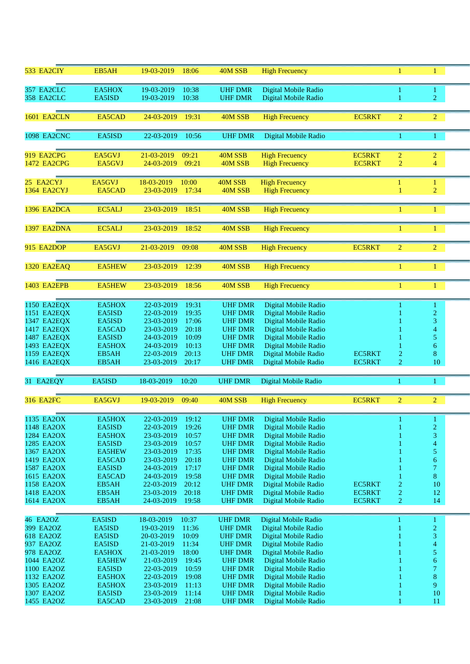| 533 EA2CIY               | EB5AH            | 19-03-2019<br>18:06                        | 40M SSB                          | <b>High Frecuency</b>                        |                  | 1                                | 1                        |  |
|--------------------------|------------------|--------------------------------------------|----------------------------------|----------------------------------------------|------------------|----------------------------------|--------------------------|--|
| 357 EA2CLC               | EA5HOX           | 19-03-2019<br>10:38                        | <b>UHF DMR</b>                   | Digital Mobile Radio                         |                  | 1                                | 1                        |  |
| 358 EA2CLC               | EA5ISD           | 19-03-2019<br>10:38                        | <b>UHF DMR</b>                   | Digital Mobile Radio                         |                  | 1                                | $\overline{2}$           |  |
|                          |                  |                                            |                                  |                                              |                  |                                  |                          |  |
| <b>1601 EA2CLN</b>       | EA5CAD           | 24-03-2019<br>19:31                        | 40M SSB                          | <b>High Frecuency</b>                        | <b>EC5RKT</b>    | $\overline{2}$                   | $\overline{2}$           |  |
|                          |                  |                                            |                                  |                                              |                  |                                  |                          |  |
| <b>1098 EA2CNC</b>       | EA5ISD           | 22-03-2019<br>10:56                        | <b>UHF DMR</b>                   | Digital Mobile Radio                         |                  | 1                                | 1                        |  |
|                          |                  |                                            |                                  |                                              |                  |                                  |                          |  |
| 919 EA2CPG               | EA5GVJ           | 21-03-2019<br>09:21                        | 40M SSB                          | <b>High Frecuency</b>                        | <b>EC5RKT</b>    | $\overline{2}$                   | $\overline{c}$           |  |
| 1472 EA2CPG              | EA5GVJ           | 24-03-2019<br>09:21                        | 40M SSB                          | <b>High Frecuency</b>                        | <b>EC5RKT</b>    | $\overline{2}$                   | 4                        |  |
|                          |                  |                                            |                                  |                                              |                  |                                  |                          |  |
| 25 EA2CYJ                | EA5GVJ<br>EA5CAD | 18-03-2019<br>10:00<br>17:34               | 40M SSB                          | <b>High Frecuency</b>                        |                  | 1                                | 1                        |  |
| 1364 EA2CYJ              |                  | 23-03-2019                                 | 40M SSB                          | <b>High Frecuency</b>                        |                  |                                  | $\overline{c}$           |  |
| 1396 EA2DCA              | EC5ALJ           | 23-03-2019<br>18:51                        | 40M SSB                          | <b>High Frecuency</b>                        |                  |                                  | $\mathbf{1}$             |  |
|                          |                  |                                            |                                  |                                              |                  |                                  |                          |  |
| 1397 EA2DNA              | EC5ALJ           | 23-03-2019<br>18:52                        | 40M SSB                          | <b>High Frecuency</b>                        |                  | 1                                | $\mathbf{1}$             |  |
|                          |                  |                                            |                                  |                                              |                  |                                  |                          |  |
| 915 EA2DOP               | EA5GVJ           | 21-03-2019<br>09:08                        | 40M SSB                          | <b>High Frecuency</b>                        | <b>EC5RKT</b>    | $\overline{2}$                   | $\overline{2}$           |  |
|                          |                  |                                            |                                  |                                              |                  |                                  |                          |  |
| 1320 EA2EAQ              | <b>EA5HEW</b>    | 23-03-2019<br>12:39                        | 40M SSB                          | <b>High Frecuency</b>                        |                  | 1                                | $\mathbf{1}$             |  |
|                          |                  |                                            |                                  |                                              |                  |                                  |                          |  |
| <b>1403 EA2EPB</b>       | <b>EA5HEW</b>    | 23-03-2019<br>18:56                        | 40M SSB                          | <b>High Frecuency</b>                        |                  | 1                                | $\mathbf{1}$             |  |
|                          |                  |                                            |                                  |                                              |                  |                                  |                          |  |
| 1150 EA2EQX              | EA5HOX           | 22-03-2019<br>19:31                        | <b>UHF DMR</b>                   | Digital Mobile Radio                         |                  |                                  |                          |  |
| 1151 EA2EQX              | EA5ISD           | 22-03-2019<br>19:35                        | <b>UHF DMR</b>                   | Digital Mobile Radio                         |                  |                                  | $\overline{c}$           |  |
| 1347 EA2EQX              | EA5ISD           | 23-03-2019<br>17:06                        | <b>UHF DMR</b>                   | Digital Mobile Radio                         |                  |                                  | 3                        |  |
| 1417 EA2EQX              | EA5CAD           | 23-03-2019<br>20:18                        | <b>UHF DMR</b>                   | Digital Mobile Radio                         |                  |                                  | 4                        |  |
| 1487 EA2EQX              | EA5ISD           | 24-03-2019<br>10:09                        | <b>UHF DMR</b>                   | Digital Mobile Radio                         |                  |                                  | 5                        |  |
| 1493 EA2EQX              | EA5HOX           | 24-03-2019<br>10:13                        | <b>UHF DMR</b>                   | Digital Mobile Radio                         |                  |                                  | 6                        |  |
| 1159 EA2EQX              | EB5AH            | 22-03-2019<br>20:13                        | <b>UHF DMR</b>                   | Digital Mobile Radio<br>Digital Mobile Radio | <b>EC5RKT</b>    | 2<br>$\overline{2}$              | 8<br>10                  |  |
| 1416 EA2EQX              | EB5AH            | 23-03-2019<br>20:17                        | <b>UHF DMR</b>                   |                                              | <b>EC5RKT</b>    |                                  |                          |  |
| 31 EA2EQY                | EA5ISD           | 18-03-2019<br>10:20                        | <b>UHF DMR</b>                   | Digital Mobile Radio                         |                  | 1                                | 1.                       |  |
|                          |                  |                                            |                                  |                                              |                  |                                  |                          |  |
| <b>316 EA2FC</b>         | EA5GVJ           | 19-03-2019<br>09:40                        | 40M SSB                          | <b>High Frecuency</b>                        | <b>EC5RKT</b>    | $\overline{2}$                   | $\overline{2}$           |  |
|                          |                  |                                            |                                  |                                              |                  |                                  |                          |  |
| 1135 EA2OX               | EA5HOX           | 22-03-2019<br>19:12                        | <b>UHF DMR</b>                   | Digital Mobile Radio                         |                  |                                  |                          |  |
| 1148 EA2OX               | EA5ISD           | 19:26<br>22-03-2019                        | <b>UHF DMR</b>                   | Digital Mobile Radio                         |                  |                                  | $\overline{c}$           |  |
| 1284 EA2OX               | EA5HOX           | 23-03-2019<br>10:57                        | <b>UHF DMR</b>                   | Digital Mobile Radio                         |                  |                                  | 3                        |  |
| 1285 EA2OX               | EA5ISD           | 23-03-2019<br>10:57                        | <b>UHF DMR</b>                   | Digital Mobile Radio                         |                  |                                  | $\overline{\mathcal{A}}$ |  |
| 1367 EA2OX               | <b>EA5HEW</b>    | 17:35<br>23-03-2019                        | <b>UHF DMR</b>                   | Digital Mobile Radio                         |                  |                                  | 5                        |  |
| 1419 EA2OX               | EA5CAD           | 20:18<br>23-03-2019                        | <b>UHF DMR</b>                   | Digital Mobile Radio                         |                  |                                  | 6                        |  |
| 1587 EA2OX               | EA5ISD           | 24-03-2019<br>17:17                        | <b>UHF DMR</b>                   | Digital Mobile Radio                         |                  |                                  | $\overline{7}$           |  |
| 1615 EA2OX               | EA5CAD           | 24-03-2019<br>19:58                        | <b>UHF DMR</b>                   | Digital Mobile Radio                         |                  |                                  | 8                        |  |
| 1158 EA2OX               | EB5AH            | 22-03-2019<br>20:12                        | <b>UHF DMR</b>                   | Digital Mobile Radio                         | EC5RKT           | $\overline{c}$                   | 10                       |  |
| 1418 EA2OX<br>1614 EA2OX | EB5AH<br>EB5AH   | 23-03-2019<br>20:18<br>24-03-2019<br>19:58 | <b>UHF DMR</b><br><b>UHF DMR</b> | Digital Mobile Radio<br>Digital Mobile Radio | EC5RKT<br>EC5RKT | $\overline{c}$<br>$\overline{c}$ | 12<br>14                 |  |
|                          |                  |                                            |                                  |                                              |                  |                                  |                          |  |
| 46 EA2OZ                 | EA5ISD           | 18-03-2019<br>10:37                        | <b>UHF DMR</b>                   | Digital Mobile Radio                         |                  |                                  | 1                        |  |
| 399 EA2OZ                | EA5ISD           | 19-03-2019<br>11:36                        | <b>UHF DMR</b>                   | Digital Mobile Radio                         |                  |                                  | $\overline{c}$           |  |
| 618 EA2OZ                | EA5ISD           | 10:09<br>20-03-2019                        | <b>UHF DMR</b>                   | Digital Mobile Radio                         |                  |                                  | 3                        |  |
| 937 EA2OZ                | EA5ISD           | 21-03-2019<br>11:34                        | <b>UHF DMR</b>                   | Digital Mobile Radio                         |                  |                                  | $\overline{\mathcal{A}}$ |  |
| 978 EA2OZ                | EA5HOX           | 18:00<br>21-03-2019                        | <b>UHF DMR</b>                   | Digital Mobile Radio                         |                  |                                  | 5                        |  |
| 1044 EA2OZ               | <b>EA5HEW</b>    | 21-03-2019<br>19:45                        | <b>UHF DMR</b>                   | Digital Mobile Radio                         |                  |                                  | 6                        |  |
| 1100 EA2OZ               | EA5ISD           | 10:59<br>22-03-2019                        | <b>UHF DMR</b>                   | Digital Mobile Radio                         |                  |                                  | $\tau$                   |  |
| 1132 EA2OZ               | EA5HOX           | 22-03-2019<br>19:08                        | <b>UHF DMR</b>                   | Digital Mobile Radio                         |                  |                                  | 8                        |  |
| 1305 EA2OZ               | EA5HOX           | 23-03-2019<br>11:13                        | <b>UHF DMR</b>                   | Digital Mobile Radio                         |                  |                                  | 9                        |  |
| 1307 EA2OZ<br>1455 EA2OZ | EA5ISD           | 23-03-2019<br>11:14                        | <b>UHF DMR</b>                   | Digital Mobile Radio                         |                  |                                  | 10                       |  |
|                          | EA5CAD           | 23-03-2019<br>21:08                        | <b>UHF DMR</b>                   | Digital Mobile Radio                         |                  |                                  | 11                       |  |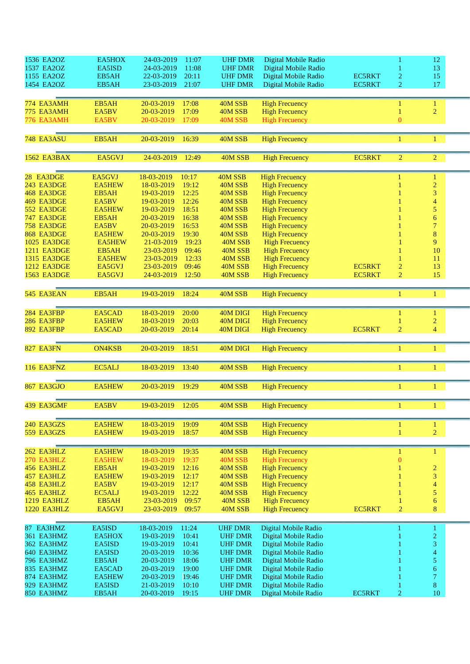| 1536 EA2OZ         | EA5HOX        | 24-03-2019<br>11:07 | <b>UHF DMR</b> | Digital Mobile Radio  |               |                | 12                       |  |
|--------------------|---------------|---------------------|----------------|-----------------------|---------------|----------------|--------------------------|--|
| 1537 EA2OZ         | EA5ISD        | 24-03-2019<br>11:08 | <b>UHF DMR</b> | Digital Mobile Radio  |               |                | 13                       |  |
| 1155 EA2OZ         | EB5AH         | 22-03-2019<br>20:11 | <b>UHF DMR</b> | Digital Mobile Radio  | <b>EC5RKT</b> | 2              | 15                       |  |
| 1454 EA2OZ         | EB5AH         | 21:07<br>23-03-2019 | <b>UHF DMR</b> | Digital Mobile Radio  | EC5RKT        | $\overline{2}$ | 17                       |  |
|                    |               |                     |                |                       |               |                |                          |  |
| 774 EA3AMH         | EB5AH         | 20-03-2019<br>17:08 | 40M SSB        | <b>High Frecuency</b> |               |                |                          |  |
|                    |               |                     |                |                       |               |                | 1                        |  |
| 775 EA3AMH         | EA5BV         | 17:09<br>20-03-2019 | 40M SSB        | <b>High Frecuency</b> |               |                | $\overline{2}$           |  |
| 776 EA3AMH         | EA5BV         | 20-03-2019<br>17:09 | 40M SSB        | <b>High Frecuency</b> |               | $\overline{0}$ |                          |  |
|                    |               |                     |                |                       |               |                |                          |  |
| 748 EA3ASU         | EB5AH         | 20-03-2019<br>16:39 | 40M SSB        | <b>High Frecuency</b> |               | 1              | 1                        |  |
|                    |               |                     |                |                       |               |                |                          |  |
| 1562 EA3BAX        | EA5GVJ        | 24-03-2019<br>12:49 | 40M SSB        | <b>High Frecuency</b> | <b>EC5RKT</b> | $\overline{2}$ | $\overline{2}$           |  |
|                    |               |                     |                |                       |               |                |                          |  |
|                    |               |                     |                |                       |               |                |                          |  |
| 28 EA3DGE          | EA5GVJ        | 18-03-2019<br>10:17 | 40M SSB        | <b>High Frecuency</b> |               |                | 1                        |  |
| 243 EA3DGE         | <b>EA5HEW</b> | 19:12<br>18-03-2019 | 40M SSB        | <b>High Frecuency</b> |               |                | $\overline{2}$           |  |
| 468 EA3DGE         | EB5AH         | 12:25<br>19-03-2019 | 40M SSB        | <b>High Frecuency</b> |               |                | 3                        |  |
| 469 EA3DGE         | EA5BV         | 12:26<br>19-03-2019 | 40M SSB        | <b>High Frecuency</b> |               |                | $\overline{4}$           |  |
| 552 EA3DGE         | <b>EA5HEW</b> | 18:51<br>19-03-2019 | 40M SSB        | <b>High Frecuency</b> |               |                | 5                        |  |
| 747 EA3DGE         | EB5AH         | 20-03-2019<br>16:38 | 40M SSB        | <b>High Frecuency</b> |               |                | $\overline{6}$           |  |
| 758 EA3DGE         | EA5BV         | 16:53<br>20-03-2019 | 40M SSB        | <b>High Frecuency</b> |               |                | $\overline{7}$           |  |
| 868 EA3DGE         | <b>EA5HEW</b> | 20-03-2019<br>19:30 | 40M SSB        | <b>High Frecuency</b> |               |                | 8                        |  |
| 1025 EA3DGE        | <b>EA5HEW</b> | 19:23<br>21-03-2019 | 40M SSB        | <b>High Frecuency</b> |               |                | 9                        |  |
| 1211 EA3DGE        | EB5AH         | 23-03-2019<br>09:46 | 40M SSB        | <b>High Frecuency</b> |               |                | 10                       |  |
| 1315 EA3DGE        | <b>EA5HEW</b> | 23-03-2019<br>12:33 | 40M SSB        | <b>High Frecuency</b> |               |                | 11                       |  |
| <b>1212 EA3DGE</b> | EA5GVJ        | 09:46<br>23-03-2019 | 40M SSB        | <b>High Frecuency</b> | <b>EC5RKT</b> | $\overline{c}$ | 13                       |  |
| 1563 EA3DGE        | EA5GVJ        | 12:50<br>24-03-2019 | 40M SSB        | <b>High Frecuency</b> | <b>EC5RKT</b> | $\overline{2}$ | 15                       |  |
|                    |               |                     |                |                       |               |                |                          |  |
|                    |               |                     |                |                       |               |                |                          |  |
| 545 EA3EAN         | EB5AH         | 19-03-2019<br>18:24 | 40M SSB        | <b>High Frecuency</b> |               |                | 1                        |  |
|                    |               |                     |                |                       |               |                |                          |  |
| 284 EA3FBP         | EA5CAD        | 18-03-2019<br>20:00 | 40M DIGI       | <b>High Frecuency</b> |               |                | 1                        |  |
| 286 EA3FBP         | <b>EA5HEW</b> | 18-03-2019<br>20:03 | 40M DIGI       | <b>High Frecuency</b> |               |                | $\overline{2}$           |  |
| 892 EA3FBP         | EA5CAD        | 20-03-2019<br>20:14 | 40M DIGI       | <b>High Frecuency</b> | <b>EC5RKT</b> | $\overline{2}$ | $\overline{4}$           |  |
|                    |               |                     |                |                       |               |                |                          |  |
|                    |               |                     |                |                       |               |                |                          |  |
| 827 EA3FN          | <b>ON4KSB</b> | 18:51<br>20-03-2019 | 40M DIGI       | <b>High Frecuency</b> |               | 1              | 1                        |  |
|                    |               |                     |                |                       |               |                |                          |  |
| 116 EA3FNZ         | EC5ALJ        | 18-03-2019<br>13:40 | 40M SSB        | <b>High Frecuency</b> |               |                |                          |  |
|                    |               |                     |                |                       |               |                |                          |  |
| 867 EA3GJO         | <b>EA5HEW</b> | 20-03-2019<br>19:29 | 40M SSB        | <b>High Frecuency</b> |               | 1              |                          |  |
|                    |               |                     |                |                       |               |                |                          |  |
|                    |               |                     |                |                       |               |                |                          |  |
| 439 EA3GMF         | EA5BV         | 19-03-2019 12:05    | 40M SSB        | <b>High Frecuency</b> |               |                |                          |  |
|                    |               |                     |                |                       |               |                |                          |  |
| 240 EA3GZS         | <b>EA5HEW</b> | 18-03-2019<br>19:09 | 40M SSB        | <b>High Frecuency</b> |               | 1              | $\mathbf{1}$             |  |
| 559 EA3GZS         | EA5HEW        | 19-03-2019<br>18:57 | 40M SSB        | <b>High Frecuency</b> |               | $\mathbf{1}$   | $\overline{2}$           |  |
|                    |               |                     |                |                       |               |                |                          |  |
|                    |               |                     |                |                       |               |                |                          |  |
| 262 EA3HLZ         | EA5HEW        | 18-03-2019<br>19:35 | 40M SSB        | <b>High Frecuency</b> |               | 1              | 1                        |  |
| 270 EA3HLZ         | <b>EA5HEW</b> | 18-03-2019<br>19:37 | 40M SSB        | <b>High Frecuency</b> |               | $\bf{0}$       |                          |  |
| 456 EA3HLZ         | EB5AH         | 12:16<br>19-03-2019 | 40M SSB        | <b>High Frecuency</b> |               |                | $\overline{2}$           |  |
| 457 EA3HLZ         | <b>EA5HEW</b> | 19-03-2019<br>12:17 | 40M SSB        | <b>High Frecuency</b> |               |                | 3                        |  |
| 458 EA3HLZ         | EA5BV         | 19-03-2019<br>12:17 | 40M SSB        | <b>High Frecuency</b> |               |                | $\overline{4}$           |  |
| 465 EA3HLZ         | EC5ALJ        | 12:22<br>19-03-2019 | 40M SSB        | <b>High Frecuency</b> |               |                | 5                        |  |
| 1219 EA3HLZ        | EB5AH         | 09:57<br>23-03-2019 | 40M SSB        | <b>High Frecuency</b> |               |                | $\boldsymbol{6}$         |  |
| 1220 EA3HLZ        | EA5GVJ        | 23-03-2019<br>09:57 | 40M SSB        | <b>High Frecuency</b> | <b>EC5RKT</b> | $\overline{c}$ | 8                        |  |
|                    |               |                     |                |                       |               |                |                          |  |
| 87 EA3HMZ          | EA5ISD        | 18-03-2019<br>11:24 | <b>UHF DMR</b> | Digital Mobile Radio  |               |                | $\mathbf{1}$             |  |
| 361 EA3HMZ         | EA5HOX        | 19-03-2019<br>10:41 | <b>UHF DMR</b> | Digital Mobile Radio  |               |                | $\overline{c}$           |  |
| 362 EA3HMZ         | EA5ISD        | 10:41<br>19-03-2019 | <b>UHF DMR</b> | Digital Mobile Radio  |               |                | 3                        |  |
| 640 EA3HMZ         | EA5ISD        | 10:36<br>20-03-2019 | <b>UHF DMR</b> | Digital Mobile Radio  |               |                | $\overline{\mathcal{A}}$ |  |
| 796 EA3HMZ         | EB5AH         | 20-03-2019<br>18:06 | <b>UHF DMR</b> | Digital Mobile Radio  |               |                | 5 <sub>1</sub>           |  |
| 835 EA3HMZ         | EA5CAD        | 20-03-2019<br>19:00 | <b>UHF DMR</b> | Digital Mobile Radio  |               |                | 6                        |  |
| 874 EA3HMZ         | <b>EA5HEW</b> | 20-03-2019<br>19:46 |                | Digital Mobile Radio  |               |                | $\overline{7}$           |  |
|                    |               |                     | <b>UHF DMR</b> |                       |               |                | $\bf 8$                  |  |
| 929 EA3HMZ         | EA5ISD        | 21-03-2019<br>10:10 | <b>UHF DMR</b> | Digital Mobile Radio  |               |                |                          |  |
| 850 EA3HMZ         | EB5AH         | 20-03-2019<br>19:15 | <b>UHF DMR</b> | Digital Mobile Radio  | EC5RKT        | $\overline{2}$ | $10\,$                   |  |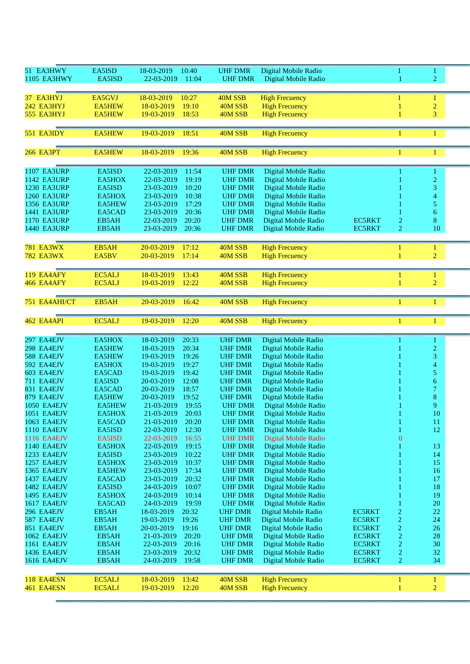| 51 EA3HWY          | EA5ISD         | 18-03-2019<br>10:40 | <b>UHF DMR</b> | Digital Mobile Radio  |               | 1                | 1              |  |
|--------------------|----------------|---------------------|----------------|-----------------------|---------------|------------------|----------------|--|
| 1105 EA3HWY        | EA5ISD         | 22-03-2019<br>11:04 | <b>UHF DMR</b> | Digital Mobile Radio  |               | 1                | $\overline{2}$ |  |
|                    |                |                     |                |                       |               |                  |                |  |
|                    |                |                     |                |                       |               |                  |                |  |
| 37 EA3HYJ          | EA5GVJ         | 18-03-2019<br>10:27 | 40M SSB        | <b>High Frecuency</b> |               |                  | 1              |  |
| 242 EA3HYJ         | <b>EA5HEW</b>  | 18-03-2019<br>19:10 | 40M SSB        | <b>High Frecuency</b> |               |                  | $\overline{c}$ |  |
| 555 EA3HYJ         | EA5HEW         | 19-03-2019<br>18:53 | 40M SSB        | <b>High Frecuency</b> |               |                  | 3              |  |
|                    |                |                     |                |                       |               |                  |                |  |
|                    |                |                     |                |                       |               |                  |                |  |
| 551 EA3IDY         | <b>EA5HEW</b>  | 19-03-2019<br>18:51 | 40M SSB        | <b>High Frecuency</b> |               | 1                | 1              |  |
|                    |                |                     |                |                       |               |                  |                |  |
| <b>266 EA3PT</b>   | <b>EA5HEW</b>  | 18-03-2019<br>19:36 | 40M SSB        | <b>High Frecuency</b> |               | 1                | 1              |  |
|                    |                |                     |                |                       |               |                  |                |  |
|                    |                |                     |                |                       |               |                  |                |  |
| <b>1107 EA3URP</b> | EA5ISD         | 22-03-2019<br>11:54 | <b>UHF DMR</b> | Digital Mobile Radio  |               |                  | 1              |  |
| <b>1142 EA3URP</b> | EA5HOX         | 22-03-2019<br>19:19 | <b>UHF DMR</b> | Digital Mobile Radio  |               |                  | $\overline{c}$ |  |
| <b>1230 EA3URP</b> | EA5ISD         | 23-03-2019<br>10:20 | <b>UHF DMR</b> | Digital Mobile Radio  |               |                  | 3              |  |
| <b>1260 EA3URP</b> | EA5HOX         | 23-03-2019<br>10:38 | <b>UHF DMR</b> | Digital Mobile Radio  |               |                  | 4              |  |
| 1356 EA3URP        | <b>EA5HEW</b>  | 23-03-2019<br>17:29 | <b>UHF DMR</b> | Digital Mobile Radio  |               |                  | 5              |  |
| 1441 EA3URP        | EA5CAD         | 20:36<br>23-03-2019 | <b>UHF DMR</b> | Digital Mobile Radio  |               |                  | 6              |  |
| <b>1170 EA3URP</b> | EB5AH          | 20:20<br>22-03-2019 | <b>UHF DMR</b> | Digital Mobile Radio  | <b>EC5RKT</b> | $\overline{c}$   | 8              |  |
| <b>1440 EA3URP</b> | EB5AH          | 20:36<br>23-03-2019 | <b>UHF DMR</b> | Digital Mobile Radio  | <b>EC5RKT</b> | 2                | 10             |  |
|                    |                |                     |                |                       |               |                  |                |  |
|                    |                |                     |                |                       |               |                  |                |  |
| <b>781 EA3WX</b>   | EB5AH          | 20-03-2019<br>17:12 | 40M SSB        | <b>High Frecuency</b> |               | 1                | 1              |  |
| <b>782 EA3WX</b>   | EA5BV          | 20-03-2019<br>17:14 | 40M SSB        | <b>High Frecuency</b> |               | 1                | $\overline{c}$ |  |
|                    |                |                     |                |                       |               |                  |                |  |
| 119 EA4AFY         | EC5ALJ         | 18-03-2019<br>13:43 | 40M SSB        | <b>High Frecuency</b> |               | 1                | $\mathbf{1}$   |  |
| 466 EA4AFY         | EC5ALJ         | 12:22<br>19-03-2019 | 40M SSB        | <b>High Frecuency</b> |               | 1                | $\overline{2}$ |  |
|                    |                |                     |                |                       |               |                  |                |  |
|                    |                |                     |                |                       |               |                  |                |  |
| 751 EA4AHI/CT      | EB5AH          | 20-03-2019<br>16:42 | 40M SSB        | <b>High Frecuency</b> |               | 1                | 1              |  |
|                    |                |                     |                |                       |               |                  |                |  |
| 462 EA4API         | EC5ALJ         | 19-03-2019<br>12:20 | 40M SSB        | <b>High Frecuency</b> |               | 1                | 1              |  |
|                    |                |                     |                |                       |               |                  |                |  |
|                    |                |                     |                |                       |               |                  |                |  |
|                    |                |                     |                |                       |               |                  |                |  |
| 297 EA4EJV         | EA5HOX         | 18-03-2019<br>20:33 | <b>UHF DMR</b> | Digital Mobile Radio  |               |                  | $\mathbf{1}$   |  |
| 298 EA4EJV         | <b>EA5HEW</b>  | 18-03-2019<br>20:34 | <b>UHF DMR</b> | Digital Mobile Radio  |               |                  | $\overline{c}$ |  |
| 588 EA4EJV         | <b>EA5HEW</b>  | 19-03-2019<br>19:26 | <b>UHF DMR</b> | Digital Mobile Radio  |               |                  | 3              |  |
| 592 EA4EJV         | EA5HOX         | 19-03-2019<br>19:27 | <b>UHF DMR</b> | Digital Mobile Radio  |               |                  | 4              |  |
| 603 EA4EJV         | EA5CAD         | 19:42<br>19-03-2019 | <b>UHF DMR</b> | Digital Mobile Radio  |               |                  | 5              |  |
| 711 EA4EJV         | EA5ISD         | 12:08<br>20-03-2019 | <b>UHF DMR</b> | Digital Mobile Radio  |               |                  | 6              |  |
| 831 EA4EJV         | EA5CAD         | 20-03-2019<br>18:57 | <b>UHF DMR</b> |                       |               |                  | 7              |  |
|                    | <b>EA5HEW</b>  |                     | <b>UHF DMR</b> | Digital Mobile Radio  |               |                  |                |  |
| 879 EA4EJV         |                | 19:52<br>20-03-2019 |                | Digital Mobile Radio  |               |                  | 8              |  |
| <b>1050 EA4EJV</b> | <b>EA5HEW</b>  | 21-03-2019<br>19:55 | <b>UHF DMR</b> | Digital Mobile Radio  |               |                  | 9              |  |
| 1051 EA4EJV        | EA5HOX         | 20:03<br>21-03-2019 | <b>UHF DMR</b> | Digital Mobile Radio  |               |                  | 10             |  |
| 1063 EA4EJV        | EA5CAD         | 21-03-2019<br>20:20 | <b>UHF DMR</b> | Digital Mobile Radio  |               | 1                | 11             |  |
| 1110 EA4EJV        | EA5ISD         | 12:30<br>22-03-2019 | <b>UHF DMR</b> | Digital Mobile Radio  |               | 1                | 12             |  |
| 1116 EA4EJV        | EA5ISD         | 22-03-2019<br>16:55 | <b>UHF DMR</b> | Digital Mobile Radio  |               | $\boldsymbol{0}$ |                |  |
| 1140 EA4EJV        | EA5HOX         | 19:15<br>22-03-2019 | <b>UHF DMR</b> | Digital Mobile Radio  |               | 1                | 13             |  |
| 1233 EA4EJV        | EA5ISD         | 10:22<br>23-03-2019 | <b>UHF DMR</b> | Digital Mobile Radio  |               |                  | 14             |  |
| 1257 EA4EJV        | EA5HOX         | 23-03-2019<br>10:37 | <b>UHF DMR</b> | Digital Mobile Radio  |               |                  | 15             |  |
| 1365 EA4EJV        | <b>EA5HEW</b>  | 23-03-2019<br>17:34 | <b>UHF DMR</b> | Digital Mobile Radio  |               |                  | 16             |  |
| 1437 EA4EJV        | EA5CAD         | 23-03-2019<br>20:32 | <b>UHF DMR</b> | Digital Mobile Radio  |               |                  | 17             |  |
| 1482 EA4EJV        | EA5ISD         | 24-03-2019<br>10:07 | <b>UHF DMR</b> | Digital Mobile Radio  |               |                  | 18             |  |
| 1495 EA4EJV        | EA5HOX         | 24-03-2019<br>10:14 | <b>UHF DMR</b> | Digital Mobile Radio  |               |                  | 19             |  |
| <b>1617 EA4EJV</b> | EA5CAD         | 24-03-2019<br>19:59 | <b>UHF DMR</b> | Digital Mobile Radio  |               |                  | $20\,$         |  |
| 296 EA4EJV         |                | 18-03-2019<br>20:32 | <b>UHF DMR</b> | Digital Mobile Radio  | <b>EC5RKT</b> |                  | 22             |  |
| 587 EA4EJV         | EB5AH<br>EB5AH | 19-03-2019<br>19:26 |                |                       | EC5RKT        | $\overline{c}$   |                |  |
|                    |                |                     | <b>UHF DMR</b> | Digital Mobile Radio  |               | $\overline{c}$   | 24             |  |
| 851 EA4EJV         | EB5AH          | 20-03-2019<br>19:16 | <b>UHF DMR</b> | Digital Mobile Radio  | <b>EC5RKT</b> | $\overline{c}$   | 26             |  |
| 1062 EA4EJV        | EB5AH          | 21-03-2019<br>20:20 | <b>UHF DMR</b> | Digital Mobile Radio  | EC5RKT        | $\overline{c}$   | 28             |  |
| 1161 EA4EJV        | EB5AH          | 22-03-2019<br>20:16 | <b>UHF DMR</b> | Digital Mobile Radio  | <b>EC5RKT</b> | $\overline{c}$   | 30             |  |
| 1436 EA4EJV        | EB5AH          | 20:32<br>23-03-2019 | <b>UHF DMR</b> | Digital Mobile Radio  | <b>EC5RKT</b> | $\overline{c}$   | 32             |  |
| 1616 EA4EJV        | EB5AH          | 24-03-2019<br>19:58 | <b>UHF DMR</b> | Digital Mobile Radio  | EC5RKT        | 2                | 34             |  |
|                    |                |                     |                |                       |               |                  |                |  |
| 118 EA4ESN         | EC5ALJ         | 18-03-2019<br>13:42 | 40M SSB        | <b>High Frecuency</b> |               | $\mathbf{1}$     | 1              |  |
| 461 EA4ESN         | EC5ALJ         | 12:20<br>19-03-2019 | 40M SSB        | <b>High Frecuency</b> |               | 1                | $\overline{c}$ |  |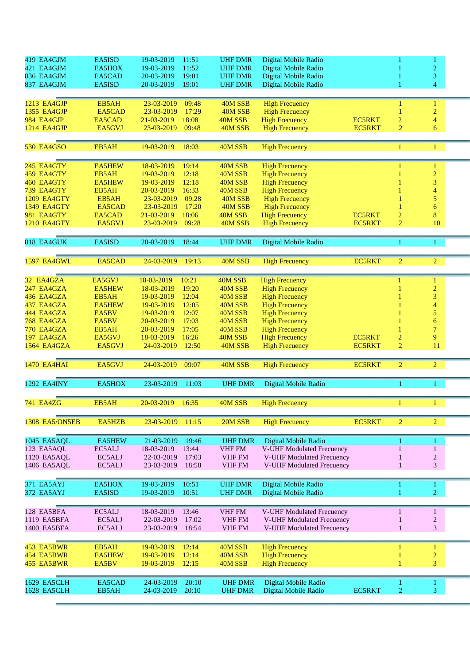| 419 EA4GJM            | EA5ISD        | 19-03-2019 | 11:51 | <b>UHF DMR</b> | Digital Mobile Radio             |               | 1              | 1                        |  |
|-----------------------|---------------|------------|-------|----------------|----------------------------------|---------------|----------------|--------------------------|--|
| 421 EA4GJM            | EA5HOX        | 19-03-2019 | 11:52 | <b>UHF DMR</b> | Digital Mobile Radio             |               |                | $\overline{c}$           |  |
|                       |               |            |       |                |                                  |               |                |                          |  |
| 836 EA4GJM            | EA5CAD        | 20-03-2019 | 19:01 | <b>UHF DMR</b> | Digital Mobile Radio             |               |                | 3                        |  |
| 837 EA4GJM            | EA5ISD        | 20-03-2019 | 19:01 | <b>UHF DMR</b> | Digital Mobile Radio             |               |                | $\overline{\mathcal{L}}$ |  |
|                       |               |            |       |                |                                  |               |                |                          |  |
| <b>1213 EA4GJP</b>    | EB5AH         | 23-03-2019 | 09:48 | 40M SSB        | <b>High Frecuency</b>            |               | 1              | $\mathbf{1}$             |  |
|                       |               |            |       |                |                                  |               |                |                          |  |
| <b>1355 EA4GJP</b>    | EA5CAD        | 23-03-2019 | 17:29 | 40M SSB        | <b>High Frecuency</b>            |               | 1              | $\sqrt{2}$               |  |
| 984 EA4GJP            | EA5CAD        | 21-03-2019 | 18:08 | 40M SSB        | <b>High Frecuency</b>            | <b>EC5RKT</b> | $\overline{c}$ | $\overline{\mathcal{A}}$ |  |
| 1214 EA4GJP           | EA5GVJ        | 23-03-2019 | 09:48 | 40M SSB        | <b>High Frecuency</b>            | <b>EC5RKT</b> | $\overline{2}$ | $\boldsymbol{6}$         |  |
|                       |               |            |       |                |                                  |               |                |                          |  |
| <b>530 EA4GSO</b>     | EB5AH         | 19-03-2019 | 18:03 | 40M SSB        | <b>High Frecuency</b>            |               | 1              | 1                        |  |
|                       |               |            |       |                |                                  |               |                |                          |  |
| 245 EA4GTY            | <b>EA5HEW</b> | 18-03-2019 | 19:14 | 40M SSB        | <b>High Frecuency</b>            |               | 1              | 1                        |  |
| 459 EA4GTY            | EB5AH         | 19-03-2019 | 12:18 | 40M SSB        | <b>High Frecuency</b>            |               |                | $\sqrt{2}$               |  |
| 460 EA4GTY            | <b>EA5HEW</b> | 19-03-2019 | 12:18 | 40M SSB        | <b>High Frecuency</b>            |               |                | 3                        |  |
|                       |               |            |       |                |                                  |               |                |                          |  |
| 739 EA4GTY            | EB5AH         | 20-03-2019 | 16:33 | 40M SSB        | <b>High Frecuency</b>            |               |                | 4                        |  |
| 1209 EA4GTY           | EB5AH         | 23-03-2019 | 09:28 | 40M SSB        | <b>High Frecuency</b>            |               |                | 5                        |  |
| <b>1349 EA4GTY</b>    | EA5CAD        | 23-03-2019 | 17:20 | 40M SSB        | <b>High Frecuency</b>            |               |                | $\boldsymbol{6}$         |  |
| 981 EA4GTY            | EA5CAD        | 21-03-2019 | 18:06 | 40M SSB        | <b>High Frecuency</b>            | <b>EC5RKT</b> | $\overline{2}$ | $\bf 8$                  |  |
|                       |               |            |       |                |                                  |               |                |                          |  |
| 1210 EA4GTY           | EA5GVJ        | 23-03-2019 | 09:28 | 40M SSB        | <b>High Frecuency</b>            | <b>EC5RKT</b> | $\overline{2}$ | $10\,$                   |  |
| 818 EA4GUK            | EA5ISD        | 20-03-2019 | 18:44 | <b>UHF DMR</b> | Digital Mobile Radio             |               | 1              | $\mathbf{1}$             |  |
|                       |               |            |       |                |                                  |               |                |                          |  |
| <b>1597 EA4GWL</b>    | EA5CAD        | 24-03-2019 | 19:13 | 40M SSB        | <b>High Frecuency</b>            | <b>EC5RKT</b> | $\overline{2}$ | $\overline{2}$           |  |
|                       |               |            |       |                |                                  |               |                |                          |  |
| 32 EA4GZA             | EA5GVJ        | 18-03-2019 | 10:21 | 40M SSB        | <b>High Frecuency</b>            |               | 1              |                          |  |
|                       |               |            |       |                |                                  |               |                | $\mathbf{1}$             |  |
| 247 EA4GZA            | <b>EA5HEW</b> | 18-03-2019 | 19:20 | 40M SSB        | <b>High Frecuency</b>            |               |                | $\overline{c}$           |  |
| 436 EA4GZA            | EB5AH         | 19-03-2019 | 12:04 | 40M SSB        | <b>High Frecuency</b>            |               |                | 3                        |  |
| 437 EA4GZA            | <b>EA5HEW</b> | 19-03-2019 | 12:05 | 40M SSB        | <b>High Frecuency</b>            |               |                | $\overline{4}$           |  |
| 444 EA4GZA            | EA5BV         | 19-03-2019 | 12:07 | 40M SSB        | <b>High Frecuency</b>            |               |                | $\sqrt{5}$               |  |
| 768 EA4GZA            | EA5BV         | 20-03-2019 | 17:03 | 40M SSB        | <b>High Frecuency</b>            |               |                | $\overline{6}$           |  |
|                       |               |            |       |                |                                  |               |                |                          |  |
| 770 EA4GZA            | EB5AH         | 20-03-2019 | 17:05 | 40M SSB        | <b>High Frecuency</b>            |               | 1              | $\boldsymbol{7}$         |  |
| 197 EA4GZA            | EA5GVJ        | 18-03-2019 | 16:26 | 40M SSB        | <b>High Frecuency</b>            | <b>EC5RKT</b> | $\overline{c}$ | 9                        |  |
| 1564 EA4GZA           | EA5GVJ        | 24-03-2019 | 12:50 | 40M SSB        | <b>High Frecuency</b>            | <b>EC5RKT</b> | $\overline{2}$ | 11                       |  |
|                       |               |            |       |                |                                  |               |                |                          |  |
| <b>1470 EA4HAI</b>    | EA5GVJ        | 24-03-2019 | 09:07 | 40M SSB        | <b>High Frecuency</b>            | <b>EC5RKT</b> | $\overline{2}$ | $\overline{2}$           |  |
|                       |               |            |       |                |                                  |               |                |                          |  |
| 1292 EA4INY           | EA5HOX        | 23-03-2019 | 11:03 | <b>UHF DMR</b> | Digital Mobile Radio             |               | 1              | 1                        |  |
|                       |               |            |       |                |                                  |               |                |                          |  |
| 741 EA4ZG             | EB5AH         | 20-03-2019 | 16:35 | 40M SSB        | <b>High Frecuency</b>            |               |                |                          |  |
|                       |               |            |       |                |                                  |               |                |                          |  |
| <b>1308 EA5/ON5EB</b> | EA5HZB        | 23-03-2019 | 11:15 | 20M SSB        | <b>High Frecuency</b>            | <b>EC5RKT</b> | $\overline{2}$ | $\overline{2}$           |  |
|                       |               |            |       |                |                                  |               |                |                          |  |
| 1045 EA5AQL           | <b>EA5HEW</b> | 21-03-2019 | 19:46 | <b>UHF DMR</b> | Digital Mobile Radio             |               | 1              | 1                        |  |
| 123 EA5AQL            | EC5ALJ        | 18-03-2019 | 13:44 | <b>VHF FM</b>  | V-UHF Modulated Frecuency        |               | 1              | $\mathbf{1}$             |  |
|                       | EC5ALJ        | 22-03-2019 | 17:03 | <b>VHF FM</b>  | V-UHF Modulated Frecuency        |               |                |                          |  |
| 1120 EA5AQL           |               |            |       |                |                                  |               |                | $\overline{\mathbf{c}}$  |  |
| 1406 EA5AQL           | EC5ALJ        | 23-03-2019 | 18:58 | VHF FM         | <b>V-UHF Modulated Frecuency</b> |               | $\mathbf{1}$   | 3                        |  |
|                       |               |            |       |                |                                  |               |                |                          |  |
| 371 EA5AYJ            | EA5HOX        | 19-03-2019 | 10:51 | <b>UHF DMR</b> | Digital Mobile Radio             |               | 1              | 1                        |  |
| 372 EA5AYJ            | EA5ISD        | 19-03-2019 | 10:51 | <b>UHF DMR</b> | Digital Mobile Radio             |               | 1              | $\overline{c}$           |  |
|                       |               |            |       |                |                                  |               |                |                          |  |
| 128 EA5BFA            | EC5ALJ        | 18-03-2019 | 13:46 | VHF FM         | V-UHF Modulated Frecuency        |               | 1              | $\mathbf{1}$             |  |
| 1119 EA5BFA           | EC5ALJ        | 22-03-2019 | 17:02 | VHF FM         | V-UHF Modulated Frecuency        |               | 1              | $\overline{c}$           |  |
| 1400 EA5BFA           | EC5ALJ        | 23-03-2019 | 18:54 | VHF FM         | V-UHF Modulated Frecuency        |               | $\mathbf{1}$   | 3                        |  |
|                       |               |            |       |                |                                  |               |                |                          |  |
| 453 EA5BWR            | EB5AH         | 19-03-2019 | 12:14 | 40M SSB        | <b>High Frecuency</b>            |               | $\mathbf{1}$   | $\mathbf{1}$             |  |
| 454 EA5BWR            | <b>EA5HEW</b> | 19-03-2019 | 12:14 | 40M SSB        | <b>High Frecuency</b>            |               | 1              | $\overline{c}$           |  |
|                       |               |            |       |                |                                  |               |                |                          |  |
| 455 EA5BWR            | EA5BV         | 19-03-2019 | 12:15 | 40M SSB        | <b>High Frecuency</b>            |               | 1              | 3                        |  |
|                       |               |            |       |                |                                  |               |                |                          |  |
| 1629 EA5CLH           | EA5CAD        | 24-03-2019 | 20:10 | <b>UHF DMR</b> | Digital Mobile Radio             |               |                | 1                        |  |
| 1628 EA5CLH           | EB5AH         | 24-03-2019 | 20:10 | <b>UHF DMR</b> | Digital Mobile Radio             | <b>EC5RKT</b> | $\overline{2}$ | 3                        |  |
|                       |               |            |       |                |                                  |               |                |                          |  |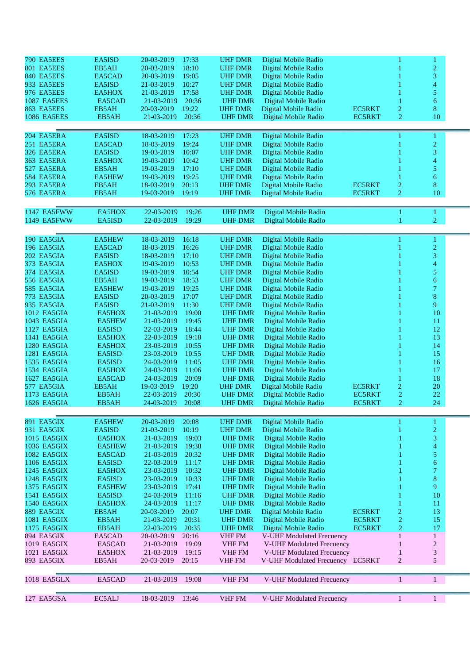| 790 EA5EES         | EA5ISD        | 20-03-2019<br>17:33 | <b>UHF DMR</b> | Digital Mobile Radio             |               |                | 1                        |  |
|--------------------|---------------|---------------------|----------------|----------------------------------|---------------|----------------|--------------------------|--|
| 801 EA5EES         | EB5AH         | 18:10<br>20-03-2019 | <b>UHF DMR</b> | Digital Mobile Radio             |               |                | $\overline{c}$           |  |
|                    |               |                     |                |                                  |               |                |                          |  |
| 840 EA5EES         | EA5CAD        | 20-03-2019<br>19:05 | <b>UHF DMR</b> | Digital Mobile Radio             |               |                | 3                        |  |
| 933 EA5EES         | EA5ISD        | 10:27<br>21-03-2019 | <b>UHF DMR</b> | Digital Mobile Radio             |               |                | 4                        |  |
| 976 EA5EES         | EA5HOX        | 17:58<br>21-03-2019 | <b>UHF DMR</b> | Digital Mobile Radio             |               |                | 5                        |  |
| <b>1087 EA5EES</b> | EA5CAD        | 20:36<br>21-03-2019 | <b>UHF DMR</b> | Digital Mobile Radio             |               |                | 6                        |  |
| 863 EA5EES         | EB5AH         | 19:22<br>20-03-2019 | <b>UHF DMR</b> | Digital Mobile Radio             | <b>EC5RKT</b> | $\overline{c}$ | 8                        |  |
| <b>1086 EA5EES</b> | EB5AH         | 20:36<br>21-03-2019 | <b>UHF DMR</b> | Digital Mobile Radio             | <b>EC5RKT</b> | $\overline{2}$ | 10                       |  |
|                    |               |                     |                |                                  |               |                |                          |  |
| 204 EA5ERA         | EA5ISD        | 17:23<br>18-03-2019 | <b>UHF DMR</b> | Digital Mobile Radio             |               |                | 1                        |  |
| 251 EA5ERA         | EA5CAD        | 19:24<br>18-03-2019 | <b>UHF DMR</b> | Digital Mobile Radio             |               |                | $\overline{c}$           |  |
|                    |               |                     |                |                                  |               |                | 3                        |  |
| 326 EA5ERA         | EA5ISD        | 19-03-2019<br>10:07 | <b>UHF DMR</b> | Digital Mobile Radio             |               |                |                          |  |
| 363 EA5ERA         | EA5HOX        | 10:42<br>19-03-2019 | <b>UHF DMR</b> | Digital Mobile Radio             |               |                | 4                        |  |
| 527 EA5ERA         | EB5AH         | 17:10<br>19-03-2019 | <b>UHF DMR</b> | Digital Mobile Radio             |               |                | 5                        |  |
| 584 EA5ERA         | <b>EA5HEW</b> | 19:25<br>19-03-2019 | <b>UHF DMR</b> | Digital Mobile Radio             |               |                | 6                        |  |
| 293 EA5ERA         | EB5AH         | 20:13<br>18-03-2019 | <b>UHF DMR</b> | Digital Mobile Radio             | EC5RKT        | $\overline{c}$ | 8                        |  |
| 576 EA5ERA         | EB5AH         | 19:19<br>19-03-2019 | <b>UHF DMR</b> | Digital Mobile Radio             | <b>EC5RKT</b> | $\overline{c}$ | 10                       |  |
|                    |               |                     |                |                                  |               |                |                          |  |
| 1147 EA5FWW        | EA5HOX        | 22-03-2019<br>19:26 | <b>UHF DMR</b> | Digital Mobile Radio             |               |                | 1                        |  |
| 1149 EA5FWW        | EA5ISD        | 22-03-2019<br>19:29 | <b>UHF DMR</b> | Digital Mobile Radio             |               | 1              | $\overline{c}$           |  |
|                    |               |                     |                |                                  |               |                |                          |  |
| 190 EA5GIA         | <b>EA5HEW</b> | 18-03-2019<br>16:18 | <b>UHF DMR</b> | Digital Mobile Radio             |               |                | 1                        |  |
| 196 EA5GIA         | EA5CAD        | 16:26<br>18-03-2019 | <b>UHF DMR</b> | Digital Mobile Radio             |               |                | $\overline{c}$           |  |
| 202 EA5GIA         | EA5ISD        | 18-03-2019<br>17:10 | <b>UHF DMR</b> | Digital Mobile Radio             |               |                | 3                        |  |
| 373 EA5GIA         | EA5HOX        | 10:53<br>19-03-2019 | <b>UHF DMR</b> | Digital Mobile Radio             |               |                | 4                        |  |
| 374 EA5GIA         | EA5ISD        | 19-03-2019<br>10:54 | <b>UHF DMR</b> | Digital Mobile Radio             |               |                | 5                        |  |
| 556 EA5GIA         | EB5AH         | 18:53<br>19-03-2019 | <b>UHF DMR</b> | Digital Mobile Radio             |               |                | $\boldsymbol{6}$         |  |
| 585 EA5GIA         |               | 19-03-2019          |                |                                  |               |                | $\overline{7}$           |  |
|                    | <b>EA5HEW</b> | 19:25               | <b>UHF DMR</b> | Digital Mobile Radio             |               |                |                          |  |
| 773 EA5GIA         | EA5ISD        | 17:07<br>20-03-2019 | <b>UHF DMR</b> | Digital Mobile Radio             |               |                | $8\,$                    |  |
| 935 EA5GIA         | EA5ISD        | 11:30<br>21-03-2019 | <b>UHF DMR</b> | Digital Mobile Radio             |               |                | 9                        |  |
| 1012 EA5GIA        | EA5HOX        | 21-03-2019<br>19:00 | <b>UHF DMR</b> | Digital Mobile Radio             |               |                | 10                       |  |
| 1043 EA5GIA        | <b>EA5HEW</b> | 19:45<br>21-03-2019 | <b>UHF DMR</b> | Digital Mobile Radio             |               |                | 11                       |  |
| 1127 EA5GIA        | EA5ISD        | 18:44<br>22-03-2019 | <b>UHF DMR</b> | Digital Mobile Radio             |               |                | 12                       |  |
| 1141 EA5GIA        | EA5HOX        | 22-03-2019<br>19:18 | <b>UHF DMR</b> | Digital Mobile Radio             |               |                | 13                       |  |
| 1280 EA5GIA        | EA5HOX        | 23-03-2019<br>10:55 | <b>UHF DMR</b> | Digital Mobile Radio             |               |                | 14                       |  |
| 1281 EA5GIA        | EA5ISD        | 10:55<br>23-03-2019 | <b>UHF DMR</b> |                                  |               |                | 15                       |  |
|                    |               |                     |                | Digital Mobile Radio             |               |                |                          |  |
| 1535 EA5GIA        | EA5ISD        | 24-03-2019<br>11:05 | <b>UHF DMR</b> | Digital Mobile Radio             |               |                | 16                       |  |
| 1534 EA5GIA        | EA5HOX        | 24-03-2019<br>11:06 | <b>UHF DMR</b> | Digital Mobile Radio             |               |                | 17                       |  |
| 1627 EA5GIA        | EA5CAD        | 24-03-2019<br>20:09 | <b>UHF DMR</b> | Digital Mobile Radio             |               |                | 18                       |  |
| 577 EA5GIA         | EB5AH         | 19-03-2019<br>19:20 | <b>UHF DMR</b> | Digital Mobile Radio             | <b>EC5RKT</b> | $\overline{c}$ | $20\,$                   |  |
| 1173 EA5GIA        | EB5AH         | 22-03-2019<br>20:30 | <b>UHF DMR</b> | Digital Mobile Radio             | <b>EC5RKT</b> | $\overline{c}$ | 22                       |  |
| 1626 EA5GIA        | EB5AH         | 24-03-2019<br>20:08 | <b>UHF DMR</b> | Digital Mobile Radio             | <b>EC5RKT</b> | $\overline{2}$ | 24                       |  |
|                    |               |                     |                |                                  |               |                |                          |  |
| 891 EA5GIX         | <b>EA5HEW</b> | 20-03-2019<br>20:08 | <b>UHF DMR</b> | Digital Mobile Radio             |               |                | 1                        |  |
| 931 EA5GIX         | EA5ISD        | 21-03-2019<br>10:19 | <b>UHF DMR</b> | Digital Mobile Radio             |               |                | $\overline{c}$           |  |
| 1015 EA5GIX        | EA5HOX        | 19:03<br>21-03-2019 | <b>UHF DMR</b> | Digital Mobile Radio             |               |                | 3                        |  |
| 1036 EA5GIX        | <b>EA5HEW</b> | 19:38<br>21-03-2019 | <b>UHF DMR</b> | Digital Mobile Radio             |               |                | $\overline{4}$           |  |
| 1082 EA5GIX        | EA5CAD        | 21-03-2019<br>20:32 | <b>UHF DMR</b> | Digital Mobile Radio             |               |                | 5                        |  |
| 1106 EA5GIX        | EA5ISD        | 22-03-2019<br>11:17 | <b>UHF DMR</b> | Digital Mobile Radio             |               |                | 6                        |  |
|                    |               |                     |                |                                  |               |                |                          |  |
| 1245 EA5GIX        | EA5HOX        | 23-03-2019<br>10:32 | <b>UHF DMR</b> | Digital Mobile Radio             |               |                | $\overline{\mathcal{L}}$ |  |
| 1248 EA5GIX        | EA5ISD        | 23-03-2019<br>10:33 | <b>UHF DMR</b> | Digital Mobile Radio             |               |                | $8\,$                    |  |
| 1375 EA5GIX        | <b>EA5HEW</b> | 23-03-2019<br>17:41 | <b>UHF DMR</b> | Digital Mobile Radio             |               |                | 9                        |  |
| <b>1541 EA5GIX</b> | EA5ISD        | 24-03-2019<br>11:16 | <b>UHF DMR</b> | Digital Mobile Radio             |               |                | 10                       |  |
| <b>1540 EA5GIX</b> | EA5HOX        | 24-03-2019<br>11:17 | <b>UHF DMR</b> | Digital Mobile Radio             |               |                | 11                       |  |
| 889 EA5GIX         | EB5AH         | 20-03-2019<br>20:07 | <b>UHF DMR</b> | Digital Mobile Radio             | EC5RKT        | $\overline{c}$ | 13                       |  |
| 1081 EA5GIX        | EB5AH         | 21-03-2019<br>20:31 | <b>UHF DMR</b> | Digital Mobile Radio             | EC5RKT        | $\overline{2}$ | 15                       |  |
| 1175 EA5GIX        | EB5AH         | 22-03-2019<br>20:35 | <b>UHF DMR</b> | Digital Mobile Radio             | <b>EC5RKT</b> | $\overline{2}$ | 17                       |  |
| 894 EA5GIX         | EA5CAD        | 20-03-2019<br>20:16 |                |                                  |               | $\mathbf{1}$   | $\mathbf{1}$             |  |
|                    |               |                     | VHF FM         | V-UHF Modulated Frecuency        |               |                |                          |  |
| 1019 EA5GIX        | EA5CAD        | 21-03-2019<br>19:09 | <b>VHF FM</b>  | V-UHF Modulated Frecuency        |               | $\mathbf{1}$   | $\overline{c}$           |  |
| 1021 EA5GIX        | EA5HOX        | 21-03-2019<br>19:15 | <b>VHF FM</b>  | V-UHF Modulated Frecuency        |               | $\mathbf{1}$   | $\mathfrak{Z}$           |  |
| 893 EA5GIX         | EB5AH         | 20-03-2019<br>20:15 | <b>VHF FM</b>  | V-UHF Modulated Frecuency EC5RKT |               | $\overline{2}$ | 5                        |  |
|                    |               |                     |                |                                  |               |                |                          |  |
| 1018 EA5GLX        | EA5CAD        | 21-03-2019<br>19:08 | <b>VHF FM</b>  | V-UHF Modulated Frecuency        |               | $\mathbf{1}$   | 1                        |  |
| 127 EA5GSA         | EC5ALJ        | 18-03-2019<br>13:46 | <b>VHF FM</b>  | V-UHF Modulated Frecuency        |               | $\mathbf{1}$   | 1                        |  |
|                    |               |                     |                |                                  |               |                |                          |  |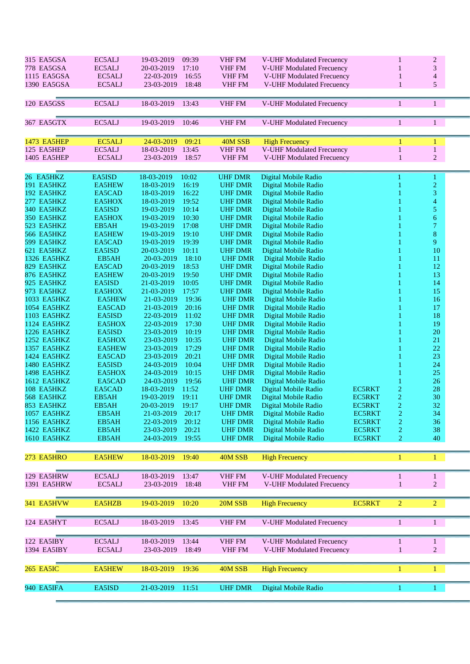| 315 EA5GSA         | EC5ALJ        | 19-03-2019<br>09:39 | <b>VHF FM</b>  | V-UHF Modulated Frecuency        |               | 1              | $\overline{c}$           |  |
|--------------------|---------------|---------------------|----------------|----------------------------------|---------------|----------------|--------------------------|--|
| 778 EA5GSA         | EC5ALJ        | 17:10<br>20-03-2019 | VHF FM         | V-UHF Modulated Frecuency        |               | 1              | $\mathfrak{Z}$           |  |
| 1115 EA5GSA        | EC5ALJ        | 22-03-2019<br>16:55 | <b>VHF FM</b>  | V-UHF Modulated Frecuency        |               | 1              |                          |  |
|                    |               |                     |                |                                  |               |                | $\overline{\mathcal{A}}$ |  |
| 1390 EA5GSA        | EC5ALJ        | 23-03-2019<br>18:48 | <b>VHF FM</b>  | V-UHF Modulated Frecuency        |               | 1              | 5                        |  |
|                    |               |                     |                |                                  |               |                |                          |  |
| 120 EA5GSS         | EC5ALJ        | 18-03-2019<br>13:43 | VHF FM         | V-UHF Modulated Frecuency        |               | 1              | $\mathbf{1}$             |  |
|                    |               |                     |                |                                  |               |                |                          |  |
|                    |               |                     |                |                                  |               |                |                          |  |
| 367 EA5GTX         | EC5ALJ        | 19-03-2019<br>10:46 | VHF FM         | V-UHF Modulated Frecuency        |               | 1              | $\mathbf{1}$             |  |
|                    |               |                     |                |                                  |               |                |                          |  |
| 1473 EA5HEP        | EC5ALJ        | 09:21<br>24-03-2019 | 40M SSB        | <b>High Frecuency</b>            |               |                |                          |  |
|                    |               | 13:45               |                |                                  |               | $\mathbf{1}$   | 1                        |  |
| 125 EA5HEP         | EC5ALJ        | 18-03-2019          | VHF FM         | <b>V-UHF Modulated Frecuency</b> |               |                | $\,1\,$                  |  |
| 1405 EA5HEP        | EC5ALJ        | 18:57<br>23-03-2019 | <b>VHF FM</b>  | V-UHF Modulated Frecuency        |               | 1              | $\overline{c}$           |  |
|                    |               |                     |                |                                  |               |                |                          |  |
| 26 EA5HKZ          | EA5ISD        | 10:02<br>18-03-2019 | <b>UHF DMR</b> | Digital Mobile Radio             |               |                | 1                        |  |
| 191 EA5HKZ         | <b>EA5HEW</b> | 18-03-2019<br>16:19 | <b>UHF DMR</b> | Digital Mobile Radio             |               |                | $\overline{c}$           |  |
| 192 EA5HKZ         | EA5CAD        | 16:22<br>18-03-2019 | <b>UHF DMR</b> | Digital Mobile Radio             |               |                | $\mathfrak{Z}$           |  |
|                    |               |                     |                |                                  |               |                |                          |  |
| 277 EA5HKZ         | EA5HOX        | 19:52<br>18-03-2019 | <b>UHF DMR</b> | Digital Mobile Radio             |               |                | 4                        |  |
| 340 EA5HKZ         | EA5ISD        | 19-03-2019<br>10:14 | <b>UHF DMR</b> | Digital Mobile Radio             |               |                | 5                        |  |
| 350 EA5HKZ         | EA5HOX        | 19-03-2019<br>10:30 | <b>UHF DMR</b> | Digital Mobile Radio             |               |                | 6                        |  |
| 523 EA5HKZ         | EB5AH         | 19-03-2019<br>17:08 | <b>UHF DMR</b> | Digital Mobile Radio             |               |                | 7                        |  |
| 566 EA5HKZ         | <b>EA5HEW</b> | 19:10<br>19-03-2019 | <b>UHF DMR</b> | Digital Mobile Radio             |               |                | $\bf 8$                  |  |
| 599 EA5HKZ         | EA5CAD        | 19-03-2019<br>19:39 | <b>UHF DMR</b> | Digital Mobile Radio             |               |                | 9                        |  |
| 621 EA5HKZ         | EA5ISD        | 20-03-2019<br>10:11 | <b>UHF DMR</b> | Digital Mobile Radio             |               |                | 10                       |  |
|                    |               | 18:10               | <b>UHF DMR</b> |                                  |               |                |                          |  |
| 1326 EA5HKZ        | EB5AH         | 20-03-2019          |                | Digital Mobile Radio             |               |                | 11                       |  |
| 829 EA5HKZ         | EA5CAD        | 20-03-2019<br>18:53 | <b>UHF DMR</b> | Digital Mobile Radio             |               |                | 12                       |  |
| 876 EA5HKZ         | <b>EA5HEW</b> | 20-03-2019<br>19:50 | <b>UHF DMR</b> | Digital Mobile Radio             |               |                | 13                       |  |
| 925 EA5HKZ         | EA5ISD        | 10:05<br>21-03-2019 | <b>UHF DMR</b> | Digital Mobile Radio             |               |                | 14                       |  |
| 973 EA5HKZ         | EA5HOX        | 17:57<br>21-03-2019 | <b>UHF DMR</b> | Digital Mobile Radio             |               |                | 15                       |  |
| 1033 EA5HKZ        | <b>EA5HEW</b> | 19:36<br>21-03-2019 | <b>UHF DMR</b> | Digital Mobile Radio             |               |                | 16                       |  |
| 1054 EA5HKZ        | EA5CAD        | 20:16<br>21-03-2019 | <b>UHF DMR</b> | Digital Mobile Radio             |               |                | 17                       |  |
| 1103 EA5HKZ        | EA5ISD        | 11:02<br>22-03-2019 | <b>UHF DMR</b> | Digital Mobile Radio             |               |                | 18                       |  |
|                    |               |                     |                |                                  |               |                |                          |  |
| 1124 EA5HKZ        | EA5HOX        | 17:30<br>22-03-2019 | <b>UHF DMR</b> | Digital Mobile Radio             |               |                | 19                       |  |
| 1226 EA5HKZ        | EA5ISD        | 23-03-2019<br>10:19 | <b>UHF DMR</b> | Digital Mobile Radio             |               |                | 20                       |  |
| 1252 EA5HKZ        | EA5HOX        | 10:35<br>23-03-2019 | <b>UHF DMR</b> | Digital Mobile Radio             |               |                | 21                       |  |
| 1357 EA5HKZ        | <b>EA5HEW</b> | 17:29<br>23-03-2019 | <b>UHF DMR</b> | Digital Mobile Radio             |               |                | 22                       |  |
| 1424 EA5HKZ        | EA5CAD        | 20:21<br>23-03-2019 | <b>UHF DMR</b> | Digital Mobile Radio             |               |                | 23                       |  |
| <b>1480 EA5HKZ</b> | EA5ISD        | 24-03-2019<br>10:04 | <b>UHF DMR</b> | Digital Mobile Radio             |               |                | 24                       |  |
| <b>1498 EA5HKZ</b> | EA5HOX        | 24-03-2019<br>10:15 | <b>UHF DMR</b> | Digital Mobile Radio             |               |                | 25                       |  |
| 1612 EA5HKZ        | EA5CAD        | 24-03-2019<br>19:56 | <b>UHF DMR</b> |                                  |               |                | 26                       |  |
|                    |               |                     |                | Digital Mobile Radio             |               |                |                          |  |
| 108 EA5HKZ         | EA5CAD        | 18-03-2019<br>11:52 | <b>UHF DMR</b> | Digital Mobile Radio             | EC5RKT        | $\overline{c}$ | 28                       |  |
| 568 EA5HKZ         | EB5AH         | 19-03-2019<br>19:11 | <b>UHF DMR</b> | Digital Mobile Radio             | <b>EC5RKT</b> | 2              | 30                       |  |
| 853 EA5HKZ         | EB5AH         | 20-03-2019 19:17    | <b>UHF DMR</b> | Digital Mobile Radio             | EC5RKT        | $\overline{c}$ | 32                       |  |
| 1057 EA5HKZ        | EB5AH         | 21-03-2019<br>20:17 | <b>UHF DMR</b> | Digital Mobile Radio             | <b>EC5RKT</b> | 2              | 34                       |  |
| 1156 EA5HKZ        | EB5AH         | 22-03-2019<br>20:12 | <b>UHF DMR</b> | Digital Mobile Radio             | EC5RKT        | 2              | 36                       |  |
| 1422 EA5HKZ        | EB5AH         | 23-03-2019<br>20:21 | <b>UHF DMR</b> | Digital Mobile Radio             | EC5RKT        | 2              | 38                       |  |
| <b>1610 EA5HKZ</b> | EB5AH         | 24-03-2019<br>19:55 | <b>UHF DMR</b> | Digital Mobile Radio             | EC5RKT        | 2              | 40                       |  |
|                    |               |                     |                |                                  |               |                |                          |  |
|                    |               |                     |                |                                  |               |                |                          |  |
| 273 EA5HRO         | <b>EA5HEW</b> | 19:40<br>18-03-2019 | 40M SSB        | <b>High Frecuency</b>            |               | $\mathbf{1}$   | $\mathbf{1}$             |  |
|                    |               |                     |                |                                  |               |                |                          |  |
| 129 EA5HRW         | EC5ALJ        | 18-03-2019<br>13:47 | VHF FM         | V-UHF Modulated Frecuency        |               | $\mathbf{1}$   | $\mathbf{1}$             |  |
|                    |               |                     |                |                                  |               |                |                          |  |
| 1391 EA5HRW        | EC5ALJ        | 23-03-2019<br>18:48 | <b>VHF FM</b>  | V-UHF Modulated Frecuency        |               | 1              | $\overline{2}$           |  |
|                    |               |                     |                |                                  |               |                |                          |  |
| 341 EA5HVW         | EA5HZB        | 10:20<br>19-03-2019 | 20M SSB        | <b>High Frecuency</b>            | <b>EC5RKT</b> | $\overline{2}$ | $\overline{2}$           |  |
|                    |               |                     |                |                                  |               |                |                          |  |
|                    |               |                     |                |                                  |               |                |                          |  |
| 124 EA5HYT         | EC5ALJ        | 18-03-2019<br>13:45 | VHF FM         | V-UHF Modulated Frecuency        |               | $\mathbf{1}$   | $\mathbf{1}$             |  |
|                    |               |                     |                |                                  |               |                |                          |  |
| 122 EA5IBY         | EC5ALJ        | 18-03-2019<br>13:44 | VHF FM         | V-UHF Modulated Frecuency        |               | $\mathbf{1}$   | $\mathbf{1}$             |  |
| 1394 EA5IBY        | EC5ALJ        | 23-03-2019 18:49    | <b>VHF FM</b>  | V-UHF Modulated Frecuency        |               | 1              | $\overline{c}$           |  |
|                    |               |                     |                |                                  |               |                |                          |  |
|                    |               |                     |                |                                  |               |                |                          |  |
| <b>265 EA5IC</b>   | <b>EA5HEW</b> | 18-03-2019<br>19:36 | 40M SSB        | <b>High Frecuency</b>            |               | $\mathbf{1}$   | $\mathbf{1}$             |  |
|                    |               |                     |                |                                  |               |                |                          |  |
| 940 EA5IFA         | EA5ISD        | 21-03-2019<br>11:51 | <b>UHF DMR</b> | Digital Mobile Radio             |               |                |                          |  |
|                    |               |                     |                |                                  |               | 1              | 1                        |  |
|                    |               |                     |                |                                  |               |                |                          |  |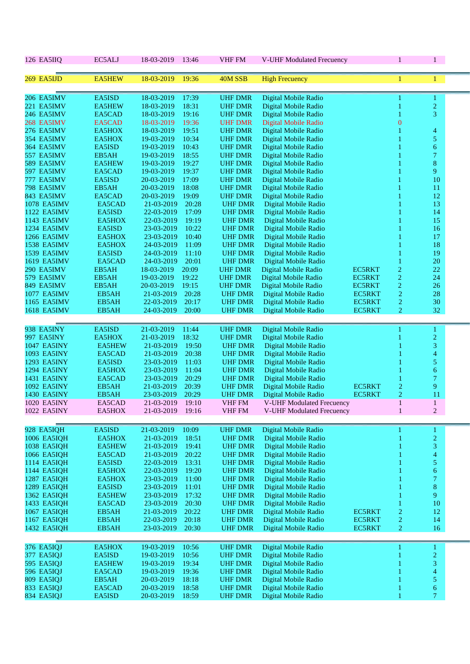| 126 EA5IIQ                | EC5ALJ         | 18-03-2019               | 13:46          | <b>VHF FM</b>                    | V-UHF Modulated Frecuency                    |                                | $\mathbf{1}$                       | $1 -$                    |  |
|---------------------------|----------------|--------------------------|----------------|----------------------------------|----------------------------------------------|--------------------------------|------------------------------------|--------------------------|--|
| 269 EA5IJD                | <b>EA5HEW</b>  | 18-03-2019               | 19:36          | 40M SSB                          | <b>High Frecuency</b>                        |                                | 1                                  | 1                        |  |
| 206 EA5IMV                | EA5ISD         | 18-03-2019               | 17:39          | <b>UHF DMR</b>                   | Digital Mobile Radio                         |                                |                                    | 1                        |  |
| 221 EA5IMV                | <b>EA5HEW</b>  | 18-03-2019               | 18:31          | <b>UHF DMR</b>                   | Digital Mobile Radio                         |                                |                                    | $\overline{c}$           |  |
| 246 EA5IMV                | EA5CAD         | 18-03-2019               | 19:16          | <b>UHF DMR</b>                   | Digital Mobile Radio                         |                                |                                    | 3                        |  |
| 268 EA5IMV                | EA5CAD         | 18-03-2019               | 19:36          | <b>UHF DMR</b>                   | Digital Mobile Radio                         |                                | $\overline{0}$                     |                          |  |
| 276 EA5IMV                | EA5HOX         | 18-03-2019               | 19:51          | <b>UHF DMR</b>                   | Digital Mobile Radio                         |                                |                                    | 4                        |  |
| 354 EA5IMV                | EA5HOX         | 19-03-2019               | 10:34          | <b>UHF DMR</b>                   | Digital Mobile Radio                         |                                |                                    | 5                        |  |
| 364 EA5IMV                | EA5ISD         | 19-03-2019               | 10:43          | <b>UHF DMR</b>                   | Digital Mobile Radio                         |                                |                                    | 6                        |  |
| 557 EA5IMV                | EB5AH          | 19-03-2019               | 18:55          | <b>UHF DMR</b>                   | Digital Mobile Radio                         |                                |                                    | $\tau$                   |  |
| 589 EA5IMV                | <b>EA5HEW</b>  | 19-03-2019               | 19:27          | <b>UHF DMR</b>                   | Digital Mobile Radio                         |                                |                                    | $8\,$                    |  |
| 597 EA5IMV                | EA5CAD         | 19-03-2019               | 19:37          | <b>UHF DMR</b>                   | Digital Mobile Radio                         |                                |                                    | 9                        |  |
| 777 EA5IMV                | EA5ISD         | 20-03-2019               | 17:09          | <b>UHF DMR</b>                   | Digital Mobile Radio                         |                                |                                    | 10                       |  |
| 798 EA5IMV                | EB5AH          | 20-03-2019               | 18:08          | <b>UHF DMR</b>                   | Digital Mobile Radio                         |                                |                                    | 11                       |  |
| 843 EA5IMV                | EA5CAD         | 20-03-2019               | 19:09          | <b>UHF DMR</b>                   | Digital Mobile Radio                         |                                |                                    | 12                       |  |
| <b>1078 EA5IMV</b>        | EA5CAD         | 21-03-2019               | 20:28          | <b>UHF DMR</b>                   | Digital Mobile Radio                         |                                |                                    | 13                       |  |
| 1122 EA5IMV               | EA5ISD         | 22-03-2019               | 17:09          | <b>UHF DMR</b>                   | Digital Mobile Radio                         |                                |                                    | 14                       |  |
| 1143 EA5IMV               | EA5HOX         | 22-03-2019               | 19:19          | <b>UHF DMR</b>                   | Digital Mobile Radio                         |                                |                                    | 15                       |  |
| 1234 EA5IMV               | EA5ISD         | 23-03-2019               | 10:22          | <b>UHF DMR</b>                   | Digital Mobile Radio                         |                                |                                    | 16                       |  |
| 1266 EA5IMV               | EA5HOX         | 23-03-2019               | 10:40          | <b>UHF DMR</b>                   | Digital Mobile Radio                         |                                |                                    | 17                       |  |
| <b>1538 EA5IMV</b>        | EA5HOX         | 24-03-2019               | 11:09          | <b>UHF DMR</b>                   | Digital Mobile Radio                         |                                |                                    | 18                       |  |
| <b>1539 EA5IMV</b>        | EA5ISD         | 24-03-2019               | 11:10          | <b>UHF DMR</b>                   | Digital Mobile Radio                         |                                |                                    | 19                       |  |
| <b>1619 EA5IMV</b>        | EA5CAD         | 24-03-2019               | 20:01          | <b>UHF DMR</b>                   | Digital Mobile Radio                         |                                |                                    | 20                       |  |
| 290 EA5IMV                | EB5AH          | 18-03-2019               | 20:09          | <b>UHF DMR</b>                   | Digital Mobile Radio                         | <b>EC5RKT</b>                  | $\overline{c}$                     | 22                       |  |
| 579 EA5IMV                | EB5AH          | 19-03-2019               | 19:22          | <b>UHF DMR</b>                   | Digital Mobile Radio                         | <b>EC5RKT</b>                  | $\overline{c}$                     | 24                       |  |
| 849 EA5IMV<br>1077 EA5IMV | EB5AH<br>EB5AH | 20-03-2019<br>21-03-2019 | 19:15<br>20:28 | <b>UHF DMR</b><br><b>UHF DMR</b> | Digital Mobile Radio<br>Digital Mobile Radio | <b>EC5RKT</b><br><b>EC5RKT</b> | $\overline{c}$<br>$\boldsymbol{2}$ | 26<br>28                 |  |
| 1165 EA5IMV               | EB5AH          | 22-03-2019               | 20:17          | <b>UHF DMR</b>                   | Digital Mobile Radio                         | <b>EC5RKT</b>                  | $\overline{2}$                     | 30                       |  |
| <b>1618 EA5IMV</b>        | EB5AH          | 24-03-2019               | 20:00          | <b>UHF DMR</b>                   | Digital Mobile Radio                         | <b>EC5RKT</b>                  | $\overline{2}$                     | 32                       |  |
|                           |                |                          |                |                                  |                                              |                                |                                    |                          |  |
| 938 EA5INY                | EA5ISD         | 21-03-2019               | 11:44          | <b>UHF DMR</b>                   | Digital Mobile Radio                         |                                | 1                                  | 1                        |  |
| 997 EA5INY                | EA5HOX         | 21-03-2019               | 18:32          | <b>UHF DMR</b>                   | Digital Mobile Radio                         |                                |                                    | $\overline{2}$           |  |
| <b>1047 EA5INY</b>        | <b>EA5HEW</b>  | 21-03-2019               | 19:50          | <b>UHF DMR</b>                   | Digital Mobile Radio                         |                                |                                    | 3                        |  |
| 1093 EA5INY               | EA5CAD         | 21-03-2019               | 20:38          | <b>UHF DMR</b>                   | Digital Mobile Radio                         |                                |                                    | $\overline{\mathcal{A}}$ |  |
| 1293 EA5INY               | EA5ISD         | 23-03-2019               | 11:03          | <b>UHF DMR</b>                   | Digital Mobile Radio                         |                                |                                    | 5                        |  |
| 1294 EA5INY               | EA5HOX         | 23-03-2019               | 11:04          | <b>UHF DMR</b>                   | Digital Mobile Radio                         |                                |                                    | 6                        |  |
| 1431 EA5INY               | EA5CAD         | 23-03-2019               | 20:29          | <b>UHF DMR</b>                   | Digital Mobile Radio                         |                                |                                    | $\overline{7}$           |  |
| <b>1092 EA5INY</b>        | EB5AH          | 21-03-2019               | 20:39          | <b>UHF DMR</b>                   | Digital Mobile Radio                         | <b>EC5RKT</b>                  | 2                                  | 9                        |  |
| 1430 EA5INY               | EB5AH          | 23-03-2019               | 20:29          | <b>UHF DMR</b>                   | Digital Mobile Radio                         | <b>EC5RKT</b>                  | $\overline{c}$                     | 11                       |  |
| 1020 EA5INY               | EA5CAD         | 21-03-2019               | 19:10          | <b>VHF FM</b>                    | <b>V-UHF Modulated Frecuency</b>             |                                | $\mathbf{1}$                       | $\mathbf{1}$             |  |
| 1022 EA5INY               | EA5HOX         | 21-03-2019               | 19:16          | <b>VHF FM</b>                    | V-UHF Modulated Frecuency                    |                                | $\mathbf{1}$                       | $\overline{2}$           |  |
| 928 EA5IQH                | EA5ISD         | 21-03-2019               | 10:09          | <b>UHF DMR</b>                   | Digital Mobile Radio                         |                                | 1                                  | 1                        |  |
| 1006 EA5IQH               | EA5HOX         | 21-03-2019               | 18:51          | <b>UHF DMR</b>                   | Digital Mobile Radio                         |                                |                                    | $\overline{c}$           |  |
| 1038 EA5IQH               | <b>EA5HEW</b>  | 21-03-2019               | 19:41          | <b>UHF DMR</b>                   | Digital Mobile Radio                         |                                |                                    | 3                        |  |
| 1066 EA5IQH               | EA5CAD         | 21-03-2019               | 20:22          | <b>UHF DMR</b>                   | Digital Mobile Radio                         |                                |                                    | $\overline{\mathbf{4}}$  |  |
| 1114 EA5IQH               | EA5ISD         | 22-03-2019               | 13:31          | <b>UHF DMR</b>                   | Digital Mobile Radio                         |                                |                                    | 5                        |  |
| 1144 EA5IQH               | EA5HOX         | 22-03-2019               | 19:20          | <b>UHF DMR</b>                   | Digital Mobile Radio                         |                                |                                    | 6                        |  |
| <b>1287 EA5IQH</b>        | EA5HOX         | 23-03-2019               | 11:00          | <b>UHF DMR</b>                   | Digital Mobile Radio                         |                                |                                    | $\overline{7}$           |  |
| <b>1289 EA5IQH</b>        | EA5ISD         | 23-03-2019               | 11:01          | <b>UHF DMR</b>                   | Digital Mobile Radio                         |                                |                                    | 8                        |  |
| 1362 EA5IQH               | <b>EA5HEW</b>  | 23-03-2019               | 17:32          | <b>UHF DMR</b>                   | Digital Mobile Radio                         |                                |                                    | 9                        |  |
| 1433 EA5IQH               | EA5CAD         | 23-03-2019               | 20:30          | <b>UHF DMR</b>                   | Digital Mobile Radio                         |                                |                                    | 10                       |  |
| 1067 EA5IQH               | EB5AH          | 21-03-2019               | 20:22          | <b>UHF DMR</b>                   | Digital Mobile Radio                         | <b>EC5RKT</b>                  | $\overline{c}$                     | 12                       |  |
| 1167 EA5IQH               | EB5AH          | 22-03-2019               | 20:18          | <b>UHF DMR</b>                   | Digital Mobile Radio                         | EC5RKT                         | $\overline{c}$                     | 14                       |  |
| 1432 EA5IQH               | EB5AH          | 23-03-2019               | 20:30          | <b>UHF DMR</b>                   | Digital Mobile Radio                         | EC5RKT                         | $\overline{c}$                     | 16                       |  |
| 376 EA5IQJ                | EA5HOX         | 19-03-2019               | 10:56          | <b>UHF DMR</b>                   | Digital Mobile Radio                         |                                | 1                                  | 1                        |  |
| 377 EA5IQJ                | EA5ISD         | 19-03-2019               | 10:56          | <b>UHF DMR</b>                   | Digital Mobile Radio                         |                                |                                    | $\overline{2}$           |  |
| 595 EA5IQJ                | <b>EA5HEW</b>  | 19-03-2019               | 19:34          | <b>UHF DMR</b>                   | Digital Mobile Radio                         |                                |                                    | 3                        |  |
| 596 EA5IQJ                | EA5CAD         | 19-03-2019               | 19:36          | <b>UHF DMR</b>                   | Digital Mobile Radio                         |                                |                                    | $\overline{4}$           |  |
| 809 EA5IQJ                | EB5AH          | 20-03-2019               | 18:18          | <b>UHF DMR</b>                   | Digital Mobile Radio                         |                                |                                    | 5                        |  |
| 833 EA5IQJ                | EA5CAD         | 20-03-2019               | 18:58          | <b>UHF DMR</b>                   | Digital Mobile Radio                         |                                |                                    | $\boldsymbol{6}$         |  |
| 834 EA5IQJ                | EA5ISD         | 20-03-2019               | 18:59          | <b>UHF DMR</b>                   | Digital Mobile Radio                         |                                | $\mathbf{1}$                       | 7 <sup>1</sup>           |  |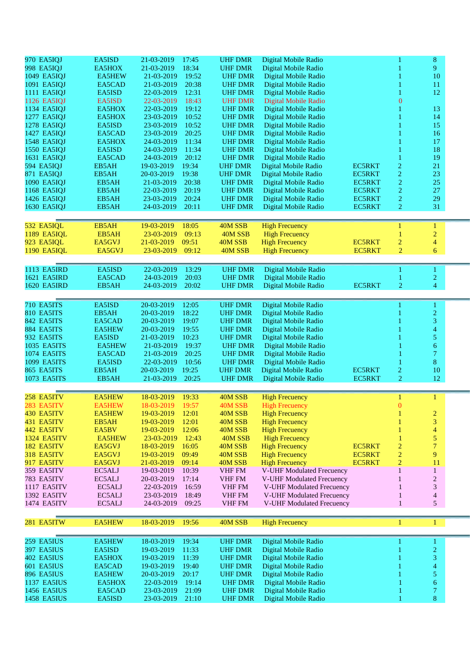| 970 EA5IQJ         | EA5ISD        | 21-03-2019       | 17:45 | <b>UHF DMR</b> | Digital Mobile Radio             |               |                  | 8                       |  |
|--------------------|---------------|------------------|-------|----------------|----------------------------------|---------------|------------------|-------------------------|--|
| 998 EA5IQJ         | EA5HOX        | 21-03-2019       | 18:34 | <b>UHF DMR</b> | Digital Mobile Radio             |               |                  | 9                       |  |
| 1049 EA5IOJ        | <b>EA5HEW</b> | 21-03-2019       | 19:52 | <b>UHF DMR</b> |                                  |               |                  | 10                      |  |
|                    |               |                  |       |                | Digital Mobile Radio             |               |                  |                         |  |
| 1091 EA5IQJ        | EA5CAD        | 21-03-2019       | 20:38 | <b>UHF DMR</b> | Digital Mobile Radio             |               |                  | 11                      |  |
| 1111 EA5IOJ        | EA5ISD        | 22-03-2019       | 12:31 | <b>UHF DMR</b> | Digital Mobile Radio             |               |                  | 12                      |  |
| 1126 EA5IQJ        | EA5ISD        | 22-03-2019       | 18:43 | <b>UHF DMR</b> | Digital Mobile Radio             |               | $\boldsymbol{0}$ |                         |  |
| 1134 EA5IQJ        | EA5HOX        | 22-03-2019       | 19:12 | <b>UHF DMR</b> | Digital Mobile Radio             |               |                  | 13                      |  |
| 1277 EA5IQJ        | EA5HOX        | 23-03-2019       | 10:52 | <b>UHF DMR</b> | Digital Mobile Radio             |               |                  | 14                      |  |
| 1278 EA5IQJ        | EA5ISD        | 23-03-2019       | 10:52 | <b>UHF DMR</b> | Digital Mobile Radio             |               |                  | 15                      |  |
|                    |               |                  |       |                |                                  |               |                  |                         |  |
| 1427 EA5IQJ        | EA5CAD        | 23-03-2019       | 20:25 | <b>UHF DMR</b> | Digital Mobile Radio             |               |                  | 16                      |  |
| 1548 EA5IQJ        | EA5HOX        | 24-03-2019       | 11:34 | <b>UHF DMR</b> | Digital Mobile Radio             |               |                  | 17                      |  |
| 1550 EA5IQJ        | EA5ISD        | 24-03-2019       | 11:34 | <b>UHF DMR</b> | Digital Mobile Radio             |               |                  | 18                      |  |
| 1631 EA5IQJ        | EA5CAD        | 24-03-2019       | 20:12 | <b>UHF DMR</b> | Digital Mobile Radio             |               |                  | 19                      |  |
| 594 EA5IQJ         | EB5AH         | 19-03-2019       | 19:34 | <b>UHF DMR</b> | Digital Mobile Radio             | <b>EC5RKT</b> | $\overline{c}$   | 21                      |  |
| 871 EA5IQJ         | EB5AH         | 20-03-2019       | 19:38 | <b>UHF DMR</b> | Digital Mobile Radio             | <b>EC5RKT</b> | $\overline{c}$   | 23                      |  |
| 1090 EA5IQJ        | EB5AH         | 21-03-2019       | 20:38 | <b>UHF DMR</b> | Digital Mobile Radio             | <b>EC5RKT</b> | $\boldsymbol{2}$ | 25                      |  |
| 1168 EA5IQJ        | EB5AH         | 22-03-2019       | 20:19 | <b>UHF DMR</b> | Digital Mobile Radio             | <b>EC5RKT</b> | $\overline{c}$   | 27                      |  |
| 1426 EA5IQJ        | EB5AH         | 23-03-2019       | 20:24 | <b>UHF DMR</b> | Digital Mobile Radio             | <b>EC5RKT</b> | $\overline{2}$   | 29                      |  |
|                    |               |                  |       |                |                                  |               |                  |                         |  |
| 1630 EA5IQJ        | EB5AH         | 24-03-2019       | 20:11 | <b>UHF DMR</b> | Digital Mobile Radio             | <b>EC5RKT</b> | $\overline{c}$   | 31                      |  |
|                    |               |                  |       |                |                                  |               |                  |                         |  |
| 532 EA5IQL         | EB5AH         | 19-03-2019       | 18:05 | 40M SSB        | <b>High Frecuency</b>            |               |                  | 1                       |  |
| <b>1189 EA5IQL</b> | EB5AH         | 23-03-2019       | 09:13 | 40M SSB        | <b>High Frecuency</b>            |               |                  | $\overline{c}$          |  |
| 923 EA5IOL         | EA5GVJ        | 21-03-2019       | 09:51 | 40M SSB        | <b>High Frecuency</b>            | <b>EC5RKT</b> | $\overline{c}$   | $\overline{4}$          |  |
| <b>1190 EA5IQL</b> | EA5GVJ        | 23-03-2019       | 09:12 | 40M SSB        | <b>High Frecuency</b>            | <b>EC5RKT</b> | $\overline{2}$   | 6                       |  |
|                    |               |                  |       |                |                                  |               |                  |                         |  |
|                    |               |                  |       |                |                                  |               |                  |                         |  |
| 1113 EA5IRD        | EA5ISD        | 22-03-2019       | 13:29 | <b>UHF DMR</b> | Digital Mobile Radio             |               |                  | 1                       |  |
| 1621 EA5IRD        | EA5CAD        | 24-03-2019       | 20:03 | <b>UHF DMR</b> | Digital Mobile Radio             |               |                  | $\overline{c}$          |  |
| <b>1620 EA5IRD</b> | EB5AH         | 24-03-2019       | 20:02 | <b>UHF DMR</b> | Digital Mobile Radio             | <b>EC5RKT</b> | 2                | $\overline{4}$          |  |
|                    |               |                  |       |                |                                  |               |                  |                         |  |
|                    |               |                  |       |                |                                  |               |                  |                         |  |
| 710 EA5ITS         | EA5ISD        | 20-03-2019       | 12:05 | <b>UHF DMR</b> | Digital Mobile Radio             |               |                  | 1                       |  |
| 810 EA5ITS         | EB5AH         | 20-03-2019       | 18:22 | <b>UHF DMR</b> | Digital Mobile Radio             |               |                  | $\overline{2}$          |  |
| 842 EA5ITS         | EA5CAD        | 20-03-2019       | 19:07 | <b>UHF DMR</b> | Digital Mobile Radio             |               |                  | 3                       |  |
| 884 EA5ITS         | <b>EA5HEW</b> | 20-03-2019       | 19:55 | <b>UHF DMR</b> | Digital Mobile Radio             |               |                  | $\overline{\mathbf{4}}$ |  |
| 932 EA5ITS         | EA5ISD        | 21-03-2019       | 10:23 | <b>UHF DMR</b> | Digital Mobile Radio             |               |                  | 5                       |  |
| 1035 EA5ITS        | <b>EA5HEW</b> | 21-03-2019       | 19:37 | <b>UHF DMR</b> | Digital Mobile Radio             |               |                  | 6                       |  |
| <b>1074 EA5ITS</b> | EA5CAD        | 21-03-2019       | 20:25 | <b>UHF DMR</b> | Digital Mobile Radio             |               |                  | $\overline{7}$          |  |
| 1099 EA5ITS        | EA5ISD        | 22-03-2019       | 10:56 | <b>UHF DMR</b> | Digital Mobile Radio             |               |                  | 8                       |  |
|                    |               |                  |       |                |                                  |               |                  |                         |  |
| 865 EA5ITS         | EB5AH         | 20-03-2019       | 19:25 | <b>UHF DMR</b> | Digital Mobile Radio             | <b>EC5RKT</b> | $\overline{c}$   | 10                      |  |
| 1073 EA5ITS        | EB5AH         | 21-03-2019       | 20:25 | <b>UHF DMR</b> | Digital Mobile Radio             | EC5RKT        | $\overline{2}$   | 12                      |  |
|                    |               |                  |       |                |                                  |               |                  |                         |  |
| 258 EA5ITV         | <b>EA5HEW</b> | 18-03-2019       | 19:33 | 40M SSB        | <b>High Frecuency</b>            |               | 1                | 1                       |  |
| 283 EA5ITV         | EA5HEW        | 18-03-2019 19:57 |       | 40M SSB        | <b>High Frecuency</b>            |               | $\Omega$         |                         |  |
| 430 EA5ITV         | <b>EA5HEW</b> | 19-03-2019       | 12:01 | 40M SSB        | <b>High Frecuency</b>            |               |                  | $\overline{c}$          |  |
| 431 EA5ITV         | EB5AH         | 19-03-2019       | 12:01 | 40M SSB        | <b>High Frecuency</b>            |               |                  | 3                       |  |
|                    |               |                  |       |                |                                  |               |                  |                         |  |
| 442 EA5ITV         | EA5BV         | 19-03-2019       | 12:06 | 40M SSB        | <b>High Frecuency</b>            |               |                  | $\overline{4}$          |  |
| 1324 EA5ITV        | <b>EA5HEW</b> | 23-03-2019       | 12:43 | 40M SSB        | <b>High Frecuency</b>            |               |                  | 5                       |  |
| 182 EA5ITV         | EA5GVJ        | 18-03-2019       | 16:05 | 40M SSB        | <b>High Frecuency</b>            | EC5RKT        | 2                | $\overline{7}$          |  |
| 318 EA5ITV         | EA5GVJ        | 19-03-2019       | 09:49 | 40M SSB        | <b>High Frecuency</b>            | EC5RKT        | $\overline{2}$   | 9                       |  |
| 917 EA5ITV         | EA5GVJ        | 21-03-2019       | 09:14 | 40M SSB        | <b>High Frecuency</b>            | <b>EC5RKT</b> | $\overline{2}$   | 11                      |  |
| 359 EA5ITV         | EC5ALJ        | 19-03-2019       | 10:39 | VHF FM         | V-UHF Modulated Frecuency        |               | 1                | $\mathbf{1}$            |  |
| 783 EA5ITV         | EC5ALJ        | 20-03-2019       | 17:14 | VHF FM         | <b>V-UHF Modulated Frecuency</b> |               |                  | $\overline{c}$          |  |
| 1117 EA5ITV        | EC5ALJ        | 22-03-2019       | 16:59 | <b>VHF FM</b>  | <b>V-UHF Modulated Frecuency</b> |               |                  | 3                       |  |
| 1392 EA5ITV        | EC5ALJ        | 23-03-2019       | 18:49 | <b>VHF FM</b>  | V-UHF Modulated Frecuency        |               |                  | $\overline{4}$          |  |
|                    |               |                  |       |                |                                  |               | 1                | 5 <sup>5</sup>          |  |
| 1474 EA5ITV        | EC5ALJ        | 24-03-2019       | 09:25 | VHF FM         | V-UHF Modulated Frecuency        |               |                  |                         |  |
|                    |               |                  |       |                |                                  |               |                  |                         |  |
| 281 EA5ITW         | <b>EA5HEW</b> | 18-03-2019       | 19:56 | 40M SSB        | <b>High Frecuency</b>            |               | 1                | 1                       |  |
|                    |               |                  |       |                |                                  |               |                  |                         |  |
| 259 EA5IUS         | EA5HEW        | 18-03-2019       | 19:34 | <b>UHF DMR</b> | Digital Mobile Radio             |               |                  | 1                       |  |
|                    |               |                  |       |                |                                  |               |                  |                         |  |
| 397 EA5IUS         | EA5ISD        | 19-03-2019       | 11:33 | <b>UHF DMR</b> | Digital Mobile Radio             |               |                  | $\overline{2}$          |  |
| 402 EA5IUS         | EA5HOX        | 19-03-2019       | 11:39 | <b>UHF DMR</b> | Digital Mobile Radio             |               |                  | 3                       |  |
| 601 EA5IUS         | EA5CAD        | 19-03-2019       | 19:40 | <b>UHF DMR</b> | Digital Mobile Radio             |               |                  | 4                       |  |
| 896 EA5IUS         | EA5HEW        | 20-03-2019       | 20:17 | <b>UHF DMR</b> | Digital Mobile Radio             |               |                  | 5                       |  |
| 1137 EA5IUS        | EA5HOX        | 22-03-2019       | 19:14 | <b>UHF DMR</b> | Digital Mobile Radio             |               |                  | 6                       |  |
|                    |               |                  |       |                |                                  |               |                  |                         |  |
| <b>1456 EA5IUS</b> | EA5CAD        | 23-03-2019       | 21:09 | <b>UHF DMR</b> | Digital Mobile Radio             |               |                  | $\tau$                  |  |
| <b>1458 EA5IUS</b> | EA5ISD        | 23-03-2019       | 21:10 | <b>UHF DMR</b> | Digital Mobile Radio             |               |                  | 8                       |  |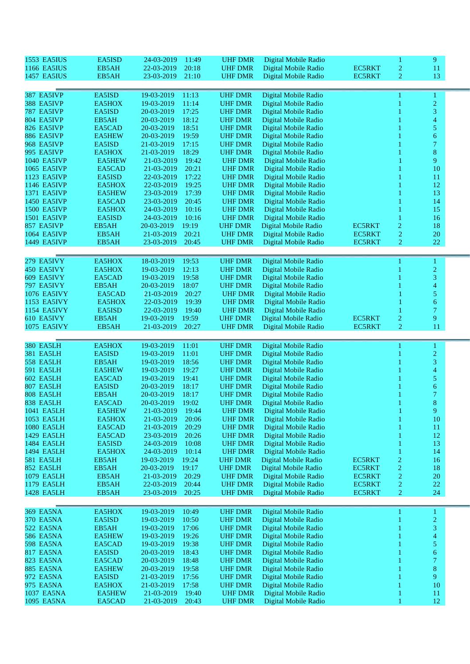| <b>1553 EA5IUS</b>            | EA5ISD                  | 11:49<br>24-03-2019                        | <b>UHF DMR</b>                   | Digital Mobile Radio                         |               | 1                       | 9                   |
|-------------------------------|-------------------------|--------------------------------------------|----------------------------------|----------------------------------------------|---------------|-------------------------|---------------------|
| <b>1166 EA5IUS</b>            | EB5AH                   | 22-03-2019<br>20:18                        | <b>UHF DMR</b>                   | Digital Mobile Radio                         | <b>EC5RKT</b> | $\overline{c}$          | 11                  |
| <b>1457 EA5IUS</b>            | EB5AH                   | 23-03-2019<br>21:10                        | <b>UHF DMR</b>                   | Digital Mobile Radio                         | <b>EC5RKT</b> | 2                       | 13                  |
|                               |                         |                                            |                                  |                                              |               |                         |                     |
| 387 EA5IVP                    | EA5ISD                  | 19-03-2019<br>11:13                        | <b>UHF DMR</b>                   | Digital Mobile Radio                         |               |                         | 1                   |
| 388 EA5IVP                    | EA5HOX                  | 19-03-2019<br>11:14                        | <b>UHF DMR</b>                   | Digital Mobile Radio                         |               |                         | $\overline{2}$      |
| 787 EA5IVP                    | EA5ISD                  | 20-03-2019<br>17:25                        | <b>UHF DMR</b>                   | Digital Mobile Radio                         |               |                         | 3                   |
| 804 EA5IVP                    | EB5AH                   | 20-03-2019<br>18:12                        | <b>UHF DMR</b>                   | Digital Mobile Radio                         |               |                         | 4                   |
| 826 EA5IVP                    | EA5CAD                  | 20-03-2019<br>18:51                        | <b>UHF DMR</b>                   | Digital Mobile Radio                         |               |                         | 5                   |
| 886 EA5IVP                    | <b>EA5HEW</b>           | 20-03-2019<br>19:59                        | <b>UHF DMR</b>                   | Digital Mobile Radio                         |               |                         | 6                   |
| 968 EA5IVP                    | EA5ISD                  | 21-03-2019<br>17:15                        | <b>UHF DMR</b>                   | Digital Mobile Radio                         |               |                         | $\tau$              |
| <b>995 EA5IVP</b>             | EA5HOX                  | 18:29<br>21-03-2019                        | <b>UHF DMR</b>                   | Digital Mobile Radio                         |               |                         | $\bf8$              |
| 1040 EA5IVP                   | <b>EA5HEW</b>           | 21-03-2019<br>19:42                        | <b>UHF DMR</b>                   | Digital Mobile Radio                         |               |                         | 9                   |
| 1065 EA5IVP                   | EA5CAD                  | 20:21<br>21-03-2019                        | <b>UHF DMR</b>                   | Digital Mobile Radio                         |               |                         | 10                  |
| 1123 EA5IVP                   | EA5ISD                  | 17:22<br>22-03-2019                        | <b>UHF DMR</b>                   | Digital Mobile Radio                         |               |                         | 11                  |
| 1146 EA5IVP                   | EA5HOX                  | 19:25<br>22-03-2019                        | <b>UHF DMR</b>                   | Digital Mobile Radio                         |               |                         | 12                  |
| 1371 EA5IVP                   | <b>EA5HEW</b>           | 23-03-2019<br>17:39                        | <b>UHF DMR</b>                   | Digital Mobile Radio                         |               |                         | 13                  |
| 1450 EA5IVP                   | EA5CAD                  | 23-03-2019<br>20:45                        | <b>UHF DMR</b>                   | Digital Mobile Radio                         |               |                         | 14                  |
| <b>1500 EA5IVP</b>            | EA5HOX                  | 24-03-2019<br>10:16                        | <b>UHF DMR</b>                   | Digital Mobile Radio                         |               |                         | 15                  |
| 1501 EA5IVP                   | EA5ISD                  | 24-03-2019<br>10:16                        | <b>UHF DMR</b>                   | Digital Mobile Radio                         |               |                         | 16                  |
| 857 EA5IVP                    | EB5AH                   | 20-03-2019<br>19:19                        | <b>UHF DMR</b>                   | Digital Mobile Radio                         | <b>EC5RKT</b> | $\overline{\mathbf{c}}$ | 18                  |
| 1064 EA5IVP                   | EB5AH                   | 20:21<br>21-03-2019                        | <b>UHF DMR</b>                   | Digital Mobile Radio                         | <b>EC5RKT</b> | $\boldsymbol{2}$        | $20\,$              |
| 1449 EA5IVP                   | EB5AH                   | 20:45<br>23-03-2019                        | <b>UHF DMR</b>                   | Digital Mobile Radio                         | <b>EC5RKT</b> | $\overline{c}$          | $22\,$              |
|                               |                         |                                            |                                  |                                              |               |                         |                     |
| 279 EA5IVY                    | EA5HOX                  | 18-03-2019<br>19:53                        | <b>UHF DMR</b>                   | Digital Mobile Radio                         |               |                         | 1                   |
| 450 EA5IVY                    | EA5HOX                  | 19-03-2019<br>12:13                        | <b>UHF DMR</b>                   | Digital Mobile Radio                         |               |                         | $\overline{2}$      |
| 609 EA5IVY                    | EA5CAD                  | 19:58<br>19-03-2019                        | <b>UHF DMR</b>                   | Digital Mobile Radio                         |               |                         | 3                   |
| 797 EA5IVY                    | EB5AH                   | 20-03-2019<br>18:07                        | <b>UHF DMR</b>                   | Digital Mobile Radio                         |               |                         | 4                   |
| <b>1076 EA5IVY</b>            | EA5CAD                  | 21-03-2019<br>20:27                        | <b>UHF DMR</b>                   | Digital Mobile Radio                         |               |                         | 5                   |
| 1153 EA5IVY                   | EA5HOX                  | 22-03-2019<br>19:39                        | <b>UHF DMR</b>                   | Digital Mobile Radio                         |               |                         | 6                   |
| 1154 EA5IVY                   | EA5ISD                  | 22-03-2019<br>19:40                        | <b>UHF DMR</b>                   | Digital Mobile Radio                         |               |                         | 7                   |
| 610 EA5IVY                    | EB5AH                   | 19:59<br>19-03-2019                        | <b>UHF DMR</b>                   | Digital Mobile Radio                         | <b>EC5RKT</b> | $\overline{c}$          | 9                   |
|                               | EB5AH                   | 20:27<br>21-03-2019                        | <b>UHF DMR</b>                   | Digital Mobile Radio                         |               | $\overline{c}$          | 11                  |
| 1075 EA5IVY                   |                         |                                            |                                  |                                              | <b>EC5RKT</b> |                         |                     |
|                               |                         |                                            |                                  |                                              |               |                         |                     |
|                               |                         |                                            |                                  |                                              |               |                         |                     |
| <b>380 EA5LH</b>              | EA5HOX                  | 19-03-2019<br>11:01                        | <b>UHF DMR</b>                   | Digital Mobile Radio                         |               |                         | 1                   |
| 381 EA5LH<br><b>558 EA5LH</b> | EA5ISD<br>EB5AH         | 19-03-2019<br>11:01                        | <b>UHF DMR</b>                   | Digital Mobile Radio                         |               |                         | $\overline{c}$      |
| <b>591 EA5LH</b>              | <b>EA5HEW</b>           | 19-03-2019<br>18:56<br>19-03-2019<br>19:27 | <b>UHF DMR</b><br><b>UHF DMR</b> | Digital Mobile Radio<br>Digital Mobile Radio |               |                         | 3<br>4              |
| <b>602 EA5LH</b>              | EA5CAD                  | 19:41<br>19-03-2019                        | <b>UHF DMR</b>                   |                                              |               |                         | 5                   |
| <b>807 EA5LH</b>              | EA5ISD                  | 20-03-2019<br>18:17                        | <b>UHF DMR</b>                   | Digital Mobile Radio<br>Digital Mobile Radio |               |                         | 6                   |
| 808 EA5LH                     | EB5AH                   | 20-03-2019<br>18:17                        | <b>UHF DMR</b>                   | Digital Mobile Radio                         |               |                         | 7                   |
| 838 EA5LH                     | EA5CAD                  | 19:02<br>20-03-2019                        | <b>UHF DMR</b>                   | Digital Mobile Radio                         |               |                         | 8                   |
| 1041 EA5LH                    | EA5HEW                  | 21-03-2019<br>19:44                        | <b>UHF DMR</b>                   | Digital Mobile Radio                         |               |                         | 9                   |
| 1053 EA5LH                    | EA5HOX                  | 20:06<br>21-03-2019                        | <b>UHF DMR</b>                   | Digital Mobile Radio                         |               |                         | 10                  |
| 1080 EA5LH                    | EA5CAD                  | 20:29<br>21-03-2019                        | <b>UHF DMR</b>                   | Digital Mobile Radio                         |               |                         | 11                  |
| 1429 EA5LH                    | EA5CAD                  | 23-03-2019<br>20:26                        | <b>UHF DMR</b>                   | Digital Mobile Radio                         |               |                         | 12                  |
| 1484 EA5LH                    | EA5ISD                  | 10:08<br>24-03-2019                        | <b>UHF DMR</b>                   | Digital Mobile Radio                         |               |                         | 13                  |
| 1494 EA5LH                    | EA5HOX                  | 24-03-2019<br>10:14                        | <b>UHF DMR</b>                   | Digital Mobile Radio                         |               |                         | 14                  |
| <b>581 EA5LH</b>              | EB5AH                   | 19-03-2019<br>19:24                        | <b>UHF DMR</b>                   | Digital Mobile Radio                         | EC5RKT        | $\overline{c}$          | 16                  |
| 852 EA5LH                     | EB5AH                   | 20-03-2019<br>19:17                        | <b>UHF DMR</b>                   | Digital Mobile Radio                         | <b>EC5RKT</b> | $\overline{c}$          | 18                  |
| 1079 EA5LH                    | EB5AH                   | 20:29<br>21-03-2019                        | <b>UHF DMR</b>                   | Digital Mobile Radio                         | EC5RKT        | 2                       | 20                  |
| 1179 EA5LH                    | EB5AH                   | 22-03-2019<br>20:44                        | <b>UHF DMR</b>                   | Digital Mobile Radio                         | <b>EC5RKT</b> | $\overline{c}$          | 22                  |
| 1428 EA5LH                    | EB5AH                   | 20:25<br>23-03-2019                        | <b>UHF DMR</b>                   | Digital Mobile Radio                         | <b>EC5RKT</b> | $\overline{c}$          | 24                  |
|                               |                         |                                            |                                  |                                              |               |                         |                     |
| <b>369 EA5NA</b>              | EA5HOX                  | 19-03-2019<br>10:49                        | <b>UHF DMR</b>                   | Digital Mobile Radio                         |               |                         | 1                   |
| 370 EA5NA                     | EA5ISD                  | 19-03-2019<br>10:50                        | <b>UHF DMR</b>                   | Digital Mobile Radio                         |               |                         | $\overline{c}$      |
| 522 EA5NA                     | EB5AH                   | 19-03-2019<br>17:06                        | <b>UHF DMR</b>                   | Digital Mobile Radio                         |               |                         | 3                   |
| <b>586 EA5NA</b>              | <b>EA5HEW</b>           | 19:26<br>19-03-2019                        | <b>UHF DMR</b>                   | Digital Mobile Radio                         |               |                         | 4                   |
| <b>598 EA5NA</b>              | EA5CAD                  | 19:38<br>19-03-2019                        | <b>UHF DMR</b>                   | Digital Mobile Radio                         |               |                         | 5                   |
| <b>817 EA5NA</b>              | EA5ISD                  | 20-03-2019<br>18:43                        | <b>UHF DMR</b>                   | Digital Mobile Radio                         |               |                         | 6                   |
| <b>823 EA5NA</b>              | EA5CAD                  | 20-03-2019<br>18:48                        | <b>UHF DMR</b>                   | Digital Mobile Radio                         |               |                         | $\tau$              |
| <b>885 EA5NA</b>              | <b>EA5HEW</b>           | 20-03-2019<br>19:58                        | <b>UHF DMR</b>                   | Digital Mobile Radio                         |               |                         | $8\,$               |
| 972 EA5NA                     | EA5ISD                  | 21-03-2019<br>17:56                        | <b>UHF DMR</b>                   | Digital Mobile Radio                         |               |                         | 9                   |
| 975 EA5NA                     | EA5HOX                  | 17:58<br>21-03-2019                        | <b>UHF DMR</b>                   | Digital Mobile Radio                         |               |                         | 10                  |
| 1037 EA5NA<br>1095 EA5NA      | <b>EA5HEW</b><br>EA5CAD | 21-03-2019<br>19:40<br>20:43<br>21-03-2019 | <b>UHF DMR</b><br><b>UHF DMR</b> | Digital Mobile Radio<br>Digital Mobile Radio |               | 1                       | <sup>11</sup><br>12 |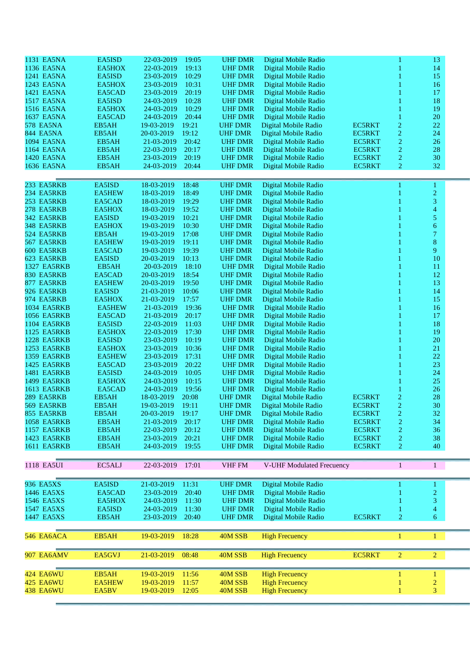| 1131 EA5NA<br>EA5ISD<br>22-03-2019<br>19:05<br><b>UHF DMR</b><br>Digital Mobile Radio<br>13<br>1136 EA5NA<br>19:13<br>EA5HOX<br>22-03-2019<br><b>UHF DMR</b><br>Digital Mobile Radio<br>14<br>23-03-2019<br>10:29<br>15<br>1241 EA5NA<br>EA5ISD<br><b>UHF DMR</b><br>Digital Mobile Radio<br>1243 EA5NA<br>10:31<br><b>UHF DMR</b><br>16<br>EA5HOX<br>23-03-2019<br>Digital Mobile Radio<br>1421 EA5NA<br>20:19<br>EA5CAD<br>23-03-2019<br><b>UHF DMR</b><br>17<br>Digital Mobile Radio<br>10:28<br>18<br><b>1517 EA5NA</b><br>EA5ISD<br>24-03-2019<br><b>UHF DMR</b><br>Digital Mobile Radio<br><b>1516 EA5NA</b><br>24-03-2019<br>10:29<br><b>UHF DMR</b><br>19<br>EA5HOX<br>Digital Mobile Radio<br>20:44<br>20<br>1637 EA5NA<br>EA5CAD<br>24-03-2019<br><b>UHF DMR</b><br>Digital Mobile Radio<br>1<br><b>578 EA5NA</b><br>19:21<br><b>UHF DMR</b><br><b>EC5RKT</b><br>$\overline{c}$<br>22<br>EB5AH<br>19-03-2019<br>Digital Mobile Radio<br>$\overline{c}$<br>19:12<br>24<br><b>844 EA5NA</b><br>EB5AH<br>20-03-2019<br><b>UHF DMR</b><br>Digital Mobile Radio<br><b>EC5RKT</b><br>$\overline{c}$<br>1094 EA5NA<br>21-03-2019<br>20:42<br><b>EC5RKT</b><br>26<br>EB5AH<br><b>UHF DMR</b><br>Digital Mobile Radio<br>$\overline{c}$<br>20:17<br>28<br>1164 EA5NA<br>EB5AH<br>22-03-2019<br><b>UHF DMR</b><br>Digital Mobile Radio<br><b>EC5RKT</b><br>$\overline{c}$<br>1420 EA5NA<br>EB5AH<br>23-03-2019<br>20:19<br><b>UHF DMR</b><br>Digital Mobile Radio<br><b>EC5RKT</b><br>30<br>24-03-2019<br>20:44<br>$\overline{2}$<br>32<br>1636 EA5NA<br>EB5AH<br><b>UHF DMR</b><br>Digital Mobile Radio<br><b>EC5RKT</b><br>233 EA5RKB<br>EA5ISD<br>18-03-2019<br>18:48<br><b>UHF DMR</b><br>Digital Mobile Radio<br>1<br>1<br>$\overline{c}$<br>234 EA5RKB<br>18:49<br><b>EA5HEW</b><br>18-03-2019<br><b>UHF DMR</b><br>Digital Mobile Radio<br>$\overline{3}$<br>253 EA5RKB<br>EA5CAD<br>18-03-2019<br>19:29<br><b>UHF DMR</b><br>Digital Mobile Radio<br>4<br>278 EA5RKB<br>EA5HOX<br>18-03-2019<br>19:52<br><b>UHF DMR</b><br>Digital Mobile Radio<br>5<br>342 EA5RKB<br>EA5ISD<br>19-03-2019<br>10:21<br><b>UHF DMR</b><br>Digital Mobile Radio<br>348 EA5RKB<br>10:30<br>6<br>EA5HOX<br>19-03-2019<br><b>UHF DMR</b><br>1<br>Digital Mobile Radio<br>7<br>524 EA5RKB<br>EB5AH<br>17:08<br>19-03-2019<br><b>UHF DMR</b><br>Digital Mobile Radio<br>$8\,$<br>567 EA5RKB<br><b>EA5HEW</b><br>19-03-2019<br>19:11<br><b>UHF DMR</b><br>Digital Mobile Radio<br>19:39<br>9<br>600 EA5RKB<br>EA5CAD<br>19-03-2019<br><b>UHF DMR</b><br>Digital Mobile Radio<br>623 EA5RKB<br>EA5ISD<br>10:13<br><b>UHF DMR</b><br>10<br>20-03-2019<br>Digital Mobile Radio<br>1327 EA5RKB<br>EB5AH<br>20-03-2019<br>18:10<br><b>UHF DMR</b><br>11<br>Digital Mobile Radio<br>1<br>830 EA5RKB<br>EA5CAD<br>18:54<br><b>UHF DMR</b><br>12<br>20-03-2019<br>Digital Mobile Radio<br>877 EA5RKB<br>19:50<br>13<br><b>EA5HEW</b><br>20-03-2019<br><b>UHF DMR</b><br>Digital Mobile Radio<br>926 EA5RKB<br>EA5ISD<br>14<br>21-03-2019<br>10:06<br><b>UHF DMR</b><br>Digital Mobile Radio<br>17:57<br>15<br>974 EA5RKB<br>EA5HOX<br>21-03-2019<br><b>UHF DMR</b><br>Digital Mobile Radio<br>19:36<br><b>1034 EA5RKB</b><br><b>EA5HEW</b><br>21-03-2019<br><b>UHF DMR</b><br>16<br>Digital Mobile Radio<br>20:17<br>17<br><b>1056 EA5RKB</b><br>EA5CAD<br>21-03-2019<br><b>UHF DMR</b><br>Digital Mobile Radio<br>1104 EA5RKB<br>EA5ISD<br>11:03<br><b>UHF DMR</b><br>18<br>22-03-2019<br>Digital Mobile Radio<br>17:30<br>19<br>1125 EA5RKB<br>EA5HOX<br>22-03-2019<br><b>UHF DMR</b><br>Digital Mobile Radio<br>1228 EA5RKB<br>EA5ISD<br>10:19<br><b>UHF DMR</b><br>20<br>23-03-2019<br>Digital Mobile Radio<br><b>1253 EA5RKB</b><br>10:36<br>21<br>EA5HOX<br>23-03-2019<br><b>UHF DMR</b><br>Digital Mobile Radio<br>$22\,$<br><b>1359 EA5RKB</b><br><b>EA5HEW</b><br>23-03-2019<br>17:31<br><b>UHF DMR</b><br>Digital Mobile Radio<br>23<br>1425 EA5RKB<br>EA5CAD<br>23-03-2019<br>20:22<br><b>UHF DMR</b><br>Digital Mobile Radio<br>24<br><b>1481 EA5RKB</b><br>EA5ISD<br>10:05<br><b>UHF DMR</b><br>24-03-2019<br>Digital Mobile Radio<br>1499 EA5RKB<br><b>UHF DMR</b><br>25<br>EA5HOX<br>24-03-2019<br>10:15<br>Digital Mobile Radio<br>26<br><b>1613 EA5RKB</b><br>EA5CAD<br>24-03-2019<br>19:56<br><b>UHF DMR</b><br>Digital Mobile Radio<br>$\overline{c}$<br>28<br>EB5AH<br>18-03-2019<br>20:08<br><b>EC5RKT</b><br>289 EA5RKB<br><b>UHF DMR</b><br>Digital Mobile Radio<br>$30\,$<br>569 EA5RKB<br>19-03-2019 19:11<br>UHF DMR<br><b>EC5RKT</b><br>$\mathcal{D}_{\mathcal{L}}$<br>EB5AH<br>Digital Mobile Radio<br>855 EA5RKB<br>EB5AH<br>20-03-2019<br>19:17<br><b>UHF DMR</b><br>Digital Mobile Radio<br><b>EC5RKT</b><br>2<br>32<br>$\overline{c}$<br><b>1058 EA5RKB</b><br>21-03-2019<br>20:17<br><b>UHF DMR</b><br>Digital Mobile Radio<br><b>EC5RKT</b><br>EB5AH<br>34<br>$\overline{c}$<br><b>1157 EA5RKB</b><br>EB5AH<br>22-03-2019<br>20:12<br><b>UHF DMR</b><br>Digital Mobile Radio<br><b>EC5RKT</b><br>36<br>$\overline{c}$<br>1423 EA5RKB<br>EB5AH<br>23-03-2019<br>20:21<br><b>UHF DMR</b><br>Digital Mobile Radio<br><b>EC5RKT</b><br>38<br>Digital Mobile Radio<br>2<br>1611 EA5RKB<br>EB5AH<br>24-03-2019<br>19:55<br><b>UHF DMR</b><br><b>EC5RKT</b><br>40<br>EC5ALJ<br><b>VHF FM</b><br>V-UHF Modulated Frecuency<br>1118 EA5UI<br>22-03-2019<br>17:01<br>$\mathbf{1}$<br>$\mathbf{1}$<br>Digital Mobile Radio<br>936 EA5XS<br>EA5ISD<br>21-03-2019<br>11:31<br><b>UHF DMR</b><br>1<br>1446 EA5XS<br>Digital Mobile Radio<br>$\overline{2}$<br>EA5CAD<br>23-03-2019<br>20:40<br><b>UHF DMR</b><br>3<br>1546 EA5XS<br>EA5HOX<br>24-03-2019<br>11:30<br><b>UHF DMR</b><br>Digital Mobile Radio<br>1547 EA5XS<br>EA5ISD<br>24-03-2019<br>11:30<br><b>UHF DMR</b><br>Digital Mobile Radio<br>4<br>EC5RKT<br>2<br>1447 EA5XS<br>EB5AH<br>23-03-2019<br>20:40<br><b>UHF DMR</b><br>Digital Mobile Radio<br>6<br>40M SSB<br>EB5AH<br><b>High Frecuency</b><br>546 EA6ACA<br>19-03-2019<br>18:28<br>$\bf{l}$<br><b>EC5RKT</b><br>$\overline{c}$<br>$\overline{2}$<br>907 EA6AMV<br>EA5GVJ<br>21-03-2019<br>08:48<br>40M SSB<br><b>High Frecuency</b><br>40M SSB<br><b>High Frecuency</b><br>424 EA6WU<br>EB5AH<br>19-03-2019<br>11:56<br>1<br>$\overline{2}$<br><b>425 EA6WU</b><br><b>EA5HEW</b><br>19-03-2019<br>40M SSB<br><b>High Frecuency</b><br>11:57<br>438 EA6WU<br>EA5BV<br>12:05<br><b>High Frecuency</b><br>3<br>19-03-2019<br>40M SSB |  |  |  |  |
|-------------------------------------------------------------------------------------------------------------------------------------------------------------------------------------------------------------------------------------------------------------------------------------------------------------------------------------------------------------------------------------------------------------------------------------------------------------------------------------------------------------------------------------------------------------------------------------------------------------------------------------------------------------------------------------------------------------------------------------------------------------------------------------------------------------------------------------------------------------------------------------------------------------------------------------------------------------------------------------------------------------------------------------------------------------------------------------------------------------------------------------------------------------------------------------------------------------------------------------------------------------------------------------------------------------------------------------------------------------------------------------------------------------------------------------------------------------------------------------------------------------------------------------------------------------------------------------------------------------------------------------------------------------------------------------------------------------------------------------------------------------------------------------------------------------------------------------------------------------------------------------------------------------------------------------------------------------------------------------------------------------------------------------------------------------------------------------------------------------------------------------------------------------------------------------------------------------------------------------------------------------------------------------------------------------------------------------------------------------------------------------------------------------------------------------------------------------------------------------------------------------------------------------------------------------------------------------------------------------------------------------------------------------------------------------------------------------------------------------------------------------------------------------------------------------------------------------------------------------------------------------------------------------------------------------------------------------------------------------------------------------------------------------------------------------------------------------------------------------------------------------------------------------------------------------------------------------------------------------------------------------------------------------------------------------------------------------------------------------------------------------------------------------------------------------------------------------------------------------------------------------------------------------------------------------------------------------------------------------------------------------------------------------------------------------------------------------------------------------------------------------------------------------------------------------------------------------------------------------------------------------------------------------------------------------------------------------------------------------------------------------------------------------------------------------------------------------------------------------------------------------------------------------------------------------------------------------------------------------------------------------------------------------------------------------------------------------------------------------------------------------------------------------------------------------------------------------------------------------------------------------------------------------------------------------------------------------------------------------------------------------------------------------------------------------------------------------------------------------------------------------------------------------------------------------------------------------------------------------------------------------------------------------------------------------------------------------------------------------------------------------------------------------------------------------------------------------------------------------------------------------------------------------------------------------------------------------------------------------------------------------------------------------------------------------------------------------------------------------------------------------------------------------------------------------------------------------------------------------------------------------------------------------------------------------------------------------------------------------------------------------------------------------------------------------------------------------------------------------------------------------------------------------------------------------------------------------------------------------------------------------------------------------------------------------------------------------------------------------------------------------------------------------------------------------------------------------------------------------------------------------------------------------------------------------------------------------------------------------------------------------------------------------------------------------------------------------------------------------------------------------------------------------------------------------------------------|--|--|--|--|
|                                                                                                                                                                                                                                                                                                                                                                                                                                                                                                                                                                                                                                                                                                                                                                                                                                                                                                                                                                                                                                                                                                                                                                                                                                                                                                                                                                                                                                                                                                                                                                                                                                                                                                                                                                                                                                                                                                                                                                                                                                                                                                                                                                                                                                                                                                                                                                                                                                                                                                                                                                                                                                                                                                                                                                                                                                                                                                                                                                                                                                                                                                                                                                                                                                                                                                                                                                                                                                                                                                                                                                                                                                                                                                                                                                                                                                                                                                                                                                                                                                                                                                                                                                                                                                                                                                                                                                                                                                                                                                                                                                                                                                                                                                                                                                                                                                                                                                                                                                                                                                                                                                                                                                                                                                                                                                                                                                                                                                                                                                                                                                                                                                                                                                                                                                                                                                                                                                                                                                                                                                                                                                                                                                                                                                                                                                                                                                                                                                                       |  |  |  |  |
|                                                                                                                                                                                                                                                                                                                                                                                                                                                                                                                                                                                                                                                                                                                                                                                                                                                                                                                                                                                                                                                                                                                                                                                                                                                                                                                                                                                                                                                                                                                                                                                                                                                                                                                                                                                                                                                                                                                                                                                                                                                                                                                                                                                                                                                                                                                                                                                                                                                                                                                                                                                                                                                                                                                                                                                                                                                                                                                                                                                                                                                                                                                                                                                                                                                                                                                                                                                                                                                                                                                                                                                                                                                                                                                                                                                                                                                                                                                                                                                                                                                                                                                                                                                                                                                                                                                                                                                                                                                                                                                                                                                                                                                                                                                                                                                                                                                                                                                                                                                                                                                                                                                                                                                                                                                                                                                                                                                                                                                                                                                                                                                                                                                                                                                                                                                                                                                                                                                                                                                                                                                                                                                                                                                                                                                                                                                                                                                                                                                       |  |  |  |  |
|                                                                                                                                                                                                                                                                                                                                                                                                                                                                                                                                                                                                                                                                                                                                                                                                                                                                                                                                                                                                                                                                                                                                                                                                                                                                                                                                                                                                                                                                                                                                                                                                                                                                                                                                                                                                                                                                                                                                                                                                                                                                                                                                                                                                                                                                                                                                                                                                                                                                                                                                                                                                                                                                                                                                                                                                                                                                                                                                                                                                                                                                                                                                                                                                                                                                                                                                                                                                                                                                                                                                                                                                                                                                                                                                                                                                                                                                                                                                                                                                                                                                                                                                                                                                                                                                                                                                                                                                                                                                                                                                                                                                                                                                                                                                                                                                                                                                                                                                                                                                                                                                                                                                                                                                                                                                                                                                                                                                                                                                                                                                                                                                                                                                                                                                                                                                                                                                                                                                                                                                                                                                                                                                                                                                                                                                                                                                                                                                                                                       |  |  |  |  |
|                                                                                                                                                                                                                                                                                                                                                                                                                                                                                                                                                                                                                                                                                                                                                                                                                                                                                                                                                                                                                                                                                                                                                                                                                                                                                                                                                                                                                                                                                                                                                                                                                                                                                                                                                                                                                                                                                                                                                                                                                                                                                                                                                                                                                                                                                                                                                                                                                                                                                                                                                                                                                                                                                                                                                                                                                                                                                                                                                                                                                                                                                                                                                                                                                                                                                                                                                                                                                                                                                                                                                                                                                                                                                                                                                                                                                                                                                                                                                                                                                                                                                                                                                                                                                                                                                                                                                                                                                                                                                                                                                                                                                                                                                                                                                                                                                                                                                                                                                                                                                                                                                                                                                                                                                                                                                                                                                                                                                                                                                                                                                                                                                                                                                                                                                                                                                                                                                                                                                                                                                                                                                                                                                                                                                                                                                                                                                                                                                                                       |  |  |  |  |
|                                                                                                                                                                                                                                                                                                                                                                                                                                                                                                                                                                                                                                                                                                                                                                                                                                                                                                                                                                                                                                                                                                                                                                                                                                                                                                                                                                                                                                                                                                                                                                                                                                                                                                                                                                                                                                                                                                                                                                                                                                                                                                                                                                                                                                                                                                                                                                                                                                                                                                                                                                                                                                                                                                                                                                                                                                                                                                                                                                                                                                                                                                                                                                                                                                                                                                                                                                                                                                                                                                                                                                                                                                                                                                                                                                                                                                                                                                                                                                                                                                                                                                                                                                                                                                                                                                                                                                                                                                                                                                                                                                                                                                                                                                                                                                                                                                                                                                                                                                                                                                                                                                                                                                                                                                                                                                                                                                                                                                                                                                                                                                                                                                                                                                                                                                                                                                                                                                                                                                                                                                                                                                                                                                                                                                                                                                                                                                                                                                                       |  |  |  |  |
|                                                                                                                                                                                                                                                                                                                                                                                                                                                                                                                                                                                                                                                                                                                                                                                                                                                                                                                                                                                                                                                                                                                                                                                                                                                                                                                                                                                                                                                                                                                                                                                                                                                                                                                                                                                                                                                                                                                                                                                                                                                                                                                                                                                                                                                                                                                                                                                                                                                                                                                                                                                                                                                                                                                                                                                                                                                                                                                                                                                                                                                                                                                                                                                                                                                                                                                                                                                                                                                                                                                                                                                                                                                                                                                                                                                                                                                                                                                                                                                                                                                                                                                                                                                                                                                                                                                                                                                                                                                                                                                                                                                                                                                                                                                                                                                                                                                                                                                                                                                                                                                                                                                                                                                                                                                                                                                                                                                                                                                                                                                                                                                                                                                                                                                                                                                                                                                                                                                                                                                                                                                                                                                                                                                                                                                                                                                                                                                                                                                       |  |  |  |  |
|                                                                                                                                                                                                                                                                                                                                                                                                                                                                                                                                                                                                                                                                                                                                                                                                                                                                                                                                                                                                                                                                                                                                                                                                                                                                                                                                                                                                                                                                                                                                                                                                                                                                                                                                                                                                                                                                                                                                                                                                                                                                                                                                                                                                                                                                                                                                                                                                                                                                                                                                                                                                                                                                                                                                                                                                                                                                                                                                                                                                                                                                                                                                                                                                                                                                                                                                                                                                                                                                                                                                                                                                                                                                                                                                                                                                                                                                                                                                                                                                                                                                                                                                                                                                                                                                                                                                                                                                                                                                                                                                                                                                                                                                                                                                                                                                                                                                                                                                                                                                                                                                                                                                                                                                                                                                                                                                                                                                                                                                                                                                                                                                                                                                                                                                                                                                                                                                                                                                                                                                                                                                                                                                                                                                                                                                                                                                                                                                                                                       |  |  |  |  |
|                                                                                                                                                                                                                                                                                                                                                                                                                                                                                                                                                                                                                                                                                                                                                                                                                                                                                                                                                                                                                                                                                                                                                                                                                                                                                                                                                                                                                                                                                                                                                                                                                                                                                                                                                                                                                                                                                                                                                                                                                                                                                                                                                                                                                                                                                                                                                                                                                                                                                                                                                                                                                                                                                                                                                                                                                                                                                                                                                                                                                                                                                                                                                                                                                                                                                                                                                                                                                                                                                                                                                                                                                                                                                                                                                                                                                                                                                                                                                                                                                                                                                                                                                                                                                                                                                                                                                                                                                                                                                                                                                                                                                                                                                                                                                                                                                                                                                                                                                                                                                                                                                                                                                                                                                                                                                                                                                                                                                                                                                                                                                                                                                                                                                                                                                                                                                                                                                                                                                                                                                                                                                                                                                                                                                                                                                                                                                                                                                                                       |  |  |  |  |
|                                                                                                                                                                                                                                                                                                                                                                                                                                                                                                                                                                                                                                                                                                                                                                                                                                                                                                                                                                                                                                                                                                                                                                                                                                                                                                                                                                                                                                                                                                                                                                                                                                                                                                                                                                                                                                                                                                                                                                                                                                                                                                                                                                                                                                                                                                                                                                                                                                                                                                                                                                                                                                                                                                                                                                                                                                                                                                                                                                                                                                                                                                                                                                                                                                                                                                                                                                                                                                                                                                                                                                                                                                                                                                                                                                                                                                                                                                                                                                                                                                                                                                                                                                                                                                                                                                                                                                                                                                                                                                                                                                                                                                                                                                                                                                                                                                                                                                                                                                                                                                                                                                                                                                                                                                                                                                                                                                                                                                                                                                                                                                                                                                                                                                                                                                                                                                                                                                                                                                                                                                                                                                                                                                                                                                                                                                                                                                                                                                                       |  |  |  |  |
|                                                                                                                                                                                                                                                                                                                                                                                                                                                                                                                                                                                                                                                                                                                                                                                                                                                                                                                                                                                                                                                                                                                                                                                                                                                                                                                                                                                                                                                                                                                                                                                                                                                                                                                                                                                                                                                                                                                                                                                                                                                                                                                                                                                                                                                                                                                                                                                                                                                                                                                                                                                                                                                                                                                                                                                                                                                                                                                                                                                                                                                                                                                                                                                                                                                                                                                                                                                                                                                                                                                                                                                                                                                                                                                                                                                                                                                                                                                                                                                                                                                                                                                                                                                                                                                                                                                                                                                                                                                                                                                                                                                                                                                                                                                                                                                                                                                                                                                                                                                                                                                                                                                                                                                                                                                                                                                                                                                                                                                                                                                                                                                                                                                                                                                                                                                                                                                                                                                                                                                                                                                                                                                                                                                                                                                                                                                                                                                                                                                       |  |  |  |  |
|                                                                                                                                                                                                                                                                                                                                                                                                                                                                                                                                                                                                                                                                                                                                                                                                                                                                                                                                                                                                                                                                                                                                                                                                                                                                                                                                                                                                                                                                                                                                                                                                                                                                                                                                                                                                                                                                                                                                                                                                                                                                                                                                                                                                                                                                                                                                                                                                                                                                                                                                                                                                                                                                                                                                                                                                                                                                                                                                                                                                                                                                                                                                                                                                                                                                                                                                                                                                                                                                                                                                                                                                                                                                                                                                                                                                                                                                                                                                                                                                                                                                                                                                                                                                                                                                                                                                                                                                                                                                                                                                                                                                                                                                                                                                                                                                                                                                                                                                                                                                                                                                                                                                                                                                                                                                                                                                                                                                                                                                                                                                                                                                                                                                                                                                                                                                                                                                                                                                                                                                                                                                                                                                                                                                                                                                                                                                                                                                                                                       |  |  |  |  |
|                                                                                                                                                                                                                                                                                                                                                                                                                                                                                                                                                                                                                                                                                                                                                                                                                                                                                                                                                                                                                                                                                                                                                                                                                                                                                                                                                                                                                                                                                                                                                                                                                                                                                                                                                                                                                                                                                                                                                                                                                                                                                                                                                                                                                                                                                                                                                                                                                                                                                                                                                                                                                                                                                                                                                                                                                                                                                                                                                                                                                                                                                                                                                                                                                                                                                                                                                                                                                                                                                                                                                                                                                                                                                                                                                                                                                                                                                                                                                                                                                                                                                                                                                                                                                                                                                                                                                                                                                                                                                                                                                                                                                                                                                                                                                                                                                                                                                                                                                                                                                                                                                                                                                                                                                                                                                                                                                                                                                                                                                                                                                                                                                                                                                                                                                                                                                                                                                                                                                                                                                                                                                                                                                                                                                                                                                                                                                                                                                                                       |  |  |  |  |
|                                                                                                                                                                                                                                                                                                                                                                                                                                                                                                                                                                                                                                                                                                                                                                                                                                                                                                                                                                                                                                                                                                                                                                                                                                                                                                                                                                                                                                                                                                                                                                                                                                                                                                                                                                                                                                                                                                                                                                                                                                                                                                                                                                                                                                                                                                                                                                                                                                                                                                                                                                                                                                                                                                                                                                                                                                                                                                                                                                                                                                                                                                                                                                                                                                                                                                                                                                                                                                                                                                                                                                                                                                                                                                                                                                                                                                                                                                                                                                                                                                                                                                                                                                                                                                                                                                                                                                                                                                                                                                                                                                                                                                                                                                                                                                                                                                                                                                                                                                                                                                                                                                                                                                                                                                                                                                                                                                                                                                                                                                                                                                                                                                                                                                                                                                                                                                                                                                                                                                                                                                                                                                                                                                                                                                                                                                                                                                                                                                                       |  |  |  |  |
|                                                                                                                                                                                                                                                                                                                                                                                                                                                                                                                                                                                                                                                                                                                                                                                                                                                                                                                                                                                                                                                                                                                                                                                                                                                                                                                                                                                                                                                                                                                                                                                                                                                                                                                                                                                                                                                                                                                                                                                                                                                                                                                                                                                                                                                                                                                                                                                                                                                                                                                                                                                                                                                                                                                                                                                                                                                                                                                                                                                                                                                                                                                                                                                                                                                                                                                                                                                                                                                                                                                                                                                                                                                                                                                                                                                                                                                                                                                                                                                                                                                                                                                                                                                                                                                                                                                                                                                                                                                                                                                                                                                                                                                                                                                                                                                                                                                                                                                                                                                                                                                                                                                                                                                                                                                                                                                                                                                                                                                                                                                                                                                                                                                                                                                                                                                                                                                                                                                                                                                                                                                                                                                                                                                                                                                                                                                                                                                                                                                       |  |  |  |  |
|                                                                                                                                                                                                                                                                                                                                                                                                                                                                                                                                                                                                                                                                                                                                                                                                                                                                                                                                                                                                                                                                                                                                                                                                                                                                                                                                                                                                                                                                                                                                                                                                                                                                                                                                                                                                                                                                                                                                                                                                                                                                                                                                                                                                                                                                                                                                                                                                                                                                                                                                                                                                                                                                                                                                                                                                                                                                                                                                                                                                                                                                                                                                                                                                                                                                                                                                                                                                                                                                                                                                                                                                                                                                                                                                                                                                                                                                                                                                                                                                                                                                                                                                                                                                                                                                                                                                                                                                                                                                                                                                                                                                                                                                                                                                                                                                                                                                                                                                                                                                                                                                                                                                                                                                                                                                                                                                                                                                                                                                                                                                                                                                                                                                                                                                                                                                                                                                                                                                                                                                                                                                                                                                                                                                                                                                                                                                                                                                                                                       |  |  |  |  |
|                                                                                                                                                                                                                                                                                                                                                                                                                                                                                                                                                                                                                                                                                                                                                                                                                                                                                                                                                                                                                                                                                                                                                                                                                                                                                                                                                                                                                                                                                                                                                                                                                                                                                                                                                                                                                                                                                                                                                                                                                                                                                                                                                                                                                                                                                                                                                                                                                                                                                                                                                                                                                                                                                                                                                                                                                                                                                                                                                                                                                                                                                                                                                                                                                                                                                                                                                                                                                                                                                                                                                                                                                                                                                                                                                                                                                                                                                                                                                                                                                                                                                                                                                                                                                                                                                                                                                                                                                                                                                                                                                                                                                                                                                                                                                                                                                                                                                                                                                                                                                                                                                                                                                                                                                                                                                                                                                                                                                                                                                                                                                                                                                                                                                                                                                                                                                                                                                                                                                                                                                                                                                                                                                                                                                                                                                                                                                                                                                                                       |  |  |  |  |
|                                                                                                                                                                                                                                                                                                                                                                                                                                                                                                                                                                                                                                                                                                                                                                                                                                                                                                                                                                                                                                                                                                                                                                                                                                                                                                                                                                                                                                                                                                                                                                                                                                                                                                                                                                                                                                                                                                                                                                                                                                                                                                                                                                                                                                                                                                                                                                                                                                                                                                                                                                                                                                                                                                                                                                                                                                                                                                                                                                                                                                                                                                                                                                                                                                                                                                                                                                                                                                                                                                                                                                                                                                                                                                                                                                                                                                                                                                                                                                                                                                                                                                                                                                                                                                                                                                                                                                                                                                                                                                                                                                                                                                                                                                                                                                                                                                                                                                                                                                                                                                                                                                                                                                                                                                                                                                                                                                                                                                                                                                                                                                                                                                                                                                                                                                                                                                                                                                                                                                                                                                                                                                                                                                                                                                                                                                                                                                                                                                                       |  |  |  |  |
|                                                                                                                                                                                                                                                                                                                                                                                                                                                                                                                                                                                                                                                                                                                                                                                                                                                                                                                                                                                                                                                                                                                                                                                                                                                                                                                                                                                                                                                                                                                                                                                                                                                                                                                                                                                                                                                                                                                                                                                                                                                                                                                                                                                                                                                                                                                                                                                                                                                                                                                                                                                                                                                                                                                                                                                                                                                                                                                                                                                                                                                                                                                                                                                                                                                                                                                                                                                                                                                                                                                                                                                                                                                                                                                                                                                                                                                                                                                                                                                                                                                                                                                                                                                                                                                                                                                                                                                                                                                                                                                                                                                                                                                                                                                                                                                                                                                                                                                                                                                                                                                                                                                                                                                                                                                                                                                                                                                                                                                                                                                                                                                                                                                                                                                                                                                                                                                                                                                                                                                                                                                                                                                                                                                                                                                                                                                                                                                                                                                       |  |  |  |  |
|                                                                                                                                                                                                                                                                                                                                                                                                                                                                                                                                                                                                                                                                                                                                                                                                                                                                                                                                                                                                                                                                                                                                                                                                                                                                                                                                                                                                                                                                                                                                                                                                                                                                                                                                                                                                                                                                                                                                                                                                                                                                                                                                                                                                                                                                                                                                                                                                                                                                                                                                                                                                                                                                                                                                                                                                                                                                                                                                                                                                                                                                                                                                                                                                                                                                                                                                                                                                                                                                                                                                                                                                                                                                                                                                                                                                                                                                                                                                                                                                                                                                                                                                                                                                                                                                                                                                                                                                                                                                                                                                                                                                                                                                                                                                                                                                                                                                                                                                                                                                                                                                                                                                                                                                                                                                                                                                                                                                                                                                                                                                                                                                                                                                                                                                                                                                                                                                                                                                                                                                                                                                                                                                                                                                                                                                                                                                                                                                                                                       |  |  |  |  |
|                                                                                                                                                                                                                                                                                                                                                                                                                                                                                                                                                                                                                                                                                                                                                                                                                                                                                                                                                                                                                                                                                                                                                                                                                                                                                                                                                                                                                                                                                                                                                                                                                                                                                                                                                                                                                                                                                                                                                                                                                                                                                                                                                                                                                                                                                                                                                                                                                                                                                                                                                                                                                                                                                                                                                                                                                                                                                                                                                                                                                                                                                                                                                                                                                                                                                                                                                                                                                                                                                                                                                                                                                                                                                                                                                                                                                                                                                                                                                                                                                                                                                                                                                                                                                                                                                                                                                                                                                                                                                                                                                                                                                                                                                                                                                                                                                                                                                                                                                                                                                                                                                                                                                                                                                                                                                                                                                                                                                                                                                                                                                                                                                                                                                                                                                                                                                                                                                                                                                                                                                                                                                                                                                                                                                                                                                                                                                                                                                                                       |  |  |  |  |
|                                                                                                                                                                                                                                                                                                                                                                                                                                                                                                                                                                                                                                                                                                                                                                                                                                                                                                                                                                                                                                                                                                                                                                                                                                                                                                                                                                                                                                                                                                                                                                                                                                                                                                                                                                                                                                                                                                                                                                                                                                                                                                                                                                                                                                                                                                                                                                                                                                                                                                                                                                                                                                                                                                                                                                                                                                                                                                                                                                                                                                                                                                                                                                                                                                                                                                                                                                                                                                                                                                                                                                                                                                                                                                                                                                                                                                                                                                                                                                                                                                                                                                                                                                                                                                                                                                                                                                                                                                                                                                                                                                                                                                                                                                                                                                                                                                                                                                                                                                                                                                                                                                                                                                                                                                                                                                                                                                                                                                                                                                                                                                                                                                                                                                                                                                                                                                                                                                                                                                                                                                                                                                                                                                                                                                                                                                                                                                                                                                                       |  |  |  |  |
|                                                                                                                                                                                                                                                                                                                                                                                                                                                                                                                                                                                                                                                                                                                                                                                                                                                                                                                                                                                                                                                                                                                                                                                                                                                                                                                                                                                                                                                                                                                                                                                                                                                                                                                                                                                                                                                                                                                                                                                                                                                                                                                                                                                                                                                                                                                                                                                                                                                                                                                                                                                                                                                                                                                                                                                                                                                                                                                                                                                                                                                                                                                                                                                                                                                                                                                                                                                                                                                                                                                                                                                                                                                                                                                                                                                                                                                                                                                                                                                                                                                                                                                                                                                                                                                                                                                                                                                                                                                                                                                                                                                                                                                                                                                                                                                                                                                                                                                                                                                                                                                                                                                                                                                                                                                                                                                                                                                                                                                                                                                                                                                                                                                                                                                                                                                                                                                                                                                                                                                                                                                                                                                                                                                                                                                                                                                                                                                                                                                       |  |  |  |  |
|                                                                                                                                                                                                                                                                                                                                                                                                                                                                                                                                                                                                                                                                                                                                                                                                                                                                                                                                                                                                                                                                                                                                                                                                                                                                                                                                                                                                                                                                                                                                                                                                                                                                                                                                                                                                                                                                                                                                                                                                                                                                                                                                                                                                                                                                                                                                                                                                                                                                                                                                                                                                                                                                                                                                                                                                                                                                                                                                                                                                                                                                                                                                                                                                                                                                                                                                                                                                                                                                                                                                                                                                                                                                                                                                                                                                                                                                                                                                                                                                                                                                                                                                                                                                                                                                                                                                                                                                                                                                                                                                                                                                                                                                                                                                                                                                                                                                                                                                                                                                                                                                                                                                                                                                                                                                                                                                                                                                                                                                                                                                                                                                                                                                                                                                                                                                                                                                                                                                                                                                                                                                                                                                                                                                                                                                                                                                                                                                                                                       |  |  |  |  |
|                                                                                                                                                                                                                                                                                                                                                                                                                                                                                                                                                                                                                                                                                                                                                                                                                                                                                                                                                                                                                                                                                                                                                                                                                                                                                                                                                                                                                                                                                                                                                                                                                                                                                                                                                                                                                                                                                                                                                                                                                                                                                                                                                                                                                                                                                                                                                                                                                                                                                                                                                                                                                                                                                                                                                                                                                                                                                                                                                                                                                                                                                                                                                                                                                                                                                                                                                                                                                                                                                                                                                                                                                                                                                                                                                                                                                                                                                                                                                                                                                                                                                                                                                                                                                                                                                                                                                                                                                                                                                                                                                                                                                                                                                                                                                                                                                                                                                                                                                                                                                                                                                                                                                                                                                                                                                                                                                                                                                                                                                                                                                                                                                                                                                                                                                                                                                                                                                                                                                                                                                                                                                                                                                                                                                                                                                                                                                                                                                                                       |  |  |  |  |
|                                                                                                                                                                                                                                                                                                                                                                                                                                                                                                                                                                                                                                                                                                                                                                                                                                                                                                                                                                                                                                                                                                                                                                                                                                                                                                                                                                                                                                                                                                                                                                                                                                                                                                                                                                                                                                                                                                                                                                                                                                                                                                                                                                                                                                                                                                                                                                                                                                                                                                                                                                                                                                                                                                                                                                                                                                                                                                                                                                                                                                                                                                                                                                                                                                                                                                                                                                                                                                                                                                                                                                                                                                                                                                                                                                                                                                                                                                                                                                                                                                                                                                                                                                                                                                                                                                                                                                                                                                                                                                                                                                                                                                                                                                                                                                                                                                                                                                                                                                                                                                                                                                                                                                                                                                                                                                                                                                                                                                                                                                                                                                                                                                                                                                                                                                                                                                                                                                                                                                                                                                                                                                                                                                                                                                                                                                                                                                                                                                                       |  |  |  |  |
|                                                                                                                                                                                                                                                                                                                                                                                                                                                                                                                                                                                                                                                                                                                                                                                                                                                                                                                                                                                                                                                                                                                                                                                                                                                                                                                                                                                                                                                                                                                                                                                                                                                                                                                                                                                                                                                                                                                                                                                                                                                                                                                                                                                                                                                                                                                                                                                                                                                                                                                                                                                                                                                                                                                                                                                                                                                                                                                                                                                                                                                                                                                                                                                                                                                                                                                                                                                                                                                                                                                                                                                                                                                                                                                                                                                                                                                                                                                                                                                                                                                                                                                                                                                                                                                                                                                                                                                                                                                                                                                                                                                                                                                                                                                                                                                                                                                                                                                                                                                                                                                                                                                                                                                                                                                                                                                                                                                                                                                                                                                                                                                                                                                                                                                                                                                                                                                                                                                                                                                                                                                                                                                                                                                                                                                                                                                                                                                                                                                       |  |  |  |  |
|                                                                                                                                                                                                                                                                                                                                                                                                                                                                                                                                                                                                                                                                                                                                                                                                                                                                                                                                                                                                                                                                                                                                                                                                                                                                                                                                                                                                                                                                                                                                                                                                                                                                                                                                                                                                                                                                                                                                                                                                                                                                                                                                                                                                                                                                                                                                                                                                                                                                                                                                                                                                                                                                                                                                                                                                                                                                                                                                                                                                                                                                                                                                                                                                                                                                                                                                                                                                                                                                                                                                                                                                                                                                                                                                                                                                                                                                                                                                                                                                                                                                                                                                                                                                                                                                                                                                                                                                                                                                                                                                                                                                                                                                                                                                                                                                                                                                                                                                                                                                                                                                                                                                                                                                                                                                                                                                                                                                                                                                                                                                                                                                                                                                                                                                                                                                                                                                                                                                                                                                                                                                                                                                                                                                                                                                                                                                                                                                                                                       |  |  |  |  |
|                                                                                                                                                                                                                                                                                                                                                                                                                                                                                                                                                                                                                                                                                                                                                                                                                                                                                                                                                                                                                                                                                                                                                                                                                                                                                                                                                                                                                                                                                                                                                                                                                                                                                                                                                                                                                                                                                                                                                                                                                                                                                                                                                                                                                                                                                                                                                                                                                                                                                                                                                                                                                                                                                                                                                                                                                                                                                                                                                                                                                                                                                                                                                                                                                                                                                                                                                                                                                                                                                                                                                                                                                                                                                                                                                                                                                                                                                                                                                                                                                                                                                                                                                                                                                                                                                                                                                                                                                                                                                                                                                                                                                                                                                                                                                                                                                                                                                                                                                                                                                                                                                                                                                                                                                                                                                                                                                                                                                                                                                                                                                                                                                                                                                                                                                                                                                                                                                                                                                                                                                                                                                                                                                                                                                                                                                                                                                                                                                                                       |  |  |  |  |
|                                                                                                                                                                                                                                                                                                                                                                                                                                                                                                                                                                                                                                                                                                                                                                                                                                                                                                                                                                                                                                                                                                                                                                                                                                                                                                                                                                                                                                                                                                                                                                                                                                                                                                                                                                                                                                                                                                                                                                                                                                                                                                                                                                                                                                                                                                                                                                                                                                                                                                                                                                                                                                                                                                                                                                                                                                                                                                                                                                                                                                                                                                                                                                                                                                                                                                                                                                                                                                                                                                                                                                                                                                                                                                                                                                                                                                                                                                                                                                                                                                                                                                                                                                                                                                                                                                                                                                                                                                                                                                                                                                                                                                                                                                                                                                                                                                                                                                                                                                                                                                                                                                                                                                                                                                                                                                                                                                                                                                                                                                                                                                                                                                                                                                                                                                                                                                                                                                                                                                                                                                                                                                                                                                                                                                                                                                                                                                                                                                                       |  |  |  |  |
|                                                                                                                                                                                                                                                                                                                                                                                                                                                                                                                                                                                                                                                                                                                                                                                                                                                                                                                                                                                                                                                                                                                                                                                                                                                                                                                                                                                                                                                                                                                                                                                                                                                                                                                                                                                                                                                                                                                                                                                                                                                                                                                                                                                                                                                                                                                                                                                                                                                                                                                                                                                                                                                                                                                                                                                                                                                                                                                                                                                                                                                                                                                                                                                                                                                                                                                                                                                                                                                                                                                                                                                                                                                                                                                                                                                                                                                                                                                                                                                                                                                                                                                                                                                                                                                                                                                                                                                                                                                                                                                                                                                                                                                                                                                                                                                                                                                                                                                                                                                                                                                                                                                                                                                                                                                                                                                                                                                                                                                                                                                                                                                                                                                                                                                                                                                                                                                                                                                                                                                                                                                                                                                                                                                                                                                                                                                                                                                                                                                       |  |  |  |  |
|                                                                                                                                                                                                                                                                                                                                                                                                                                                                                                                                                                                                                                                                                                                                                                                                                                                                                                                                                                                                                                                                                                                                                                                                                                                                                                                                                                                                                                                                                                                                                                                                                                                                                                                                                                                                                                                                                                                                                                                                                                                                                                                                                                                                                                                                                                                                                                                                                                                                                                                                                                                                                                                                                                                                                                                                                                                                                                                                                                                                                                                                                                                                                                                                                                                                                                                                                                                                                                                                                                                                                                                                                                                                                                                                                                                                                                                                                                                                                                                                                                                                                                                                                                                                                                                                                                                                                                                                                                                                                                                                                                                                                                                                                                                                                                                                                                                                                                                                                                                                                                                                                                                                                                                                                                                                                                                                                                                                                                                                                                                                                                                                                                                                                                                                                                                                                                                                                                                                                                                                                                                                                                                                                                                                                                                                                                                                                                                                                                                       |  |  |  |  |
|                                                                                                                                                                                                                                                                                                                                                                                                                                                                                                                                                                                                                                                                                                                                                                                                                                                                                                                                                                                                                                                                                                                                                                                                                                                                                                                                                                                                                                                                                                                                                                                                                                                                                                                                                                                                                                                                                                                                                                                                                                                                                                                                                                                                                                                                                                                                                                                                                                                                                                                                                                                                                                                                                                                                                                                                                                                                                                                                                                                                                                                                                                                                                                                                                                                                                                                                                                                                                                                                                                                                                                                                                                                                                                                                                                                                                                                                                                                                                                                                                                                                                                                                                                                                                                                                                                                                                                                                                                                                                                                                                                                                                                                                                                                                                                                                                                                                                                                                                                                                                                                                                                                                                                                                                                                                                                                                                                                                                                                                                                                                                                                                                                                                                                                                                                                                                                                                                                                                                                                                                                                                                                                                                                                                                                                                                                                                                                                                                                                       |  |  |  |  |
|                                                                                                                                                                                                                                                                                                                                                                                                                                                                                                                                                                                                                                                                                                                                                                                                                                                                                                                                                                                                                                                                                                                                                                                                                                                                                                                                                                                                                                                                                                                                                                                                                                                                                                                                                                                                                                                                                                                                                                                                                                                                                                                                                                                                                                                                                                                                                                                                                                                                                                                                                                                                                                                                                                                                                                                                                                                                                                                                                                                                                                                                                                                                                                                                                                                                                                                                                                                                                                                                                                                                                                                                                                                                                                                                                                                                                                                                                                                                                                                                                                                                                                                                                                                                                                                                                                                                                                                                                                                                                                                                                                                                                                                                                                                                                                                                                                                                                                                                                                                                                                                                                                                                                                                                                                                                                                                                                                                                                                                                                                                                                                                                                                                                                                                                                                                                                                                                                                                                                                                                                                                                                                                                                                                                                                                                                                                                                                                                                                                       |  |  |  |  |
|                                                                                                                                                                                                                                                                                                                                                                                                                                                                                                                                                                                                                                                                                                                                                                                                                                                                                                                                                                                                                                                                                                                                                                                                                                                                                                                                                                                                                                                                                                                                                                                                                                                                                                                                                                                                                                                                                                                                                                                                                                                                                                                                                                                                                                                                                                                                                                                                                                                                                                                                                                                                                                                                                                                                                                                                                                                                                                                                                                                                                                                                                                                                                                                                                                                                                                                                                                                                                                                                                                                                                                                                                                                                                                                                                                                                                                                                                                                                                                                                                                                                                                                                                                                                                                                                                                                                                                                                                                                                                                                                                                                                                                                                                                                                                                                                                                                                                                                                                                                                                                                                                                                                                                                                                                                                                                                                                                                                                                                                                                                                                                                                                                                                                                                                                                                                                                                                                                                                                                                                                                                                                                                                                                                                                                                                                                                                                                                                                                                       |  |  |  |  |
|                                                                                                                                                                                                                                                                                                                                                                                                                                                                                                                                                                                                                                                                                                                                                                                                                                                                                                                                                                                                                                                                                                                                                                                                                                                                                                                                                                                                                                                                                                                                                                                                                                                                                                                                                                                                                                                                                                                                                                                                                                                                                                                                                                                                                                                                                                                                                                                                                                                                                                                                                                                                                                                                                                                                                                                                                                                                                                                                                                                                                                                                                                                                                                                                                                                                                                                                                                                                                                                                                                                                                                                                                                                                                                                                                                                                                                                                                                                                                                                                                                                                                                                                                                                                                                                                                                                                                                                                                                                                                                                                                                                                                                                                                                                                                                                                                                                                                                                                                                                                                                                                                                                                                                                                                                                                                                                                                                                                                                                                                                                                                                                                                                                                                                                                                                                                                                                                                                                                                                                                                                                                                                                                                                                                                                                                                                                                                                                                                                                       |  |  |  |  |
|                                                                                                                                                                                                                                                                                                                                                                                                                                                                                                                                                                                                                                                                                                                                                                                                                                                                                                                                                                                                                                                                                                                                                                                                                                                                                                                                                                                                                                                                                                                                                                                                                                                                                                                                                                                                                                                                                                                                                                                                                                                                                                                                                                                                                                                                                                                                                                                                                                                                                                                                                                                                                                                                                                                                                                                                                                                                                                                                                                                                                                                                                                                                                                                                                                                                                                                                                                                                                                                                                                                                                                                                                                                                                                                                                                                                                                                                                                                                                                                                                                                                                                                                                                                                                                                                                                                                                                                                                                                                                                                                                                                                                                                                                                                                                                                                                                                                                                                                                                                                                                                                                                                                                                                                                                                                                                                                                                                                                                                                                                                                                                                                                                                                                                                                                                                                                                                                                                                                                                                                                                                                                                                                                                                                                                                                                                                                                                                                                                                       |  |  |  |  |
|                                                                                                                                                                                                                                                                                                                                                                                                                                                                                                                                                                                                                                                                                                                                                                                                                                                                                                                                                                                                                                                                                                                                                                                                                                                                                                                                                                                                                                                                                                                                                                                                                                                                                                                                                                                                                                                                                                                                                                                                                                                                                                                                                                                                                                                                                                                                                                                                                                                                                                                                                                                                                                                                                                                                                                                                                                                                                                                                                                                                                                                                                                                                                                                                                                                                                                                                                                                                                                                                                                                                                                                                                                                                                                                                                                                                                                                                                                                                                                                                                                                                                                                                                                                                                                                                                                                                                                                                                                                                                                                                                                                                                                                                                                                                                                                                                                                                                                                                                                                                                                                                                                                                                                                                                                                                                                                                                                                                                                                                                                                                                                                                                                                                                                                                                                                                                                                                                                                                                                                                                                                                                                                                                                                                                                                                                                                                                                                                                                                       |  |  |  |  |
|                                                                                                                                                                                                                                                                                                                                                                                                                                                                                                                                                                                                                                                                                                                                                                                                                                                                                                                                                                                                                                                                                                                                                                                                                                                                                                                                                                                                                                                                                                                                                                                                                                                                                                                                                                                                                                                                                                                                                                                                                                                                                                                                                                                                                                                                                                                                                                                                                                                                                                                                                                                                                                                                                                                                                                                                                                                                                                                                                                                                                                                                                                                                                                                                                                                                                                                                                                                                                                                                                                                                                                                                                                                                                                                                                                                                                                                                                                                                                                                                                                                                                                                                                                                                                                                                                                                                                                                                                                                                                                                                                                                                                                                                                                                                                                                                                                                                                                                                                                                                                                                                                                                                                                                                                                                                                                                                                                                                                                                                                                                                                                                                                                                                                                                                                                                                                                                                                                                                                                                                                                                                                                                                                                                                                                                                                                                                                                                                                                                       |  |  |  |  |
|                                                                                                                                                                                                                                                                                                                                                                                                                                                                                                                                                                                                                                                                                                                                                                                                                                                                                                                                                                                                                                                                                                                                                                                                                                                                                                                                                                                                                                                                                                                                                                                                                                                                                                                                                                                                                                                                                                                                                                                                                                                                                                                                                                                                                                                                                                                                                                                                                                                                                                                                                                                                                                                                                                                                                                                                                                                                                                                                                                                                                                                                                                                                                                                                                                                                                                                                                                                                                                                                                                                                                                                                                                                                                                                                                                                                                                                                                                                                                                                                                                                                                                                                                                                                                                                                                                                                                                                                                                                                                                                                                                                                                                                                                                                                                                                                                                                                                                                                                                                                                                                                                                                                                                                                                                                                                                                                                                                                                                                                                                                                                                                                                                                                                                                                                                                                                                                                                                                                                                                                                                                                                                                                                                                                                                                                                                                                                                                                                                                       |  |  |  |  |
|                                                                                                                                                                                                                                                                                                                                                                                                                                                                                                                                                                                                                                                                                                                                                                                                                                                                                                                                                                                                                                                                                                                                                                                                                                                                                                                                                                                                                                                                                                                                                                                                                                                                                                                                                                                                                                                                                                                                                                                                                                                                                                                                                                                                                                                                                                                                                                                                                                                                                                                                                                                                                                                                                                                                                                                                                                                                                                                                                                                                                                                                                                                                                                                                                                                                                                                                                                                                                                                                                                                                                                                                                                                                                                                                                                                                                                                                                                                                                                                                                                                                                                                                                                                                                                                                                                                                                                                                                                                                                                                                                                                                                                                                                                                                                                                                                                                                                                                                                                                                                                                                                                                                                                                                                                                                                                                                                                                                                                                                                                                                                                                                                                                                                                                                                                                                                                                                                                                                                                                                                                                                                                                                                                                                                                                                                                                                                                                                                                                       |  |  |  |  |
|                                                                                                                                                                                                                                                                                                                                                                                                                                                                                                                                                                                                                                                                                                                                                                                                                                                                                                                                                                                                                                                                                                                                                                                                                                                                                                                                                                                                                                                                                                                                                                                                                                                                                                                                                                                                                                                                                                                                                                                                                                                                                                                                                                                                                                                                                                                                                                                                                                                                                                                                                                                                                                                                                                                                                                                                                                                                                                                                                                                                                                                                                                                                                                                                                                                                                                                                                                                                                                                                                                                                                                                                                                                                                                                                                                                                                                                                                                                                                                                                                                                                                                                                                                                                                                                                                                                                                                                                                                                                                                                                                                                                                                                                                                                                                                                                                                                                                                                                                                                                                                                                                                                                                                                                                                                                                                                                                                                                                                                                                                                                                                                                                                                                                                                                                                                                                                                                                                                                                                                                                                                                                                                                                                                                                                                                                                                                                                                                                                                       |  |  |  |  |
|                                                                                                                                                                                                                                                                                                                                                                                                                                                                                                                                                                                                                                                                                                                                                                                                                                                                                                                                                                                                                                                                                                                                                                                                                                                                                                                                                                                                                                                                                                                                                                                                                                                                                                                                                                                                                                                                                                                                                                                                                                                                                                                                                                                                                                                                                                                                                                                                                                                                                                                                                                                                                                                                                                                                                                                                                                                                                                                                                                                                                                                                                                                                                                                                                                                                                                                                                                                                                                                                                                                                                                                                                                                                                                                                                                                                                                                                                                                                                                                                                                                                                                                                                                                                                                                                                                                                                                                                                                                                                                                                                                                                                                                                                                                                                                                                                                                                                                                                                                                                                                                                                                                                                                                                                                                                                                                                                                                                                                                                                                                                                                                                                                                                                                                                                                                                                                                                                                                                                                                                                                                                                                                                                                                                                                                                                                                                                                                                                                                       |  |  |  |  |
|                                                                                                                                                                                                                                                                                                                                                                                                                                                                                                                                                                                                                                                                                                                                                                                                                                                                                                                                                                                                                                                                                                                                                                                                                                                                                                                                                                                                                                                                                                                                                                                                                                                                                                                                                                                                                                                                                                                                                                                                                                                                                                                                                                                                                                                                                                                                                                                                                                                                                                                                                                                                                                                                                                                                                                                                                                                                                                                                                                                                                                                                                                                                                                                                                                                                                                                                                                                                                                                                                                                                                                                                                                                                                                                                                                                                                                                                                                                                                                                                                                                                                                                                                                                                                                                                                                                                                                                                                                                                                                                                                                                                                                                                                                                                                                                                                                                                                                                                                                                                                                                                                                                                                                                                                                                                                                                                                                                                                                                                                                                                                                                                                                                                                                                                                                                                                                                                                                                                                                                                                                                                                                                                                                                                                                                                                                                                                                                                                                                       |  |  |  |  |
|                                                                                                                                                                                                                                                                                                                                                                                                                                                                                                                                                                                                                                                                                                                                                                                                                                                                                                                                                                                                                                                                                                                                                                                                                                                                                                                                                                                                                                                                                                                                                                                                                                                                                                                                                                                                                                                                                                                                                                                                                                                                                                                                                                                                                                                                                                                                                                                                                                                                                                                                                                                                                                                                                                                                                                                                                                                                                                                                                                                                                                                                                                                                                                                                                                                                                                                                                                                                                                                                                                                                                                                                                                                                                                                                                                                                                                                                                                                                                                                                                                                                                                                                                                                                                                                                                                                                                                                                                                                                                                                                                                                                                                                                                                                                                                                                                                                                                                                                                                                                                                                                                                                                                                                                                                                                                                                                                                                                                                                                                                                                                                                                                                                                                                                                                                                                                                                                                                                                                                                                                                                                                                                                                                                                                                                                                                                                                                                                                                                       |  |  |  |  |
|                                                                                                                                                                                                                                                                                                                                                                                                                                                                                                                                                                                                                                                                                                                                                                                                                                                                                                                                                                                                                                                                                                                                                                                                                                                                                                                                                                                                                                                                                                                                                                                                                                                                                                                                                                                                                                                                                                                                                                                                                                                                                                                                                                                                                                                                                                                                                                                                                                                                                                                                                                                                                                                                                                                                                                                                                                                                                                                                                                                                                                                                                                                                                                                                                                                                                                                                                                                                                                                                                                                                                                                                                                                                                                                                                                                                                                                                                                                                                                                                                                                                                                                                                                                                                                                                                                                                                                                                                                                                                                                                                                                                                                                                                                                                                                                                                                                                                                                                                                                                                                                                                                                                                                                                                                                                                                                                                                                                                                                                                                                                                                                                                                                                                                                                                                                                                                                                                                                                                                                                                                                                                                                                                                                                                                                                                                                                                                                                                                                       |  |  |  |  |
|                                                                                                                                                                                                                                                                                                                                                                                                                                                                                                                                                                                                                                                                                                                                                                                                                                                                                                                                                                                                                                                                                                                                                                                                                                                                                                                                                                                                                                                                                                                                                                                                                                                                                                                                                                                                                                                                                                                                                                                                                                                                                                                                                                                                                                                                                                                                                                                                                                                                                                                                                                                                                                                                                                                                                                                                                                                                                                                                                                                                                                                                                                                                                                                                                                                                                                                                                                                                                                                                                                                                                                                                                                                                                                                                                                                                                                                                                                                                                                                                                                                                                                                                                                                                                                                                                                                                                                                                                                                                                                                                                                                                                                                                                                                                                                                                                                                                                                                                                                                                                                                                                                                                                                                                                                                                                                                                                                                                                                                                                                                                                                                                                                                                                                                                                                                                                                                                                                                                                                                                                                                                                                                                                                                                                                                                                                                                                                                                                                                       |  |  |  |  |
|                                                                                                                                                                                                                                                                                                                                                                                                                                                                                                                                                                                                                                                                                                                                                                                                                                                                                                                                                                                                                                                                                                                                                                                                                                                                                                                                                                                                                                                                                                                                                                                                                                                                                                                                                                                                                                                                                                                                                                                                                                                                                                                                                                                                                                                                                                                                                                                                                                                                                                                                                                                                                                                                                                                                                                                                                                                                                                                                                                                                                                                                                                                                                                                                                                                                                                                                                                                                                                                                                                                                                                                                                                                                                                                                                                                                                                                                                                                                                                                                                                                                                                                                                                                                                                                                                                                                                                                                                                                                                                                                                                                                                                                                                                                                                                                                                                                                                                                                                                                                                                                                                                                                                                                                                                                                                                                                                                                                                                                                                                                                                                                                                                                                                                                                                                                                                                                                                                                                                                                                                                                                                                                                                                                                                                                                                                                                                                                                                                                       |  |  |  |  |
|                                                                                                                                                                                                                                                                                                                                                                                                                                                                                                                                                                                                                                                                                                                                                                                                                                                                                                                                                                                                                                                                                                                                                                                                                                                                                                                                                                                                                                                                                                                                                                                                                                                                                                                                                                                                                                                                                                                                                                                                                                                                                                                                                                                                                                                                                                                                                                                                                                                                                                                                                                                                                                                                                                                                                                                                                                                                                                                                                                                                                                                                                                                                                                                                                                                                                                                                                                                                                                                                                                                                                                                                                                                                                                                                                                                                                                                                                                                                                                                                                                                                                                                                                                                                                                                                                                                                                                                                                                                                                                                                                                                                                                                                                                                                                                                                                                                                                                                                                                                                                                                                                                                                                                                                                                                                                                                                                                                                                                                                                                                                                                                                                                                                                                                                                                                                                                                                                                                                                                                                                                                                                                                                                                                                                                                                                                                                                                                                                                                       |  |  |  |  |
|                                                                                                                                                                                                                                                                                                                                                                                                                                                                                                                                                                                                                                                                                                                                                                                                                                                                                                                                                                                                                                                                                                                                                                                                                                                                                                                                                                                                                                                                                                                                                                                                                                                                                                                                                                                                                                                                                                                                                                                                                                                                                                                                                                                                                                                                                                                                                                                                                                                                                                                                                                                                                                                                                                                                                                                                                                                                                                                                                                                                                                                                                                                                                                                                                                                                                                                                                                                                                                                                                                                                                                                                                                                                                                                                                                                                                                                                                                                                                                                                                                                                                                                                                                                                                                                                                                                                                                                                                                                                                                                                                                                                                                                                                                                                                                                                                                                                                                                                                                                                                                                                                                                                                                                                                                                                                                                                                                                                                                                                                                                                                                                                                                                                                                                                                                                                                                                                                                                                                                                                                                                                                                                                                                                                                                                                                                                                                                                                                                                       |  |  |  |  |
|                                                                                                                                                                                                                                                                                                                                                                                                                                                                                                                                                                                                                                                                                                                                                                                                                                                                                                                                                                                                                                                                                                                                                                                                                                                                                                                                                                                                                                                                                                                                                                                                                                                                                                                                                                                                                                                                                                                                                                                                                                                                                                                                                                                                                                                                                                                                                                                                                                                                                                                                                                                                                                                                                                                                                                                                                                                                                                                                                                                                                                                                                                                                                                                                                                                                                                                                                                                                                                                                                                                                                                                                                                                                                                                                                                                                                                                                                                                                                                                                                                                                                                                                                                                                                                                                                                                                                                                                                                                                                                                                                                                                                                                                                                                                                                                                                                                                                                                                                                                                                                                                                                                                                                                                                                                                                                                                                                                                                                                                                                                                                                                                                                                                                                                                                                                                                                                                                                                                                                                                                                                                                                                                                                                                                                                                                                                                                                                                                                                       |  |  |  |  |
|                                                                                                                                                                                                                                                                                                                                                                                                                                                                                                                                                                                                                                                                                                                                                                                                                                                                                                                                                                                                                                                                                                                                                                                                                                                                                                                                                                                                                                                                                                                                                                                                                                                                                                                                                                                                                                                                                                                                                                                                                                                                                                                                                                                                                                                                                                                                                                                                                                                                                                                                                                                                                                                                                                                                                                                                                                                                                                                                                                                                                                                                                                                                                                                                                                                                                                                                                                                                                                                                                                                                                                                                                                                                                                                                                                                                                                                                                                                                                                                                                                                                                                                                                                                                                                                                                                                                                                                                                                                                                                                                                                                                                                                                                                                                                                                                                                                                                                                                                                                                                                                                                                                                                                                                                                                                                                                                                                                                                                                                                                                                                                                                                                                                                                                                                                                                                                                                                                                                                                                                                                                                                                                                                                                                                                                                                                                                                                                                                                                       |  |  |  |  |
|                                                                                                                                                                                                                                                                                                                                                                                                                                                                                                                                                                                                                                                                                                                                                                                                                                                                                                                                                                                                                                                                                                                                                                                                                                                                                                                                                                                                                                                                                                                                                                                                                                                                                                                                                                                                                                                                                                                                                                                                                                                                                                                                                                                                                                                                                                                                                                                                                                                                                                                                                                                                                                                                                                                                                                                                                                                                                                                                                                                                                                                                                                                                                                                                                                                                                                                                                                                                                                                                                                                                                                                                                                                                                                                                                                                                                                                                                                                                                                                                                                                                                                                                                                                                                                                                                                                                                                                                                                                                                                                                                                                                                                                                                                                                                                                                                                                                                                                                                                                                                                                                                                                                                                                                                                                                                                                                                                                                                                                                                                                                                                                                                                                                                                                                                                                                                                                                                                                                                                                                                                                                                                                                                                                                                                                                                                                                                                                                                                                       |  |  |  |  |
|                                                                                                                                                                                                                                                                                                                                                                                                                                                                                                                                                                                                                                                                                                                                                                                                                                                                                                                                                                                                                                                                                                                                                                                                                                                                                                                                                                                                                                                                                                                                                                                                                                                                                                                                                                                                                                                                                                                                                                                                                                                                                                                                                                                                                                                                                                                                                                                                                                                                                                                                                                                                                                                                                                                                                                                                                                                                                                                                                                                                                                                                                                                                                                                                                                                                                                                                                                                                                                                                                                                                                                                                                                                                                                                                                                                                                                                                                                                                                                                                                                                                                                                                                                                                                                                                                                                                                                                                                                                                                                                                                                                                                                                                                                                                                                                                                                                                                                                                                                                                                                                                                                                                                                                                                                                                                                                                                                                                                                                                                                                                                                                                                                                                                                                                                                                                                                                                                                                                                                                                                                                                                                                                                                                                                                                                                                                                                                                                                                                       |  |  |  |  |
|                                                                                                                                                                                                                                                                                                                                                                                                                                                                                                                                                                                                                                                                                                                                                                                                                                                                                                                                                                                                                                                                                                                                                                                                                                                                                                                                                                                                                                                                                                                                                                                                                                                                                                                                                                                                                                                                                                                                                                                                                                                                                                                                                                                                                                                                                                                                                                                                                                                                                                                                                                                                                                                                                                                                                                                                                                                                                                                                                                                                                                                                                                                                                                                                                                                                                                                                                                                                                                                                                                                                                                                                                                                                                                                                                                                                                                                                                                                                                                                                                                                                                                                                                                                                                                                                                                                                                                                                                                                                                                                                                                                                                                                                                                                                                                                                                                                                                                                                                                                                                                                                                                                                                                                                                                                                                                                                                                                                                                                                                                                                                                                                                                                                                                                                                                                                                                                                                                                                                                                                                                                                                                                                                                                                                                                                                                                                                                                                                                                       |  |  |  |  |
|                                                                                                                                                                                                                                                                                                                                                                                                                                                                                                                                                                                                                                                                                                                                                                                                                                                                                                                                                                                                                                                                                                                                                                                                                                                                                                                                                                                                                                                                                                                                                                                                                                                                                                                                                                                                                                                                                                                                                                                                                                                                                                                                                                                                                                                                                                                                                                                                                                                                                                                                                                                                                                                                                                                                                                                                                                                                                                                                                                                                                                                                                                                                                                                                                                                                                                                                                                                                                                                                                                                                                                                                                                                                                                                                                                                                                                                                                                                                                                                                                                                                                                                                                                                                                                                                                                                                                                                                                                                                                                                                                                                                                                                                                                                                                                                                                                                                                                                                                                                                                                                                                                                                                                                                                                                                                                                                                                                                                                                                                                                                                                                                                                                                                                                                                                                                                                                                                                                                                                                                                                                                                                                                                                                                                                                                                                                                                                                                                                                       |  |  |  |  |
|                                                                                                                                                                                                                                                                                                                                                                                                                                                                                                                                                                                                                                                                                                                                                                                                                                                                                                                                                                                                                                                                                                                                                                                                                                                                                                                                                                                                                                                                                                                                                                                                                                                                                                                                                                                                                                                                                                                                                                                                                                                                                                                                                                                                                                                                                                                                                                                                                                                                                                                                                                                                                                                                                                                                                                                                                                                                                                                                                                                                                                                                                                                                                                                                                                                                                                                                                                                                                                                                                                                                                                                                                                                                                                                                                                                                                                                                                                                                                                                                                                                                                                                                                                                                                                                                                                                                                                                                                                                                                                                                                                                                                                                                                                                                                                                                                                                                                                                                                                                                                                                                                                                                                                                                                                                                                                                                                                                                                                                                                                                                                                                                                                                                                                                                                                                                                                                                                                                                                                                                                                                                                                                                                                                                                                                                                                                                                                                                                                                       |  |  |  |  |
|                                                                                                                                                                                                                                                                                                                                                                                                                                                                                                                                                                                                                                                                                                                                                                                                                                                                                                                                                                                                                                                                                                                                                                                                                                                                                                                                                                                                                                                                                                                                                                                                                                                                                                                                                                                                                                                                                                                                                                                                                                                                                                                                                                                                                                                                                                                                                                                                                                                                                                                                                                                                                                                                                                                                                                                                                                                                                                                                                                                                                                                                                                                                                                                                                                                                                                                                                                                                                                                                                                                                                                                                                                                                                                                                                                                                                                                                                                                                                                                                                                                                                                                                                                                                                                                                                                                                                                                                                                                                                                                                                                                                                                                                                                                                                                                                                                                                                                                                                                                                                                                                                                                                                                                                                                                                                                                                                                                                                                                                                                                                                                                                                                                                                                                                                                                                                                                                                                                                                                                                                                                                                                                                                                                                                                                                                                                                                                                                                                                       |  |  |  |  |
|                                                                                                                                                                                                                                                                                                                                                                                                                                                                                                                                                                                                                                                                                                                                                                                                                                                                                                                                                                                                                                                                                                                                                                                                                                                                                                                                                                                                                                                                                                                                                                                                                                                                                                                                                                                                                                                                                                                                                                                                                                                                                                                                                                                                                                                                                                                                                                                                                                                                                                                                                                                                                                                                                                                                                                                                                                                                                                                                                                                                                                                                                                                                                                                                                                                                                                                                                                                                                                                                                                                                                                                                                                                                                                                                                                                                                                                                                                                                                                                                                                                                                                                                                                                                                                                                                                                                                                                                                                                                                                                                                                                                                                                                                                                                                                                                                                                                                                                                                                                                                                                                                                                                                                                                                                                                                                                                                                                                                                                                                                                                                                                                                                                                                                                                                                                                                                                                                                                                                                                                                                                                                                                                                                                                                                                                                                                                                                                                                                                       |  |  |  |  |
|                                                                                                                                                                                                                                                                                                                                                                                                                                                                                                                                                                                                                                                                                                                                                                                                                                                                                                                                                                                                                                                                                                                                                                                                                                                                                                                                                                                                                                                                                                                                                                                                                                                                                                                                                                                                                                                                                                                                                                                                                                                                                                                                                                                                                                                                                                                                                                                                                                                                                                                                                                                                                                                                                                                                                                                                                                                                                                                                                                                                                                                                                                                                                                                                                                                                                                                                                                                                                                                                                                                                                                                                                                                                                                                                                                                                                                                                                                                                                                                                                                                                                                                                                                                                                                                                                                                                                                                                                                                                                                                                                                                                                                                                                                                                                                                                                                                                                                                                                                                                                                                                                                                                                                                                                                                                                                                                                                                                                                                                                                                                                                                                                                                                                                                                                                                                                                                                                                                                                                                                                                                                                                                                                                                                                                                                                                                                                                                                                                                       |  |  |  |  |
|                                                                                                                                                                                                                                                                                                                                                                                                                                                                                                                                                                                                                                                                                                                                                                                                                                                                                                                                                                                                                                                                                                                                                                                                                                                                                                                                                                                                                                                                                                                                                                                                                                                                                                                                                                                                                                                                                                                                                                                                                                                                                                                                                                                                                                                                                                                                                                                                                                                                                                                                                                                                                                                                                                                                                                                                                                                                                                                                                                                                                                                                                                                                                                                                                                                                                                                                                                                                                                                                                                                                                                                                                                                                                                                                                                                                                                                                                                                                                                                                                                                                                                                                                                                                                                                                                                                                                                                                                                                                                                                                                                                                                                                                                                                                                                                                                                                                                                                                                                                                                                                                                                                                                                                                                                                                                                                                                                                                                                                                                                                                                                                                                                                                                                                                                                                                                                                                                                                                                                                                                                                                                                                                                                                                                                                                                                                                                                                                                                                       |  |  |  |  |
|                                                                                                                                                                                                                                                                                                                                                                                                                                                                                                                                                                                                                                                                                                                                                                                                                                                                                                                                                                                                                                                                                                                                                                                                                                                                                                                                                                                                                                                                                                                                                                                                                                                                                                                                                                                                                                                                                                                                                                                                                                                                                                                                                                                                                                                                                                                                                                                                                                                                                                                                                                                                                                                                                                                                                                                                                                                                                                                                                                                                                                                                                                                                                                                                                                                                                                                                                                                                                                                                                                                                                                                                                                                                                                                                                                                                                                                                                                                                                                                                                                                                                                                                                                                                                                                                                                                                                                                                                                                                                                                                                                                                                                                                                                                                                                                                                                                                                                                                                                                                                                                                                                                                                                                                                                                                                                                                                                                                                                                                                                                                                                                                                                                                                                                                                                                                                                                                                                                                                                                                                                                                                                                                                                                                                                                                                                                                                                                                                                                       |  |  |  |  |
|                                                                                                                                                                                                                                                                                                                                                                                                                                                                                                                                                                                                                                                                                                                                                                                                                                                                                                                                                                                                                                                                                                                                                                                                                                                                                                                                                                                                                                                                                                                                                                                                                                                                                                                                                                                                                                                                                                                                                                                                                                                                                                                                                                                                                                                                                                                                                                                                                                                                                                                                                                                                                                                                                                                                                                                                                                                                                                                                                                                                                                                                                                                                                                                                                                                                                                                                                                                                                                                                                                                                                                                                                                                                                                                                                                                                                                                                                                                                                                                                                                                                                                                                                                                                                                                                                                                                                                                                                                                                                                                                                                                                                                                                                                                                                                                                                                                                                                                                                                                                                                                                                                                                                                                                                                                                                                                                                                                                                                                                                                                                                                                                                                                                                                                                                                                                                                                                                                                                                                                                                                                                                                                                                                                                                                                                                                                                                                                                                                                       |  |  |  |  |
|                                                                                                                                                                                                                                                                                                                                                                                                                                                                                                                                                                                                                                                                                                                                                                                                                                                                                                                                                                                                                                                                                                                                                                                                                                                                                                                                                                                                                                                                                                                                                                                                                                                                                                                                                                                                                                                                                                                                                                                                                                                                                                                                                                                                                                                                                                                                                                                                                                                                                                                                                                                                                                                                                                                                                                                                                                                                                                                                                                                                                                                                                                                                                                                                                                                                                                                                                                                                                                                                                                                                                                                                                                                                                                                                                                                                                                                                                                                                                                                                                                                                                                                                                                                                                                                                                                                                                                                                                                                                                                                                                                                                                                                                                                                                                                                                                                                                                                                                                                                                                                                                                                                                                                                                                                                                                                                                                                                                                                                                                                                                                                                                                                                                                                                                                                                                                                                                                                                                                                                                                                                                                                                                                                                                                                                                                                                                                                                                                                                       |  |  |  |  |
|                                                                                                                                                                                                                                                                                                                                                                                                                                                                                                                                                                                                                                                                                                                                                                                                                                                                                                                                                                                                                                                                                                                                                                                                                                                                                                                                                                                                                                                                                                                                                                                                                                                                                                                                                                                                                                                                                                                                                                                                                                                                                                                                                                                                                                                                                                                                                                                                                                                                                                                                                                                                                                                                                                                                                                                                                                                                                                                                                                                                                                                                                                                                                                                                                                                                                                                                                                                                                                                                                                                                                                                                                                                                                                                                                                                                                                                                                                                                                                                                                                                                                                                                                                                                                                                                                                                                                                                                                                                                                                                                                                                                                                                                                                                                                                                                                                                                                                                                                                                                                                                                                                                                                                                                                                                                                                                                                                                                                                                                                                                                                                                                                                                                                                                                                                                                                                                                                                                                                                                                                                                                                                                                                                                                                                                                                                                                                                                                                                                       |  |  |  |  |
|                                                                                                                                                                                                                                                                                                                                                                                                                                                                                                                                                                                                                                                                                                                                                                                                                                                                                                                                                                                                                                                                                                                                                                                                                                                                                                                                                                                                                                                                                                                                                                                                                                                                                                                                                                                                                                                                                                                                                                                                                                                                                                                                                                                                                                                                                                                                                                                                                                                                                                                                                                                                                                                                                                                                                                                                                                                                                                                                                                                                                                                                                                                                                                                                                                                                                                                                                                                                                                                                                                                                                                                                                                                                                                                                                                                                                                                                                                                                                                                                                                                                                                                                                                                                                                                                                                                                                                                                                                                                                                                                                                                                                                                                                                                                                                                                                                                                                                                                                                                                                                                                                                                                                                                                                                                                                                                                                                                                                                                                                                                                                                                                                                                                                                                                                                                                                                                                                                                                                                                                                                                                                                                                                                                                                                                                                                                                                                                                                                                       |  |  |  |  |
|                                                                                                                                                                                                                                                                                                                                                                                                                                                                                                                                                                                                                                                                                                                                                                                                                                                                                                                                                                                                                                                                                                                                                                                                                                                                                                                                                                                                                                                                                                                                                                                                                                                                                                                                                                                                                                                                                                                                                                                                                                                                                                                                                                                                                                                                                                                                                                                                                                                                                                                                                                                                                                                                                                                                                                                                                                                                                                                                                                                                                                                                                                                                                                                                                                                                                                                                                                                                                                                                                                                                                                                                                                                                                                                                                                                                                                                                                                                                                                                                                                                                                                                                                                                                                                                                                                                                                                                                                                                                                                                                                                                                                                                                                                                                                                                                                                                                                                                                                                                                                                                                                                                                                                                                                                                                                                                                                                                                                                                                                                                                                                                                                                                                                                                                                                                                                                                                                                                                                                                                                                                                                                                                                                                                                                                                                                                                                                                                                                                       |  |  |  |  |
|                                                                                                                                                                                                                                                                                                                                                                                                                                                                                                                                                                                                                                                                                                                                                                                                                                                                                                                                                                                                                                                                                                                                                                                                                                                                                                                                                                                                                                                                                                                                                                                                                                                                                                                                                                                                                                                                                                                                                                                                                                                                                                                                                                                                                                                                                                                                                                                                                                                                                                                                                                                                                                                                                                                                                                                                                                                                                                                                                                                                                                                                                                                                                                                                                                                                                                                                                                                                                                                                                                                                                                                                                                                                                                                                                                                                                                                                                                                                                                                                                                                                                                                                                                                                                                                                                                                                                                                                                                                                                                                                                                                                                                                                                                                                                                                                                                                                                                                                                                                                                                                                                                                                                                                                                                                                                                                                                                                                                                                                                                                                                                                                                                                                                                                                                                                                                                                                                                                                                                                                                                                                                                                                                                                                                                                                                                                                                                                                                                                       |  |  |  |  |
|                                                                                                                                                                                                                                                                                                                                                                                                                                                                                                                                                                                                                                                                                                                                                                                                                                                                                                                                                                                                                                                                                                                                                                                                                                                                                                                                                                                                                                                                                                                                                                                                                                                                                                                                                                                                                                                                                                                                                                                                                                                                                                                                                                                                                                                                                                                                                                                                                                                                                                                                                                                                                                                                                                                                                                                                                                                                                                                                                                                                                                                                                                                                                                                                                                                                                                                                                                                                                                                                                                                                                                                                                                                                                                                                                                                                                                                                                                                                                                                                                                                                                                                                                                                                                                                                                                                                                                                                                                                                                                                                                                                                                                                                                                                                                                                                                                                                                                                                                                                                                                                                                                                                                                                                                                                                                                                                                                                                                                                                                                                                                                                                                                                                                                                                                                                                                                                                                                                                                                                                                                                                                                                                                                                                                                                                                                                                                                                                                                                       |  |  |  |  |
|                                                                                                                                                                                                                                                                                                                                                                                                                                                                                                                                                                                                                                                                                                                                                                                                                                                                                                                                                                                                                                                                                                                                                                                                                                                                                                                                                                                                                                                                                                                                                                                                                                                                                                                                                                                                                                                                                                                                                                                                                                                                                                                                                                                                                                                                                                                                                                                                                                                                                                                                                                                                                                                                                                                                                                                                                                                                                                                                                                                                                                                                                                                                                                                                                                                                                                                                                                                                                                                                                                                                                                                                                                                                                                                                                                                                                                                                                                                                                                                                                                                                                                                                                                                                                                                                                                                                                                                                                                                                                                                                                                                                                                                                                                                                                                                                                                                                                                                                                                                                                                                                                                                                                                                                                                                                                                                                                                                                                                                                                                                                                                                                                                                                                                                                                                                                                                                                                                                                                                                                                                                                                                                                                                                                                                                                                                                                                                                                                                                       |  |  |  |  |
|                                                                                                                                                                                                                                                                                                                                                                                                                                                                                                                                                                                                                                                                                                                                                                                                                                                                                                                                                                                                                                                                                                                                                                                                                                                                                                                                                                                                                                                                                                                                                                                                                                                                                                                                                                                                                                                                                                                                                                                                                                                                                                                                                                                                                                                                                                                                                                                                                                                                                                                                                                                                                                                                                                                                                                                                                                                                                                                                                                                                                                                                                                                                                                                                                                                                                                                                                                                                                                                                                                                                                                                                                                                                                                                                                                                                                                                                                                                                                                                                                                                                                                                                                                                                                                                                                                                                                                                                                                                                                                                                                                                                                                                                                                                                                                                                                                                                                                                                                                                                                                                                                                                                                                                                                                                                                                                                                                                                                                                                                                                                                                                                                                                                                                                                                                                                                                                                                                                                                                                                                                                                                                                                                                                                                                                                                                                                                                                                                                                       |  |  |  |  |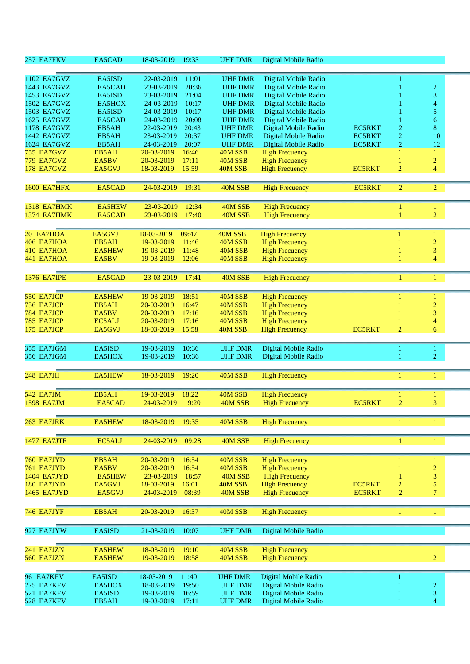| 257 EA7FKV         | EA5CAD        | 18-03-2019 | 19:33 | <b>UHF DMR</b> | Digital Mobile Radio  |               |                | 1                        |  |
|--------------------|---------------|------------|-------|----------------|-----------------------|---------------|----------------|--------------------------|--|
| 1102 EA7GVZ        | EA5ISD        | 22-03-2019 | 11:01 | <b>UHF DMR</b> | Digital Mobile Radio  |               |                |                          |  |
| 1443 EA7GVZ        | EA5CAD        | 23-03-2019 | 20:36 | <b>UHF DMR</b> | Digital Mobile Radio  |               |                | $\overline{c}$           |  |
| 1453 EA7GVZ        | EA5ISD        | 23-03-2019 | 21:04 | <b>UHF DMR</b> | Digital Mobile Radio  |               |                | 3                        |  |
| <b>1502 EA7GVZ</b> | EA5HOX        | 24-03-2019 | 10:17 | <b>UHF DMR</b> | Digital Mobile Radio  |               |                | $\overline{\mathcal{A}}$ |  |
| 1503 EA7GVZ        | EA5ISD        | 24-03-2019 | 10:17 | <b>UHF DMR</b> | Digital Mobile Radio  |               |                | 5                        |  |
| 1625 EA7GVZ        | EA5CAD        | 24-03-2019 | 20:08 | <b>UHF DMR</b> | Digital Mobile Radio  |               |                | 6                        |  |
| <b>1178 EA7GVZ</b> | EB5AH         | 22-03-2019 | 20:43 | <b>UHF DMR</b> | Digital Mobile Radio  | <b>EC5RKT</b> | $\overline{2}$ | 8                        |  |
| 1442 EA7GVZ        | EB5AH         | 23-03-2019 | 20:37 | <b>UHF DMR</b> | Digital Mobile Radio  | <b>EC5RKT</b> | $\overline{c}$ | 10                       |  |
| 1624 EA7GVZ        | EB5AH         | 24-03-2019 | 20:07 | <b>UHF DMR</b> | Digital Mobile Radio  | <b>EC5RKT</b> | $\overline{c}$ | 12                       |  |
| 755 EA7GVZ         | EB5AH         | 20-03-2019 | 16:46 | 40M SSB        | <b>High Frecuency</b> |               | 1              | $\mathbf{1}$             |  |
| 779 EA7GVZ         | EA5BV         | 20-03-2019 | 17:11 | 40M SSB        | <b>High Frecuency</b> |               |                | $\overline{c}$           |  |
| <b>178 EA7GVZ</b>  | EA5GVJ        | 18-03-2019 | 15:59 | 40M SSB        | <b>High Frecuency</b> | <b>EC5RKT</b> | $\overline{2}$ | $\overline{4}$           |  |
| <b>1600 EA7HFX</b> | EA5CAD        | 24-03-2019 | 19:31 | 40M SSB        | <b>High Frecuency</b> | <b>EC5RKT</b> | $\overline{2}$ | $\overline{2}$           |  |
| <b>1318 EA7HMK</b> | <b>EA5HEW</b> | 23-03-2019 | 12:34 | 40M SSB        | <b>High Frecuency</b> |               | 1              | 1                        |  |
| <b>1374 EA7HMK</b> | EA5CAD        | 23-03-2019 | 17:40 | 40M SSB        | <b>High Frecuency</b> |               | 1              | $\overline{2}$           |  |
| 20 EA7HOA          | EA5GVJ        | 18-03-2019 | 09:47 | 40M SSB        | <b>High Frecuency</b> |               |                | 1                        |  |
| 406 EA7HOA         | EB5AH         | 19-03-2019 | 11:46 | 40M SSB        | <b>High Frecuency</b> |               |                | $\overline{c}$           |  |
| 410 EA7HOA         | <b>EA5HEW</b> | 19-03-2019 | 11:48 | 40M SSB        | <b>High Frecuency</b> |               |                | 3                        |  |
| 441 EA7HOA         | EA5BV         | 19-03-2019 | 12:06 | 40M SSB        | <b>High Frecuency</b> |               |                | $\overline{4}$           |  |
|                    |               |            |       |                |                       |               |                |                          |  |
| <b>1376 EA7IPE</b> | EA5CAD        | 23-03-2019 | 17:41 | 40M SSB        | <b>High Frecuency</b> |               | 1              | 1                        |  |
| 550 EA7JCP         | <b>EA5HEW</b> | 19-03-2019 | 18:51 | 40M SSB        | <b>High Frecuency</b> |               |                |                          |  |
| 756 EA7JCP         | EB5AH         | 20-03-2019 | 16:47 | 40M SSB        | <b>High Frecuency</b> |               |                | $\overline{c}$           |  |
| 784 EA7JCP         | EA5BV         | 20-03-2019 | 17:16 | 40M SSB        | <b>High Frecuency</b> |               |                | 3                        |  |
| 785 EA7JCP         | EC5ALJ        | 20-03-2019 | 17:16 | 40M SSB        | <b>High Frecuency</b> |               |                | $\overline{\mathcal{A}}$ |  |
| 175 EA7JCP         | EA5GVJ        | 18-03-2019 | 15:58 | 40M SSB        | <b>High Frecuency</b> | <b>EC5RKT</b> | $\overline{2}$ | 6                        |  |
| 355 EA7JGM         | EA5ISD        | 19-03-2019 | 10:36 | <b>UHF DMR</b> | Digital Mobile Radio  |               |                | 1                        |  |
| 356 EA7JGM         | EA5HOX        | 19-03-2019 | 10:36 | <b>UHF DMR</b> | Digital Mobile Radio  |               |                | $\overline{2}$           |  |
| <b>248 EA7JII</b>  | <b>EA5HEW</b> | 18-03-2019 | 19:20 | 40M SSB        | <b>High Frecuency</b> |               | 1              | $\mathbf{1}$             |  |
|                    |               |            |       |                |                       |               |                |                          |  |
| <b>542 EA7JM</b>   | EB5AH         | 19-03-2019 | 18:22 | 40M SSB        | <b>High Frecuency</b> |               |                | 1                        |  |
| <b>1598 EA7JM</b>  | EA5CAD        | 24-03-2019 | 19:20 | 40M SSB        | <b>High Frecuency</b> | <b>EC5RKT</b> | $\overline{2}$ | 3                        |  |
| 263 EA7JRK         | <b>EA5HEW</b> | 18-03-2019 | 19:35 | 40M SSB        | <b>High Frecuency</b> |               | 1              | 1                        |  |
|                    |               |            |       |                |                       |               |                |                          |  |
| <b>1477 EA7JTF</b> | EC5ALJ        | 24-03-2019 | 09:28 | 40M SSB        | <b>High Frecuency</b> |               | 1              | $\mathbf{1}$             |  |
| 760 EA7JYD         | EB5AH         | 20-03-2019 | 16:54 | 40M SSB        | <b>High Frecuency</b> |               | 1              | $\mathbf{1}$             |  |
| 761 EA7JYD         | EA5BV         | 20-03-2019 | 16:54 | 40M SSB        | <b>High Frecuency</b> |               |                | $\overline{2}$           |  |
| 1404 EA7JYD        | <b>EA5HEW</b> | 23-03-2019 | 18:57 | 40M SSB        | <b>High Frecuency</b> |               |                | 3                        |  |
| 180 EA7JYD         | EA5GVJ        | 18-03-2019 | 16:01 | 40M SSB        | <b>High Frecuency</b> | <b>EC5RKT</b> | $\sqrt{2}$     | 5                        |  |
| <b>1465 EA7JYD</b> | EA5GVJ        | 24-03-2019 | 08:39 | 40M SSB        | <b>High Frecuency</b> | <b>EC5RKT</b> | $\overline{2}$ | $\overline{7}$           |  |
| 746 EA7JYF         | EB5AH         | 20-03-2019 | 16:37 | 40M SSB        | <b>High Frecuency</b> |               | 1              | 1                        |  |
|                    |               |            |       |                |                       |               |                |                          |  |
| 927 EA7JYW         | EA5ISD        | 21-03-2019 | 10:07 | <b>UHF DMR</b> | Digital Mobile Radio  |               |                | 1                        |  |
| 241 EA7JZN         | <b>EA5HEW</b> | 18-03-2019 | 19:10 | 40M SSB        | <b>High Frecuency</b> |               | 1              | $\mathbf{1}$             |  |
| 560 EA7JZN         | EA5HEW        | 19-03-2019 | 18:58 | 40M SSB        | <b>High Frecuency</b> |               | $\mathbf{1}$   | $\overline{2}$           |  |
| 96 EA7KFV          | EA5ISD        | 18-03-2019 | 11:40 | <b>UHF DMR</b> | Digital Mobile Radio  |               |                | 1                        |  |
| 275 EA7KFV         | EA5HOX        | 18-03-2019 | 19:50 | <b>UHF DMR</b> | Digital Mobile Radio  |               |                | $\overline{2}$           |  |
| 521 EA7KFV         | EA5ISD        | 19-03-2019 | 16:59 | <b>UHF DMR</b> | Digital Mobile Radio  |               |                | 3                        |  |
| 528 EA7KFV         | EB5AH         | 19-03-2019 | 17:11 | <b>UHF DMR</b> | Digital Mobile Radio  |               |                | $\overline{4}$           |  |
|                    |               |            |       |                |                       |               |                |                          |  |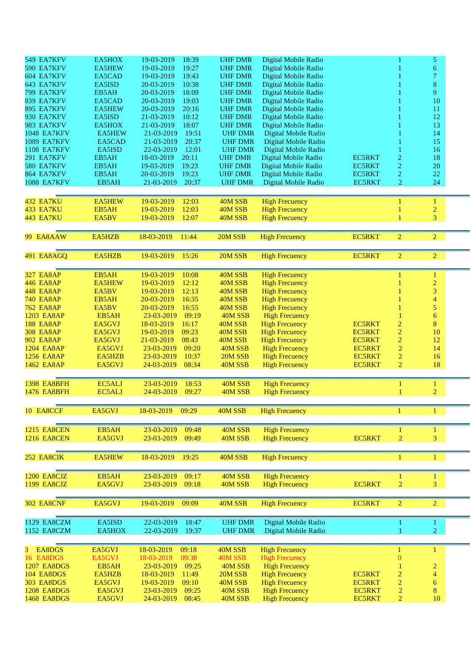| 549 EA7KFV         | EA5HOX        | 19-03-2019<br>18:39 | <b>UHF DMR</b> | Digital Mobile Radio  |               | 1                | 5                        |  |
|--------------------|---------------|---------------------|----------------|-----------------------|---------------|------------------|--------------------------|--|
| 590 EA7KFV         | <b>EA5HEW</b> | 19:27<br>19-03-2019 | <b>UHF DMR</b> | Digital Mobile Radio  |               |                  | 6                        |  |
| 604 EA7KFV         | EA5CAD        | 19-03-2019<br>19:43 | <b>UHF DMR</b> | Digital Mobile Radio  |               |                  | $\overline{\mathcal{L}}$ |  |
| 643 EA7KFV         | EA5ISD        | 10:38<br>20-03-2019 | <b>UHF DMR</b> | Digital Mobile Radio  |               |                  | 8                        |  |
| <b>799 EA7KFV</b>  | EB5AH         | 18:09<br>20-03-2019 | <b>UHF DMR</b> | Digital Mobile Radio  |               |                  | 9                        |  |
| 839 EA7KFV         | EA5CAD        | 19:03<br>20-03-2019 | <b>UHF DMR</b> | Digital Mobile Radio  |               |                  | 10                       |  |
| 895 EA7KFV         | <b>EA5HEW</b> | 20-03-2019<br>20:16 | <b>UHF DMR</b> | Digital Mobile Radio  |               |                  | 11                       |  |
| 930 EA7KFV         | EA5ISD        | 21-03-2019<br>10:12 | <b>UHF DMR</b> | Digital Mobile Radio  |               |                  | 12                       |  |
| 983 EA7KFV         | EA5HOX        | 18:07<br>21-03-2019 | <b>UHF DMR</b> |                       |               |                  | 13                       |  |
|                    |               | 21-03-2019          | <b>UHF DMR</b> | Digital Mobile Radio  |               |                  |                          |  |
| <b>1048 EA7KFV</b> | <b>EA5HEW</b> | 19:51               |                | Digital Mobile Radio  |               |                  | 14                       |  |
| <b>1089 EA7KFV</b> | EA5CAD        | 20:37<br>21-03-2019 | <b>UHF DMR</b> | Digital Mobile Radio  |               |                  | 15                       |  |
| <b>1108 EA7KFV</b> | EA5ISD        | 12:01<br>22-03-2019 | <b>UHF DMR</b> | Digital Mobile Radio  |               |                  | 16                       |  |
| 291 EA7KFV         | EB5AH         | 20:11<br>18-03-2019 | <b>UHF DMR</b> | Digital Mobile Radio  | <b>EC5RKT</b> | $\overline{2}$   | 18                       |  |
| 580 EA7KFV         | EB5AH         | 19:23<br>19-03-2019 | <b>UHF DMR</b> | Digital Mobile Radio  | <b>EC5RKT</b> | $\overline{c}$   | 20                       |  |
| 864 EA7KFV         | EB5AH         | 20-03-2019<br>19:23 | <b>UHF DMR</b> | Digital Mobile Radio  | <b>EC5RKT</b> | $\overline{2}$   | 22                       |  |
| <b>1088 EA7KFV</b> | EB5AH         | 20:37<br>21-03-2019 | <b>UHF DMR</b> | Digital Mobile Radio  | <b>EC5RKT</b> | $\boldsymbol{2}$ | 24                       |  |
|                    |               |                     |                |                       |               |                  |                          |  |
| 432 EA7KU          | <b>EA5HEW</b> | 19-03-2019<br>12:03 | 40M SSB        | <b>High Frecuency</b> |               | 1                | 1                        |  |
| <b>433 EA7KU</b>   | EB5AH         | 19-03-2019<br>12:03 | 40M SSB        | <b>High Frecuency</b> |               |                  | $\overline{2}$           |  |
| <b>443 EA7KU</b>   | EA5BV         | 19-03-2019<br>12:07 | 40M SSB        | <b>High Frecuency</b> |               | 1                | 3                        |  |
|                    |               |                     |                |                       |               |                  |                          |  |
|                    |               |                     |                |                       |               |                  |                          |  |
| 99 EA8AAW          | EA5HZB        | 18-03-2019<br>11:44 | 20M SSB        | <b>High Frecuency</b> | <b>EC5RKT</b> | $\overline{c}$   | $\overline{2}$           |  |
|                    |               |                     |                |                       |               |                  |                          |  |
| 491 EA8AGQ         | EA5HZB        | 19-03-2019<br>15:26 | 20M SSB        | <b>High Frecuency</b> | <b>EC5RKT</b> | $\overline{2}$   | $\overline{2}$           |  |
|                    |               |                     |                |                       |               |                  |                          |  |
| <b>327 EA8AP</b>   | EB5AH         | 19-03-2019<br>10:08 | 40M SSB        | <b>High Frecuency</b> |               |                  | 1                        |  |
| <b>446 EA8AP</b>   | <b>EA5HEW</b> | 12:12<br>19-03-2019 | 40M SSB        | <b>High Frecuency</b> |               |                  | $\overline{2}$           |  |
| <b>448 EA8AP</b>   | EA5BV         | 12:13<br>19-03-2019 | 40M SSB        | <b>High Frecuency</b> |               |                  | 3                        |  |
| <b>740 EA8AP</b>   | EB5AH         | 16:35<br>20-03-2019 | 40M SSB        | <b>High Frecuency</b> |               |                  | $\overline{\mathcal{A}}$ |  |
| 762 EA8AP          | EA5BV         | 16:55<br>20-03-2019 | 40M SSB        | <b>High Frecuency</b> |               |                  | 5                        |  |
| <b>1203 EA8AP</b>  | EB5AH         | 09:19<br>23-03-2019 | 40M SSB        | <b>High Frecuency</b> |               |                  | $\boldsymbol{6}$         |  |
| <b>188 EA8AP</b>   | EA5GVJ        | 16:17<br>18-03-2019 | 40M SSB        | <b>High Frecuency</b> | <b>EC5RKT</b> | $\overline{c}$   | 8                        |  |
| <b>308 EA8AP</b>   | EA5GVJ        | 19-03-2019<br>09:23 | 40M SSB        | <b>High Frecuency</b> | <b>EC5RKT</b> | $\overline{c}$   | 10                       |  |
|                    |               |                     |                |                       |               |                  |                          |  |
| <b>902 EA8AP</b>   | EA5GVJ        | 21-03-2019<br>08:43 | 40M SSB        | <b>High Frecuency</b> | <b>EC5RKT</b> | $\overline{c}$   | 12                       |  |
| <b>1204 EA8AP</b>  | EA5GVJ        | 09:20<br>23-03-2019 | 40M SSB        | <b>High Frecuency</b> | <b>EC5RKT</b> | $\sqrt{2}$       | 14                       |  |
| <b>1256 EA8AP</b>  | EA5HZB        | 10:37<br>23-03-2019 | 20M SSB        | <b>High Frecuency</b> | <b>EC5RKT</b> | $\overline{2}$   | 16                       |  |
| 1462 EA8AP         | EA5GVJ        | 24-03-2019<br>08:34 | 40M SSB        | <b>High Frecuency</b> | <b>EC5RKT</b> | $\overline{2}$   | 18                       |  |
|                    |               |                     |                |                       |               |                  |                          |  |
| <b>1398 EA8BFH</b> | EC5ALJ        | 23-03-2019<br>18:53 | 40M SSB        | <b>High Frecuency</b> |               | 1                | 1                        |  |
| <b>1476 EA8BFH</b> | EC5ALJ        | 24-03-2019<br>09:27 | 40M SSB        | <b>High Frecuency</b> |               |                  | $\overline{2}$           |  |
|                    |               |                     |                |                       |               |                  |                          |  |
| 10 EA8CCF          | EA5GVJ        | 18-03-2019<br>09:29 | 40M SSB        | <b>High Frecuency</b> |               | 1                | 1                        |  |
|                    |               |                     |                |                       |               |                  |                          |  |
|                    |               |                     |                |                       |               |                  |                          |  |
| <b>1215 EA8CEN</b> | EB5AH         | 23-03-2019<br>09:48 | 40M SSB        | <b>High Frecuency</b> |               |                  | 1                        |  |
| <b>1216 EA8CEN</b> | EA5GVJ        | 09:49<br>23-03-2019 | 40M SSB        | <b>High Frecuency</b> | <b>EC5RKT</b> | $\mathbf 2$      | 3                        |  |
|                    |               |                     |                |                       |               |                  |                          |  |
| 252 EA8CIK         | EA5HEW        | 18-03-2019<br>19:25 | 40M SSB        | <b>High Frecuency</b> |               | $\mathbf{1}$     | $\mathbf{1}$             |  |
|                    |               |                     |                |                       |               |                  |                          |  |
| 1200 EA8CJZ        | EB5AH         | 23-03-2019<br>09:17 | 40M SSB        | <b>High Frecuency</b> |               | 1                | $\mathbf{1}$             |  |
| 1199 EA8CJZ        | EA5GVJ        | 09:18<br>23-03-2019 | 40M SSB        | <b>High Frecuency</b> | <b>EC5RKT</b> | $\overline{c}$   | 3                        |  |
|                    |               |                     |                |                       |               |                  |                          |  |
|                    |               |                     |                |                       |               |                  |                          |  |
| 302 EA8CNF         | EA5GVJ        | 19-03-2019<br>09:09 | 40M SSB        | <b>High Frecuency</b> | <b>EC5RKT</b> | $\overline{2}$   | $\overline{2}$           |  |
|                    |               |                     |                |                       |               |                  |                          |  |
| 1129 EA8CZM        | EA5ISD        | 18:47<br>22-03-2019 | <b>UHF DMR</b> | Digital Mobile Radio  |               | 1                | 1                        |  |
| 1152 EA8CZM        | EA5HOX        | 22-03-2019<br>19:37 | <b>UHF DMR</b> | Digital Mobile Radio  |               | 1                | $\overline{2}$           |  |
|                    |               |                     |                |                       |               |                  |                          |  |
| 3 EA8DGS           | EA5GVJ        | 18-03-2019<br>09:18 | 40M SSB        | <b>High Frecuency</b> |               | 1                | 1                        |  |
| 16 EA8DGS          | EA5GVJ        | 18-03-2019<br>09:38 | 40M SSB        | <b>High Frecuency</b> |               | $\bf{0}$         |                          |  |
| <b>1207 EA8DGS</b> | EB5AH         | 23-03-2019<br>09:25 | 40M SSB        | <b>High Frecuency</b> |               |                  | $\overline{c}$           |  |
| 104 EA8DGS         | EA5HZB        | 18-03-2019<br>11:49 | 20M SSB        | <b>High Frecuency</b> | <b>EC5RKT</b> | $\overline{c}$   | $\overline{4}$           |  |
| 303 EA8DGS         | EA5GVJ        | 19-03-2019<br>09:10 | 40M SSB        | <b>High Frecuency</b> | <b>EC5RKT</b> | $\overline{c}$   | $\boldsymbol{6}$         |  |
|                    |               | 09:25               |                |                       |               |                  | 8                        |  |
| <b>1208 EA8DGS</b> | EA5GVJ        | 23-03-2019          | 40M SSB        | <b>High Frecuency</b> | <b>EC5RKT</b> | $\boldsymbol{2}$ |                          |  |
| <b>1468 EA8DGS</b> | EA5GVJ        | 08:45<br>24-03-2019 | 40M SSB        | <b>High Frecuency</b> | <b>EC5RKT</b> | $\overline{2}$   | $10\,$                   |  |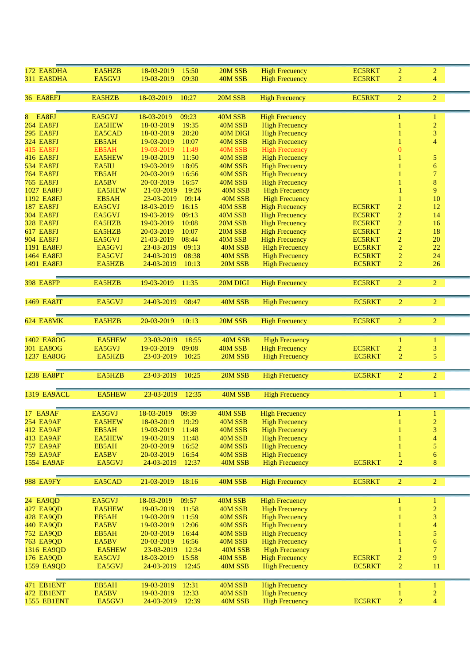| 172 EA8DHA                           | EA5HZB          | 18-03-2019<br>15:50                        | 20M SSB             | <b>High Frecuency</b>                          | <b>EC5RKT</b> | $\overline{2}$   | $\overline{2}$        |  |
|--------------------------------------|-----------------|--------------------------------------------|---------------------|------------------------------------------------|---------------|------------------|-----------------------|--|
| 311 EA8DHA                           | EA5GVJ          | 09:30<br>19-03-2019                        | 40M SSB             | <b>High Frecuency</b>                          | <b>EC5RKT</b> | $\overline{2}$   | 4                     |  |
| 36 EA8EFJ                            | EA5HZB          | 18-03-2019<br>10:27                        | 20M SSB             | <b>High Frecuency</b>                          | <b>EC5RKT</b> | $\overline{2}$   | $\overline{2}$        |  |
|                                      |                 |                                            |                     |                                                |               |                  |                       |  |
| EA8FJ<br>8                           | EA5GVJ          | 18-03-2019<br>09:23                        | 40M SSB             | <b>High Frecuency</b>                          |               |                  | 1                     |  |
| <b>264 EA8FJ</b>                     | <b>EA5HEW</b>   | 18-03-2019<br>19:35                        | 40M SSB             | <b>High Frecuency</b>                          |               |                  | $\overline{2}$        |  |
| <b>295 EA8FJ</b><br><b>324 EA8FJ</b> | EA5CAD<br>EB5AH | 18-03-2019<br>20:20<br>19-03-2019<br>10:07 | 40M DIGI<br>40M SSB | <b>High Frecuency</b><br><b>High Frecuency</b> |               |                  | 3<br>$\overline{4}$   |  |
| <b>415 EA8FJ</b>                     | EB5AH           | 19-03-2019<br>11:49                        | 40M SSB             | <b>High Frecuency</b>                          |               | $\Omega$         |                       |  |
| <b>416 EA8FJ</b>                     | <b>EA5HEW</b>   | 19-03-2019<br>11:50                        | 40M SSB             | <b>High Frecuency</b>                          |               |                  | $\overline{5}$        |  |
| <b>534 EA8FJ</b>                     | EA5IU           | 19-03-2019<br>18:05                        | 40M SSB             | <b>High Frecuency</b>                          |               |                  | $\boldsymbol{6}$      |  |
| <b>764 EA8FJ</b>                     | EB5AH           | 20-03-2019<br>16:56                        | 40M SSB             | <b>High Frecuency</b>                          |               |                  | $\overline{7}$        |  |
| <b>765 EA8FJ</b>                     | EA5BV           | 16:57<br>20-03-2019                        | 40M SSB             | <b>High Frecuency</b>                          |               |                  | 8                     |  |
| <b>1027 EA8FJ</b>                    | <b>EA5HEW</b>   | 21-03-2019<br>19:26                        | 40M SSB             | <b>High Frecuency</b>                          |               |                  | 9                     |  |
| 1192 EA8FJ                           | EB5AH           | 23-03-2019<br>09:14                        | 40M SSB             | <b>High Frecuency</b>                          |               |                  | 10                    |  |
| <b>187 EA8FJ</b>                     | EA5GVJ          | 16:15<br>18-03-2019                        | 40M SSB             | <b>High Frecuency</b>                          | <b>EC5RKT</b> | $\overline{c}$   | 12                    |  |
| <b>304 EA8FJ</b>                     | EA5GVJ          | 09:13<br>19-03-2019                        | 40M SSB             | <b>High Frecuency</b>                          | <b>EC5RKT</b> | $\boldsymbol{2}$ | 14                    |  |
| <b>328 EA8FJ</b>                     | EA5HZB          | 10:08<br>19-03-2019                        | 20M SSB             | <b>High Frecuency</b>                          | <b>EC5RKT</b> | $\sqrt{2}$       | 16                    |  |
| <b>617 EA8FJ</b>                     | EA5HZB          | 10:07<br>20-03-2019                        | 20M SSB             | <b>High Frecuency</b>                          | <b>EC5RKT</b> | $\mathbf 2$      | 18                    |  |
| <b>904 EA8FJ</b>                     | EA5GVJ          | 08:44<br>21-03-2019                        | 40M SSB             | <b>High Frecuency</b>                          | <b>EC5RKT</b> | $\overline{2}$   | 20                    |  |
| 1191 EA8FJ                           | EA5GVJ          | 23-03-2019<br>09:13                        | 40M SSB             | <b>High Frecuency</b>                          | <b>EC5RKT</b> | $\boldsymbol{2}$ | 22                    |  |
| 1464 EA8FJ                           | EA5GVJ          | 08:38<br>24-03-2019                        | 40M SSB             | <b>High Frecuency</b>                          | <b>EC5RKT</b> | $\overline{2}$   | 24                    |  |
| 1491 EA8FJ                           | EA5HZB          | 24-03-2019<br>10:13                        | 20M SSB             | <b>High Frecuency</b>                          | <b>EC5RKT</b> | $\overline{2}$   | 26                    |  |
| <b>398 EA8FP</b>                     | EA5HZB          | 19-03-2019<br>11:35                        | 20M DIGI            | <b>High Frecuency</b>                          | <b>EC5RKT</b> | $\overline{2}$   | 2 <sup>7</sup>        |  |
|                                      |                 |                                            |                     |                                                |               |                  |                       |  |
| 1469 EA8JT                           | EA5GVJ          | 24-03-2019<br>08:47                        | 40M SSB             | <b>High Frecuency</b>                          | <b>EC5RKT</b> | $\overline{2}$   | $\overline{2}$        |  |
| 624 EA8MK                            | EA5HZB          | 20-03-2019<br>10:13                        | 20M SSB             | <b>High Frecuency</b>                          | <b>EC5RKT</b> | $\overline{2}$   | $\overline{2}$        |  |
|                                      |                 |                                            |                     |                                                |               |                  |                       |  |
| 1402 EA8OG                           | <b>EA5HEW</b>   | 23-03-2019<br>18:55                        | 40M SSB             | <b>High Frecuency</b>                          |               | 1                | $\mathbf{1}$          |  |
| 301 EA8OG                            | EA5GVJ          | 19-03-2019<br>09:08                        | 40M SSB             | <b>High Frecuency</b>                          | <b>EC5RKT</b> | $\overline{c}$   | 3                     |  |
| 1237 EA8OG                           | EA5HZB          | 23-03-2019<br>10:25                        | 20M SSB             | <b>High Frecuency</b>                          | <b>EC5RKT</b> | $\overline{2}$   | $\overline{5}$        |  |
| <b>1238 EA8PT</b>                    | EA5HZB          | 23-03-2019<br>10:25                        | 20M SSB             | <b>High Frecuency</b>                          | <b>EC5RKT</b> | $\overline{2}$   | $\overline{2}$        |  |
|                                      |                 |                                            |                     |                                                |               |                  |                       |  |
| <b>1319 EA9ACL</b>                   | <b>EA5HEW</b>   | 23-03-2019<br>12:35                        | 40M SSB             | <b>High Frecuency</b>                          |               | 1                | 1                     |  |
|                                      |                 |                                            |                     |                                                |               |                  |                       |  |
| 17 EA9AF                             | EA5GVJ          | 18-03-2019<br>09:39                        | 40M SSB             | <b>High Frecuency</b>                          |               |                  |                       |  |
| <b>254 EA9AF</b>                     | <b>EA5HEW</b>   | 18-03-2019<br>19:29                        | 40M SSB             | <b>High Frecuency</b>                          |               | 1                | $\overline{c}$        |  |
| <b>412 EA9AF</b>                     | EB5AH           | 19-03-2019<br>11:48                        | 40M SSB             | <b>High Frecuency</b>                          |               |                  | 3                     |  |
| <b>413 EA9AF</b>                     | <b>EA5HEW</b>   | 19-03-2019<br>11:48                        | 40M SSB             | <b>High Frecuency</b>                          |               |                  | $\overline{4}$        |  |
| <b>757 EA9AF</b><br><b>759 EA9AF</b> | EB5AH<br>EA5BV  | 16:52<br>20-03-2019<br>16:54               | 40M SSB             | <b>High Frecuency</b><br><b>High Frecuency</b> |               |                  | 5                     |  |
|                                      |                 | 20-03-2019<br>12:37<br>24-03-2019          | 40M SSB             | <b>High Frecuency</b>                          | <b>EC5RKT</b> |                  | $\boldsymbol{6}$<br>8 |  |
| <b>1554 EA9AF</b>                    | EA5GVJ          |                                            | 40M SSB             |                                                |               | $\overline{2}$   |                       |  |
| <b>988 EA9FY</b>                     | EA5CAD          | 21-03-2019<br>18:16                        | 40M SSB             | <b>High Frecuency</b>                          | EC5RKT        | $\overline{2}$   | $\overline{2}$        |  |
|                                      |                 |                                            |                     |                                                |               |                  |                       |  |
| 24 EA9QD                             | EA5GVJ          | 18-03-2019<br>09:57                        | 40M SSB             | <b>High Frecuency</b>                          |               |                  | 1                     |  |
| 427 EA9QD                            | <b>EA5HEW</b>   | 19-03-2019<br>11:58                        | 40M SSB             | <b>High Frecuency</b>                          |               |                  | $\overline{c}$        |  |
| 428 EA9QD                            | EB5AH           | 11:59<br>19-03-2019                        | 40M SSB             | <b>High Frecuency</b>                          |               |                  | $\overline{3}$        |  |
| 440 EA9QD                            | EA5BV           | 12:06<br>19-03-2019                        | 40M SSB             | <b>High Frecuency</b>                          |               |                  | $\overline{4}$        |  |
| <b>752 EA9QD</b>                     | EB5AH           | 20-03-2019<br>16:44                        | 40M SSB             | <b>High Frecuency</b>                          |               |                  | $\overline{5}$        |  |
| <b>763 EA9QD</b>                     | EA5BV           | 20-03-2019<br>16:56                        | 40M SSB             | <b>High Frecuency</b>                          |               |                  | $\overline{6}$        |  |
| 1316 EA9QD                           | <b>EA5HEW</b>   | 12:34<br>23-03-2019                        | 40M SSB             | <b>High Frecuency</b>                          |               |                  | $\overline{7}$        |  |
| 176 EA9QD                            | EA5GVJ          | 15:58<br>18-03-2019                        | 40M SSB             | <b>High Frecuency</b>                          | <b>EC5RKT</b> | $\boldsymbol{2}$ | 9                     |  |
| 1559 EA9QD                           | EA5GVJ          | 24-03-2019<br>12:45                        | 40M SSB             | <b>High Frecuency</b>                          | <b>EC5RKT</b> | $\overline{2}$   | $11\,$                |  |
| 471 EB1ENT                           | EB5AH           | 19-03-2019<br>12:31                        | 40M SSB             | <b>High Frecuency</b>                          |               | 1                | 1                     |  |
| 472 EB1ENT                           | EA5BV           | 12:33<br>19-03-2019                        | 40M SSB             | <b>High Frecuency</b>                          |               |                  | $\overline{2}$        |  |
| <b>1555 EB1ENT</b>                   | EA5GVJ          | 12:39<br>24-03-2019                        | 40M SSB             | <b>High Frecuency</b>                          | <b>EC5RKT</b> | $\overline{2}$   | $\overline{4}$        |  |
|                                      |                 |                                            |                     |                                                |               |                  |                       |  |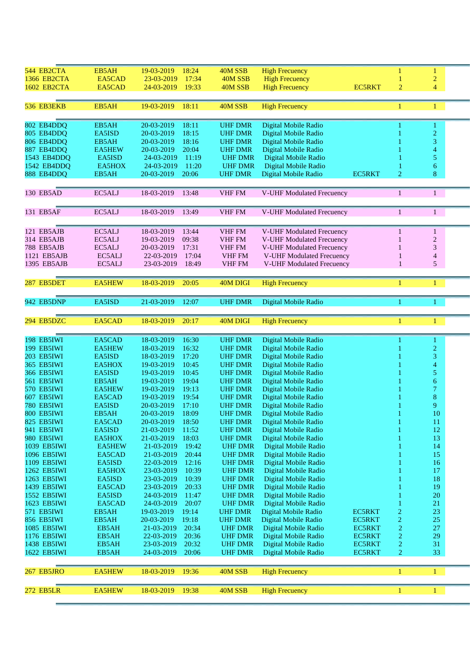| 544 EB2CTA        | EB5AH         | 19-03-2019 | 18:24 | 40M SSB        | <b>High Frecuency</b>     |               |                | $\mathbf{1}$             |  |
|-------------------|---------------|------------|-------|----------------|---------------------------|---------------|----------------|--------------------------|--|
| 1366 EB2CTA       | EA5CAD        | 23-03-2019 | 17:34 | 40M SSB        | <b>High Frecuency</b>     |               |                |                          |  |
|                   |               |            |       |                |                           |               |                | $\overline{c}$           |  |
| 1602 EB2CTA       | EA5CAD        | 24-03-2019 | 19:33 | 40M SSB        | <b>High Frecuency</b>     | <b>EC5RKT</b> | $\overline{2}$ | $\overline{4}$           |  |
|                   |               |            |       |                |                           |               |                |                          |  |
|                   |               |            |       |                |                           |               |                |                          |  |
| 536 EB3EKB        | EB5AH         | 19-03-2019 | 18:11 | 40M SSB        | <b>High Frecuency</b>     |               |                | $\mathbf{1}$             |  |
|                   |               |            |       |                |                           |               |                |                          |  |
|                   |               |            |       |                |                           |               |                |                          |  |
| 802 EB4DDQ        | EB5AH         | 20-03-2019 | 18:11 | <b>UHF DMR</b> | Digital Mobile Radio      |               |                |                          |  |
| 805 EB4DDQ        | EA5ISD        | 20-03-2019 | 18:15 | <b>UHF DMR</b> | Digital Mobile Radio      |               |                | $\overline{c}$           |  |
| 806 EB4DDQ        | EB5AH         | 20-03-2019 | 18:16 | <b>UHF DMR</b> | Digital Mobile Radio      |               |                | 3                        |  |
| 887 EB4DDQ        | <b>EA5HEW</b> | 20-03-2019 | 20:04 | <b>UHF DMR</b> | Digital Mobile Radio      |               |                | 4                        |  |
| 1543 EB4DDQ       | EA5ISD        | 24-03-2019 | 11:19 | <b>UHF DMR</b> | Digital Mobile Radio      |               |                | 5                        |  |
|                   |               |            |       |                |                           |               |                |                          |  |
| 1542 EB4DDQ       | EA5HOX        | 24-03-2019 | 11:20 | <b>UHF DMR</b> | Digital Mobile Radio      |               |                | $\boldsymbol{6}$         |  |
| 888 EB4DDQ        | EB5AH         | 20-03-2019 | 20:06 | <b>UHF DMR</b> | Digital Mobile Radio      | <b>EC5RKT</b> | 2              | 8                        |  |
|                   |               |            |       |                |                           |               |                |                          |  |
|                   |               |            |       |                |                           |               |                |                          |  |
| 130 EB5AD         | EC5ALJ        | 18-03-2019 | 13:48 | <b>VHF FM</b>  | V-UHF Modulated Frecuency |               | 1              | $\mathbf{1}$             |  |
|                   |               |            |       |                |                           |               |                |                          |  |
| 131 EB5AF         | EC5ALJ        | 18-03-2019 | 13:49 | <b>VHF FM</b>  |                           |               | $\mathbf{1}$   | $\mathbf{1}$             |  |
|                   |               |            |       |                | V-UHF Modulated Frecuency |               |                |                          |  |
|                   |               |            |       |                |                           |               |                |                          |  |
| 121 EB5AJB        | EC5ALJ        | 18-03-2019 | 13:44 | <b>VHF FM</b>  | V-UHF Modulated Frecuency |               | 1              | $\mathbf{1}$             |  |
|                   |               |            |       |                |                           |               |                |                          |  |
| 314 EB5AJB        | EC5ALJ        | 19-03-2019 | 09:38 | <b>VHF FM</b>  | V-UHF Modulated Frecuency |               |                | $\boldsymbol{2}$         |  |
| 788 EB5AJB        | EC5ALJ        | 20-03-2019 | 17:31 | VHF FM         | V-UHF Modulated Frecuency |               |                | $\mathfrak{Z}$           |  |
| 1121 EB5AJB       | EC5ALJ        | 22-03-2019 | 17:04 | <b>VHF FM</b>  | V-UHF Modulated Frecuency |               |                | $\overline{\mathcal{L}}$ |  |
| 1395 EB5AJB       | EC5ALJ        | 23-03-2019 | 18:49 | <b>VHF FM</b>  | V-UHF Modulated Frecuency |               | $\mathbf{1}$   | 5                        |  |
|                   |               |            |       |                |                           |               |                |                          |  |
|                   |               |            |       |                |                           |               |                |                          |  |
| 287 EB5DET        | EA5HEW        | 18-03-2019 | 20:05 | 40M DIGI       | <b>High Frecuency</b>     |               | 1              | $\mathbf{1}$             |  |
|                   |               |            |       |                |                           |               |                |                          |  |
|                   |               |            |       |                |                           |               |                |                          |  |
| 942 EB5DNP        | EA5ISD        | 21-03-2019 | 12:07 | <b>UHF DMR</b> | Digital Mobile Radio      |               | 1              | 1                        |  |
|                   |               |            |       |                |                           |               |                |                          |  |
| 294 EB5DZC        | EA5CAD        | 18-03-2019 | 20:17 | 40M DIGI       | <b>High Frecuency</b>     |               | 1              | $\mathbf{1}$             |  |
|                   |               |            |       |                |                           |               |                |                          |  |
|                   |               |            |       |                |                           |               |                |                          |  |
|                   |               |            |       |                |                           |               |                |                          |  |
|                   |               |            |       |                |                           |               |                |                          |  |
| 198 EB5IWI        | EA5CAD        | 18-03-2019 | 16:30 | <b>UHF DMR</b> | Digital Mobile Radio      |               |                | 1                        |  |
| 199 EB5IWI        | <b>EA5HEW</b> | 18-03-2019 | 16:32 | <b>UHF DMR</b> | Digital Mobile Radio      |               |                | $\overline{c}$           |  |
| 203 EB5IWI        | EA5ISD        | 18-03-2019 | 17:20 | <b>UHF DMR</b> | Digital Mobile Radio      |               |                | 3                        |  |
| <b>365 EB5IWI</b> | EA5HOX        | 19-03-2019 | 10:45 | <b>UHF DMR</b> | Digital Mobile Radio      |               |                | $\overline{\mathcal{A}}$ |  |
| <b>366 EB5IWI</b> | EA5ISD        |            |       | <b>UHF DMR</b> |                           |               |                |                          |  |
|                   |               | 19-03-2019 | 10:45 |                | Digital Mobile Radio      |               |                | 5                        |  |
| 561 EB5IWI        | EB5AH         | 19-03-2019 | 19:04 | <b>UHF DMR</b> | Digital Mobile Radio      |               |                | 6                        |  |
| <b>570 EB5IWI</b> | EA5HEW        | 19-03-2019 | 19:13 | <b>UHF DMR</b> | Digital Mobile Radio      |               |                | 7                        |  |
| 607 EB5IWI        | EA5CAD        | 19-03-2019 | 19:54 | <b>UHF DMR</b> | Digital Mobile Radio      |               |                | $8\,$                    |  |
| 780 EB5IWI        | EA5ISD        | 20-03-2019 | 17:10 | <b>UHF DMR</b> | Digital Mobile Radio      |               |                | 9                        |  |
|                   |               |            |       |                |                           |               |                | 10                       |  |
| 800 EB5IWI        | EB5AH         | 20-03-2019 | 18:09 | <b>UHF DMR</b> | Digital Mobile Radio      |               |                |                          |  |
| 825 EB5IWI        | EA5CAD        | 20-03-2019 | 18:50 | <b>UHF DMR</b> | Digital Mobile Radio      |               | 1              | 11                       |  |
| 941 EB5IWI        | EA5ISD        | 21-03-2019 | 11:52 | <b>UHF DMR</b> | Digital Mobile Radio      |               |                | 12                       |  |
| 980 EB5IWI        | EA5HOX        | 21-03-2019 | 18:03 | <b>UHF DMR</b> | Digital Mobile Radio      |               |                | 13                       |  |
| 1039 EB5IWI       | <b>EA5HEW</b> | 21-03-2019 | 19:42 | <b>UHF DMR</b> | Digital Mobile Radio      |               |                | 14                       |  |
|                   |               | 21-03-2019 |       |                |                           |               |                |                          |  |
| 1096 EB5IWI       | EA5CAD        |            | 20:44 | <b>UHF DMR</b> | Digital Mobile Radio      |               |                | 15                       |  |
| 1109 EB5IWI       | EA5ISD        | 22-03-2019 | 12:16 | <b>UHF DMR</b> | Digital Mobile Radio      |               |                | 16                       |  |
| 1262 EB5IWI       | EA5HOX        | 23-03-2019 | 10:39 | <b>UHF DMR</b> | Digital Mobile Radio      |               |                | 17                       |  |
| 1263 EB5IWI       | EA5ISD        | 23-03-2019 | 10:39 | <b>UHF DMR</b> | Digital Mobile Radio      |               |                | 18                       |  |
| 1439 EB5IWI       | EA5CAD        | 23-03-2019 | 20:33 | <b>UHF DMR</b> |                           |               |                | 19                       |  |
|                   |               |            |       |                | Digital Mobile Radio      |               |                |                          |  |
| 1552 EB5IWI       | EA5ISD        | 24-03-2019 | 11:47 | <b>UHF DMR</b> | Digital Mobile Radio      |               |                | <b>20</b>                |  |
| 1623 EB5IWI       | EA5CAD        | 24-03-2019 | 20:07 | <b>UHF DMR</b> | Digital Mobile Radio      |               |                | 21                       |  |
| 571 EB5IWI        | EB5AH         | 19-03-2019 | 19:14 | <b>UHF DMR</b> | Digital Mobile Radio      | <b>EC5RKT</b> | $\overline{c}$ | 23                       |  |
| 856 EB5IWI        | EB5AH         | 20-03-2019 | 19:18 | <b>UHF DMR</b> | Digital Mobile Radio      | EC5RKT        | $\overline{c}$ | 25                       |  |
| 1085 EB5IWI       | EB5AH         | 21-03-2019 | 20:34 | <b>UHF DMR</b> |                           | <b>EC5RKT</b> |                | 27                       |  |
|                   |               |            |       |                | Digital Mobile Radio      |               | $\overline{c}$ |                          |  |
| 1176 EB5IWI       | EB5AH         | 22-03-2019 | 20:36 | <b>UHF DMR</b> | Digital Mobile Radio      | <b>EC5RKT</b> | 2              | 29                       |  |
| 1438 EB5IWI       | EB5AH         | 23-03-2019 | 20:32 | <b>UHF DMR</b> | Digital Mobile Radio      | <b>EC5RKT</b> | $\overline{c}$ | 31                       |  |
| 1622 EB5IWI       | EB5AH         | 24-03-2019 | 20:06 | <b>UHF DMR</b> | Digital Mobile Radio      | <b>EC5RKT</b> | $\overline{c}$ | 33                       |  |
|                   |               |            |       |                |                           |               |                |                          |  |
|                   |               |            |       |                |                           |               |                |                          |  |
| 267 EB5JRO        | EA5HEW        | 18-03-2019 | 19:36 | 40M SSB        | <b>High Frecuency</b>     |               | 1              | $\mathbf{1}$             |  |
|                   |               |            |       |                |                           |               |                |                          |  |
| 272 EB5LR         | EA5HEW        | 18-03-2019 | 19:38 | 40M SSB        | <b>High Frecuency</b>     |               | 1              | $\mathbf{1}$             |  |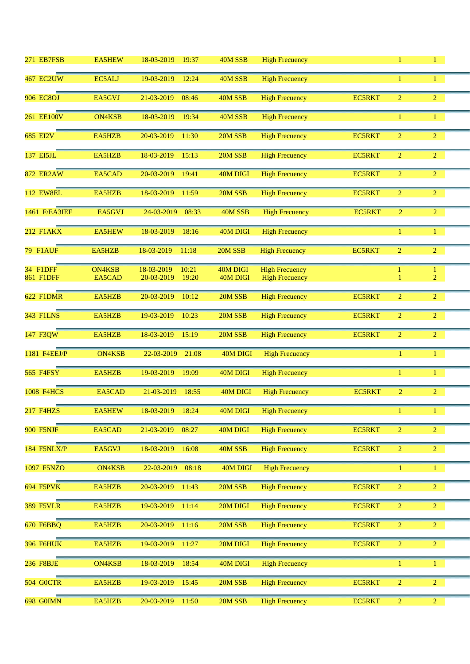| 271 EB7FSB                          | <b>EA5HEW</b>           | 18-03-2019<br>19:37                        | 40M SSB              | <b>High Frecuency</b>                          |               | 1              | $\mathbf{1}$                   |  |
|-------------------------------------|-------------------------|--------------------------------------------|----------------------|------------------------------------------------|---------------|----------------|--------------------------------|--|
| <b>467 EC2UW</b>                    | EC5ALJ                  | 19-03-2019<br>12:24                        | 40M SSB              | <b>High Frecuency</b>                          |               |                | $\mathbf{1}$                   |  |
| <b>906 EC8OJ</b>                    | EA5GVJ                  | 21-03-2019<br>08:46                        | 40M SSB              | <b>High Frecuency</b>                          | <b>EC5RKT</b> | $\overline{2}$ | $\overline{2}$                 |  |
| 261 EE100V                          | <b>ON4KSB</b>           | 18-03-2019<br>19:34                        | 40M SSB              | <b>High Frecuency</b>                          |               | $\mathbf{1}$   | 1                              |  |
| 685 EI2V                            | EA5HZB                  | 20-03-2019<br>11:30                        | 20M SSB              | <b>High Frecuency</b>                          | <b>EC5RKT</b> | $\overline{2}$ | $\overline{2}$                 |  |
| 137 EI5JL                           | EA5HZB                  | 18-03-2019<br>15:13                        | 20M SSB              | <b>High Frecuency</b>                          | <b>EC5RKT</b> | $\overline{2}$ | $\overline{2}$                 |  |
| <b>872 ER2AW</b>                    | EA5CAD                  | 20-03-2019<br>19:41                        | 40M DIGI             | <b>High Frecuency</b>                          | <b>EC5RKT</b> | $\overline{2}$ | $\overline{2}$                 |  |
| <b>112 EW8EL</b>                    | EA5HZB                  | 18-03-2019<br>11:59                        | 20M SSB              | <b>High Frecuency</b>                          | <b>EC5RKT</b> | $\overline{2}$ | $\overline{2}$                 |  |
| 1461 F/EA3IEF                       | EA5GVJ                  | 24-03-2019<br>08:33                        | 40M SSB              | <b>High Frecuency</b>                          | <b>EC5RKT</b> | $\overline{2}$ | $\overline{2}$                 |  |
| <b>212 F1AKX</b>                    | <b>EA5HEW</b>           | 18-03-2019<br>18:16                        | 40M DIGI             | <b>High Frecuency</b>                          |               | $\mathbf{1}$   | $\mathbf{1}$                   |  |
| 79 F1AUF                            | EA5HZB                  | 18-03-2019<br>11:18                        | 20M SSB              | <b>High Frecuency</b>                          | EC5RKT        | $\overline{2}$ | $\overline{2}$                 |  |
| <b>34 F1DFF</b><br><b>861 F1DFF</b> | <b>ON4KSB</b><br>EA5CAD | 18-03-2019<br>10:21<br>20-03-2019<br>19:20 | 40M DIGI<br>40M DIGI | <b>High Frecuency</b><br><b>High Frecuency</b> |               | 1              | $\mathbf{1}$<br>$\overline{2}$ |  |
| <b>622 F1DMR</b>                    | EA5HZB                  | 20-03-2019<br>10:12                        | 20M SSB              | <b>High Frecuency</b>                          | EC5RKT        | $\overline{2}$ | $\overline{2}$                 |  |
| <b>343 FILNS</b>                    | EA5HZB                  | 19-03-2019<br>10:23                        | 20M SSB              | <b>High Frecuency</b>                          | <b>EC5RKT</b> | $\overline{2}$ | $\overline{2}$                 |  |
| 147 F3QW                            | EA5HZB                  | 18-03-2019<br>15:19                        | 20M SSB              | <b>High Frecuency</b>                          | <b>EC5RKT</b> | $\overline{2}$ | $\overline{2}$                 |  |
| 1181 F4EEJ/P                        | <b>ON4KSB</b>           | 22-03-2019<br>21:08                        | 40M DIGI             | <b>High Frecuency</b>                          |               | 1              | $\mathbf{1}$                   |  |
| <b>565 F4FSY</b>                    | EA5HZB                  | 19-03-2019<br>19:09                        | 40M DIGI             | <b>High Frecuency</b>                          |               | $\mathbf{1}$   | $\mathbf{1}$                   |  |
| <b>1008 F4HCS</b>                   | EA5CAD                  | 21-03-2019<br>18:55                        | 40M DIGI             | <b>High Frecuency</b>                          | <b>EC5RKT</b> | $\overline{2}$ | $\overline{2}$                 |  |
| <b>217 F4HZS</b>                    | EA5HEW                  | 18-03-2019<br>18:24                        | 40M DIGI             | <b>High Frecuency</b>                          |               | $\mathbf{1}$   | $\mathbf{1}$                   |  |
| <b>900 F5NJF</b>                    | EA5CAD                  | 21-03-2019<br>08:27                        | 40M DIGI             | <b>High Frecuency</b>                          | <b>EC5RKT</b> | $\overline{2}$ | $\overline{2}$                 |  |
| <b>184 F5NLX/P</b>                  | EA5GVJ                  | 18-03-2019<br>16:08                        | 40M SSB              | <b>High Frecuency</b>                          | <b>EC5RKT</b> | $\overline{2}$ | $\overline{2}$                 |  |
| 1097 F5NZO                          | <b>ON4KSB</b>           | 22-03-2019<br>08:18                        | 40M DIGI             | <b>High Frecuency</b>                          |               | $\mathbf{1}$   | $\mathbf{1}$                   |  |
| <b>694 F5PVK</b>                    | EA5HZB                  | 20-03-2019<br>11:43                        | 20M SSB              | <b>High Frecuency</b>                          | <b>EC5RKT</b> | $\overline{2}$ | $\overline{2}$                 |  |
| <b>389 F5VLR</b>                    | EA5HZB                  | 19-03-2019<br>11:14                        | 20M DIGI             | <b>High Frecuency</b>                          | <b>EC5RKT</b> | $\overline{2}$ | $\overline{2}$                 |  |
| <b>670 F6BBQ</b>                    | EA5HZB                  | 20-03-2019<br>11:16                        | 20M SSB              | <b>High Frecuency</b>                          | <b>EC5RKT</b> | $\overline{2}$ | $\overline{2}$                 |  |
| <b>396 F6HUK</b>                    | EA5HZB                  | 19-03-2019<br>11:27                        | 20M DIGI             | <b>High Frecuency</b>                          | <b>EC5RKT</b> | $\overline{2}$ | $\overline{2}$                 |  |
| <b>236 F8BJE</b>                    | <b>ON4KSB</b>           | 18-03-2019<br>18:54                        | 40M DIGI             | <b>High Frecuency</b>                          |               | $\mathbf{1}$   | $\mathbf{1}$                   |  |
| <b>504 GOCTR</b>                    | EA5HZB                  | 19-03-2019<br>15:45                        | 20M SSB              | <b>High Frecuency</b>                          | <b>EC5RKT</b> | $\overline{2}$ | $\overline{2}$                 |  |
| 698 GOIMN                           | EA5HZB                  | 20-03-2019<br>11:50                        | 20M SSB              | <b>High Frecuency</b>                          | <b>EC5RKT</b> | $\overline{2}$ | $\overline{2}$                 |  |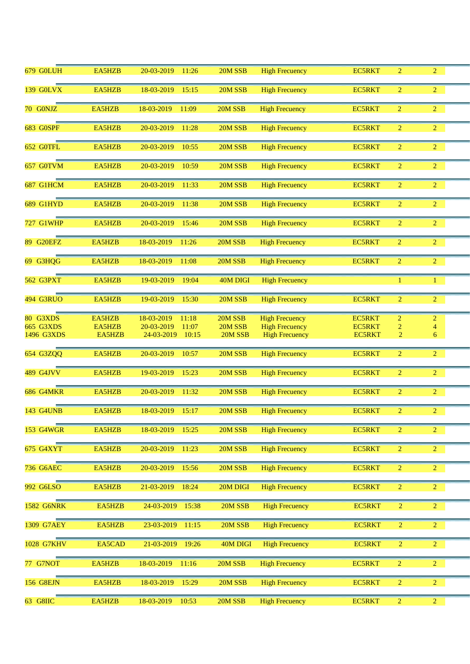| 679 GOLUH         | EA5HZB | 20-03-2019<br>11:26 | 20M SSB  | <b>High Frecuency</b> | <b>EC5RKT</b> | $\overline{2}$ | $\overline{2}$ |  |
|-------------------|--------|---------------------|----------|-----------------------|---------------|----------------|----------------|--|
| <b>139 GOLVX</b>  | EA5HZB | 18-03-2019<br>15:15 | 20M SSB  | <b>High Frecuency</b> | <b>EC5RKT</b> | $\overline{2}$ | $\overline{2}$ |  |
| 70 GONJZ          | EA5HZB | 18-03-2019<br>11:09 | 20M SSB  | <b>High Frecuency</b> | <b>EC5RKT</b> | $\overline{2}$ | $\overline{2}$ |  |
| <b>683 GOSPF</b>  | EA5HZB | 20-03-2019<br>11:28 | 20M SSB  | <b>High Frecuency</b> | <b>EC5RKT</b> | $\overline{2}$ | $\overline{2}$ |  |
| 652 GOTFL         | EA5HZB | 20-03-2019<br>10:55 | 20M SSB  | <b>High Frecuency</b> | <b>EC5RKT</b> | $\overline{2}$ | $\overline{2}$ |  |
| 657 G0TVM         | EA5HZB | 20-03-2019<br>10:59 | 20M SSB  | <b>High Frecuency</b> | <b>EC5RKT</b> | $\overline{2}$ | $\overline{2}$ |  |
| <b>687 G1HCM</b>  | EA5HZB | 20-03-2019<br>11:33 | 20M SSB  | <b>High Frecuency</b> | <b>EC5RKT</b> | $\overline{2}$ | $\overline{2}$ |  |
| <b>689 G1HYD</b>  | EA5HZB | 20-03-2019<br>11:38 | 20M SSB  | <b>High Frecuency</b> | <b>EC5RKT</b> | $\overline{2}$ | $\overline{2}$ |  |
| <b>727 G1WHP</b>  | EA5HZB | 20-03-2019<br>15:46 | 20M SSB  | <b>High Frecuency</b> | <b>EC5RKT</b> | $\overline{2}$ | $\overline{2}$ |  |
| 89 G20EFZ         | EA5HZB | 18-03-2019<br>11:26 | 20M SSB  | <b>High Frecuency</b> | <b>EC5RKT</b> | $\overline{2}$ | $\overline{2}$ |  |
| 69 G3HQG          | EA5HZB | 18-03-2019<br>11:08 | 20M SSB  | <b>High Frecuency</b> | <b>EC5RKT</b> | $\overline{2}$ | $\overline{2}$ |  |
| 562 G3PXT         | EA5HZB | 19-03-2019<br>19:04 | 40M DIGI | <b>High Frecuency</b> |               | 1              | 1              |  |
| <b>494 G3RUO</b>  | EA5HZB | 19-03-2019<br>15:30 | 20M SSB  | <b>High Frecuency</b> | <b>EC5RKT</b> | $\overline{2}$ | $\overline{2}$ |  |
| 80 G3XDS          | EA5HZB | 18-03-2019<br>11:18 | 20M SSB  | <b>High Frecuency</b> | <b>EC5RKT</b> | $\overline{2}$ | $\overline{2}$ |  |
| <b>665 G3XDS</b>  | EA5HZB | 20-03-2019<br>11:07 | 20M SSB  | <b>High Frecuency</b> | <b>EC5RKT</b> | $\overline{2}$ | $\overline{4}$ |  |
| 1496 G3XDS        | EA5HZB | 24-03-2019<br>10:15 | 20M SSB  | <b>High Frecuency</b> | <b>EC5RKT</b> | $\overline{2}$ | 6              |  |
| 654 G3ZQQ         | EA5HZB | 20-03-2019<br>10:57 | 20M SSB  | <b>High Frecuency</b> | <b>EC5RKT</b> | $\overline{2}$ | $\overline{2}$ |  |
| <b>489 G4JVV</b>  | EA5HZB | 19-03-2019<br>15:23 | 20M SSB  | <b>High Frecuency</b> | <b>EC5RKT</b> | $\overline{2}$ | $\overline{2}$ |  |
| <b>686 G4MKR</b>  | EA5HZB | 11:32<br>20-03-2019 | 20M SSB  | <b>High Frecuency</b> | <b>EC5RKT</b> | $\overline{2}$ | $\overline{2}$ |  |
| 143 G4UNB         | EA5HZB | 18-03-2019<br>15:17 | 20M SSB  | <b>High Frecuency</b> | <b>EC5RKT</b> | $\overline{2}$ | $\overline{2}$ |  |
| 153 G4WGR         | EA5HZB | 18-03-2019<br>15:25 | 20M SSB  | <b>High Frecuency</b> | <b>EC5RKT</b> | $\overline{2}$ | $\overline{2}$ |  |
| 675 G4XYT         | EA5HZB | 20-03-2019<br>11:23 | 20M SSB  | <b>High Frecuency</b> | <b>EC5RKT</b> | $\overline{2}$ | $\overline{2}$ |  |
| <b>736 G6AEC</b>  | EA5HZB | 20-03-2019<br>15:56 | 20M SSB  | <b>High Frecuency</b> | <b>EC5RKT</b> | $\overline{2}$ | $\overline{2}$ |  |
| 992 G6LSO         | EA5HZB | 21-03-2019<br>18:24 | 20M DIGI | <b>High Frecuency</b> | <b>EC5RKT</b> | $\overline{2}$ | $\overline{2}$ |  |
| <b>1582 G6NRK</b> | EA5HZB | 24-03-2019<br>15:38 | 20M SSB  | <b>High Frecuency</b> | EC5RKT        | $\overline{2}$ | $\overline{2}$ |  |
| 1309 G7AEY        | EA5HZB | 23-03-2019<br>11:15 | 20M SSB  | <b>High Frecuency</b> | <b>EC5RKT</b> | $\overline{2}$ | $\overline{2}$ |  |
| <b>1028 G7KHV</b> | EA5CAD | 21-03-2019<br>19:26 | 40M DIGI | <b>High Frecuency</b> | <b>EC5RKT</b> | $\overline{2}$ | $\overline{2}$ |  |
| 77 G7NOT          | EA5HZB | 18-03-2019<br>11:16 | 20M SSB  | <b>High Frecuency</b> | EC5RKT        | $\overline{2}$ | $\overline{2}$ |  |
| <b>156 G8EJN</b>  | EA5HZB | 18-03-2019<br>15:29 | 20M SSB  | <b>High Frecuency</b> | <b>EC5RKT</b> | $\overline{2}$ | $\overline{2}$ |  |
| 63 G8IIC          | EA5HZB | 18-03-2019<br>10:53 | 20M SSB  | <b>High Frecuency</b> | EC5RKT        | $\overline{2}$ | $\overline{2}$ |  |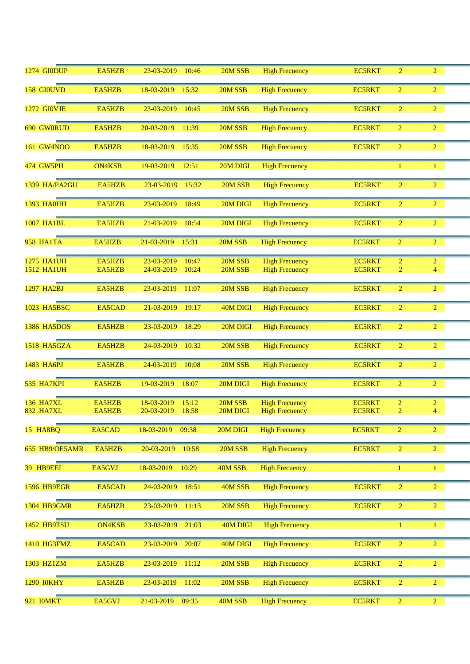| <b>1274 GIODUP</b>                     | EA5HZB           | 23-03-2019<br>10:46                        | 20M SSB            | <b>High Frecuency</b>                          | <b>EC5RKT</b>                  | $\overline{2}$                   | $\overline{2}$                   |  |
|----------------------------------------|------------------|--------------------------------------------|--------------------|------------------------------------------------|--------------------------------|----------------------------------|----------------------------------|--|
| 158 GIOUVD                             | EA5HZB           | 18-03-2019<br>15:32                        | 20M SSB            | <b>High Frecuency</b>                          | <b>EC5RKT</b>                  | $\overline{2}$                   | $\overline{2}$                   |  |
| 1272 GIOVJE                            | EA5HZB           | 23-03-2019<br>10:45                        | 20M SSB            | <b>High Frecuency</b>                          | <b>EC5RKT</b>                  | $\overline{2}$                   | $\overline{2}$                   |  |
| 690 GW0RUD                             | EA5HZB           | 20-03-2019<br>11:39                        | 20M SSB            | <b>High Frecuency</b>                          | <b>EC5RKT</b>                  | $\overline{2}$                   | $\overline{2}$                   |  |
| 161 GW4NOO                             | EA5HZB           | 18-03-2019<br>15:35                        | 20M SSB            | <b>High Frecuency</b>                          | <b>EC5RKT</b>                  | $\overline{2}$                   | $\overline{2}$                   |  |
| <b>474 GW5PH</b>                       | <b>ON4KSB</b>    | 19-03-2019<br>12:51                        | 20M DIGI           | <b>High Frecuency</b>                          |                                | 1                                | $\mathbf{1}$                     |  |
| 1339 HA/PA2GU                          | EA5HZB           | 23-03-2019<br>15:32                        | 20M SSB            | <b>High Frecuency</b>                          | <b>EC5RKT</b>                  | $\overline{2}$                   | $\overline{2}$                   |  |
| <b>1393 HA0HH</b>                      | EA5HZB           | 23-03-2019<br>18:49                        | 20M DIGI           | <b>High Frecuency</b>                          | <b>EC5RKT</b>                  | 2                                | $\overline{2}$                   |  |
| 1007 HA1BL                             | EA5HZB           | 21-03-2019<br>18:54                        | 20M DIGI           | <b>High Frecuency</b>                          | <b>EC5RKT</b>                  | 2                                | $\overline{2}$                   |  |
| <b>958 HA1TA</b>                       | EA5HZB           | 21-03-2019<br>15:31                        | 20M SSB            | <b>High Frecuency</b>                          | <b>EC5RKT</b>                  | $\overline{2}$                   | $\overline{2}$                   |  |
| <b>1275 HA1UH</b><br><b>1512 HA1UH</b> | EA5HZB<br>EA5HZB | 23-03-2019<br>10:47<br>24-03-2019<br>10:24 | 20M SSB<br>20M SSB | <b>High Frecuency</b><br><b>High Frecuency</b> | <b>EC5RKT</b><br><b>EC5RKT</b> | $\overline{2}$<br>$\overline{2}$ | $\overline{2}$<br>$\overline{4}$ |  |
| 1297 HA2BJ                             | EA5HZB           | 23-03-2019<br>11:07                        | 20M SSB            | <b>High Frecuency</b>                          | <b>EC5RKT</b>                  | $\overline{2}$                   | $\overline{2}$                   |  |
| 1023 HA5BSC                            | EA5CAD           | 21-03-2019<br>19:17                        | 40M DIGI           | <b>High Frecuency</b>                          | <b>EC5RKT</b>                  | $\overline{2}$                   | $\overline{2}$                   |  |
| 1386 HA5DOS                            | EA5HZB           | 23-03-2019<br>18:29                        | 20M DIGI           | <b>High Frecuency</b>                          | <b>EC5RKT</b>                  | $\overline{2}$                   | $\overline{2}$                   |  |
|                                        |                  |                                            |                    |                                                |                                |                                  |                                  |  |
| 1518 HA5GZA                            | EA5HZB           | 24-03-2019<br>10:32                        | 20M SSB            | <b>High Frecuency</b>                          | <b>EC5RKT</b>                  | $\overline{2}$                   | $\overline{2}$                   |  |
| 1483 HA6PJ                             | EA5HZB           | 24-03-2019<br>10:08                        | 20M SSB            | <b>High Frecuency</b>                          | <b>EC5RKT</b>                  | $\overline{2}$                   | $\overline{2}$                   |  |
| 535 HA7KPI                             | EA5HZB           | 19-03-2019<br>18:07                        | 20M DIGI           | <b>High Frecuency</b>                          | <b>EC5RKT</b>                  | $\overline{2}$                   | $\overline{2}$                   |  |
| 136 HA7XL                              | EA5HZB           | 18-03-2019<br>15:12                        | 20M SSB            | <b>High Frecuency</b>                          | <b>EC5RKT</b>                  | 2                                | $\overline{c}$                   |  |
| 832 HA7XL                              | EA5HZB           | 20-03-2019<br>18:58                        | 20M DIGI           | <b>High Frecuency</b>                          | <b>EC5RKT</b>                  | $\overline{2}$                   | $\overline{4}$                   |  |
| <b>15 HA8BQ</b>                        | EA5CAD           | 18-03-2019<br>09:38                        | 20M DIGI           | <b>High Frecuency</b>                          | <b>EC5RKT</b>                  | $\overline{2}$                   | 2 <sup>1</sup>                   |  |
| 655 HB9/OE5AMR                         | EA5HZB           | 20-03-2019<br>10:58                        | 20M SSB            | <b>High Frecuency</b>                          | <b>EC5RKT</b>                  | $\overline{2}$                   | $\overline{2}$                   |  |
| 39 HB9EFJ                              | EA5GVJ           | 18-03-2019<br>10:29                        | 40M SSB            | <b>High Frecuency</b>                          |                                | $\mathbf{1}$                     | $\mathbf{1}$                     |  |
| <b>1596 HB9EGR</b>                     | EA5CAD           | 24-03-2019<br>18:51                        | 40M SSB            | <b>High Frecuency</b>                          | <b>EC5RKT</b>                  | $\overline{2}$                   | $\overline{2}$                   |  |
| 1304 HB9GMR                            | EA5HZB           | 23-03-2019<br>11:13                        | 20M SSB            | <b>High Frecuency</b>                          | <b>EC5RKT</b>                  | $\overline{2}$                   | $\overline{2}$                   |  |
| 1452 HB9TSU                            | <b>ON4KSB</b>    | 23-03-2019<br>21:03                        | 40M DIGI           | <b>High Frecuency</b>                          |                                | $\mathbf{1}$                     | $\mathbf{1}$                     |  |
| 1410 HG3FMZ                            | EA5CAD           | 23-03-2019<br>20:07                        | 40M DIGI           | <b>High Frecuency</b>                          | <b>EC5RKT</b>                  | $\overline{2}$                   | $\overline{2}$                   |  |
| 1303 HZ1ZM                             | EA5HZB           | 23-03-2019<br>11:12                        | 20M SSB            | <b>High Frecuency</b>                          | <b>EC5RKT</b>                  | $\overline{2}$                   | $\overline{2}$                   |  |
| <b>1290 IOKHY</b>                      | EA5HZB           | 23-03-2019<br>11:02                        | 20M SSB            | <b>High Frecuency</b>                          | <b>EC5RKT</b>                  | $\overline{2}$                   | $\overline{2}$                   |  |
| 921 <b>IOMKT</b>                       | EA5GVJ           | 21-03-2019<br>09:35                        | 40M SSB            | <b>High Frecuency</b>                          | <b>EC5RKT</b>                  | $\overline{2}$                   | 2 <sup>1</sup>                   |  |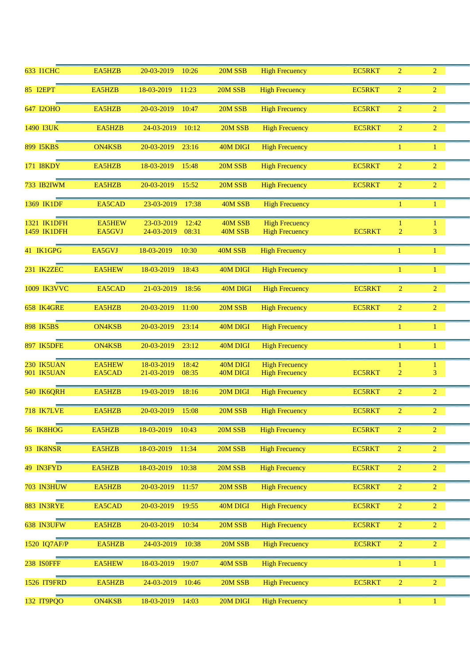| <b>633 I1CHC</b>   | EA5HZB        | 20-03-2019<br>10:26 | 20M SSB  | <b>High Frecuency</b> | <b>EC5RKT</b> | $\overline{2}$ | $\overline{2}$ |  |
|--------------------|---------------|---------------------|----------|-----------------------|---------------|----------------|----------------|--|
| 85 I2EPT           | EA5HZB        | 18-03-2019<br>11:23 | 20M SSB  | <b>High Frecuency</b> | <b>EC5RKT</b> | $\overline{2}$ | $\overline{2}$ |  |
| 647 I2OHO          | EA5HZB        | 20-03-2019<br>10:47 | 20M SSB  | <b>High Frecuency</b> | <b>EC5RKT</b> | $\overline{2}$ | $\overline{2}$ |  |
| 1490 I3UK          | EA5HZB        | 24-03-2019<br>10:12 | 20M SSB  | <b>High Frecuency</b> | <b>EC5RKT</b> | $\overline{2}$ | $\overline{2}$ |  |
| 899 I5KBS          | <b>ON4KSB</b> | 20-03-2019<br>23:16 | 40M DIGI | <b>High Frecuency</b> |               | 1              | 1              |  |
| 171 I8KDY          | EA5HZB        | 18-03-2019<br>15:48 | 20M SSB  | <b>High Frecuency</b> | EC5RKT        | $\overline{2}$ | $\overline{2}$ |  |
| 733 IB2IWM         | EA5HZB        | 20-03-2019<br>15:52 | 20M SSB  | <b>High Frecuency</b> | <b>EC5RKT</b> | $\overline{2}$ | $\overline{2}$ |  |
| 1369 IK1DF         | EA5CAD        | 23-03-2019<br>17:38 | 40M SSB  | <b>High Frecuency</b> |               | 1              | $\mathbf{1}$   |  |
| 1321 IK1DFH        | <b>EA5HEW</b> | 23-03-2019<br>12:42 | 40M SSB  | <b>High Frecuency</b> |               |                | 1              |  |
| 1459 IK1DFH        | EA5GVJ        | 24-03-2019<br>08:31 | 40M SSB  | <b>High Frecuency</b> | <b>EC5RKT</b> | $\overline{2}$ | 3              |  |
| 41 IK1GPG          | EA5GVJ        | 18-03-2019<br>10:30 | 40M SSB  | <b>High Frecuency</b> |               | $\mathbf{1}$   | $\mathbf{1}$   |  |
| 231 IK2ZEC         | <b>EA5HEW</b> | 18-03-2019<br>18:43 | 40M DIGI | <b>High Frecuency</b> |               | $\mathbf{1}$   | $\mathbf{1}$   |  |
| 1009 IK3VVC        | EA5CAD        | 21-03-2019<br>18:56 | 40M DIGI | <b>High Frecuency</b> | <b>EC5RKT</b> | $\overline{2}$ | $\overline{2}$ |  |
| 658 IK4GRE         | EA5HZB        | 20-03-2019<br>11:00 | 20M SSB  | <b>High Frecuency</b> | <b>EC5RKT</b> | $\overline{2}$ | $\overline{2}$ |  |
| <b>898 IK5BS</b>   | <b>ON4KSB</b> | 20-03-2019<br>23:14 | 40M DIGI | <b>High Frecuency</b> |               | $\mathbf{1}$   | $\mathbf{1}$   |  |
|                    |               |                     |          |                       |               |                |                |  |
| 897 IK5DFE         | <b>ON4KSB</b> | 20-03-2019<br>23:12 | 40M DIGI | <b>High Frecuency</b> |               | 1              | 1              |  |
| 230 IK5UAN         | <b>EA5HEW</b> | 18-03-2019<br>18:42 | 40M DIGI | <b>High Frecuency</b> |               | 1              | 1              |  |
| 901 IK5UAN         | EA5CAD        | 21-03-2019<br>08:35 | 40M DIGI | <b>High Frecuency</b> | <b>EC5RKT</b> | $\overline{2}$ | 3              |  |
| 540 IK6QRH         | EA5HZB        | 19-03-2019<br>18:16 | 20M DIGI | <b>High Frecuency</b> | <b>EC5RKT</b> | $\overline{2}$ | $\overline{2}$ |  |
| <b>718 IK7LVE</b>  | EA5HZB        | 20-03-2019<br>15:08 | 20M SSB  | <b>High Frecuency</b> | <b>EC5RKT</b> | $\overline{2}$ | $\overline{2}$ |  |
| 56 IK8HOG          | EA5HZB        | 18-03-2019<br>10:43 | 20M SSB  | <b>High Frecuency</b> | <b>EC5RKT</b> | $\overline{2}$ | $\overline{2}$ |  |
| 93 IK8NSR          | EA5HZB        | 18-03-2019<br>11:34 | 20M SSB  | <b>High Frecuency</b> | <b>EC5RKT</b> | $\overline{2}$ | $\overline{2}$ |  |
| 49 IN3FYD          | EA5HZB        | 18-03-2019<br>10:38 | 20M SSB  | <b>High Frecuency</b> | <b>EC5RKT</b> | $\overline{2}$ | $\overline{2}$ |  |
| <b>703 IN3HUW</b>  | EA5HZB        | 20-03-2019<br>11:57 | 20M SSB  | <b>High Frecuency</b> | <b>EC5RKT</b> | $\overline{2}$ | $\overline{2}$ |  |
| 883 IN3RYE         | EA5CAD        | 20-03-2019<br>19:55 | 40M DIGI | <b>High Frecuency</b> | <b>EC5RKT</b> | $\overline{2}$ | $\overline{2}$ |  |
| 638 IN3UFW         | EA5HZB        | 20-03-2019<br>10:34 | 20M SSB  | <b>High Frecuency</b> | <b>EC5RKT</b> | $\overline{2}$ | $\overline{2}$ |  |
| 1520 IQ7AF/P       | EA5HZB        | 24-03-2019<br>10:38 | 20M SSB  | <b>High Frecuency</b> | <b>EC5RKT</b> | $\overline{2}$ | $\overline{2}$ |  |
| 238 ISOFFF         | <b>EA5HEW</b> | 18-03-2019<br>19:07 | 40M SSB  | <b>High Frecuency</b> |               | $\mathbf{1}$   | $\mathbf{1}$   |  |
| <b>1526 IT9FRD</b> | EA5HZB        | 24-03-2019<br>10:46 | 20M SSB  | <b>High Frecuency</b> | <b>EC5RKT</b> | $\overline{2}$ | $\overline{2}$ |  |
| 132 IT9PQO         | <b>ON4KSB</b> | 18-03-2019<br>14:03 | 20M DIGI | <b>High Frecuency</b> |               | $\mathbf{1}$   | $\mathbf{1}$   |  |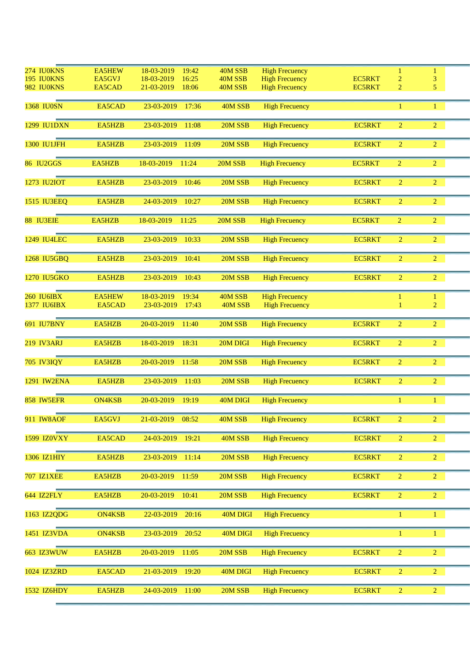| 274 IU0KNS         | <b>EA5HEW</b> | 18-03-2019<br>19:42 | 40M SSB  | <b>High Frecuency</b> |               | $\mathbf{1}$   | $\mathbf{1}$   |  |
|--------------------|---------------|---------------------|----------|-----------------------|---------------|----------------|----------------|--|
| 195 IU0KNS         | EA5GVJ        | 18-03-2019<br>16:25 | 40M SSB  | <b>High Frecuency</b> | <b>EC5RKT</b> | $\overline{c}$ | 3              |  |
| 982 IU0KNS         | EA5CAD        | 21-03-2019<br>18:06 | 40M SSB  | <b>High Frecuency</b> | <b>EC5RKT</b> | 2              | 5              |  |
|                    |               |                     |          |                       |               |                |                |  |
| <b>1368 IU0SN</b>  | EA5CAD        | 23-03-2019<br>17:36 | 40M SSB  | <b>High Frecuency</b> |               | 1              | $\mathbf{1}$   |  |
|                    |               |                     |          |                       |               |                |                |  |
| 1299 IU1DXN        | EA5HZB        | 23-03-2019<br>11:08 | 20M SSB  | <b>High Frecuency</b> | <b>EC5RKT</b> | $\overline{2}$ | $\overline{2}$ |  |
|                    |               |                     |          |                       |               |                |                |  |
| <b>1300 IU1JFH</b> | EA5HZB        | 23-03-2019<br>11:09 | 20M SSB  | <b>High Frecuency</b> | <b>EC5RKT</b> | $\overline{2}$ | $\overline{2}$ |  |
|                    |               |                     |          |                       |               |                |                |  |
| 86 IU2GGS          | EA5HZB        | 18-03-2019<br>11:24 | 20M SSB  | <b>High Frecuency</b> | <b>EC5RKT</b> | $\overline{2}$ | $\overline{2}$ |  |
|                    |               |                     |          |                       |               |                |                |  |
| 1273 IU2IOT        | EA5HZB        | 23-03-2019<br>10:46 | 20M SSB  | <b>High Frecuency</b> | <b>EC5RKT</b> | $\overline{2}$ | $\overline{2}$ |  |
|                    |               |                     |          |                       |               |                |                |  |
| <b>1515 IU3EEQ</b> | EA5HZB        | 24-03-2019<br>10:27 | 20M SSB  | <b>High Frecuency</b> | <b>EC5RKT</b> | $\overline{2}$ | $\overline{2}$ |  |
|                    |               |                     |          |                       |               |                |                |  |
| 88 IU3EIE          | EA5HZB        | 18-03-2019<br>11:25 | 20M SSB  | <b>High Frecuency</b> | <b>EC5RKT</b> | $\overline{2}$ | 2 <sup>1</sup> |  |
|                    |               |                     |          |                       |               |                |                |  |
| <b>1249 IU4LEC</b> | EA5HZB        | 23-03-2019<br>10:33 | 20M SSB  | <b>High Frecuency</b> | <b>EC5RKT</b> | $\overline{2}$ | 2 <sup>1</sup> |  |
|                    |               |                     |          |                       |               |                |                |  |
| 1268 IU5GBQ        | EA5HZB        | 23-03-2019<br>10:41 | 20M SSB  | <b>High Frecuency</b> | <b>EC5RKT</b> | $\overline{2}$ | 2 <sup>1</sup> |  |
|                    |               |                     |          |                       |               |                |                |  |
|                    |               |                     |          |                       |               |                | $\overline{2}$ |  |
| 1270 IU5GKO        | EA5HZB        | 23-03-2019<br>10:43 | 20M SSB  | <b>High Frecuency</b> | <b>EC5RKT</b> | $\overline{2}$ |                |  |
|                    |               |                     |          |                       |               |                |                |  |
| <b>260 IU6IBX</b>  | <b>EA5HEW</b> | 18-03-2019<br>19:34 | 40M SSB  | <b>High Frecuency</b> |               |                | 1              |  |
| 1377 IU6IBX        | EA5CAD        | 23-03-2019<br>17:43 | 40M SSB  | <b>High Frecuency</b> |               |                | $\overline{2}$ |  |
|                    |               |                     |          |                       |               |                |                |  |
| <b>691 IU7BNY</b>  | EA5HZB        | 20-03-2019<br>11:40 | 20M SSB  | <b>High Frecuency</b> | <b>EC5RKT</b> | $\overline{2}$ | $\overline{2}$ |  |
|                    |               |                     |          |                       |               |                |                |  |
| 219 IV3ARJ         | EA5HZB        | 18-03-2019<br>18:31 | 20M DIGI | <b>High Frecuency</b> | <b>EC5RKT</b> | $\overline{2}$ | $\overline{2}$ |  |
|                    |               |                     |          |                       |               |                |                |  |
| <b>705 IV3IQY</b>  | EA5HZB        | 20-03-2019<br>11:58 | 20M SSB  | <b>High Frecuency</b> | <b>EC5RKT</b> | $\overline{2}$ | $\overline{2}$ |  |
|                    |               |                     |          |                       |               |                |                |  |
| 1291 IW2ENA        | EA5HZB        | 23-03-2019<br>11:03 | 20M SSB  | <b>High Frecuency</b> | <b>EC5RKT</b> | $\overline{2}$ | $\overline{2}$ |  |
|                    |               |                     |          |                       |               |                |                |  |
| 858 IW5EFR         | <b>ON4KSB</b> | 20-03-2019<br>19:19 | 40M DIGI | <b>High Frecuency</b> |               | $\mathbf{1}$   | $\mathbf{1}$   |  |
|                    |               |                     |          |                       |               |                |                |  |
| 911 IW8AOF         | EA5GVJ        | 21-03-2019 08:52    | 40M SSB  | <b>High Frecuency</b> | <b>EC5RKT</b> | $\overline{2}$ | $\overline{2}$ |  |
|                    |               |                     |          |                       |               |                |                |  |
| 1599 IZ0VXY        | EA5CAD        | 24-03-2019<br>19:21 | 40M SSB  | <b>High Frecuency</b> | <b>EC5RKT</b> | $\overline{2}$ | 2 <sup>1</sup> |  |
|                    |               |                     |          |                       |               |                |                |  |
|                    |               |                     |          |                       |               |                |                |  |
| 1306 IZ1HIY        | EA5HZB        | 23-03-2019<br>11:14 | 20M SSB  | <b>High Frecuency</b> | <b>EC5RKT</b> | $\overline{2}$ | 2 <sup>7</sup> |  |
|                    |               |                     |          |                       |               |                |                |  |
| <b>707 IZ1XEE</b>  | EA5HZB        | 20-03-2019<br>11:59 | 20M SSB  | <b>High Frecuency</b> | <b>EC5RKT</b> | $\overline{2}$ | 2 <sup>7</sup> |  |
|                    |               |                     |          |                       |               |                |                |  |
| 644 IZ2FLY         | EA5HZB        | 20-03-2019<br>10:41 | 20M SSB  | <b>High Frecuency</b> | <b>EC5RKT</b> | $\overline{2}$ | 2 <sup>7</sup> |  |
|                    |               |                     |          |                       |               |                |                |  |
| 1163 IZ2QDG        | <b>ON4KSB</b> | 22-03-2019<br>20:16 | 40M DIGI | <b>High Frecuency</b> |               | 1              | $\mathbf{1}$   |  |
|                    |               |                     |          |                       |               |                |                |  |
| 1451 IZ3VDA        | <b>ON4KSB</b> | 23-03-2019<br>20:52 | 40M DIGI | <b>High Frecuency</b> |               | 1              | 1.             |  |
|                    |               |                     |          |                       |               |                |                |  |
| <b>663 IZ3WUW</b>  | EA5HZB        | 20-03-2019<br>11:05 | 20M SSB  | <b>High Frecuency</b> | <b>EC5RKT</b> | $\overline{2}$ | $\overline{2}$ |  |
|                    |               |                     |          |                       |               |                |                |  |
| 1024 IZ3ZRD        | EA5CAD        | 19:20               | 40M DIGI | <b>High Frecuency</b> |               | $\overline{2}$ | $\overline{2}$ |  |
|                    |               | 21-03-2019          |          |                       | <b>EC5RKT</b> |                |                |  |
|                    |               |                     |          |                       |               |                |                |  |
| 1532 IZ6HDY        | EA5HZB        | 24-03-2019<br>11:00 | 20M SSB  | <b>High Frecuency</b> | <b>EC5RKT</b> | $\overline{2}$ | 2 <sup>1</sup> |  |
|                    |               |                     |          |                       |               |                |                |  |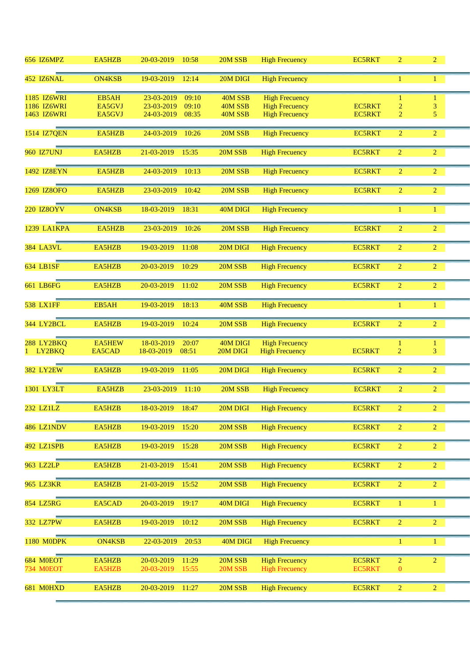| <b>656 IZ6MPZ</b> | EA5HZB        | 20-03-2019<br>10:58 | 20M SSB  | <b>High Frecuency</b> | <b>EC5RKT</b> | $\overline{2}$ | 2 <sup>1</sup> |  |
|-------------------|---------------|---------------------|----------|-----------------------|---------------|----------------|----------------|--|
| 452 IZ6NAL        | <b>ON4KSB</b> | 19-03-2019<br>12:14 | 20M DIGI | <b>High Frecuency</b> |               | 1              | $\mathbf{1}$   |  |
| 1185 IZ6WRI       | EB5AH         | 23-03-2019<br>09:10 | 40M SSB  | <b>High Frecuency</b> |               |                | $\mathbf{1}$   |  |
| 1186 IZ6WRI       | EA5GVJ        | 23-03-2019<br>09:10 | 40M SSB  | <b>High Frecuency</b> | <b>EC5RKT</b> | 2              | 3              |  |
| 1463 IZ6WRI       | EA5GVJ        | 24-03-2019<br>08:35 | 40M SSB  | <b>High Frecuency</b> | <b>EC5RKT</b> | $\overline{2}$ | 5              |  |
|                   |               |                     |          |                       |               |                |                |  |
| 1514 IZ7QEN       | EA5HZB        | 24-03-2019<br>10:26 | 20M SSB  | <b>High Frecuency</b> | <b>EC5RKT</b> | $\overline{2}$ | $\overline{2}$ |  |
| <b>960 IZ7UNJ</b> | EA5HZB        | 21-03-2019<br>15:35 | 20M SSB  | <b>High Frecuency</b> | <b>EC5RKT</b> | $\overline{2}$ | $\overline{2}$ |  |
| 1492 IZ8EYN       | EA5HZB        | 24-03-2019<br>10:13 | 20M SSB  | <b>High Frecuency</b> | <b>EC5RKT</b> | $\overline{2}$ | $\overline{2}$ |  |
| 1269 IZ8OFO       | EA5HZB        | 23-03-2019<br>10:42 | 20M SSB  | <b>High Frecuency</b> | <b>EC5RKT</b> | $\overline{2}$ | $\overline{2}$ |  |
| 220 IZ8OYV        | <b>ON4KSB</b> | 18-03-2019<br>18:31 | 40M DIGI | <b>High Frecuency</b> |               |                | $\mathbf{1}$   |  |
| 1239 LA1KPA       | EA5HZB        | 23-03-2019<br>10:26 | 20M SSB  | <b>High Frecuency</b> | <b>EC5RKT</b> | $\overline{2}$ | $\overline{2}$ |  |
| <b>384 LA3VL</b>  | EA5HZB        | 19-03-2019<br>11:08 | 20M DIGI | <b>High Frecuency</b> | <b>EC5RKT</b> | $\overline{2}$ | $\overline{2}$ |  |
| 634 LB1SF         | EA5HZB        | 20-03-2019<br>10:29 | 20M SSB  | <b>High Frecuency</b> | <b>EC5RKT</b> | $\overline{2}$ | $\overline{2}$ |  |
| 661 LB6FG         | EA5HZB        | 20-03-2019<br>11:02 | 20M SSB  | <b>High Frecuency</b> | <b>EC5RKT</b> | $\overline{2}$ | $\overline{2}$ |  |
| <b>538 LX1FF</b>  | EB5AH         | 19-03-2019<br>18:13 | 40M SSB  | <b>High Frecuency</b> |               | 1              | $\mathbf{1}$   |  |
| 344 LY2BCL        | EA5HZB        | 19-03-2019<br>10:24 | 20M SSB  | <b>High Frecuency</b> | EC5RKT        | $\overline{2}$ | $\overline{2}$ |  |
| 288 LY2BKQ        | <b>EA5HEW</b> | 18-03-2019<br>20:07 | 40M DIGI | <b>High Frecuency</b> |               |                | $\mathbf{1}$   |  |
| 1 LY2BKQ          | EA5CAD        | 08:51<br>18-03-2019 | 20M DIGI | <b>High Frecuency</b> | <b>EC5RKT</b> | $\overline{2}$ | 3              |  |
|                   |               |                     |          |                       |               |                |                |  |
| <b>382 LY2EW</b>  | EA5HZB        | 19-03-2019<br>11:05 | 20M DIGI | <b>High Frecuency</b> | <b>EC5RKT</b> | $\overline{2}$ | $\overline{2}$ |  |
|                   |               |                     |          |                       |               |                |                |  |
| 1301 LY3LT        | EA5HZB        | 23-03-2019<br>11:10 | 20M SSB  | <b>High Frecuency</b> | <b>EC5RKT</b> | 2              | $\overline{2}$ |  |
| 232 LZ1LZ         | EA5HZB        | 18-03-2019<br>18:47 | 20M DIGI | <b>High Frecuency</b> | <b>EC5RKT</b> |                |                |  |
| 486 LZ1NDV        | EA5HZB        | 19-03-2019<br>15:20 | 20M SSB  | <b>High Frecuency</b> | <b>EC5RKT</b> | $\overline{2}$ | $\overline{2}$ |  |
| 492 LZ1SPB        | EA5HZB        | 19-03-2019<br>15:28 | 20M SSB  | <b>High Frecuency</b> | <b>EC5RKT</b> | $\overline{2}$ | $\overline{2}$ |  |
| 963 LZ2LP         | EA5HZB        | 21-03-2019<br>15:41 | 20M SSB  | <b>High Frecuency</b> | <b>EC5RKT</b> | $\overline{2}$ | $\overline{2}$ |  |
| 965 LZ3KR         | EA5HZB        | 21-03-2019<br>15:52 | 20M SSB  | <b>High Frecuency</b> | <b>EC5RKT</b> | $\overline{2}$ | $\overline{2}$ |  |
| 854 LZ5RG         | EA5CAD        | 20-03-2019<br>19:17 | 40M DIGI | <b>High Frecuency</b> | <b>EC5RKT</b> | 1              | $\mathbf{1}$   |  |
| 332 LZ7PW         | EA5HZB        | 19-03-2019<br>10:12 | 20M SSB  | <b>High Frecuency</b> | <b>EC5RKT</b> | $\overline{2}$ | $\overline{2}$ |  |
| 1180 MODPK        | <b>ON4KSB</b> | 22-03-2019<br>20:53 | 40M DIGI | <b>High Frecuency</b> |               | 1              | $\mathbf{1}$   |  |
| 684 M0EOT         | EA5HZB        | 20-03-2019<br>11:29 | 20M SSB  | <b>High Frecuency</b> | <b>EC5RKT</b> | $\overline{c}$ | $\overline{2}$ |  |
| <b>734 M0EOT</b>  | EA5HZB        | 15:55<br>20-03-2019 | 20M SSB  | <b>High Frecuency</b> | <b>EC5RKT</b> | $\mathbf{0}$   |                |  |
| 681 M0HXD         | EA5HZB        | 20-03-2019<br>11:27 | 20M SSB  | <b>High Frecuency</b> | <b>EC5RKT</b> | $\overline{2}$ | $\overline{2}$ |  |
|                   |               |                     |          |                       |               |                |                |  |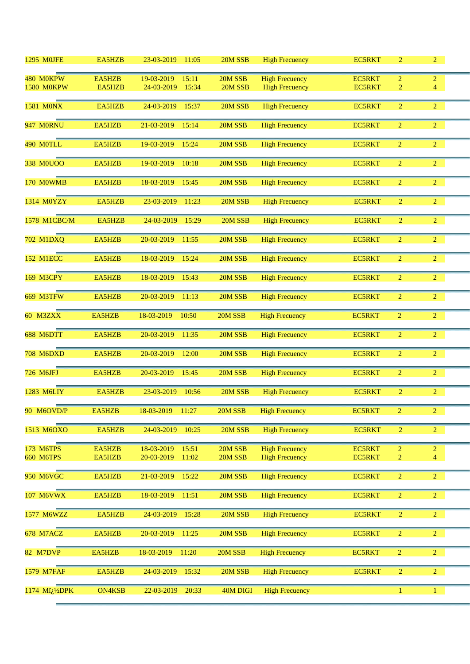| <b>1295 MOJFE</b>                                      | EA5HZB           | 23-03-2019<br>11:05                        | 20M SSB            | <b>High Frecuency</b>                          | <b>EC5RKT</b>                  | $\overline{2}$                   | $\overline{2}$      |  |
|--------------------------------------------------------|------------------|--------------------------------------------|--------------------|------------------------------------------------|--------------------------------|----------------------------------|---------------------|--|
| 480 MOKPW                                              | EA5HZB           | 19-03-2019<br>15:11                        | 20M SSB            | <b>High Frecuency</b>                          | <b>EC5RKT</b>                  | $\overline{2}$                   | $\overline{c}$      |  |
| <b>1580 M0KPW</b>                                      | <b>EA5HZB</b>    | 24-03-2019<br>15:34                        | 20M SSB            | <b>High Frecuency</b>                          | <b>EC5RKT</b>                  | $\overline{2}$                   | $\overline{4}$      |  |
|                                                        |                  |                                            |                    |                                                |                                |                                  |                     |  |
| <b>1581 MONX</b>                                       | EA5HZB           | 24-03-2019<br>15:37                        | 20M SSB            | <b>High Frecuency</b>                          | <b>EC5RKT</b>                  | $\overline{2}$                   | $\overline{2}$      |  |
| <b>947 MORNU</b>                                       | EA5HZB           | 21-03-2019<br>15:14                        | 20M SSB            | <b>High Frecuency</b>                          | <b>EC5RKT</b>                  | $\overline{2}$                   | $\overline{2}$      |  |
| 490 MOTLL                                              | EA5HZB           | 19-03-2019<br>15:24                        | 20M SSB            | <b>High Frecuency</b>                          | <b>EC5RKT</b>                  | $\overline{2}$                   | $\overline{2}$      |  |
| 338 M0UOO                                              | EA5HZB           | 19-03-2019<br>10:18                        | 20M SSB            | <b>High Frecuency</b>                          | <b>EC5RKT</b>                  | $\overline{2}$                   | $\overline{2}$      |  |
| <b>170 MOWMB</b>                                       | EA5HZB           | 18-03-2019<br>15:45                        | 20M SSB            | <b>High Frecuency</b>                          | <b>EC5RKT</b>                  | $\overline{2}$                   | $\overline{2}$      |  |
| 1314 M0YZY                                             | EA5HZB           | 23-03-2019<br>11:23                        | 20M SSB            | <b>High Frecuency</b>                          | <b>EC5RKT</b>                  | $\overline{2}$                   | $\overline{2}$      |  |
| <b>1578 M1CBC/M</b>                                    | EA5HZB           | 24-03-2019<br>15:29                        | 20M SSB            | <b>High Frecuency</b>                          | <b>EC5RKT</b>                  | $\overline{2}$                   | $\overline{2}$      |  |
| 702 M1DXQ                                              | EA5HZB           | 20-03-2019<br>11:55                        | 20M SSB            | <b>High Frecuency</b>                          | <b>EC5RKT</b>                  | $\overline{2}$                   | $\overline{2}$      |  |
| <b>152 M1ECC</b>                                       | EA5HZB           | 18-03-2019<br>15:24                        | 20M SSB            | <b>High Frecuency</b>                          | <b>EC5RKT</b>                  | $\overline{2}$                   | $\overline{2}$      |  |
| <b>169 M3CPY</b>                                       | EA5HZB           | 18-03-2019<br>15:43                        | 20M SSB            | <b>High Frecuency</b>                          | <b>EC5RKT</b>                  | $\overline{2}$                   | $\overline{2}$      |  |
| <b>669 M3TFW</b>                                       | EA5HZB           | 20-03-2019<br>11:13                        | 20M SSB            | <b>High Frecuency</b>                          | <b>EC5RKT</b>                  | $\overline{2}$                   | $\overline{2}$      |  |
| <b>60 M3ZXX</b>                                        | EA5HZB           | 18-03-2019<br>10:50                        | 20M SSB            | <b>High Frecuency</b>                          | <b>EC5RKT</b>                  | $\overline{2}$                   | $\overline{2}$      |  |
| 688 M6DTT                                              | EA5HZB           | 20-03-2019<br>11:35                        | 20M SSB            | <b>High Frecuency</b>                          | <b>EC5RKT</b>                  | $\overline{2}$                   | $\overline{2}$      |  |
| <b>708 M6DXD</b>                                       | EA5HZB           | 20-03-2019<br>12:00                        | 20M SSB            | <b>High Frecuency</b>                          | <b>EC5RKT</b>                  | $\overline{2}$                   | $\overline{2}$      |  |
| 726 M6JFJ                                              | EA5HZB           | 20-03-2019<br>15:45                        | 20M SSB            | <b>High Frecuency</b>                          | <b>EC5RKT</b>                  | $\overline{2}$                   | $\overline{2}$      |  |
| 1283 M6LIY                                             | EA5HZB           | 23-03-2019<br>10:56                        | 20M SSB            | <b>High Frecuency</b>                          | <b>EC5RKT</b>                  | $\overline{2}$                   | $\overline{2}$      |  |
| 90 M6OVD/P                                             | EA5HZB           | 18-03-2019<br>11:27                        | 20M SSB            | <b>High Frecuency</b>                          | <b>EC5RKT</b>                  | $\overline{2}$                   | $\overline{2}$      |  |
| 1513 M6OXO                                             | EA5HZB           | 10:25<br>24-03-2019                        | 20M SSB            | <b>High Frecuency</b>                          | <b>EC5RKT</b>                  | $\overline{2}$                   | $\overline{2}$      |  |
| 173 M6TPS<br><b>660 M6TPS</b>                          | EA5HZB<br>EA5HZB | 18-03-2019<br>15:51<br>20-03-2019<br>11:02 | 20M SSB<br>20M SSB | <b>High Frecuency</b><br><b>High Frecuency</b> | <b>EC5RKT</b><br><b>EC5RKT</b> | $\overline{2}$<br>$\overline{2}$ | $\overline{2}$<br>4 |  |
| <b>950 M6VGC</b>                                       | EA5HZB           | 21-03-2019<br>15:22                        | 20M SSB            | <b>High Frecuency</b>                          | <b>EC5RKT</b>                  | $\overline{c}$                   | $\overline{2}$      |  |
| 107 M6VWX                                              | EA5HZB           | 18-03-2019<br>11:51                        | 20M SSB            | <b>High Frecuency</b>                          | <b>EC5RKT</b>                  | $\overline{2}$                   | $\overline{2}$      |  |
| 1577 M6WZZ                                             | EA5HZB           | 15:28<br>24-03-2019                        | 20M SSB            | <b>High Frecuency</b>                          | <b>EC5RKT</b>                  | $\overline{2}$                   | $\overline{2}$      |  |
| 678 M7ACZ                                              | EA5HZB           | 11:25<br>20-03-2019                        | 20M SSB            | <b>High Frecuency</b>                          | <b>EC5RKT</b>                  | $\overline{2}$                   | $\overline{2}$      |  |
| <b>82 M7DVP</b>                                        | EA5HZB           | 18-03-2019<br>11:20                        | 20M SSB            | <b>High Frecuency</b>                          | <b>EC5RKT</b>                  | $\overline{2}$                   | $\overline{2}$      |  |
| <b>1579 M7FAF</b>                                      | EA5HZB           | 24-03-2019<br>15:32                        | 20M SSB            | <b>High Frecuency</b>                          | <b>EC5RKT</b>                  | $\overline{2}$                   | $\overline{2}$      |  |
| 1174 Mï <sub>i</sub> . <sup>1</sup> / <sub>2</sub> DPK | <b>ON4KSB</b>    | 22-03-2019<br>20:33                        | 40M DIGI           | <b>High Frecuency</b>                          |                                | 1                                | $\mathbf{1}$        |  |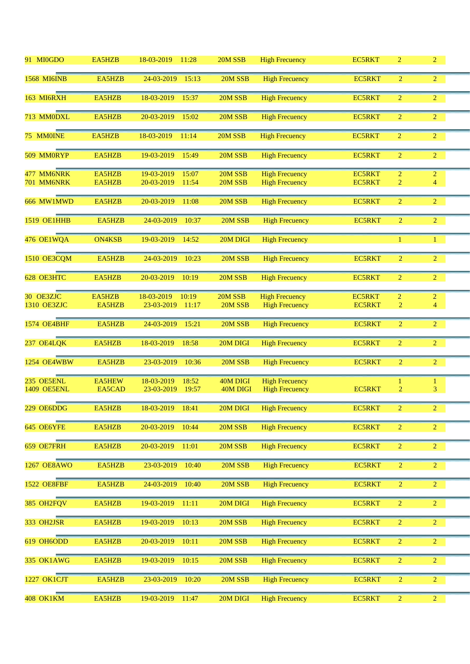| 91 MI0GDO                        | EA5HZB           | 18-03-2019<br>11:28                        | 20M SSB              | <b>High Frecuency</b>                          | <b>EC5RKT</b>                  | $\overline{2}$      | $\overline{2}$                   |  |
|----------------------------------|------------------|--------------------------------------------|----------------------|------------------------------------------------|--------------------------------|---------------------|----------------------------------|--|
| <b>1568 MI6INB</b>               | EA5HZB           | 24-03-2019<br>15:13                        | 20M SSB              | <b>High Frecuency</b>                          | <b>EC5RKT</b>                  | $\overline{2}$      | $\overline{2}$                   |  |
| <b>163 MI6RXH</b>                | EA5HZB           | 18-03-2019<br>15:37                        | 20M SSB              | <b>High Frecuency</b>                          | <b>EC5RKT</b>                  | $\overline{2}$      | $\overline{2}$                   |  |
| 713 MM0DXL                       | EA5HZB           | 20-03-2019<br>15:02                        | 20M SSB              | <b>High Frecuency</b>                          | <b>EC5RKT</b>                  | $\overline{2}$      | $\overline{2}$                   |  |
| 75 MM0INE                        | EA5HZB           | 18-03-2019<br>11:14                        | 20M SSB              | <b>High Frecuency</b>                          | <b>EC5RKT</b>                  | $\overline{2}$      | $\overline{2}$                   |  |
| 509 MM0RYP                       | EA5HZB           | 19-03-2019<br>15:49                        | 20M SSB              | <b>High Frecuency</b>                          | <b>EC5RKT</b>                  | $\overline{2}$      | $\overline{2}$                   |  |
| 477 MM6NRK<br>701 MM6NRK         | EA5HZB<br>EA5HZB | 19-03-2019<br>15:07<br>20-03-2019<br>11:54 | 20M SSB<br>20M SSB   | <b>High Frecuency</b><br><b>High Frecuency</b> | <b>EC5RKT</b><br><b>EC5RKT</b> | $\overline{2}$<br>2 | $\overline{2}$<br>$\overline{4}$ |  |
| 666 MW1MWD                       | EA5HZB           | 20-03-2019<br>11:08                        | 20M SSB              | <b>High Frecuency</b>                          | <b>EC5RKT</b>                  | $\overline{2}$      | $\overline{2}$                   |  |
| <b>1519 OE1HHB</b>               | EA5HZB           | 24-03-2019<br>10:37                        | 20M SSB              | <b>High Frecuency</b>                          | <b>EC5RKT</b>                  | $\overline{2}$      | $\overline{2}$                   |  |
| 476 OE1WQA                       | <b>ON4KSB</b>    | 19-03-2019<br>14:52                        | 20M DIGI             | <b>High Frecuency</b>                          |                                | 1                   | $\mathbf{1}$                     |  |
| 1510 OE3CQM                      | EA5HZB           | 24-03-2019<br>10:23                        | 20M SSB              | <b>High Frecuency</b>                          | <b>EC5RKT</b>                  | $\overline{2}$      | $\overline{2}$                   |  |
| 628 OE3HTC                       | EA5HZB           | 20-03-2019<br>10:19                        | 20M SSB              | <b>High Frecuency</b>                          | <b>EC5RKT</b>                  | $\overline{2}$      | $\overline{2}$                   |  |
| 30 OE3ZJC                        | EA5HZB           | 18-03-2019<br>10:19                        | 20M SSB              | <b>High Frecuency</b>                          | <b>EC5RKT</b>                  | $\overline{2}$      | $\overline{2}$                   |  |
| 1310 OE3ZJC                      | EA5HZB           | 23-03-2019<br>11:17                        | 20M SSB              | <b>High Frecuency</b>                          | <b>EC5RKT</b>                  | $\overline{2}$      | $\overline{4}$                   |  |
| <b>1574 OE4BHF</b>               | EA5HZB           | 24-03-2019<br>15:21                        | 20M SSB              | <b>High Frecuency</b>                          | <b>EC5RKT</b>                  | $\overline{2}$      | $\overline{2}$                   |  |
| 237 OE4LQK                       | EA5HZB           | 18-03-2019<br>18:58                        | 20M DIGI             | <b>High Frecuency</b>                          | <b>EC5RKT</b>                  | $\overline{2}$      | $\overline{2}$                   |  |
| <b>1254 OE4WBW</b>               | EA5HZB           | 23-03-2019<br>10:36                        | 20M SSB              | <b>High Frecuency</b>                          | <b>EC5RKT</b>                  | $\overline{2}$      | $\overline{2}$                   |  |
| 235 OE5ENL<br><b>1409 OE5ENL</b> | EA5HEW<br>EA5CAD | 18-03-2019<br>18:52<br>23-03-2019<br>19:57 | 40M DIGI<br>40M DIGI | <b>High Frecuency</b><br><b>High Frecuency</b> | <b>EC5RKT</b>                  | 1<br>$\overline{2}$ | $\mathbf{1}$<br>3                |  |
| 229 OE6DDG                       | EA5HZB           | 18-03-2019 18:41                           | 20M DIGI             | <b>High Frecuency</b>                          | <b>EC5RKT</b>                  | $\overline{c}$      |                                  |  |
| 645 OE6YFE                       | EA5HZB           | 20-03-2019<br>10:44                        | 20M SSB              | <b>High Frecuency</b>                          | <b>EC5RKT</b>                  | $\overline{2}$      | $\overline{2}$                   |  |
| 659 OE7FRH                       | EA5HZB           | 20-03-2019<br>11:01                        | 20M SSB              | <b>High Frecuency</b>                          | <b>EC5RKT</b>                  | 2                   | $\overline{2}$                   |  |
| 1267 OE8AWO                      | EA5HZB           | 23-03-2019<br>10:40                        | 20M SSB              | <b>High Frecuency</b>                          | <b>EC5RKT</b>                  | 2                   | $\overline{2}$                   |  |
| <b>1522 OE8FBF</b>               | EA5HZB           | 24-03-2019<br>10:40                        | 20M SSB              | <b>High Frecuency</b>                          | <b>EC5RKT</b>                  | $\overline{2}$      | $\overline{2}$                   |  |
| 385 OH2FQV                       | EA5HZB           | 19-03-2019<br>11:11                        | 20M DIGI             | <b>High Frecuency</b>                          | <b>EC5RKT</b>                  | $\overline{2}$      | $\overline{2}$                   |  |
| 333 OH2JSR                       | EA5HZB           | 19-03-2019<br>10:13                        | 20M SSB              | <b>High Frecuency</b>                          | <b>EC5RKT</b>                  | $\overline{2}$      | $\overline{2}$                   |  |
| 619 OH6ODD                       | EA5HZB           | 20-03-2019<br>10:11                        | 20M SSB              | <b>High Frecuency</b>                          | <b>EC5RKT</b>                  | $\overline{2}$      | $\overline{2}$                   |  |
| 335 OK1AWG                       | EA5HZB           | 19-03-2019<br>10:15                        | 20M SSB              | <b>High Frecuency</b>                          | <b>EC5RKT</b>                  | $\overline{2}$      | $\overline{2}$                   |  |
| 1227 OK1CJT                      | EA5HZB           | 23-03-2019<br>10:20                        | 20M SSB              | <b>High Frecuency</b>                          | <b>EC5RKT</b>                  | $\overline{2}$      | $\overline{2}$                   |  |
| <b>408 OK1KM</b>                 | EA5HZB           | 19-03-2019<br>11:47                        | 20M DIGI             | <b>High Frecuency</b>                          | <b>EC5RKT</b>                  | $\overline{2}$      | $\overline{2}$                   |  |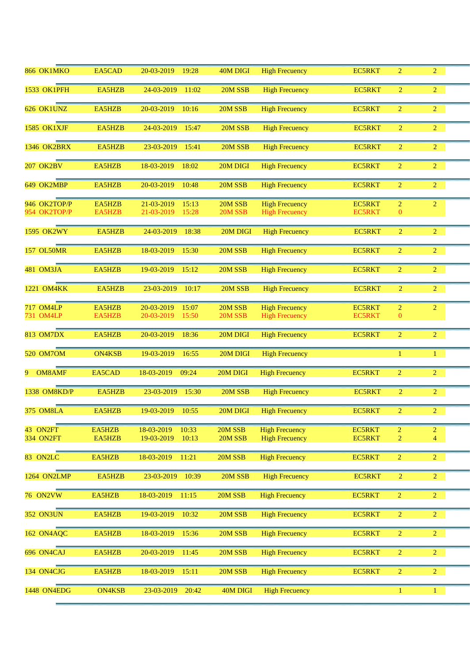| <b>866 OK1MKO</b>            | EA5CAD           | 20-03-2019<br>19:28                        | 40M DIGI           | <b>High Frecuency</b>                          | <b>EC5RKT</b>                  | $\overline{2}$                 | $\overline{2}$ |  |
|------------------------------|------------------|--------------------------------------------|--------------------|------------------------------------------------|--------------------------------|--------------------------------|----------------|--|
| <b>1533 OK1PFH</b>           | EA5HZB           | 24-03-2019<br>11:02                        | 20M SSB            | <b>High Frecuency</b>                          | <b>EC5RKT</b>                  | $\overline{2}$                 | $\overline{2}$ |  |
| 626 OK1UNZ                   | EA5HZB           | 20-03-2019<br>10:16                        | 20M SSB            | <b>High Frecuency</b>                          | <b>EC5RKT</b>                  | $\overline{2}$                 | $\overline{2}$ |  |
| 1585 OK1XJF                  | EA5HZB           | 24-03-2019<br>15:47                        | 20M SSB            | <b>High Frecuency</b>                          | <b>EC5RKT</b>                  | $\overline{2}$                 | $\overline{2}$ |  |
| 1346 OK2BRX                  | EA5HZB           | 23-03-2019<br>15:41                        | 20M SSB            | <b>High Frecuency</b>                          | <b>EC5RKT</b>                  | $\overline{2}$                 | $\overline{2}$ |  |
| <b>207 OK2BV</b>             | EA5HZB           | 18-03-2019<br>18:02                        | 20M DIGI           | <b>High Frecuency</b>                          | <b>EC5RKT</b>                  | $\overline{2}$                 | $\overline{2}$ |  |
| 649 OK2MBP                   | EA5HZB           | 20-03-2019<br>10:48                        | 20M SSB            | <b>High Frecuency</b>                          | <b>EC5RKT</b>                  | $\overline{2}$                 | $\overline{2}$ |  |
| 946 OK2TOP/P<br>954 OK2TOP/P | EA5HZB<br>EA5HZB | 21-03-2019<br>15:13<br>21-03-2019<br>15:28 | 20M SSB<br>20M SSB | <b>High Frecuency</b><br><b>High Frecuency</b> | <b>EC5RKT</b><br><b>EC5RKT</b> | $\overline{2}$<br>$\mathbf{0}$ | $\overline{2}$ |  |
| <b>1595 OK2WY</b>            | EA5HZB           | 24-03-2019<br>18:38                        | 20M DIGI           | <b>High Frecuency</b>                          | <b>EC5RKT</b>                  | $\overline{2}$                 | $\overline{2}$ |  |
|                              |                  |                                            |                    |                                                |                                |                                |                |  |
| <b>157 OL50MR</b>            | EA5HZB           | 18-03-2019<br>15:30                        | 20M SSB            | <b>High Frecuency</b>                          | <b>EC5RKT</b>                  | $\overline{2}$                 | $\overline{2}$ |  |
| 481 OM3JA                    | EA5HZB           | 19-03-2019<br>15:12                        | 20M SSB            | <b>High Frecuency</b>                          | <b>EC5RKT</b>                  | $\overline{2}$                 | $\overline{2}$ |  |
| 1221 OM4KK                   | EA5HZB           | 23-03-2019<br>10:17                        | 20M SSB            | <b>High Frecuency</b>                          | <b>EC5RKT</b>                  | $\overline{2}$                 | $\overline{2}$ |  |
| <b>717 OM4LP</b>             | EA5HZB           | 20-03-2019<br>15:07                        | 20M SSB            | <b>High Frecuency</b>                          | <b>EC5RKT</b>                  | $\overline{2}$                 | $\overline{2}$ |  |
| 731 OM4LP                    | EA5HZB           | 20-03-2019<br>15:50                        | 20M SSB            | <b>High Frecuency</b>                          | <b>EC5RKT</b>                  | $\mathbf{0}$                   |                |  |
| <b>813 OM7DX</b>             | EA5HZB           | 20-03-2019<br>18:36                        | 20M DIGI           | <b>High Frecuency</b>                          | <b>EC5RKT</b>                  | $\overline{2}$                 | $\overline{2}$ |  |
| 520 OM7OM                    | <b>ON4KSB</b>    | 19-03-2019<br>16:55                        | 20M DIGI           | <b>High Frecuency</b>                          |                                | $\mathbf{1}$                   | 1              |  |
| OM8AMF<br>9.                 | EA5CAD           | 18-03-2019<br>09:24                        | 20M DIGI           | <b>High Frecuency</b>                          | <b>EC5RKT</b>                  | $\overline{2}$                 | $\overline{2}$ |  |
| 1338 OM8KD/P                 | EA5HZB           | 23-03-2019<br>15:30                        | 20M SSB            | <b>High Frecuency</b>                          | <b>EC5RKT</b>                  | $\overline{2}$                 | $\overline{2}$ |  |
| <b>375 OM8LA</b>             | EA5HZB           | 19-03-2019<br>10:55                        | 20M DIGI           | <b>High Frecuency</b>                          | <b>EC5RKT</b>                  | $\overline{2}$                 | $\overline{2}$ |  |
| 43 ON2FT                     | EA5HZB           | 18-03-2019<br>10:33                        | 20M SSB            | <b>High Frecuency</b>                          | <b>EC5RKT</b>                  | $\overline{2}$                 | $\overline{2}$ |  |
| <b>334 ON2FT</b>             | EA5HZB           | 10:13<br>19-03-2019                        | 20M SSB            | <b>High Frecuency</b>                          | <b>EC5RKT</b>                  | $\overline{c}$                 | $\overline{4}$ |  |
| 83 ON2LC                     | EA5HZB           | 18-03-2019<br>11:21                        | 20M SSB            | <b>High Frecuency</b>                          | EC5RKT                         | $\overline{2}$                 | $\overline{2}$ |  |
| <b>1264 ON2LMP</b>           | EA5HZB           | 23-03-2019<br>10:39                        | 20M SSB            | <b>High Frecuency</b>                          | EC5RKT                         | $\overline{2}$                 | $\overline{2}$ |  |
| <b>76 ON2VW</b>              | EA5HZB           | 18-03-2019<br>11:15                        | 20M SSB            | <b>High Frecuency</b>                          | <b>EC5RKT</b>                  | $\overline{2}$                 | $\overline{2}$ |  |
| <b>352 ON3UN</b>             | EA5HZB           | 19-03-2019<br>10:32                        | 20M SSB            | <b>High Frecuency</b>                          | <b>EC5RKT</b>                  | $\overline{2}$                 | $\overline{2}$ |  |
| 162 ON4AQC                   | EA5HZB           | 18-03-2019<br>15:36                        | 20M SSB            | <b>High Frecuency</b>                          | <b>EC5RKT</b>                  | $\overline{2}$                 | $\overline{2}$ |  |
| 696 ON4CAJ                   | EA5HZB           | 20-03-2019<br>11:45                        | 20M SSB            | <b>High Frecuency</b>                          | <b>EC5RKT</b>                  | $\overline{2}$                 | $\overline{2}$ |  |
| 134 ON4CJG                   | EA5HZB           | 18-03-2019<br>15:11                        | 20M SSB            | <b>High Frecuency</b>                          | <b>EC5RKT</b>                  | $\overline{2}$                 | $\overline{2}$ |  |
| 1448 ON4EDG                  | <b>ON4KSB</b>    | 20:42<br>23-03-2019                        | 40M DIGI           | <b>High Frecuency</b>                          |                                | 1                              | $\mathbf{1}$   |  |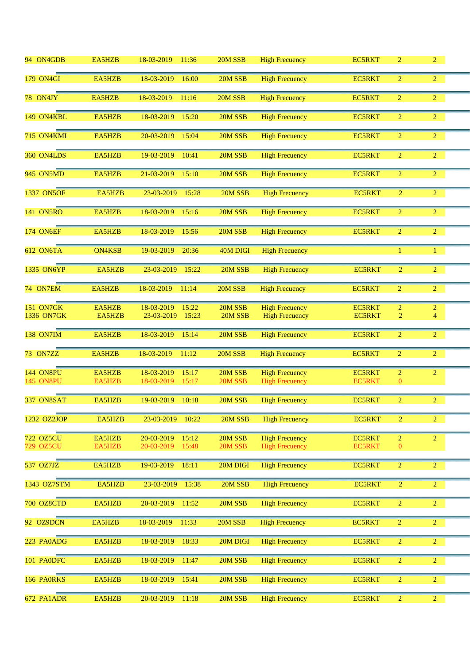| 94 ON4GDB              | EA5HZB           | 18-03-2019<br>11:36                        | 20M SSB            | <b>High Frecuency</b>                          | <b>EC5RKT</b>                  | $\overline{2}$             | $\overline{2}$ |  |
|------------------------|------------------|--------------------------------------------|--------------------|------------------------------------------------|--------------------------------|----------------------------|----------------|--|
| <b>179 ON4GI</b>       | EA5HZB           | 18-03-2019<br>16:00                        | 20M SSB            | <b>High Frecuency</b>                          | <b>EC5RKT</b>                  | $\overline{2}$             | $\overline{2}$ |  |
| 78 ON4JY               | EA5HZB           | 18-03-2019<br>11:16                        | 20M SSB            | <b>High Frecuency</b>                          | <b>EC5RKT</b>                  | $\overline{2}$             | $\overline{2}$ |  |
| 149 ON4KBL             | EA5HZB           | 18-03-2019<br>15:20                        | 20M SSB            | <b>High Frecuency</b>                          | <b>EC5RKT</b>                  | $\overline{2}$             | $\overline{2}$ |  |
| 715 ON4KML             | EA5HZB           | 20-03-2019<br>15:04                        | 20M SSB            | <b>High Frecuency</b>                          | <b>EC5RKT</b>                  | $\overline{2}$             | $\overline{2}$ |  |
| 360 ON4LDS             | EA5HZB           | 19-03-2019<br>10:41                        | 20M SSB            | <b>High Frecuency</b>                          | <b>EC5RKT</b>                  | $\overline{2}$             | $\overline{2}$ |  |
| 945 ON5MD              | EA5HZB           | 21-03-2019<br>15:10                        | 20M SSB            | <b>High Frecuency</b>                          | <b>EC5RKT</b>                  | $\overline{2}$             | $\overline{2}$ |  |
| 1337 ON5OF             | EA5HZB           | 23-03-2019<br>15:28                        | 20M SSB            | <b>High Frecuency</b>                          | <b>EC5RKT</b>                  | $\overline{2}$             | $\overline{2}$ |  |
| 141 ON5RO              | EA5HZB           | 18-03-2019<br>15:16                        | 20M SSB            | <b>High Frecuency</b>                          | <b>EC5RKT</b>                  | $\overline{2}$             | $\overline{2}$ |  |
| <b>174 ON6EF</b>       | EA5HZB           | 18-03-2019<br>15:56                        | 20M SSB            | <b>High Frecuency</b>                          | <b>EC5RKT</b>                  | $\overline{2}$             | $\overline{2}$ |  |
| <b>612 ON6TA</b>       | <b>ON4KSB</b>    | 19-03-2019<br>20:36                        | 40M DIGI           | <b>High Frecuency</b>                          |                                | 1                          | $\mathbf{1}$   |  |
| 1335 ON6YP             | EA5HZB           | 23-03-2019<br>15:22                        | 20M SSB            | <b>High Frecuency</b>                          | <b>EC5RKT</b>                  | $\overline{2}$             | $\overline{2}$ |  |
| 74 ON7EM               | EA5HZB           | 18-03-2019<br>11:14                        | 20M SSB            | <b>High Frecuency</b>                          | <b>EC5RKT</b>                  | $\overline{2}$             | $\overline{2}$ |  |
| <b>151 ON7GK</b>       | EA5HZB           | 18-03-2019<br>15:22                        | 20M SSB            | <b>High Frecuency</b>                          | <b>EC5RKT</b>                  | $\overline{2}$             | $\overline{c}$ |  |
| 1336 ON7GK             | EA5HZB           | 23-03-2019<br>15:23                        | 20M SSB            | <b>High Frecuency</b>                          | <b>EC5RKT</b>                  | $\overline{2}$             | $\overline{4}$ |  |
| 138 ON7IM              | EA5HZB           | 18-03-2019<br>15:14                        | 20M SSB            | <b>High Frecuency</b>                          | <b>EC5RKT</b>                  | $\overline{2}$             | $\overline{2}$ |  |
| 73 ON7ZZ               | EA5HZB           | 18-03-2019<br>11:12                        | 20M SSB            | <b>High Frecuency</b>                          | <b>EC5RKT</b>                  | $\overline{2}$             | $\overline{2}$ |  |
| <b>144 ON8PU</b>       | EA5HZB           | 18-03-2019<br>15:17                        | 20M SSB            | <b>High Frecuency</b>                          | <b>EC5RKT</b>                  | $\overline{2}$             | $\overline{2}$ |  |
| <b>145 ON8PU</b>       | EA5HZB           | 18-03-2019<br>15:17                        | 20M SSB            | <b>High Frecuency</b>                          | <b>EC5RKT</b>                  | $\bf{0}$                   |                |  |
| 337 ON8SAT             | EA5HZB           | 19-03-2019<br>10:18                        | 20M SSB            | <b>High Frecuency</b>                          | <b>EC5RKT</b>                  | $\overline{2}$             | $\overline{2}$ |  |
| 1232 OZ2JOP            | EA5HZB           | 23-03-2019<br>10:22                        | 20M SSB            | <b>High Frecuency</b>                          | <b>EC5RKT</b>                  | $\overline{2}$             | $\overline{2}$ |  |
| 722 OZ5CU<br>729 OZ5CU | EA5HZB<br>EA5HZB | 20-03-2019<br>15:12<br>20-03-2019<br>15:48 | 20M SSB<br>20M SSB | <b>High Frecuency</b><br><b>High Frecuency</b> | <b>EC5RKT</b><br><b>EC5RKT</b> | $\overline{2}$<br>$\bf{0}$ | $\overline{2}$ |  |
| 537 OZ7JZ              | EA5HZB           | 19-03-2019<br>18:11                        | 20M DIGI           | <b>High Frecuency</b>                          | EC5RKT                         | $\overline{2}$             | $\overline{2}$ |  |
|                        |                  |                                            |                    |                                                |                                |                            |                |  |
| 1343 OZ7STM            | EA5HZB           | 23-03-2019<br>15:38                        | 20M SSB            | <b>High Frecuency</b>                          | <b>EC5RKT</b>                  | $\overline{2}$             | $\overline{2}$ |  |
| <b>700 OZ8CTD</b>      | EA5HZB           | 20-03-2019<br>11:52                        | 20M SSB            | <b>High Frecuency</b>                          | EC5RKT                         | $\overline{2}$             | $\overline{2}$ |  |
| 92 OZ9DCN              | EA5HZB           | 18-03-2019<br>11:33                        | 20M SSB            | <b>High Frecuency</b>                          | <b>EC5RKT</b>                  | $\overline{2}$             | $\overline{2}$ |  |
| 223 PA0ADG             | EA5HZB           | 18-03-2019<br>18:33                        | 20M DIGI           | <b>High Frecuency</b>                          | <b>EC5RKT</b>                  | 2                          | $\overline{2}$ |  |
| 101 PA0DFC             | EA5HZB           | 18-03-2019<br>11:47                        | 20M SSB            | <b>High Frecuency</b>                          | EC5RKT                         | $\overline{2}$             | $\overline{2}$ |  |
| 166 PAORKS             | EA5HZB           | 18-03-2019<br>15:41                        | 20M SSB            | <b>High Frecuency</b>                          | <b>EC5RKT</b>                  | $\overline{2}$             | $\overline{2}$ |  |
| 672 PA1ADR             | EA5HZB           | 20-03-2019<br>11:18                        | 20M SSB            | <b>High Frecuency</b>                          | <b>EC5RKT</b>                  | $\overline{2}$             | $\overline{2}$ |  |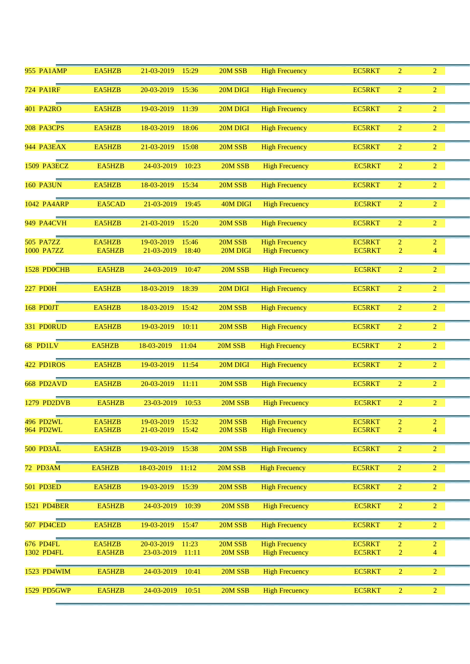| <b>955 PA1AMP</b>  | EA5HZB | 21-03-2019<br>15:29 | 20M SSB  | <b>High Frecuency</b> | <b>EC5RKT</b> | $\overline{2}$ | $\overline{2}$ |  |
|--------------------|--------|---------------------|----------|-----------------------|---------------|----------------|----------------|--|
| <b>724 PA1RF</b>   | EA5HZB | 20-03-2019<br>15:36 | 20M DIGI | <b>High Frecuency</b> | <b>EC5RKT</b> | $\overline{2}$ | $\overline{2}$ |  |
| <b>401 PA2RO</b>   | EA5HZB | 19-03-2019<br>11:39 | 20M DIGI | <b>High Frecuency</b> | <b>EC5RKT</b> | $\overline{2}$ | $\overline{2}$ |  |
| 208 PA3CPS         | EA5HZB | 18-03-2019<br>18:06 | 20M DIGI | <b>High Frecuency</b> | <b>EC5RKT</b> | $\overline{2}$ | $\overline{2}$ |  |
| 944 PA3EAX         | EA5HZB | 21-03-2019<br>15:08 | 20M SSB  | <b>High Frecuency</b> | <b>EC5RKT</b> | $\overline{2}$ | $\overline{2}$ |  |
| 1509 PA3ECZ        | EA5HZB | 24-03-2019<br>10:23 | 20M SSB  | <b>High Frecuency</b> | <b>EC5RKT</b> | $\overline{2}$ | $\overline{2}$ |  |
| <b>160 PA3UN</b>   | EA5HZB | 18-03-2019<br>15:34 | 20M SSB  | <b>High Frecuency</b> | <b>EC5RKT</b> | $\overline{2}$ | $\overline{2}$ |  |
| 1042 PA4ARP        | EA5CAD | 21-03-2019<br>19:45 | 40M DIGI | <b>High Frecuency</b> | <b>EC5RKT</b> | 2              | $\overline{2}$ |  |
| 949 PA4CVH         | EA5HZB | 21-03-2019<br>15:20 | 20M SSB  | <b>High Frecuency</b> | <b>EC5RKT</b> | $\overline{2}$ | $\overline{2}$ |  |
|                    |        |                     |          |                       |               |                |                |  |
| <b>505 PA7ZZ</b>   | EA5HZB | 19-03-2019<br>15:46 | 20M SSB  | <b>High Frecuency</b> | <b>EC5RKT</b> | $\overline{2}$ | $\overline{2}$ |  |
| 1000 PA7ZZ         | EA5HZB | 21-03-2019<br>18:40 | 20M DIGI | <b>High Frecuency</b> | <b>EC5RKT</b> | $\overline{2}$ | $\overline{4}$ |  |
| 1528 PDOCHB        | EA5HZB | 24-03-2019<br>10:47 | 20M SSB  | <b>High Frecuency</b> | <b>EC5RKT</b> | $\overline{2}$ | $\overline{2}$ |  |
| <b>227 PD0H</b>    | EA5HZB | 18-03-2019<br>18:39 | 20M DIGI | <b>High Frecuency</b> | <b>EC5RKT</b> | $\overline{2}$ | $\overline{2}$ |  |
| 168 PD0JT          | EA5HZB | 18-03-2019<br>15:42 | 20M SSB  | <b>High Frecuency</b> | <b>EC5RKT</b> | $\overline{2}$ | $\overline{2}$ |  |
| 331 PD0RUD         | EA5HZB | 19-03-2019<br>10:11 | 20M SSB  | <b>High Frecuency</b> | <b>EC5RKT</b> | $\overline{2}$ | $\overline{2}$ |  |
| 68 PD1LV           | EA5HZB | 18-03-2019<br>11:04 | 20M SSB  | <b>High Frecuency</b> | <b>EC5RKT</b> | $\overline{2}$ | $\overline{2}$ |  |
| 422 PD1ROS         | EA5HZB | 19-03-2019<br>11:54 | 20M DIGI | <b>High Frecuency</b> | <b>EC5RKT</b> | $\overline{2}$ | $\overline{2}$ |  |
| 668 PD2AVD         | EA5HZB | 20-03-2019<br>11:11 | 20M SSB  | <b>High Frecuency</b> | <b>EC5RKT</b> | $\overline{2}$ | $\overline{2}$ |  |
| 1279 PD2DVB        | EA5HZB | 23-03-2019<br>10:53 | 20M SSB  | <b>High Frecuency</b> | <b>EC5RKT</b> | $\overline{2}$ | $\overline{2}$ |  |
| 496 PD2WL          | EA5HZB | 19-03-2019<br>15:32 | 20M SSB  | <b>High Frecuency</b> | <b>EC5RKT</b> | $\overline{2}$ | $\overline{2}$ |  |
| 964 PD2WL          | EA5HZB | 21-03-2019<br>15:42 | 20M SSB  | <b>High Frecuency</b> | <b>EC5RKT</b> | $\overline{2}$ | $\overline{4}$ |  |
| 500 PD3AL          | EA5HZB | 19-03-2019<br>15:38 | 20M SSB  | <b>High Frecuency</b> | <b>EC5RKT</b> | $\overline{2}$ | $\overline{2}$ |  |
| 72 PD3AM           | EA5HZB | 18-03-2019<br>11:12 | 20M SSB  | <b>High Frecuency</b> | <b>EC5RKT</b> | $\overline{2}$ | $\overline{2}$ |  |
| 501 PD3ED          | EA5HZB | 15:39<br>19-03-2019 | 20M SSB  | <b>High Frecuency</b> | <b>EC5RKT</b> | $\overline{2}$ | $\overline{2}$ |  |
| <b>1521 PD4BER</b> | EA5HZB | 10:39<br>24-03-2019 | 20M SSB  | <b>High Frecuency</b> | <b>EC5RKT</b> | $\overline{2}$ | $\overline{2}$ |  |
| 507 PD4CED         | EA5HZB | 19-03-2019<br>15:47 | 20M SSB  | <b>High Frecuency</b> | EC5RKT        | $\overline{2}$ | $\overline{2}$ |  |
| 676 PD4FL          | EA5HZB | 20-03-2019<br>11:23 | 20M SSB  | <b>High Frecuency</b> | <b>EC5RKT</b> | $\overline{2}$ | $\overline{2}$ |  |
| 1302 PD4FL         | EA5HZB | 11:11<br>23-03-2019 | 20M SSB  | <b>High Frecuency</b> | <b>EC5RKT</b> | $\overline{2}$ | $\overline{4}$ |  |
|                    |        |                     |          |                       |               |                |                |  |
| 1523 PD4WIM        | EA5HZB | 24-03-2019<br>10:41 | 20M SSB  | <b>High Frecuency</b> | <b>EC5RKT</b> | $\overline{2}$ | $\overline{2}$ |  |
| 1529 PD5GWP        | EA5HZB | 24-03-2019<br>10:51 | 20M SSB  | <b>High Frecuency</b> | <b>EC5RKT</b> | $\overline{2}$ | $\overline{2}$ |  |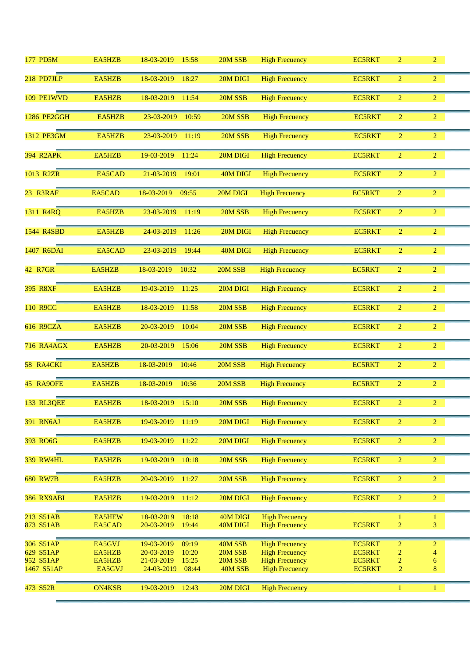| 177 PD5M               | EA5HZB           | 18-03-2019<br>15:58                        | 20M SSB              | <b>High Frecuency</b>                          | <b>EC5RKT</b>                  | $\overline{2}$                   | $\overline{2}$                   |  |
|------------------------|------------------|--------------------------------------------|----------------------|------------------------------------------------|--------------------------------|----------------------------------|----------------------------------|--|
| 218 PD7JLP             | EA5HZB           | 18-03-2019<br>18:27                        | 20M DIGI             | <b>High Frecuency</b>                          | <b>EC5RKT</b>                  | $\overline{2}$                   | $\overline{2}$                   |  |
| 109 PE1WVD             | EA5HZB           | 18-03-2019<br>11:54                        | 20M SSB              | <b>High Frecuency</b>                          | <b>EC5RKT</b>                  | $\overline{2}$                   | $\overline{2}$                   |  |
| <b>1286 PE2GGH</b>     | EA5HZB           | 23-03-2019<br>10:59                        | 20M SSB              | <b>High Frecuency</b>                          | <b>EC5RKT</b>                  | $\overline{2}$                   | $\overline{2}$                   |  |
| 1312 PE3GM             | EA5HZB           | 23-03-2019<br>11:19                        | 20M SSB              | <b>High Frecuency</b>                          | <b>EC5RKT</b>                  | $\overline{2}$                   | $\overline{2}$                   |  |
| <b>394 R2APK</b>       | EA5HZB           | 19-03-2019<br>11:24                        | 20M DIGI             | <b>High Frecuency</b>                          | <b>EC5RKT</b>                  | $\overline{2}$                   | $\overline{2}$                   |  |
| 1013 R2ZR              | EA5CAD           | 21-03-2019<br>19:01                        | 40M DIGI             | <b>High Frecuency</b>                          | <b>EC5RKT</b>                  | $\overline{2}$                   | $\overline{2}$                   |  |
| 23 R3RAF               | EA5CAD           | 18-03-2019<br>09:55                        | 20M DIGI             | <b>High Frecuency</b>                          | <b>EC5RKT</b>                  | $\overline{2}$                   | $\overline{2}$                   |  |
| 1311 R4RQ              | EA5HZB           | 23-03-2019<br>11:19                        | 20M SSB              | <b>High Frecuency</b>                          | <b>EC5RKT</b>                  | $\overline{2}$                   | $\overline{2}$                   |  |
| 1544 R4SBD             | EA5HZB           | 24-03-2019<br>11:26                        | 20M DIGI             | <b>High Frecuency</b>                          | <b>EC5RKT</b>                  | $\overline{2}$                   | $\overline{2}$                   |  |
| 1407 R6DAI             | EA5CAD           | 23-03-2019<br>19:44                        | 40M DIGI             | <b>High Frecuency</b>                          | <b>EC5RKT</b>                  | $\overline{2}$                   | $\overline{2}$                   |  |
| 42 R7GR                | EA5HZB           | 18-03-2019<br>10:32                        | 20M SSB              | <b>High Frecuency</b>                          | <b>EC5RKT</b>                  | $\overline{2}$                   | $\overline{2}$                   |  |
| 395 R8XF               | EA5HZB           | 19-03-2019<br>11:25                        | 20M DIGI             | <b>High Frecuency</b>                          | <b>EC5RKT</b>                  | $\overline{2}$                   | $\overline{2}$                   |  |
| 110 R9CC               | EA5HZB           | 18-03-2019<br>11:58                        | 20M SSB              | <b>High Frecuency</b>                          | <b>EC5RKT</b>                  | $\overline{2}$                   | $\overline{2}$                   |  |
| <b>616 R9CZA</b>       | EA5HZB           | 20-03-2019<br>10:04                        | 20M SSB              | <b>High Frecuency</b>                          | <b>EC5RKT</b>                  | $\overline{2}$                   | $\overline{2}$                   |  |
| <b>716 RA4AGX</b>      | EA5HZB           | 20-03-2019<br>15:06                        | 20M SSB              | <b>High Frecuency</b>                          | <b>EC5RKT</b>                  | $\overline{2}$                   | $\overline{2}$                   |  |
| 58 RA4CKI              | EA5HZB           | 18-03-2019<br>10:46                        | 20M SSB              | <b>High Frecuency</b>                          | <b>EC5RKT</b>                  | $\overline{2}$                   | $\overline{2}$                   |  |
| 45 RA9OFE              | EA5HZB           | 18-03-2019<br>10:36                        | 20M SSB              | <b>High Frecuency</b>                          | <b>EC5RKT</b>                  | $\overline{2}$                   | $\overline{2}$                   |  |
| 133 RL3QEE             | EA5HZB           | 18-03-2019<br>15:10                        | 20M SSB              | <b>High Frecuency</b>                          | <b>EC5RKT</b>                  | $\overline{2}$                   | $\overline{2}$                   |  |
| <b>391 RN6AJ</b>       | EA5HZB           | 19-03-2019<br>11:19                        | 20M DIGI             | <b>High Frecuency</b>                          | <b>EC5RKT</b>                  | $\overline{2}$                   | $\overline{2}$                   |  |
| 393 RO6G               | EA5HZB           | 19-03-2019<br>11:22                        | 20M DIGI             | <b>High Frecuency</b>                          | <b>EC5RKT</b>                  | $\overline{2}$                   | $\overline{2}$                   |  |
| <b>339 RW4HL</b>       | EA5HZB           | 19-03-2019<br>10:18                        | 20M SSB              | <b>High Frecuency</b>                          | <b>EC5RKT</b>                  | $\overline{2}$                   | $\overline{2}$                   |  |
| <b>680 RW7B</b>        | EA5HZB           | 20-03-2019<br>11:27                        | 20M SSB              | <b>High Frecuency</b>                          | <b>EC5RKT</b>                  | $\overline{2}$                   | $\overline{2}$                   |  |
| <b>386 RX9ABI</b>      | EA5HZB           | 19-03-2019<br>11:12                        | 20M DIGI             | <b>High Frecuency</b>                          | <b>EC5RKT</b>                  | $\overline{2}$                   | $\overline{2}$                   |  |
| 213 S51AB<br>873 S51AB | EA5HEW<br>EA5CAD | 18-03-2019<br>18:18<br>19:44<br>20-03-2019 | 40M DIGI<br>40M DIGI | <b>High Frecuency</b><br><b>High Frecuency</b> | <b>EC5RKT</b>                  | 1<br>$\overline{2}$              | 1<br>3                           |  |
|                        |                  |                                            |                      |                                                |                                |                                  |                                  |  |
| 306 S51AP<br>629 S51AP | EA5GVJ<br>EA5HZB | 19-03-2019<br>09:19<br>20-03-2019<br>10:20 | 40M SSB<br>20M SSB   | <b>High Frecuency</b><br><b>High Frecuency</b> | <b>EC5RKT</b><br><b>EC5RKT</b> | $\overline{2}$<br>$\overline{2}$ | $\overline{c}$<br>$\overline{4}$ |  |
| 952 S51AP              | EA5HZB           | 21-03-2019<br>15:25                        | 20M SSB              | <b>High Frecuency</b>                          | <b>EC5RKT</b>                  | 2                                | 6                                |  |
| 1467 S51AP             | EA5GVJ           | 08:44<br>24-03-2019                        | 40M SSB              | <b>High Frecuency</b>                          | <b>EC5RKT</b>                  | $\overline{2}$                   | 8                                |  |
| 473 S52R               | <b>ON4KSB</b>    | 19-03-2019<br>12:43                        | 20M DIGI             | <b>High Frecuency</b>                          |                                | $\mathbf{1}$                     | $\mathbf{1}$                     |  |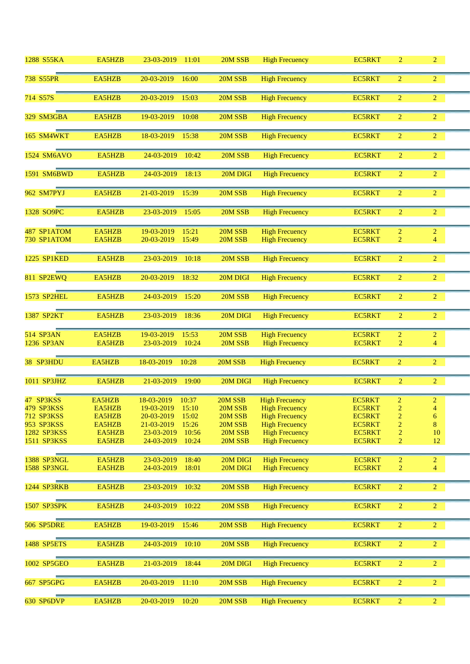| 1288 S55KA                                                                        | EA5HZB                                                   | 23-03-2019<br>11:01                                                                                                                 | 20M SSB                                                        | <b>High Frecuency</b>                                                                                                                              | <b>EC5RKT</b>                                                                                      | $\overline{2}$                                                                              | $\overline{2}$                                                        |  |
|-----------------------------------------------------------------------------------|----------------------------------------------------------|-------------------------------------------------------------------------------------------------------------------------------------|----------------------------------------------------------------|----------------------------------------------------------------------------------------------------------------------------------------------------|----------------------------------------------------------------------------------------------------|---------------------------------------------------------------------------------------------|-----------------------------------------------------------------------|--|
| 738 S55PR                                                                         | EA5HZB                                                   | 20-03-2019<br>16:00                                                                                                                 | 20M SSB                                                        | <b>High Frecuency</b>                                                                                                                              | <b>EC5RKT</b>                                                                                      | $\overline{2}$                                                                              | $\overline{2}$                                                        |  |
| 714 S57S                                                                          | EA5HZB                                                   | 20-03-2019<br>15:03                                                                                                                 | 20M SSB                                                        | <b>High Frecuency</b>                                                                                                                              | <b>EC5RKT</b>                                                                                      | $\overline{2}$                                                                              | $\overline{2}$                                                        |  |
| 329 SM3GBA                                                                        | EA5HZB                                                   | 19-03-2019<br>10:08                                                                                                                 | 20M SSB                                                        | <b>High Frecuency</b>                                                                                                                              | <b>EC5RKT</b>                                                                                      | $\overline{2}$                                                                              | $\overline{2}$                                                        |  |
| 165 SM4WKT                                                                        | EA5HZB                                                   | 15:38<br>18-03-2019                                                                                                                 | 20M SSB                                                        | <b>High Frecuency</b>                                                                                                                              | <b>EC5RKT</b>                                                                                      | $\overline{2}$                                                                              | $\overline{2}$                                                        |  |
| 1524 SM6AVO                                                                       | EA5HZB                                                   | 24-03-2019<br>10:42                                                                                                                 | 20M SSB                                                        | <b>High Frecuency</b>                                                                                                                              | <b>EC5RKT</b>                                                                                      | $\overline{2}$                                                                              | $\overline{2}$                                                        |  |
| 1591 SM6BWD                                                                       | EA5HZB                                                   | 24-03-2019<br>18:13                                                                                                                 | 20M DIGI                                                       | <b>High Frecuency</b>                                                                                                                              | <b>EC5RKT</b>                                                                                      | $\overline{2}$                                                                              | $\overline{2}$                                                        |  |
| 962 SM7PYJ                                                                        | EA5HZB                                                   | 21-03-2019<br>15:39                                                                                                                 | 20M SSB                                                        | <b>High Frecuency</b>                                                                                                                              | <b>EC5RKT</b>                                                                                      | $\overline{2}$                                                                              | $\overline{2}$                                                        |  |
| 1328 SO9PC                                                                        | EA5HZB                                                   | 23-03-2019<br>15:05                                                                                                                 | 20M SSB                                                        | <b>High Frecuency</b>                                                                                                                              | <b>EC5RKT</b>                                                                                      | $\overline{2}$                                                                              | $\overline{2}$                                                        |  |
| 487 SP1ATOM<br>730 SP1ATOM                                                        | EA5HZB<br>EA5HZB                                         | 19-03-2019<br>15:21<br>20-03-2019<br>15:49                                                                                          | 20M SSB<br>20M SSB                                             | <b>High Frecuency</b><br><b>High Frecuency</b>                                                                                                     | <b>EC5RKT</b><br><b>EC5RKT</b>                                                                     | $\overline{c}$<br>2                                                                         | $\overline{c}$<br>4                                                   |  |
| 1225 SP1KED                                                                       | EA5HZB                                                   | 23-03-2019<br>10:18                                                                                                                 | 20M SSB                                                        | <b>High Frecuency</b>                                                                                                                              | <b>EC5RKT</b>                                                                                      | $\overline{2}$                                                                              | $\overline{2}$                                                        |  |
| 811 SP2EWQ                                                                        | EA5HZB                                                   | 20-03-2019<br>18:32                                                                                                                 | 20M DIGI                                                       | <b>High Frecuency</b>                                                                                                                              | <b>EC5RKT</b>                                                                                      | $\overline{2}$                                                                              | $\overline{2}$                                                        |  |
| <b>1573 SP2HEL</b>                                                                | EA5HZB                                                   | 24-03-2019<br>15:20                                                                                                                 | 20M SSB                                                        | <b>High Frecuency</b>                                                                                                                              | <b>EC5RKT</b>                                                                                      | $\overline{2}$                                                                              | $\overline{2}$                                                        |  |
| 1387 SP2KT                                                                        | EA5HZB                                                   | 23-03-2019<br>18:36                                                                                                                 | 20M DIGI                                                       | <b>High Frecuency</b>                                                                                                                              | <b>EC5RKT</b>                                                                                      | $\overline{2}$                                                                              | $\overline{2}$                                                        |  |
| 514 SP3AN<br>1236 SP3AN                                                           | EA5HZB<br>EA5HZB                                         | 19-03-2019<br>15:53<br>23-03-2019<br>10:24                                                                                          | 20M SSB<br>20M SSB                                             | <b>High Frecuency</b><br><b>High Frecuency</b>                                                                                                     | <b>EC5RKT</b><br><b>EC5RKT</b>                                                                     | $\overline{2}$<br>$\overline{2}$                                                            | $\overline{2}$<br>$\overline{4}$                                      |  |
| 38 SP3HDU                                                                         | EA5HZB                                                   | 18-03-2019<br>10:28                                                                                                                 | 20M SSB                                                        | <b>High Frecuency</b>                                                                                                                              | EC5RKT                                                                                             | $\overline{2}$                                                                              | $\overline{2}$                                                        |  |
| 1011 SP3JHZ                                                                       | EA5HZB                                                   | 21-03-2019<br>19:00                                                                                                                 | 20M DIGI                                                       | <b>High Frecuency</b>                                                                                                                              | <b>EC5RKT</b>                                                                                      | $\overline{2}$                                                                              | $\overline{2}$                                                        |  |
| 47 SP3KSS<br>479 SP3KSS<br>712 SP3KSS<br>953 SP3KSS<br>1282 SP3KSS<br>1511 SP3KSS | EA5HZB<br>EA5HZB<br>EA5HZB<br>EA5HZB<br>EA5HZB<br>EA5HZB | 18-03-2019<br>10:37<br>19-03-2019 15:10<br>20-03-2019<br>15:02<br>21-03-2019<br>15:26<br>23-03-2019<br>10:56<br>24-03-2019<br>10:24 | 20M SSB<br>20M SSB<br>20M SSB<br>20M SSB<br>20M SSB<br>20M SSB | <b>High Frecuency</b><br><b>High Frecuency</b><br><b>High Frecuency</b><br><b>High Frecuency</b><br><b>High Frecuency</b><br><b>High Frecuency</b> | <b>EC5RKT</b><br><b>EC5RKT</b><br><b>EC5RKT</b><br><b>EC5RKT</b><br><b>EC5RKT</b><br><b>EC5RKT</b> | $\overline{c}$<br>$\overline{2}$<br>$\overline{2}$<br>2<br>$\overline{c}$<br>$\overline{2}$ | $\overline{2}$<br>$\overline{4}$<br>$\boldsymbol{6}$<br>8<br>10<br>12 |  |
| 1388 SP3NGL<br><b>1588 SP3NGL</b>                                                 | EA5HZB<br>EA5HZB                                         | 18:40<br>23-03-2019<br>18:01<br>24-03-2019                                                                                          | 20M DIGI<br>20M DIGI                                           | <b>High Frecuency</b><br><b>High Frecuency</b>                                                                                                     | <b>EC5RKT</b><br><b>EC5RKT</b>                                                                     | $\overline{2}$<br>$\overline{2}$                                                            | $\overline{2}$<br>$\overline{4}$                                      |  |
| 1244 SP3RKB                                                                       | EA5HZB                                                   | 23-03-2019<br>10:32                                                                                                                 | 20M SSB                                                        | <b>High Frecuency</b>                                                                                                                              | <b>EC5RKT</b>                                                                                      | $\overline{2}$                                                                              | $\overline{2}$                                                        |  |
| 1507 SP3SPK                                                                       | EA5HZB                                                   | 10:22<br>24-03-2019                                                                                                                 | 20M SSB                                                        | <b>High Frecuency</b>                                                                                                                              | <b>EC5RKT</b>                                                                                      | $\overline{2}$                                                                              | $\overline{2}$                                                        |  |
| <b>506 SP5DRE</b>                                                                 | EA5HZB                                                   | 15:46<br>19-03-2019                                                                                                                 | 20M SSB                                                        | <b>High Frecuency</b>                                                                                                                              | EC5RKT                                                                                             | $\overline{2}$                                                                              | $\overline{2}$                                                        |  |
| 1488 SP5ETS                                                                       | EA5HZB                                                   | 24-03-2019<br>10:10                                                                                                                 | 20M SSB                                                        | <b>High Frecuency</b>                                                                                                                              | <b>EC5RKT</b>                                                                                      | $\overline{2}$                                                                              | $\overline{2}$                                                        |  |
| 1002 SP5GEO                                                                       | EA5HZB                                                   | 21-03-2019<br>18:44                                                                                                                 | 20M DIGI                                                       | <b>High Frecuency</b>                                                                                                                              | <b>EC5RKT</b>                                                                                      | $\overline{2}$                                                                              | $\overline{2}$                                                        |  |
| 667 SP5GPG                                                                        | EA5HZB                                                   | 20-03-2019<br>11:10                                                                                                                 | 20M SSB                                                        | <b>High Frecuency</b>                                                                                                                              | <b>EC5RKT</b>                                                                                      | $\overline{2}$                                                                              | $\overline{2}$                                                        |  |
| <b>630 SP6DVP</b>                                                                 | EA5HZB                                                   | 20-03-2019<br>10:20                                                                                                                 | 20M SSB                                                        | <b>High Frecuency</b>                                                                                                                              | <b>EC5RKT</b>                                                                                      | $\overline{2}$                                                                              | $\overline{2}$                                                        |  |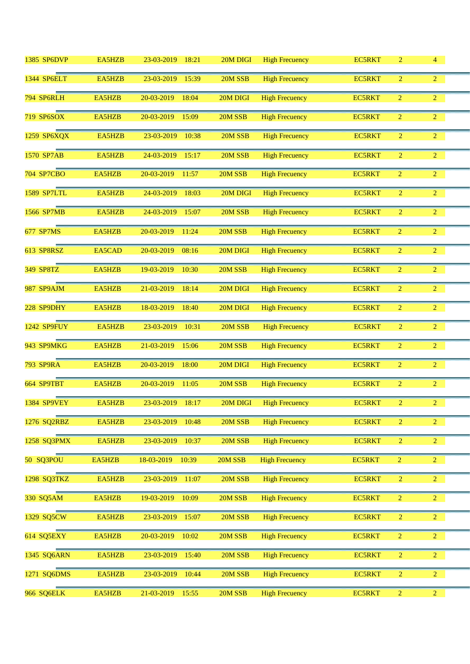| 1385 SP6DVP        | EA5HZB | 23-03-2019<br>18:21 | 20M DIGI | <b>High Frecuency</b> | <b>EC5RKT</b> | $\overline{2}$ | $\overline{4}$ |  |
|--------------------|--------|---------------------|----------|-----------------------|---------------|----------------|----------------|--|
| 1344 SP6ELT        | EA5HZB | 23-03-2019<br>15:39 | 20M SSB  | <b>High Frecuency</b> | <b>EC5RKT</b> | $\overline{2}$ | $\overline{2}$ |  |
| 794 SP6RLH         | EA5HZB | 20-03-2019<br>18:04 | 20M DIGI | <b>High Frecuency</b> | EC5RKT        | $\overline{2}$ | $\overline{2}$ |  |
| 719 SP6SOX         | EA5HZB | 20-03-2019<br>15:09 | 20M SSB  | <b>High Frecuency</b> | <b>EC5RKT</b> | $\overline{2}$ | $\overline{2}$ |  |
| 1259 SP6XQX        | EA5HZB | 23-03-2019<br>10:38 | 20M SSB  | <b>High Frecuency</b> | <b>EC5RKT</b> | $\overline{2}$ | $\overline{2}$ |  |
| 1570 SP7AB         | EA5HZB | 24-03-2019<br>15:17 | 20M SSB  | <b>High Frecuency</b> | <b>EC5RKT</b> | $\overline{2}$ | $\overline{2}$ |  |
| <b>704 SP7CBO</b>  | EA5HZB | 20-03-2019<br>11:57 | 20M SSB  | <b>High Frecuency</b> | <b>EC5RKT</b> | $\overline{2}$ | $\overline{2}$ |  |
| <b>1589 SP7LTL</b> | EA5HZB | 24-03-2019<br>18:03 | 20M DIGI | <b>High Frecuency</b> | <b>EC5RKT</b> | $\overline{2}$ | $\overline{2}$ |  |
| 1566 SP7MB         | EA5HZB | 24-03-2019<br>15:07 | 20M SSB  | <b>High Frecuency</b> | <b>EC5RKT</b> | $\overline{2}$ | $\overline{2}$ |  |
| 677 SP7MS          | EA5HZB | 20-03-2019<br>11:24 | 20M SSB  | <b>High Frecuency</b> | <b>EC5RKT</b> | $\overline{2}$ | $\overline{2}$ |  |
| 613 SP8RSZ         | EA5CAD | 20-03-2019<br>08:16 | 20M DIGI | <b>High Frecuency</b> | <b>EC5RKT</b> | $\overline{2}$ | $\overline{2}$ |  |
| 349 SP8TZ          | EA5HZB | 19-03-2019<br>10:30 | 20M SSB  | <b>High Frecuency</b> | EC5RKT        | $\overline{2}$ | $\overline{2}$ |  |
| 987 SP9AJM         | EA5HZB | 21-03-2019<br>18:14 | 20M DIGI | <b>High Frecuency</b> | EC5RKT        | $\overline{2}$ | $\overline{2}$ |  |
| 228 SP9DHY         | EA5HZB | 18-03-2019<br>18:40 | 20M DIGI | <b>High Frecuency</b> | EC5RKT        | $\overline{2}$ | $\overline{2}$ |  |
| 1242 SP9FUY        | EA5HZB | 23-03-2019<br>10:31 | 20M SSB  | <b>High Frecuency</b> | <b>EC5RKT</b> | $\overline{2}$ | $\overline{2}$ |  |
| 943 SP9MKG         | EA5HZB | 21-03-2019<br>15:06 | 20M SSB  | <b>High Frecuency</b> | <b>EC5RKT</b> | $\overline{2}$ | $\overline{2}$ |  |
| <b>793 SP9RA</b>   | EA5HZB | 20-03-2019<br>18:00 | 20M DIGI | <b>High Frecuency</b> | <b>EC5RKT</b> | $\overline{2}$ | $\overline{2}$ |  |
| 664 SP9TBT         | EA5HZB | 20-03-2019<br>11:05 | 20M SSB  | <b>High Frecuency</b> | <b>EC5RKT</b> | $\overline{2}$ | $\overline{2}$ |  |
| <b>1384 SP9VEY</b> | EA5HZB | 23-03-2019<br>18:17 | 20M DIGI | <b>High Frecuency</b> | <b>EC5RKT</b> | $\overline{2}$ | $\overline{2}$ |  |
| 1276 SQ2RBZ        | EA5HZB | 23-03-2019<br>10:48 | 20M SSB  | <b>High Frecuency</b> | <b>EC5RKT</b> | $\overline{2}$ | $\overline{2}$ |  |
| 1258 SQ3PMX        | EA5HZB | 23-03-2019<br>10:37 | 20M SSB  | <b>High Frecuency</b> | <b>EC5RKT</b> | $\overline{2}$ | $\overline{2}$ |  |
| 50 SQ3POU          | EA5HZB | 18-03-2019<br>10:39 | 20M SSB  | <b>High Frecuency</b> | <b>EC5RKT</b> | $\overline{2}$ | $\overline{2}$ |  |
| 1298 SQ3TKZ        | EA5HZB | 23-03-2019<br>11:07 | 20M SSB  | <b>High Frecuency</b> | <b>EC5RKT</b> | $\overline{2}$ | $\overline{2}$ |  |
| 330 SQ5AM          | EA5HZB | 19-03-2019<br>10:09 | 20M SSB  | <b>High Frecuency</b> | <b>EC5RKT</b> | $\overline{2}$ | $\overline{2}$ |  |
| 1329 SQ5CW         | EA5HZB | 23-03-2019<br>15:07 | 20M SSB  | <b>High Frecuency</b> | <b>EC5RKT</b> | $\overline{2}$ | $\overline{2}$ |  |
| 614 SQ5EXY         | EA5HZB | 20-03-2019<br>10:02 | 20M SSB  | <b>High Frecuency</b> | <b>EC5RKT</b> | $\overline{2}$ | $\overline{2}$ |  |
| 1345 SQ6ARN        | EA5HZB | 23-03-2019<br>15:40 | 20M SSB  | <b>High Frecuency</b> | <b>EC5RKT</b> | $\overline{2}$ | $\overline{2}$ |  |
| 1271 SQ6DMS        | EA5HZB | 23-03-2019<br>10:44 | 20M SSB  | <b>High Frecuency</b> | <b>EC5RKT</b> | $\overline{2}$ | $\overline{2}$ |  |
| 966 SQ6ELK         | EA5HZB | 21-03-2019<br>15:55 | 20M SSB  | <b>High Frecuency</b> | <b>EC5RKT</b> | $\overline{2}$ | $\overline{2}$ |  |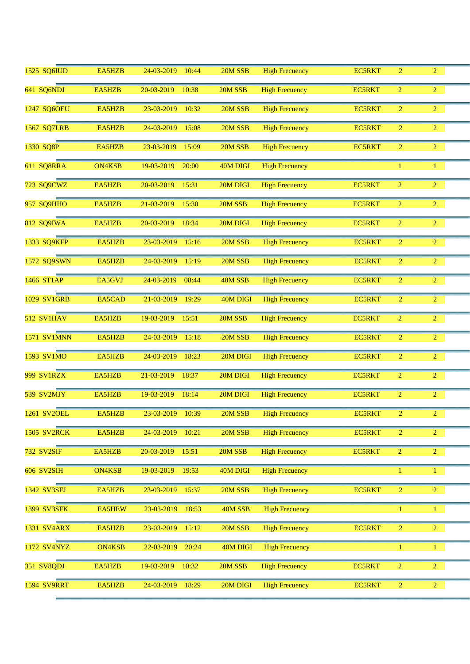| 1525 SQ6IUD        | EA5HZB        | 24-03-2019<br>10:44 | 20M SSB  | <b>High Frecuency</b> | <b>EC5RKT</b> | $\overline{2}$ | $\overline{2}$ |  |
|--------------------|---------------|---------------------|----------|-----------------------|---------------|----------------|----------------|--|
| 641 SQ6NDJ         | EA5HZB        | 20-03-2019<br>10:38 | 20M SSB  | <b>High Frecuency</b> | <b>EC5RKT</b> | $\overline{2}$ | $\overline{2}$ |  |
| 1247 SQ6OEU        | EA5HZB        | 23-03-2019<br>10:32 | 20M SSB  | <b>High Frecuency</b> | <b>EC5RKT</b> | $\overline{2}$ | $\overline{2}$ |  |
| 1567 SQ7LRB        | EA5HZB        | 24-03-2019<br>15:08 | 20M SSB  | <b>High Frecuency</b> | <b>EC5RKT</b> | 2              | $\overline{2}$ |  |
| 1330 SQ8P          | EA5HZB        | 23-03-2019<br>15:09 | 20M SSB  | <b>High Frecuency</b> | <b>EC5RKT</b> | $\overline{2}$ | $\overline{2}$ |  |
| 611 SQ8RRA         | <b>ON4KSB</b> | 19-03-2019<br>20:00 | 40M DIGI | <b>High Frecuency</b> |               | 1              | $\mathbf{1}$   |  |
| 723 SQ9CWZ         | EA5HZB        | 20-03-2019<br>15:31 | 20M DIGI | <b>High Frecuency</b> | <b>EC5RKT</b> | $\overline{c}$ | $\overline{2}$ |  |
| 957 SQ9HHO         | EA5HZB        | 21-03-2019<br>15:30 | 20M SSB  | <b>High Frecuency</b> | EC5RKT        | 2              | $\overline{2}$ |  |
| <b>812 SQ9IWA</b>  | EA5HZB        | 20-03-2019<br>18:34 | 20M DIGI | <b>High Frecuency</b> | EC5RKT        | 2              | $\overline{2}$ |  |
| 1333 SQ9KFP        | EA5HZB        | 23-03-2019<br>15:16 | 20M SSB  | <b>High Frecuency</b> | <b>EC5RKT</b> | 2              | $\overline{2}$ |  |
| 1572 SQ9SWN        | EA5HZB        | 24-03-2019<br>15:19 | 20M SSB  | <b>High Frecuency</b> | <b>EC5RKT</b> | $\overline{2}$ | $\overline{2}$ |  |
| 1466 ST1AP         | EA5GVJ        | 24-03-2019<br>08:44 | 40M SSB  | <b>High Frecuency</b> | <b>EC5RKT</b> | $\overline{2}$ | $\overline{2}$ |  |
| 1029 SV1GRB        | EA5CAD        | 21-03-2019<br>19:29 | 40M DIGI | <b>High Frecuency</b> | <b>EC5RKT</b> | 2              | $\overline{2}$ |  |
| 512 SV1HAV         | EA5HZB        | 19-03-2019<br>15:51 | 20M SSB  | <b>High Frecuency</b> | <b>EC5RKT</b> | $\overline{c}$ | $\overline{2}$ |  |
| <b>1571 SV1MNN</b> | EA5HZB        | 24-03-2019<br>15:18 | 20M SSB  | <b>High Frecuency</b> | <b>EC5RKT</b> | $\overline{2}$ | $\overline{2}$ |  |
| 1593 SV1MO         | EA5HZB        | 24-03-2019<br>18:23 | 20M DIGI | <b>High Frecuency</b> | <b>EC5RKT</b> | $\overline{2}$ | $\overline{2}$ |  |
| 999 SV1RZX         | EA5HZB        | 21-03-2019<br>18:37 | 20M DIGI | <b>High Frecuency</b> | <b>EC5RKT</b> | $\overline{2}$ | $\overline{2}$ |  |
| 539 SV2MJY         | EA5HZB        | 18:14<br>19-03-2019 | 20M DIGI | <b>High Frecuency</b> | <b>EC5RKT</b> | $\overline{2}$ | $\overline{2}$ |  |
| 1261 SV2OEL        | EA5HZB        | 23-03-2019<br>10:39 | 20M SSB  | <b>High Frecuency</b> | <b>EC5RKT</b> | $\overline{2}$ | 2              |  |
| <b>1505 SV2RCK</b> | <b>EA5HZB</b> | 24-03-2019<br>10:21 | 20M SSB  | <b>High Frecuency</b> | <b>EC5RKT</b> | $\overline{2}$ | $\overline{2}$ |  |
| <b>732 SV2SIF</b>  | EA5HZB        | 20-03-2019<br>15:51 | 20M SSB  | <b>High Frecuency</b> | <b>EC5RKT</b> | $\overline{2}$ | $\overline{2}$ |  |
| <b>606 SV2SIH</b>  | <b>ON4KSB</b> | 19-03-2019<br>19:53 | 40M DIGI | <b>High Frecuency</b> |               | $\mathbf{1}$   | $\mathbf{1}$   |  |
| 1342 SV3SFJ        | EA5HZB        | 23-03-2019<br>15:37 | 20M SSB  | <b>High Frecuency</b> | EC5RKT        | $\overline{2}$ | 2 <sup>7</sup> |  |
| <b>1399 SV3SFK</b> | EA5HEW        | 23-03-2019<br>18:53 | 40M SSB  | <b>High Frecuency</b> |               | $\mathbf{1}$   | $\mathbf{1}$   |  |
| 1331 SV4ARX        | EA5HZB        | 23-03-2019<br>15:12 | 20M SSB  | <b>High Frecuency</b> | <b>EC5RKT</b> | $\overline{2}$ | 2 <sup>1</sup> |  |
| 1172 SV4NYZ        | ON4KSB        | 22-03-2019<br>20:24 | 40M DIGI | <b>High Frecuency</b> |               | 1              | $\mathbf{1}$   |  |
| <b>351 SV8QDJ</b>  | EA5HZB        | 19-03-2019<br>10:32 | 20M SSB  | <b>High Frecuency</b> | <b>EC5RKT</b> | $\overline{2}$ | $\overline{2}$ |  |
| <b>1594 SV9RRT</b> | EA5HZB        | 24-03-2019<br>18:29 | 20M DIGI | <b>High Frecuency</b> | <b>EC5RKT</b> | $\overline{2}$ | $\overline{2}$ |  |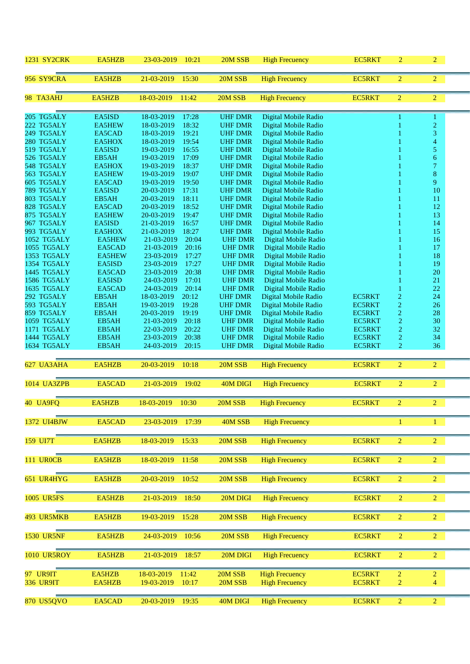| <b>1231 SY2CRK</b>         | EA5HZB           | 23-03-2019<br>10:21                        | 20M SSB                          | <b>High Frecuency</b>                        | <b>EC5RKT</b> | $\overline{c}$ | $\overline{2}$                   |  |
|----------------------------|------------------|--------------------------------------------|----------------------------------|----------------------------------------------|---------------|----------------|----------------------------------|--|
| <b>956 SY9CRA</b>          | EA5HZB           | 21-03-2019<br>15:30                        | 20M SSB                          | <b>High Frecuency</b>                        | <b>EC5RKT</b> | $\overline{2}$ | $\overline{2}$                   |  |
| 98 TA3AHJ                  | EA5HZB           | 18-03-2019<br>11:42                        | 20M SSB                          | <b>High Frecuency</b>                        | <b>EC5RKT</b> | $\overline{2}$ | $\overline{2}$                   |  |
| 205 TG5ALY                 | EA5ISD           | 17:28<br>18-03-2019                        | <b>UHF DMR</b>                   | Digital Mobile Radio                         |               |                | 1                                |  |
| 222 TG5ALY                 | EA5HEW           | 18-03-2019<br>18:32                        | <b>UHF DMR</b>                   | Digital Mobile Radio                         |               |                | $\overline{2}$                   |  |
| 249 TG5ALY                 | EA5CAD           | 18-03-2019<br>19:21                        | <b>UHF DMR</b>                   | Digital Mobile Radio                         |               |                | 3                                |  |
| 280 TG5ALY                 | EA5HOX           | 18-03-2019<br>19:54                        | <b>UHF DMR</b>                   | Digital Mobile Radio                         |               |                | 4                                |  |
| 519 TG5ALY<br>526 TG5ALY   | EA5ISD<br>EB5AH  | 16:55<br>19-03-2019<br>17:09<br>19-03-2019 | <b>UHF DMR</b><br><b>UHF DMR</b> | Digital Mobile Radio<br>Digital Mobile Radio |               |                | 5<br>6                           |  |
| 548 TG5ALY                 | EA5HOX           | 18:37<br>19-03-2019                        | <b>UHF DMR</b>                   | Digital Mobile Radio                         |               |                | $\tau$                           |  |
| 563 TG5ALY                 | <b>EA5HEW</b>    | 19-03-2019<br>19:07                        | <b>UHF DMR</b>                   | Digital Mobile Radio                         |               |                | 8                                |  |
| 605 TG5ALY                 | EA5CAD           | 19-03-2019<br>19:50                        | <b>UHF DMR</b>                   | Digital Mobile Radio                         |               |                | 9                                |  |
| <b>789 TG5ALY</b>          | EA5ISD           | 20-03-2019<br>17:31                        | <b>UHF DMR</b>                   | Digital Mobile Radio                         |               |                | 10                               |  |
| 803 TG5ALY                 | EB5AH            | 20-03-2019<br>18:11                        | <b>UHF DMR</b>                   | Digital Mobile Radio                         |               |                | 11                               |  |
| 828 TG5ALY                 | EA5CAD           | 20-03-2019<br>18:52                        | <b>UHF DMR</b>                   | Digital Mobile Radio                         |               |                | 12                               |  |
| 875 TG5ALY                 | EA5HEW           | 20-03-2019<br>19:47                        | <b>UHF DMR</b>                   | Digital Mobile Radio                         |               |                | 13                               |  |
| 967 TG5ALY                 | EA5ISD           | 21-03-2019<br>16:57                        | <b>UHF DMR</b>                   | Digital Mobile Radio                         |               |                | 14                               |  |
| 993 TG5ALY                 | EA5HOX           | 18:27<br>21-03-2019                        | <b>UHF DMR</b>                   | Digital Mobile Radio                         |               |                | 15                               |  |
| 1052 TG5ALY                | <b>EA5HEW</b>    | 21-03-2019<br>20:04                        | <b>UHF DMR</b>                   | Digital Mobile Radio                         |               |                | 16                               |  |
| 1055 TG5ALY<br>1353 TG5ALY | EA5CAD<br>EA5HEW | 21-03-2019<br>20:16<br>17:27<br>23-03-2019 | <b>UHF DMR</b><br><b>UHF DMR</b> | Digital Mobile Radio                         |               |                | 17<br>18                         |  |
| 1354 TG5ALY                | EA5ISD           | 17:27<br>23-03-2019                        | <b>UHF DMR</b>                   | Digital Mobile Radio<br>Digital Mobile Radio |               |                | 19                               |  |
| 1445 TG5ALY                | EA5CAD           | 23-03-2019<br>20:38                        | <b>UHF DMR</b>                   | Digital Mobile Radio                         |               |                | 20                               |  |
| <b>1586 TG5ALY</b>         | EA5ISD           | 24-03-2019<br>17:01                        | <b>UHF DMR</b>                   | Digital Mobile Radio                         |               |                | 21                               |  |
| 1635 TG5ALY                | EA5CAD           | 20:14<br>24-03-2019                        | <b>UHF DMR</b>                   | Digital Mobile Radio                         |               |                | 22                               |  |
| 292 TG5ALY                 | EB5AH            | 20:12<br>18-03-2019                        | <b>UHF DMR</b>                   | Digital Mobile Radio                         | <b>EC5RKT</b> | $\overline{c}$ | 24                               |  |
| 593 TG5ALY                 | EB5AH            | 19-03-2019<br>19:28                        | <b>UHF DMR</b>                   | Digital Mobile Radio                         | <b>EC5RKT</b> | $\sqrt{2}$     | 26                               |  |
| 859 TG5ALY                 | EB5AH            | 19:19<br>20-03-2019                        | <b>UHF DMR</b>                   | Digital Mobile Radio                         | EC5RKT        | $\overline{c}$ | 28                               |  |
| 1059 TG5ALY                | EB5AH            | 21-03-2019<br>20:18                        | <b>UHF DMR</b>                   | Digital Mobile Radio                         | <b>EC5RKT</b> | $\overline{2}$ | 30                               |  |
| 1171 TG5ALY                | EB5AH            | 20:22<br>22-03-2019                        | <b>UHF DMR</b>                   | Digital Mobile Radio                         | <b>EC5RKT</b> | $\overline{c}$ | 32                               |  |
| 1444 TG5ALY                | EB5AH            | 20:38<br>23-03-2019                        | <b>UHF DMR</b>                   | Digital Mobile Radio                         | <b>EC5RKT</b> | $\overline{2}$ | 34                               |  |
| 1634 TG5ALY                | EB5AH            | 24-03-2019<br>20:15                        | <b>UHF DMR</b>                   | Digital Mobile Radio                         | <b>EC5RKT</b> | $\overline{2}$ | 36                               |  |
| 627 UA3AHA                 | EA5HZB           | 20-03-2019<br>10:18                        | 20M SSB                          | <b>High Frecuency</b>                        | EC5RKT        | $\overline{2}$ | $\overline{2}$                   |  |
| 1014 UA3ZPB                | EA5CAD           | 21-03-2019<br>19:02                        | 40M DIGI                         | <b>High Frecuency</b>                        | <b>EC5RKT</b> | $\overline{c}$ | $\overline{2}$                   |  |
| 40 UA9FQ                   | EA5HZB           | 18-03-2019<br>10:30                        | 20M SSB                          | <b>High Frecuency</b>                        | <b>EC5RKT</b> | $\overline{2}$ | $\overline{2}$                   |  |
| 1372 UI4BJW                | EA5CAD           | 23-03-2019<br>17:39                        | 40M SSB                          | <b>High Frecuency</b>                        |               | $\mathbf{1}$   | $\mathbf{1}$                     |  |
| 159 UI7T                   | EA5HZB           | 18-03-2019<br>15:33                        | 20M SSB                          | <b>High Frecuency</b>                        | <b>EC5RKT</b> | $\overline{2}$ | $\overline{2}$                   |  |
| <b>111 UROCB</b>           | EA5HZB           | 18-03-2019<br>11:58                        | 20M SSB                          | <b>High Frecuency</b>                        | <b>EC5RKT</b> | $\overline{2}$ | 2 <sup>1</sup>                   |  |
|                            |                  |                                            |                                  |                                              |               |                |                                  |  |
| 651 UR4HYG                 | EA5HZB           | 20-03-2019<br>10:52                        | 20M SSB                          | <b>High Frecuency</b>                        | <b>EC5RKT</b> | $\overline{2}$ | $\overline{2}$                   |  |
| <b>1005 UR5FS</b>          | EA5HZB           | 21-03-2019<br>18:50                        | 20M DIGI                         | <b>High Frecuency</b>                        | <b>EC5RKT</b> | $\overline{2}$ | 2 <sup>1</sup>                   |  |
| 493 UR5MKB                 | EA5HZB           | 19-03-2019<br>15:28                        | 20M SSB                          | <b>High Frecuency</b>                        | <b>EC5RKT</b> | $\overline{2}$ | $\overline{2}$                   |  |
| <b>1530 UR5NF</b>          | EA5HZB           | 24-03-2019<br>10:56                        | 20M SSB                          | <b>High Frecuency</b>                        | <b>EC5RKT</b> | $\overline{2}$ | $\overline{2}$                   |  |
| <b>1010 UR5ROY</b>         | EA5HZB           | 21-03-2019<br>18:57                        | 20M DIGI                         | <b>High Frecuency</b>                        | <b>EC5RKT</b> | $\overline{2}$ | $\overline{2}$                   |  |
|                            |                  |                                            |                                  |                                              |               |                |                                  |  |
| 97 UR9IT                   | EA5HZB           | 18-03-2019<br>11:42                        | 20M SSB                          | <b>High Frecuency</b>                        | <b>EC5RKT</b> | $\overline{2}$ | $\overline{2}$<br>$\overline{4}$ |  |
| <b>336 UR9IT</b>           | EA5HZB           | 19-03-2019<br>10:17                        | 20M SSB                          | <b>High Frecuency</b>                        | <b>EC5RKT</b> | $\mathbf 2$    |                                  |  |
| <b>870 US5QVO</b>          | EA5CAD           | 20-03-2019                                 | 40M DIGI                         | <b>High Frecuency</b>                        | <b>EC5RKT</b> | $\overline{2}$ | $\overline{2}$                   |  |
|                            |                  | 19:35                                      |                                  |                                              |               |                |                                  |  |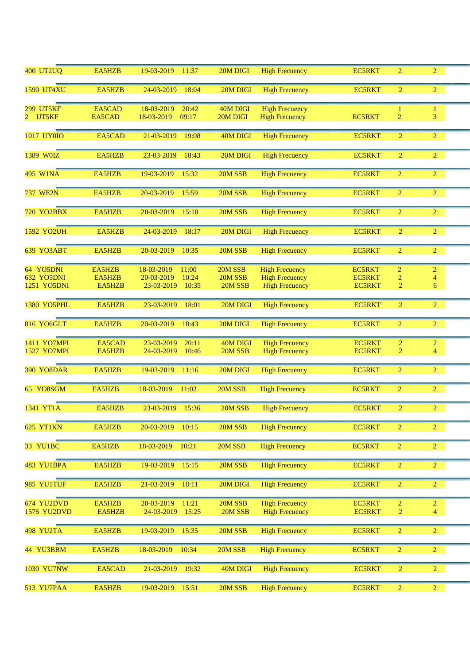| <b>400 UT2UQ</b>   | EA5HZB | 19-03-2019<br>11:37 | 20M DIGI | <b>High Frecuency</b> | <b>EC5RKT</b> | $\overline{2}$ | $\overline{2}$ |  |
|--------------------|--------|---------------------|----------|-----------------------|---------------|----------------|----------------|--|
| <b>1590 UT4XU</b>  | EA5HZB | 24-03-2019<br>18:04 | 20M DIGI | <b>High Frecuency</b> | <b>EC5RKT</b> | $\overline{2}$ | $\overline{2}$ |  |
| <b>299 UT5KF</b>   | EA5CAD | 18-03-2019<br>20:42 | 40M DIGI | <b>High Frecuency</b> |               | 1              | $\mathbf{1}$   |  |
| 2 UT5KF            | EA5CAD | 18-03-2019<br>09:17 | 20M DIGI | <b>High Frecuency</b> | <b>EC5RKT</b> | $\overline{2}$ | 3              |  |
|                    |        |                     |          |                       |               |                |                |  |
| 1017 UY0IO         | EA5CAD | 21-03-2019<br>19:08 | 40M DIGI | <b>High Frecuency</b> | <b>EC5RKT</b> | $\overline{2}$ | $\overline{2}$ |  |
|                    |        |                     |          |                       |               |                |                |  |
| 1389 WOIZ          | EA5HZB | 23-03-2019<br>18:43 | 20M DIGI | <b>High Frecuency</b> | <b>EC5RKT</b> | $\overline{2}$ | $\overline{2}$ |  |
|                    |        |                     |          |                       |               |                |                |  |
| 495 W1NA           | EA5HZB | 19-03-2019<br>15:32 | 20M SSB  | <b>High Frecuency</b> | <b>EC5RKT</b> | $\overline{2}$ | $\overline{2}$ |  |
|                    |        |                     |          |                       |               |                |                |  |
| <b>737 WE2N</b>    | EA5HZB | 20-03-2019<br>15:59 | 20M SSB  | <b>High Frecuency</b> | <b>EC5RKT</b> | $\overline{2}$ | $\overline{2}$ |  |
|                    |        |                     |          |                       |               |                | $\overline{2}$ |  |
| <b>720 YO2BBX</b>  | EA5HZB | 20-03-2019<br>15:10 | 20M SSB  | <b>High Frecuency</b> | <b>EC5RKT</b> | $\overline{2}$ |                |  |
| 1592 YO2UH         | EA5HZB | 24-03-2019<br>18:17 | 20M DIGI | <b>High Frecuency</b> | <b>EC5RKT</b> | $\overline{2}$ | $\overline{2}$ |  |
|                    |        |                     |          |                       |               |                |                |  |
| <b>639 YO3ABT</b>  | EA5HZB | 20-03-2019<br>10:35 | 20M SSB  | <b>High Frecuency</b> | <b>EC5RKT</b> | $\overline{2}$ | $\overline{2}$ |  |
|                    |        |                     |          |                       |               |                |                |  |
| 64 YO5DNI          | EA5HZB | 18-03-2019<br>11:00 | 20M SSB  | <b>High Frecuency</b> | <b>EC5RKT</b> | $\overline{c}$ | $\overline{c}$ |  |
| <b>632 YO5DNI</b>  | EA5HZB | 20-03-2019<br>10:24 | 20M SSB  | <b>High Frecuency</b> | <b>EC5RKT</b> | $\overline{c}$ | $\overline{4}$ |  |
| 1251 YO5DNI        | EA5HZB | 23-03-2019<br>10:35 | 20M SSB  | <b>High Frecuency</b> | <b>EC5RKT</b> | $\overline{2}$ | 6              |  |
|                    |        |                     |          |                       |               |                |                |  |
| <b>1380 YO5PHL</b> | EA5HZB | 23-03-2019<br>18:01 | 20M DIGI | <b>High Frecuency</b> | <b>EC5RKT</b> | $\overline{2}$ | $\overline{c}$ |  |
|                    |        |                     |          |                       |               |                |                |  |
| 816 YO6GLT         | EA5HZB | 20-03-2019<br>18:43 | 20M DIGI | <b>High Frecuency</b> | <b>EC5RKT</b> | $\overline{2}$ | $\overline{2}$ |  |
|                    |        |                     |          |                       |               |                |                |  |
| 1411 YO7MPI        | EA5CAD | 23-03-2019<br>20:11 | 40M DIGI | <b>High Frecuency</b> | <b>EC5RKT</b> | 2              | $\overline{c}$ |  |
| 1527 YO7MPI        | EA5HZB | 24-03-2019<br>10:46 | 20M SSB  | <b>High Frecuency</b> | <b>EC5RKT</b> | $\overline{2}$ | $\overline{4}$ |  |
|                    |        |                     |          |                       |               |                |                |  |
| <b>390 YO8DAR</b>  | EA5HZB | 19-03-2019<br>11:16 | 20M DIGI | <b>High Frecuency</b> | <b>EC5RKT</b> | $\overline{2}$ | $\overline{2}$ |  |
|                    |        |                     |          |                       |               |                |                |  |
| 65 YO8SGM          | EA5HZB | 18-03-2019<br>11:02 | 20M SSB  | <b>High Frecuency</b> | <b>EC5RKT</b> | $\overline{2}$ | $\overline{2}$ |  |
|                    |        |                     |          |                       |               |                |                |  |
| 1341 YT1A          | EA5HZB | 23-03-2019<br>15:36 | 20M SSB  | <b>High Frecuency</b> | <b>EC5RKT</b> | $\overline{2}$ | $\overline{2}$ |  |
|                    |        |                     |          |                       |               |                |                |  |
| <b>625 YT1KN</b>   | EA5HZB | 20-03-2019<br>10:15 | 20M SSB  | <b>High Frecuency</b> | <b>EC5RKT</b> | $\overline{2}$ | $\overline{2}$ |  |
| 33 YU1BC           | EA5HZB | 18-03-2019<br>10:21 | 20M SSB  | <b>High Frecuency</b> | <b>EC5RKT</b> | $\overline{2}$ | $\overline{2}$ |  |
|                    |        |                     |          |                       |               |                |                |  |
| 483 YU1BPA         | EA5HZB | 19-03-2019<br>15:15 | 20M SSB  | <b>High Frecuency</b> | <b>EC5RKT</b> | $\overline{2}$ | $\overline{2}$ |  |
|                    |        |                     |          |                       |               |                |                |  |
| 985 YU1TUF         | EA5HZB | 21-03-2019<br>18:11 | 20M DIGI | <b>High Frecuency</b> | <b>EC5RKT</b> | $\overline{2}$ | $\overline{2}$ |  |
|                    |        |                     |          |                       |               |                |                |  |
| 674 YU2DVD         | EA5HZB | 20-03-2019<br>11:21 | 20M SSB  | <b>High Frecuency</b> | <b>EC5RKT</b> | $\overline{2}$ | $\overline{2}$ |  |
| 1576 YU2DVD        | EA5HZB | 24-03-2019<br>15:25 | 20M SSB  | <b>High Frecuency</b> | <b>EC5RKT</b> | $\overline{2}$ | 4              |  |
|                    |        |                     |          |                       |               |                |                |  |
| <b>498 YU2TA</b>   | EA5HZB | 19-03-2019<br>15:35 | 20M SSB  | <b>High Frecuency</b> | <b>EC5RKT</b> | $\overline{2}$ | $\overline{2}$ |  |
|                    |        |                     |          |                       |               |                |                |  |
| 44 YU3BBM          | EA5HZB | 18-03-2019<br>10:34 | 20M SSB  | <b>High Frecuency</b> | <b>EC5RKT</b> | $\overline{2}$ | $\overline{2}$ |  |
|                    |        |                     |          |                       |               |                |                |  |
| 1030 YU7NW         | EA5CAD | 21-03-2019<br>19:32 | 40M DIGI | <b>High Frecuency</b> | <b>EC5RKT</b> | $\overline{2}$ | $\overline{2}$ |  |
|                    |        |                     |          |                       |               |                |                |  |
| 513 YU7PAA         | EA5HZB | 19-03-2019<br>15:51 | 20M SSB  | <b>High Frecuency</b> | <b>EC5RKT</b> | $\overline{2}$ | $\overline{2}$ |  |